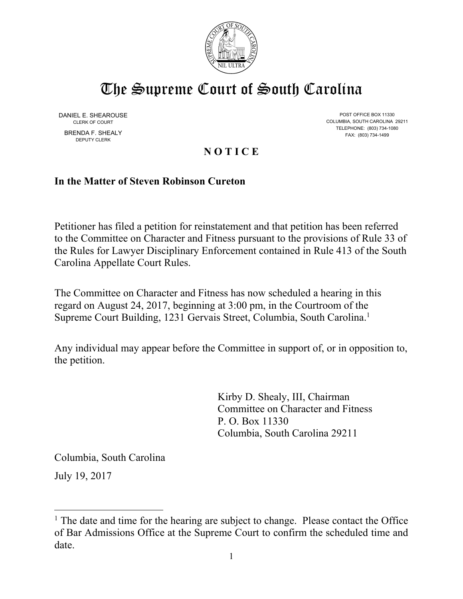

## The Supreme Court of South Carolina

DANIEL E. SHEAROUSE BRENDA F. SHEALY FAX: (803) 734-1499 DEPUTY CLERK

POST OFFICE BOX 11330 CLERK OF COURT COLUMBIA, SOUTH CAROLINA 29211 TELEPHONE: (803) 734-1080

## **N O T I C E**

## **In the Matter of Steven Robinson Cureton**

Petitioner has filed a petition for reinstatement and that petition has been referred to the Committee on Character and Fitness pursuant to the provisions of Rule 33 of the Rules for Lawyer Disciplinary Enforcement contained in Rule 413 of the South Carolina Appellate Court Rules.

The Committee on Character and Fitness has now scheduled a hearing in this regard on August 24, 2017, beginning at 3:00 pm, in the Courtroom of the Supreme Court Building, 1231 Gervais Street, Columbia, South Carolina.1

Any individual may appear before the Committee in support of, or in opposition to, the petition.

 Columbia, South Carolina 29211 Kirby D. Shealy, III, Chairman Committee on Character and Fitness P. O. Box 11330

Columbia, South Carolina

July 19, 2017

 $\overline{a}$ 

 $<sup>1</sup>$  The date and time for the hearing are subject to change. Please contact the Office</sup> of Bar Admissions Office at the Supreme Court to confirm the scheduled time and date.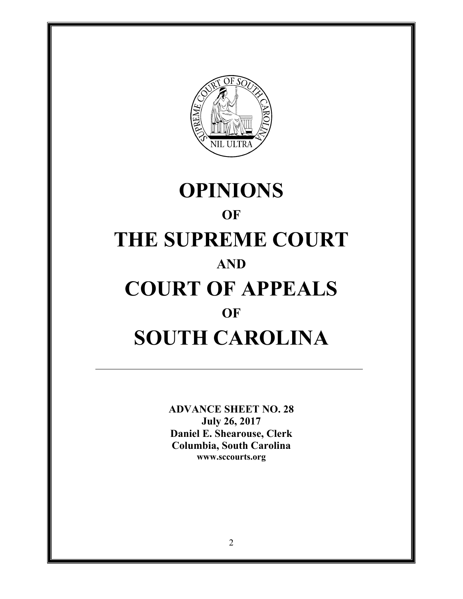

# OF **OPINIONS OF THE SUPREME COURT AND COURT OF APPEALS SOUTH CAROLINA**

**ADVANCE SHEET NO. 28 July 26, 2017 Daniel E. Shearouse, Clerk Columbia, South Carolina www.sccourts.org**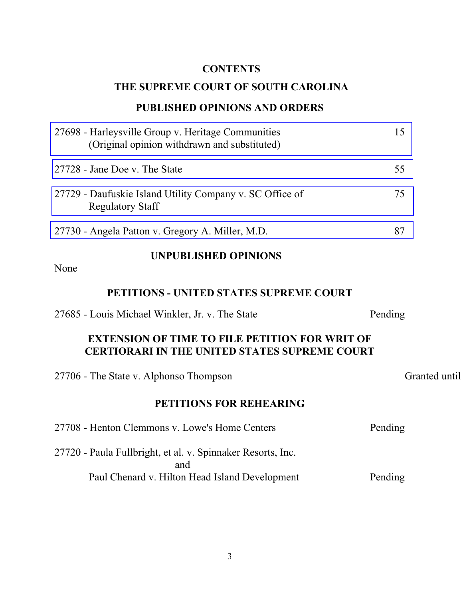## **CONTENTS**

## **THE SUPREME COURT OF SOUTH CAROLINA**

## **PUBLISHED OPINIONS AND ORDERS**

| 27698 - Harleysville Group v. Heritage Communities<br>(Original opinion withdrawn and substituted)            | 15            |
|---------------------------------------------------------------------------------------------------------------|---------------|
| 27728 - Jane Doe v. The State                                                                                 | 55            |
| 27729 - Daufuskie Island Utility Company v. SC Office of<br><b>Regulatory Staff</b>                           | 75            |
| 27730 - Angela Patton v. Gregory A. Miller, M.D.                                                              | 87            |
| <b>UNPUBLISHED OPINIONS</b><br>None                                                                           |               |
| PETITIONS - UNITED STATES SUPREME COURT                                                                       |               |
| 27685 - Louis Michael Winkler, Jr. v. The State                                                               | Pending       |
| <b>EXTENSION OF TIME TO FILE PETITION FOR WRIT OF</b><br><b>CERTIORARI IN THE UNITED STATES SUPREME COURT</b> |               |
| 27706 - The State v. Alphonso Thompson                                                                        | Granted until |

## **PETITIONS FOR REHEARING**

| 27708 - Henton Clemmons v. Lowe's Home Centers              | Pending |
|-------------------------------------------------------------|---------|
| 27720 - Paula Fullbright, et al. v. Spinnaker Resorts, Inc. |         |
| and                                                         |         |
| Paul Chenard v. Hilton Head Island Development              | Pending |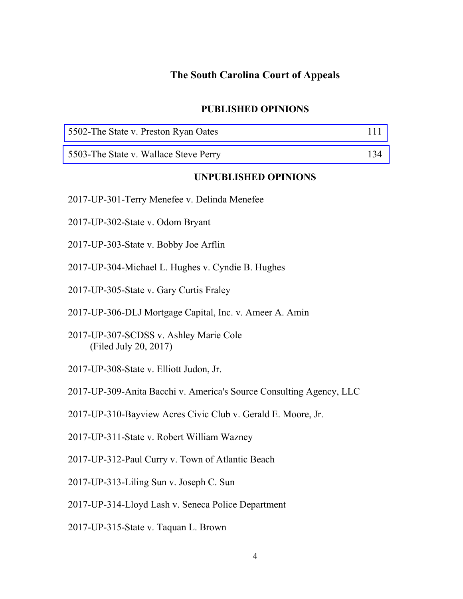#### **The South Carolina Court of Appeals**

#### **PUBLISHED OPINIONS**

| 5502-The State v. Preston Ryan Oates |  |  |
|--------------------------------------|--|--|
|--------------------------------------|--|--|

[5503-The State v. Wallace Steve Perry 134](#page-133-0)

#### **UNPUBLISHED OPINIONS**

- 2017-UP-301-Terry Menefee v. Delinda Menefee
- 2017-UP-302-State v. Odom Bryant
- 2017-UP-303-State v. Bobby Joe Arflin
- 2017-UP-304-Michael L. Hughes v. Cyndie B. Hughes
- 2017-UP-305-State v. Gary Curtis Fraley
- 2017-UP-306-DLJ Mortgage Capital, Inc. v. Ameer A. Amin
- 2017-UP-307-SCDSS v. Ashley Marie Cole (Filed July 20, 2017)
- 2017-UP-308-State v. Elliott Judon, Jr.
- 2017-UP-309-Anita Bacchi v. America's Source Consulting Agency, LLC
- 2017-UP-310-Bayview Acres Civic Club v. Gerald E. Moore, Jr.
- 2017-UP-311-State v. Robert William Wazney
- 2017-UP-312-Paul Curry v. Town of Atlantic Beach
- 2017-UP-313-Liling Sun v. Joseph C. Sun
- 2017-UP-314-Lloyd Lash v. Seneca Police Department
- 2017-UP-315-State v. Taquan L. Brown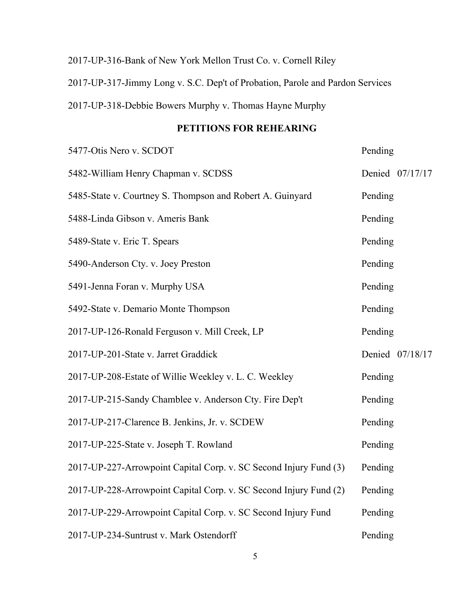## 2017-UP-316-Bank of New York Mellon Trust Co. v. Cornell Riley 2017-UP-317-Jimmy Long v. S.C. Dep't of Probation, Parole and Pardon Services 2017-UP-318-Debbie Bowers Murphy v. Thomas Hayne Murphy

## **PETITIONS FOR REHEARING**

| 5477-Otis Nero v. SCDOT                                           | Pending         |
|-------------------------------------------------------------------|-----------------|
| 5482-William Henry Chapman v. SCDSS                               | Denied 07/17/17 |
| 5485-State v. Courtney S. Thompson and Robert A. Guinyard         | Pending         |
| 5488-Linda Gibson v. Ameris Bank                                  | Pending         |
| 5489-State v. Eric T. Spears                                      | Pending         |
| 5490-Anderson Cty. v. Joey Preston                                | Pending         |
| 5491-Jenna Foran v. Murphy USA                                    | Pending         |
| 5492-State v. Demario Monte Thompson                              | Pending         |
| 2017-UP-126-Ronald Ferguson v. Mill Creek, LP                     | Pending         |
| 2017-UP-201-State v. Jarret Graddick                              | Denied 07/18/17 |
| 2017-UP-208-Estate of Willie Weekley v. L. C. Weekley             | Pending         |
| 2017-UP-215-Sandy Chamblee v. Anderson Cty. Fire Dep't            | Pending         |
| 2017-UP-217-Clarence B. Jenkins, Jr. v. SCDEW                     | Pending         |
| 2017-UP-225-State v. Joseph T. Rowland                            | Pending         |
| 2017-UP-227-Arrowpoint Capital Corp. v. SC Second Injury Fund (3) | Pending         |
| 2017-UP-228-Arrowpoint Capital Corp. v. SC Second Injury Fund (2) | Pending         |
| 2017-UP-229-Arrowpoint Capital Corp. v. SC Second Injury Fund     | Pending         |
| 2017-UP-234-Suntrust v. Mark Ostendorff                           | Pending         |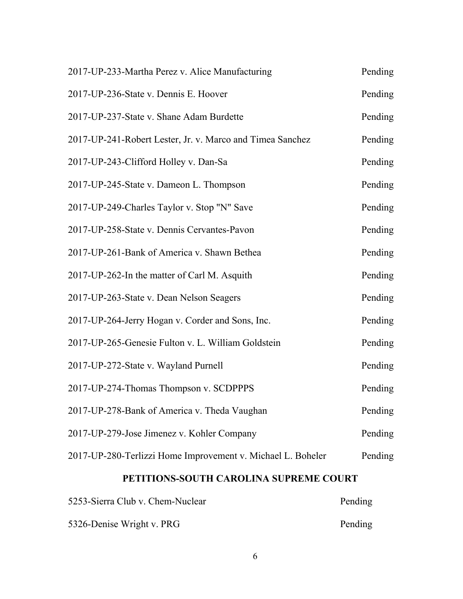| 2017-UP-233-Martha Perez v. Alice Manufacturing             | Pending |
|-------------------------------------------------------------|---------|
| 2017-UP-236-State v. Dennis E. Hoover                       | Pending |
| 2017-UP-237-State v. Shane Adam Burdette                    | Pending |
| 2017-UP-241-Robert Lester, Jr. v. Marco and Timea Sanchez   | Pending |
| 2017-UP-243-Clifford Holley v. Dan-Sa                       | Pending |
| 2017-UP-245-State v. Dameon L. Thompson                     | Pending |
| 2017-UP-249-Charles Taylor v. Stop "N" Save                 | Pending |
| 2017-UP-258-State v. Dennis Cervantes-Pavon                 | Pending |
| 2017-UP-261-Bank of America v. Shawn Bethea                 | Pending |
| 2017-UP-262-In the matter of Carl M. Asquith                | Pending |
| 2017-UP-263-State v. Dean Nelson Seagers                    | Pending |
| 2017-UP-264-Jerry Hogan v. Corder and Sons, Inc.            | Pending |
| 2017-UP-265-Genesie Fulton v. L. William Goldstein          | Pending |
| 2017-UP-272-State v. Wayland Purnell                        | Pending |
| 2017-UP-274-Thomas Thompson v. SCDPPPS                      | Pending |
| 2017-UP-278-Bank of America v. Theda Vaughan                | Pending |
| 2017-UP-279-Jose Jimenez v. Kohler Company                  | Pending |
| 2017-UP-280-Terlizzi Home Improvement v. Michael L. Boheler | Pending |

## **PETITIONS-SOUTH CAROLINA SUPREME COURT**

| 5253-Sierra Club v. Chem-Nuclear | Pending |
|----------------------------------|---------|
| 5326-Denise Wright v. PRG        | Pending |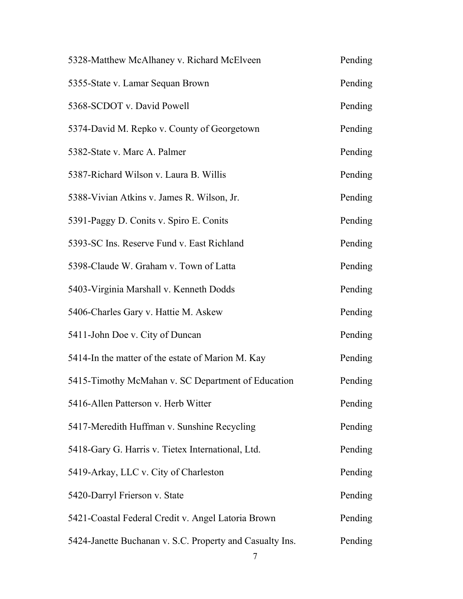| 5328-Matthew McAlhaney v. Richard McElveen               | Pending |
|----------------------------------------------------------|---------|
| 5355-State v. Lamar Sequan Brown                         | Pending |
| 5368-SCDOT v. David Powell                               | Pending |
| 5374-David M. Repko v. County of Georgetown              | Pending |
| 5382-State v. Marc A. Palmer                             | Pending |
| 5387-Richard Wilson v. Laura B. Willis                   | Pending |
| 5388-Vivian Atkins v. James R. Wilson, Jr.               | Pending |
| 5391-Paggy D. Conits v. Spiro E. Conits                  | Pending |
| 5393-SC Ins. Reserve Fund v. East Richland               | Pending |
| 5398-Claude W. Graham v. Town of Latta                   | Pending |
| 5403-Virginia Marshall v. Kenneth Dodds                  | Pending |
| 5406-Charles Gary v. Hattie M. Askew                     | Pending |
| 5411-John Doe v. City of Duncan                          | Pending |
| 5414-In the matter of the estate of Marion M. Kay        | Pending |
| 5415-Timothy McMahan v. SC Department of Education       | Pending |
| 5416-Allen Patterson v. Herb Witter                      | Pending |
| 5417-Meredith Huffman v. Sunshine Recycling              | Pending |
| 5418-Gary G. Harris v. Tietex International, Ltd.        | Pending |
| 5419-Arkay, LLC v. City of Charleston                    | Pending |
| 5420-Darryl Frierson v. State                            | Pending |
| 5421-Coastal Federal Credit v. Angel Latoria Brown       | Pending |
| 5424-Janette Buchanan v. S.C. Property and Casualty Ins. | Pending |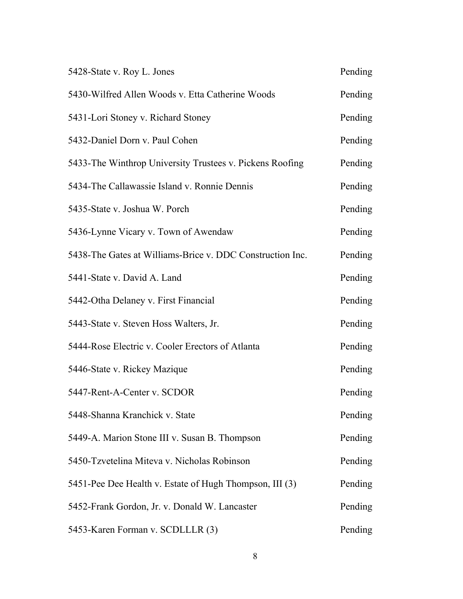| 5428-State v. Roy L. Jones                                | Pending |
|-----------------------------------------------------------|---------|
| 5430-Wilfred Allen Woods v. Etta Catherine Woods          | Pending |
| 5431-Lori Stoney v. Richard Stoney                        | Pending |
| 5432-Daniel Dorn v. Paul Cohen                            | Pending |
| 5433-The Winthrop University Trustees v. Pickens Roofing  | Pending |
| 5434-The Callawassie Island v. Ronnie Dennis              | Pending |
| 5435-State v. Joshua W. Porch                             | Pending |
| 5436-Lynne Vicary v. Town of Awendaw                      | Pending |
| 5438-The Gates at Williams-Brice v. DDC Construction Inc. | Pending |
| 5441-State v. David A. Land                               | Pending |
| 5442-Otha Delaney v. First Financial                      | Pending |
| 5443-State v. Steven Hoss Walters, Jr.                    | Pending |
| 5444-Rose Electric v. Cooler Erectors of Atlanta          | Pending |
| 5446-State v. Rickey Mazique                              | Pending |
| 5447-Rent-A-Center v. SCDOR                               | Pending |
| 5448-Shanna Kranchick v. State                            | Pending |
| 5449-A. Marion Stone III v. Susan B. Thompson             | Pending |
| 5450-Tzvetelina Miteva v. Nicholas Robinson               | Pending |
| 5451-Pee Dee Health v. Estate of Hugh Thompson, III (3)   | Pending |
| 5452-Frank Gordon, Jr. v. Donald W. Lancaster             | Pending |
| 5453-Karen Forman v. SCDLLLR (3)                          | Pending |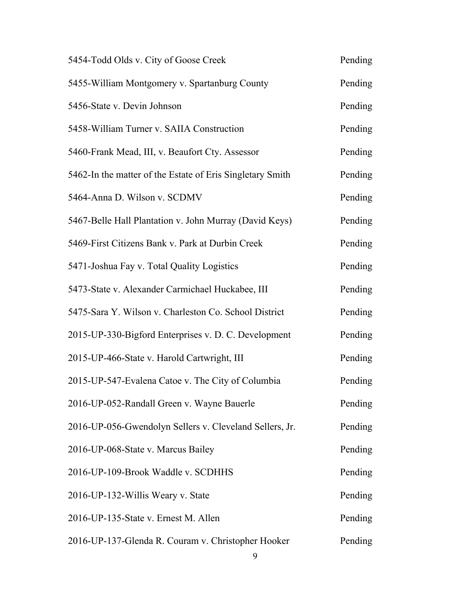| 5454-Todd Olds v. City of Goose Creek                     | Pending |
|-----------------------------------------------------------|---------|
| 5455-William Montgomery v. Spartanburg County             | Pending |
| 5456-State v. Devin Johnson                               | Pending |
| 5458-William Turner v. SAIIA Construction                 | Pending |
| 5460-Frank Mead, III, v. Beaufort Cty. Assessor           | Pending |
| 5462-In the matter of the Estate of Eris Singletary Smith | Pending |
| 5464-Anna D. Wilson v. SCDMV                              | Pending |
| 5467-Belle Hall Plantation v. John Murray (David Keys)    | Pending |
| 5469-First Citizens Bank v. Park at Durbin Creek          | Pending |
| 5471-Joshua Fay v. Total Quality Logistics                | Pending |
| 5473-State v. Alexander Carmichael Huckabee, III          | Pending |
| 5475-Sara Y. Wilson v. Charleston Co. School District     | Pending |
| 2015-UP-330-Bigford Enterprises v. D. C. Development      | Pending |
| 2015-UP-466-State v. Harold Cartwright, III               | Pending |
| 2015-UP-547-Evalena Catoe v. The City of Columbia         | Pending |
| 2016-UP-052-Randall Green v. Wayne Bauerle                | Pending |
| 2016-UP-056-Gwendolyn Sellers v. Cleveland Sellers, Jr.   | Pending |
| 2016-UP-068-State v. Marcus Bailey                        | Pending |
| 2016-UP-109-Brook Waddle v. SCDHHS                        | Pending |
| 2016-UP-132-Willis Weary v. State                         | Pending |
| 2016-UP-135-State v. Ernest M. Allen                      | Pending |
| 2016-UP-137-Glenda R. Couram v. Christopher Hooker        | Pending |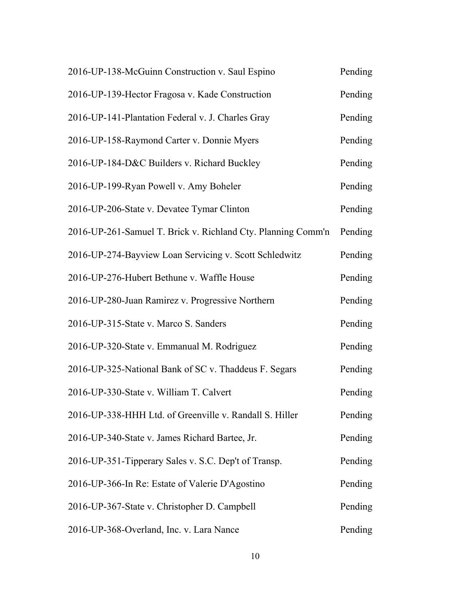| 2016-UP-138-McGuinn Construction v. Saul Espino              | Pending |
|--------------------------------------------------------------|---------|
| 2016-UP-139-Hector Fragosa v. Kade Construction              | Pending |
| 2016-UP-141-Plantation Federal v. J. Charles Gray            | Pending |
| 2016-UP-158-Raymond Carter v. Donnie Myers                   | Pending |
| 2016-UP-184-D&C Builders v. Richard Buckley                  | Pending |
| 2016-UP-199-Ryan Powell v. Amy Boheler                       | Pending |
| 2016-UP-206-State v. Devatee Tymar Clinton                   | Pending |
| 2016-UP-261-Samuel T. Brick v. Richland Cty. Planning Comm'n | Pending |
| 2016-UP-274-Bayview Loan Servicing v. Scott Schledwitz       | Pending |
| 2016-UP-276-Hubert Bethune v. Waffle House                   | Pending |
| 2016-UP-280-Juan Ramirez v. Progressive Northern             | Pending |
| 2016-UP-315-State v. Marco S. Sanders                        | Pending |
| 2016-UP-320-State v. Emmanual M. Rodriguez                   | Pending |
| 2016-UP-325-National Bank of SC v. Thaddeus F. Segars        | Pending |
| 2016-UP-330-State v. William T. Calvert                      | Pending |
| 2016-UP-338-HHH Ltd. of Greenville v. Randall S. Hiller      | Pending |
| 2016-UP-340-State v. James Richard Bartee, Jr.               | Pending |
| 2016-UP-351-Tipperary Sales v. S.C. Dep't of Transp.         | Pending |
| 2016-UP-366-In Re: Estate of Valerie D'Agostino              | Pending |
| 2016-UP-367-State v. Christopher D. Campbell                 | Pending |
| 2016-UP-368-Overland, Inc. v. Lara Nance                     | Pending |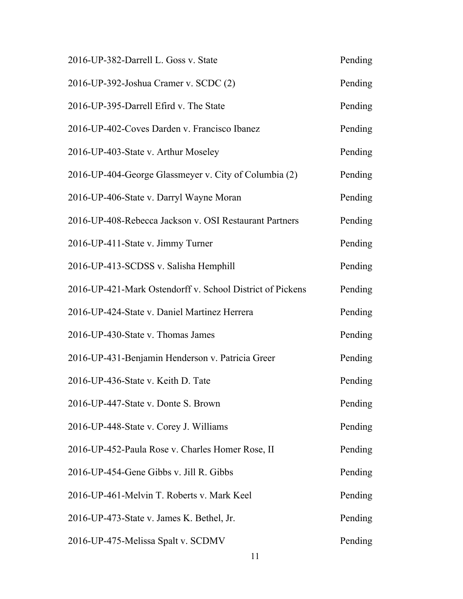| 2016-UP-382-Darrell L. Goss v. State                      | Pending |
|-----------------------------------------------------------|---------|
| 2016-UP-392-Joshua Cramer v. SCDC (2)                     | Pending |
| 2016-UP-395-Darrell Efird v. The State                    | Pending |
| 2016-UP-402-Coves Darden v. Francisco Ibanez              | Pending |
| 2016-UP-403-State v. Arthur Moseley                       | Pending |
| 2016-UP-404-George Glassmeyer v. City of Columbia (2)     | Pending |
| 2016-UP-406-State v. Darryl Wayne Moran                   | Pending |
| 2016-UP-408-Rebecca Jackson v. OSI Restaurant Partners    | Pending |
| 2016-UP-411-State v. Jimmy Turner                         | Pending |
| 2016-UP-413-SCDSS v. Salisha Hemphill                     | Pending |
| 2016-UP-421-Mark Ostendorff v. School District of Pickens | Pending |
| 2016-UP-424-State v. Daniel Martinez Herrera              | Pending |
| 2016-UP-430-State v. Thomas James                         | Pending |
| 2016-UP-431-Benjamin Henderson v. Patricia Greer          | Pending |
| 2016-UP-436-State v. Keith D. Tate                        | Pending |
| 2016-UP-447-State v. Donte S. Brown                       | Pending |
| 2016-UP-448-State v. Corey J. Williams                    | Pending |
| 2016-UP-452-Paula Rose v. Charles Homer Rose, II          | Pending |
| 2016-UP-454-Gene Gibbs v. Jill R. Gibbs                   | Pending |
| 2016-UP-461-Melvin T. Roberts v. Mark Keel                | Pending |
| 2016-UP-473-State v. James K. Bethel, Jr.                 | Pending |
| 2016-UP-475-Melissa Spalt v. SCDMV                        | Pending |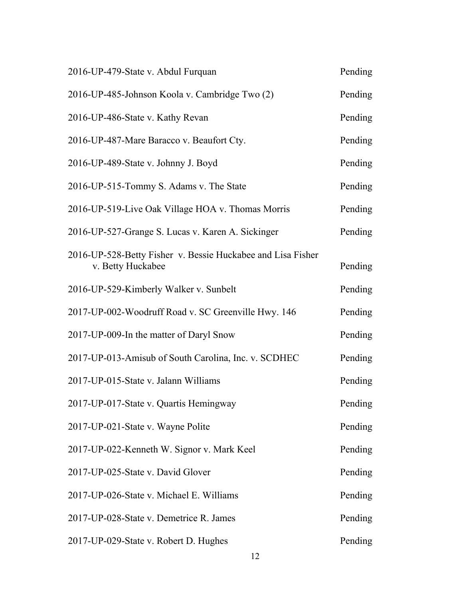| 2016-UP-479-State v. Abdul Furquan                                               | Pending |
|----------------------------------------------------------------------------------|---------|
| 2016-UP-485-Johnson Koola v. Cambridge Two (2)                                   | Pending |
| 2016-UP-486-State v. Kathy Revan                                                 | Pending |
| 2016-UP-487-Mare Baracco v. Beaufort Cty.                                        | Pending |
| 2016-UP-489-State v. Johnny J. Boyd                                              | Pending |
| 2016-UP-515-Tommy S. Adams v. The State                                          | Pending |
| 2016-UP-519-Live Oak Village HOA v. Thomas Morris                                | Pending |
| 2016-UP-527-Grange S. Lucas v. Karen A. Sickinger                                | Pending |
| 2016-UP-528-Betty Fisher v. Bessie Huckabee and Lisa Fisher<br>v. Betty Huckabee | Pending |
| 2016-UP-529-Kimberly Walker v. Sunbelt                                           | Pending |
| 2017-UP-002-Woodruff Road v. SC Greenville Hwy. 146                              | Pending |
| 2017-UP-009-In the matter of Daryl Snow                                          | Pending |
| 2017-UP-013-Amisub of South Carolina, Inc. v. SCDHEC                             | Pending |
| 2017-UP-015-State v. Jalann Williams                                             | Pending |
| 2017-UP-017-State v. Quartis Hemingway                                           | Pending |
| 2017-UP-021-State v. Wayne Polite                                                | Pending |
| 2017-UP-022-Kenneth W. Signor v. Mark Keel                                       | Pending |
| 2017-UP-025-State v. David Glover                                                | Pending |
| 2017-UP-026-State v. Michael E. Williams                                         | Pending |
| 2017-UP-028-State v. Demetrice R. James                                          | Pending |
| 2017-UP-029-State v. Robert D. Hughes                                            | Pending |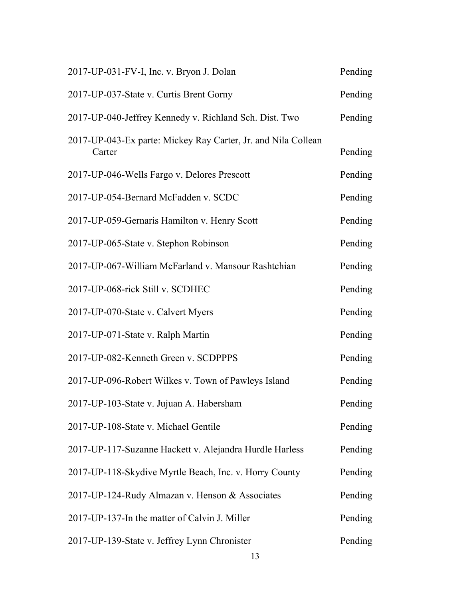| 2017-UP-031-FV-I, Inc. v. Bryon J. Dolan                                | Pending |
|-------------------------------------------------------------------------|---------|
| 2017-UP-037-State v. Curtis Brent Gorny                                 | Pending |
| 2017-UP-040-Jeffrey Kennedy v. Richland Sch. Dist. Two                  | Pending |
| 2017-UP-043-Ex parte: Mickey Ray Carter, Jr. and Nila Collean<br>Carter | Pending |
| 2017-UP-046-Wells Fargo v. Delores Prescott                             | Pending |
| 2017-UP-054-Bernard McFadden v. SCDC                                    | Pending |
| 2017-UP-059-Gernaris Hamilton v. Henry Scott                            | Pending |
| 2017-UP-065-State v. Stephon Robinson                                   | Pending |
| 2017-UP-067-William McFarland v. Mansour Rashtchian                     | Pending |
| 2017-UP-068-rick Still v. SCDHEC                                        | Pending |
| 2017-UP-070-State v. Calvert Myers                                      | Pending |
| 2017-UP-071-State v. Ralph Martin                                       | Pending |
| 2017-UP-082-Kenneth Green v. SCDPPPS                                    | Pending |
| 2017-UP-096-Robert Wilkes v. Town of Pawleys Island                     | Pending |
| 2017-UP-103-State v. Jujuan A. Habersham                                | Pending |
| 2017-UP-108-State v. Michael Gentile                                    | Pending |
| 2017-UP-117-Suzanne Hackett v. Alejandra Hurdle Harless                 | Pending |
| 2017-UP-118-Skydive Myrtle Beach, Inc. v. Horry County                  | Pending |
| 2017-UP-124-Rudy Almazan v. Henson & Associates                         | Pending |
| 2017-UP-137-In the matter of Calvin J. Miller                           | Pending |
| 2017-UP-139-State v. Jeffrey Lynn Chronister                            | Pending |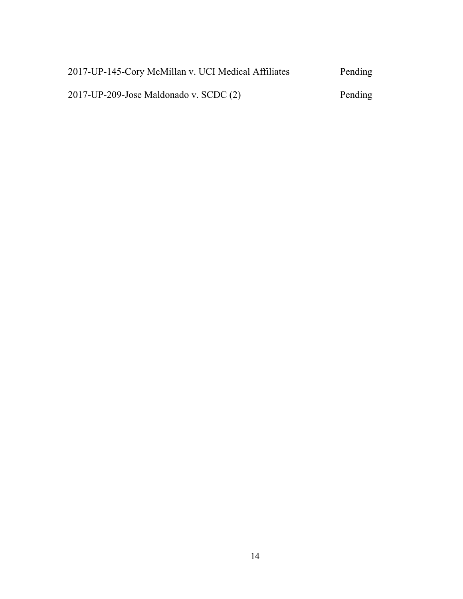| 2017-UP-145-Cory McMillan v. UCI Medical Affiliates | Pending |
|-----------------------------------------------------|---------|
| $2017$ -UP-209-Jose Maldonado v. SCDC $(2)$         | Pending |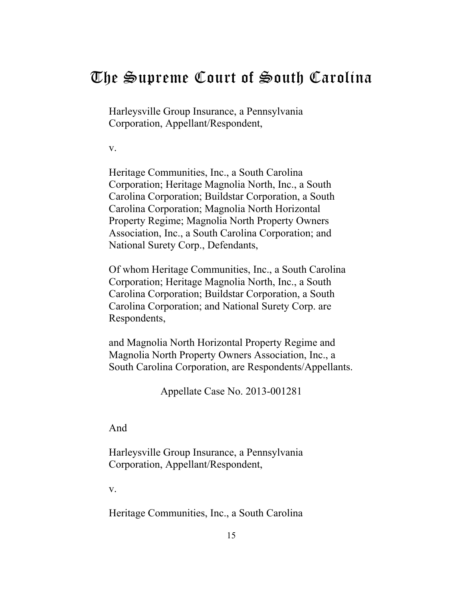## <span id="page-14-0"></span>The Supreme Court of South Carolina

Harleysville Group Insurance, a Pennsylvania Corporation, Appellant/Respondent,

v.

Heritage Communities, Inc., a South Carolina Corporation; Heritage Magnolia North, Inc., a South Carolina Corporation; Buildstar Corporation, a South Carolina Corporation; Magnolia North Horizontal Property Regime; Magnolia North Property Owners Association, Inc., a South Carolina Corporation; and National Surety Corp., Defendants,

Of whom Heritage Communities, Inc., a South Carolina Corporation; Heritage Magnolia North, Inc., a South Carolina Corporation; Buildstar Corporation, a South Carolina Corporation; and National Surety Corp. are Respondents,

and Magnolia North Horizontal Property Regime and Magnolia North Property Owners Association, Inc., a South Carolina Corporation, are Respondents/Appellants.

Appellate Case No. 2013-001281

And

Harleysville Group Insurance, a Pennsylvania Corporation, Appellant/Respondent,

v.

Heritage Communities, Inc., a South Carolina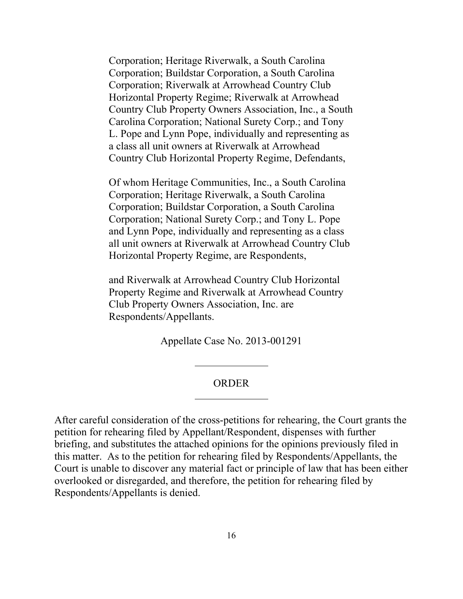Corporation; Heritage Riverwalk, a South Carolina Corporation; Buildstar Corporation, a South Carolina Corporation; Riverwalk at Arrowhead Country Club Horizontal Property Regime; Riverwalk at Arrowhead Country Club Property Owners Association, Inc., a South Carolina Corporation; National Surety Corp.; and Tony L. Pope and Lynn Pope, individually and representing as a class all unit owners at Riverwalk at Arrowhead Country Club Horizontal Property Regime, Defendants,

Of whom Heritage Communities, Inc., a South Carolina Corporation; Heritage Riverwalk, a South Carolina Corporation; Buildstar Corporation, a South Carolina Corporation; National Surety Corp.; and Tony L. Pope and Lynn Pope, individually and representing as a class all unit owners at Riverwalk at Arrowhead Country Club Horizontal Property Regime, are Respondents,

and Riverwalk at Arrowhead Country Club Horizontal Property Regime and Riverwalk at Arrowhead Country Club Property Owners Association, Inc. are Respondents/Appellants.

Appellate Case No. 2013-001291

#### ORDER

After careful consideration of the cross-petitions for rehearing, the Court grants the petition for rehearing filed by Appellant/Respondent, dispenses with further briefing, and substitutes the attached opinions for the opinions previously filed in this matter. As to the petition for rehearing filed by Respondents/Appellants, the Court is unable to discover any material fact or principle of law that has been either overlooked or disregarded, and therefore, the petition for rehearing filed by Respondents/Appellants is denied.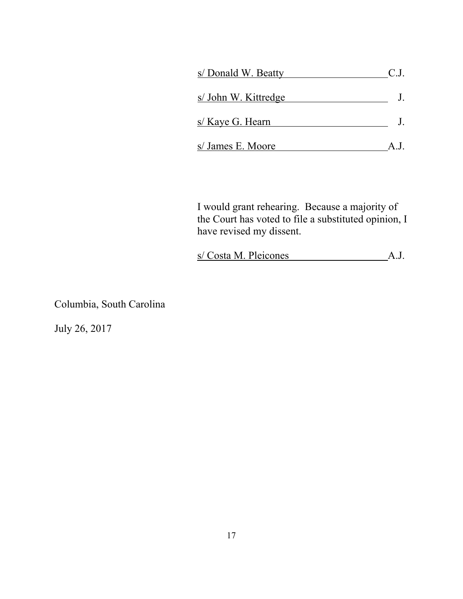| s/Donald W. Beatty   | C.J. |
|----------------------|------|
| s/ John W. Kittredge |      |
| s/ Kaye G. Hearn     |      |
| s/ James E. Moore    |      |

I would grant rehearing. Because a majority of the Court has voted to file a substituted opinion, I have revised my dissent.

s/ Costa M. Pleicones A.J.

Columbia, South Carolina

July 26, 2017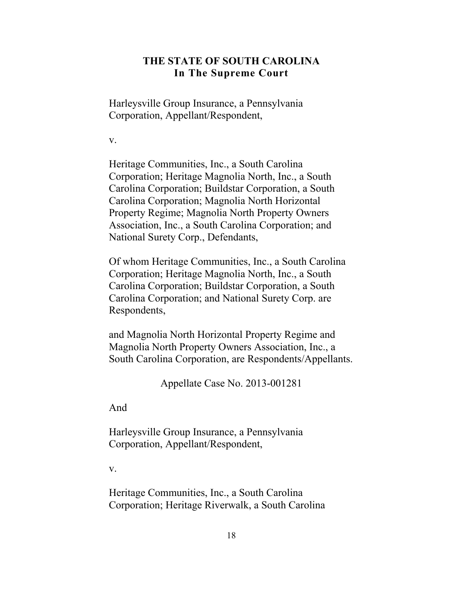### **THE STATE OF SOUTH CAROLINA In The Supreme Court**

Harleysville Group Insurance, a Pennsylvania Corporation, Appellant/Respondent,

v.

Heritage Communities, Inc., a South Carolina Corporation; Heritage Magnolia North, Inc., a South Carolina Corporation; Buildstar Corporation, a South Carolina Corporation; Magnolia North Horizontal Property Regime; Magnolia North Property Owners Association, Inc., a South Carolina Corporation; and National Surety Corp., Defendants,

Of whom Heritage Communities, Inc., a South Carolina Corporation; Heritage Magnolia North, Inc., a South Carolina Corporation; Buildstar Corporation, a South Carolina Corporation; and National Surety Corp. are Respondents,

and Magnolia North Horizontal Property Regime and Magnolia North Property Owners Association, Inc., a South Carolina Corporation, are Respondents/Appellants.

Appellate Case No. 2013-001281

And

Harleysville Group Insurance, a Pennsylvania Corporation, Appellant/Respondent,

v.

Heritage Communities, Inc., a South Carolina Corporation; Heritage Riverwalk, a South Carolina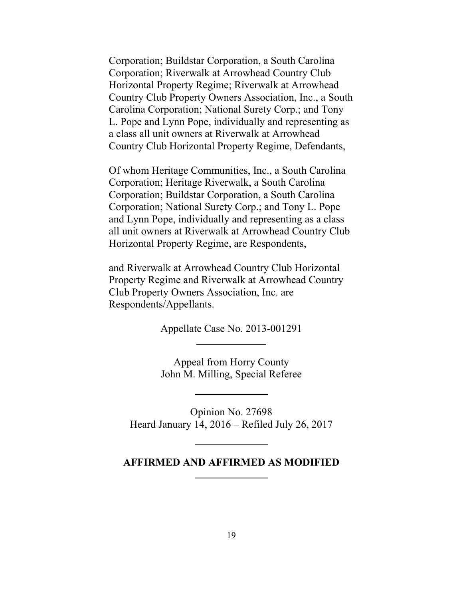Corporation; Buildstar Corporation, a South Carolina Corporation; Riverwalk at Arrowhead Country Club Horizontal Property Regime; Riverwalk at Arrowhead Country Club Property Owners Association, Inc., a South Carolina Corporation; National Surety Corp.; and Tony L. Pope and Lynn Pope, individually and representing as a class all unit owners at Riverwalk at Arrowhead Country Club Horizontal Property Regime, Defendants,

Of whom Heritage Communities, Inc., a South Carolina Corporation; Heritage Riverwalk, a South Carolina Corporation; Buildstar Corporation, a South Carolina Corporation; National Surety Corp.; and Tony L. Pope and Lynn Pope, individually and representing as a class all unit owners at Riverwalk at Arrowhead Country Club Horizontal Property Regime, are Respondents,

and Riverwalk at Arrowhead Country Club Horizontal Property Regime and Riverwalk at Arrowhead Country Club Property Owners Association, Inc. are Respondents/Appellants.

Appellate Case No. 2013-001291

Appeal from Horry County John M. Milling, Special Referee

Opinion No. 27698 Heard January 14, 2016 – Refiled July 26, 2017

#### **AFFIRMED AND AFFIRMED AS MODIFIED**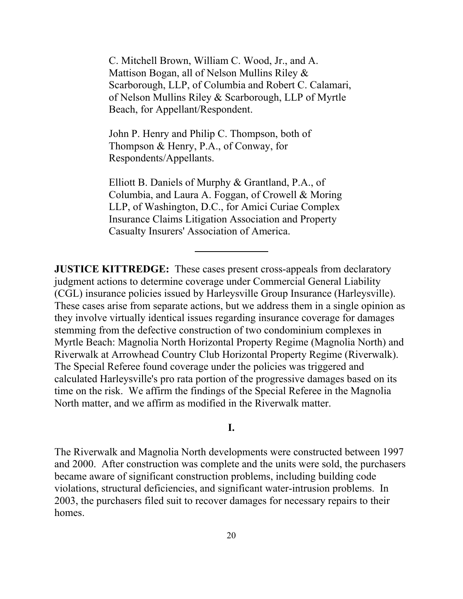C. Mitchell Brown, William C. Wood, Jr., and A. Mattison Bogan, all of Nelson Mullins Riley & Scarborough, LLP, of Columbia and Robert C. Calamari, of Nelson Mullins Riley & Scarborough, LLP of Myrtle Beach, for Appellant/Respondent.

John P. Henry and Philip C. Thompson, both of Thompson & Henry, P.A., of Conway, for Respondents/Appellants.

Elliott B. Daniels of Murphy & Grantland, P.A., of Columbia, and Laura A. Foggan, of Crowell & Moring LLP, of Washington, D.C., for Amici Curiae Complex Insurance Claims Litigation Association and Property Casualty Insurers' Association of America.

**JUSTICE KITTREDGE:** These cases present cross-appeals from declaratory judgment actions to determine coverage under Commercial General Liability (CGL) insurance policies issued by Harleysville Group Insurance (Harleysville). These cases arise from separate actions, but we address them in a single opinion as they involve virtually identical issues regarding insurance coverage for damages stemming from the defective construction of two condominium complexes in Myrtle Beach: Magnolia North Horizontal Property Regime (Magnolia North) and Riverwalk at Arrowhead Country Club Horizontal Property Regime (Riverwalk). The Special Referee found coverage under the policies was triggered and calculated Harleysville's pro rata portion of the progressive damages based on its time on the risk. We affirm the findings of the Special Referee in the Magnolia North matter, and we affirm as modified in the Riverwalk matter.

#### **I.**

The Riverwalk and Magnolia North developments were constructed between 1997 and 2000. After construction was complete and the units were sold, the purchasers became aware of significant construction problems, including building code violations, structural deficiencies, and significant water-intrusion problems. In 2003, the purchasers filed suit to recover damages for necessary repairs to their homes.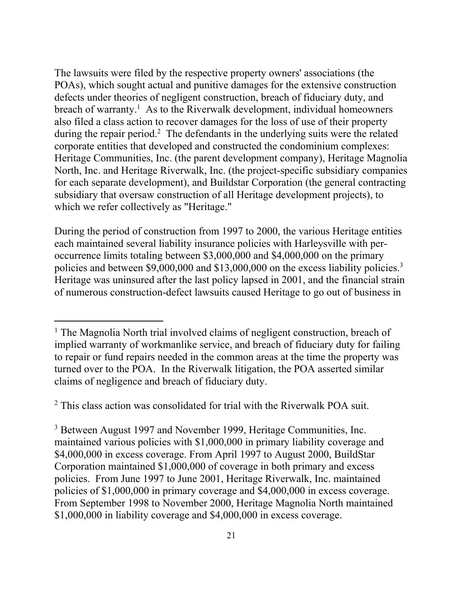The lawsuits were filed by the respective property owners' associations (the POAs), which sought actual and punitive damages for the extensive construction defects under theories of negligent construction, breach of fiduciary duty, and breach of warranty.<sup>1</sup> As to the Riverwalk development, individual homeowners also filed a class action to recover damages for the loss of use of their property during the repair period.<sup>2</sup> The defendants in the underlying suits were the related corporate entities that developed and constructed the condominium complexes: Heritage Communities, Inc. (the parent development company), Heritage Magnolia North, Inc. and Heritage Riverwalk, Inc. (the project-specific subsidiary companies for each separate development), and Buildstar Corporation (the general contracting subsidiary that oversaw construction of all Heritage development projects), to which we refer collectively as "Heritage."

policies and between \$9,000,000 and \$13,000,000 on the excess liability policies.<sup>3</sup> During the period of construction from 1997 to 2000, the various Heritage entities each maintained several liability insurance policies with Harleysville with peroccurrence limits totaling between \$3,000,000 and \$4,000,000 on the primary Heritage was uninsured after the last policy lapsed in 2001, and the financial strain of numerous construction-defect lawsuits caused Heritage to go out of business in

<sup>2</sup> This class action was consolidated for trial with the Riverwalk POA suit.

 $\overline{a}$ 

<sup>3</sup> Between August 1997 and November 1999, Heritage Communities, Inc. maintained various policies with \$1,000,000 in primary liability coverage and \$4,000,000 in excess coverage. From April 1997 to August 2000, BuildStar Corporation maintained \$1,000,000 of coverage in both primary and excess policies. From June 1997 to June 2001, Heritage Riverwalk, Inc. maintained policies of \$1,000,000 in primary coverage and \$4,000,000 in excess coverage. From September 1998 to November 2000, Heritage Magnolia North maintained \$1,000,000 in liability coverage and \$4,000,000 in excess coverage.

<sup>&</sup>lt;sup>1</sup> The Magnolia North trial involved claims of negligent construction, breach of implied warranty of workmanlike service, and breach of fiduciary duty for failing to repair or fund repairs needed in the common areas at the time the property was turned over to the POA. In the Riverwalk litigation, the POA asserted similar claims of negligence and breach of fiduciary duty.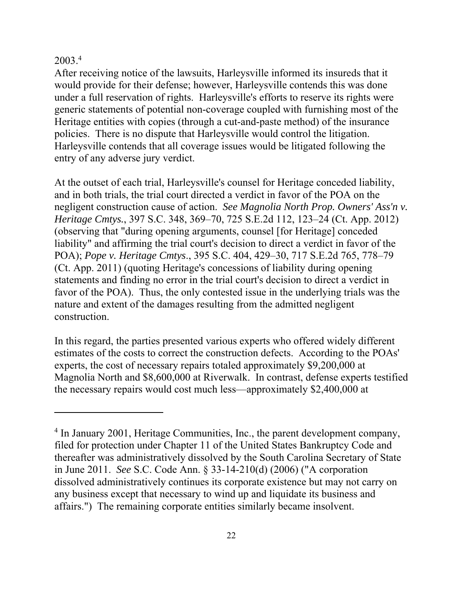## 2003.4

 $\overline{a}$ 

After receiving notice of the lawsuits, Harleysville informed its insureds that it would provide for their defense; however, Harleysville contends this was done under a full reservation of rights. Harleysville's efforts to reserve its rights were generic statements of potential non-coverage coupled with furnishing most of the Heritage entities with copies (through a cut-and-paste method) of the insurance policies. There is no dispute that Harleysville would control the litigation. Harleysville contends that all coverage issues would be litigated following the entry of any adverse jury verdict.

At the outset of each trial, Harleysville's counsel for Heritage conceded liability, and in both trials, the trial court directed a verdict in favor of the POA on the negligent construction cause of action. *See Magnolia North Prop. Owners' Ass'n v. Heritage Cmtys.*, 397 S.C. 348, 369–70, 725 S.E.2d 112, 123–24 (Ct. App. 2012) (observing that "during opening arguments, counsel [for Heritage] conceded liability" and affirming the trial court's decision to direct a verdict in favor of the POA); *Pope v. Heritage Cmtys*., 395 S.C. 404, 429–30, 717 S.E.2d 765, 778–79 (Ct. App. 2011) (quoting Heritage's concessions of liability during opening statements and finding no error in the trial court's decision to direct a verdict in favor of the POA). Thus, the only contested issue in the underlying trials was the nature and extent of the damages resulting from the admitted negligent construction.

In this regard, the parties presented various experts who offered widely different estimates of the costs to correct the construction defects. According to the POAs' experts, the cost of necessary repairs totaled approximately \$9,200,000 at Magnolia North and \$8,600,000 at Riverwalk. In contrast, defense experts testified the necessary repairs would cost much less—approximately \$2,400,000 at

<sup>&</sup>lt;sup>4</sup> In January 2001, Heritage Communities, Inc., the parent development company, filed for protection under Chapter 11 of the United States Bankruptcy Code and thereafter was administratively dissolved by the South Carolina Secretary of State in June 2011. *See* S.C. Code Ann. § 33-14-210(d) (2006) ("A corporation dissolved administratively continues its corporate existence but may not carry on any business except that necessary to wind up and liquidate its business and affairs.") The remaining corporate entities similarly became insolvent.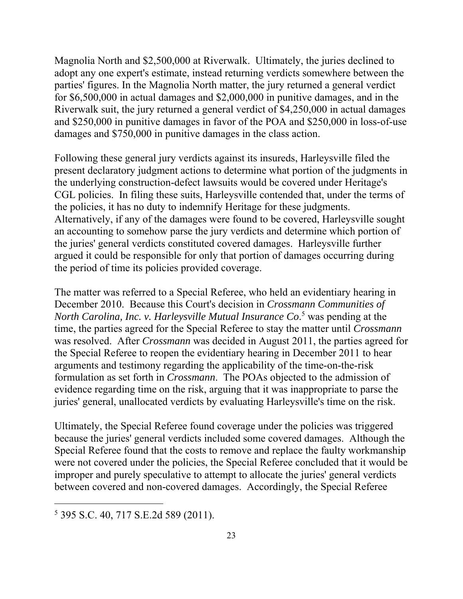Magnolia North and \$2,500,000 at Riverwalk. Ultimately, the juries declined to adopt any one expert's estimate, instead returning verdicts somewhere between the parties' figures. In the Magnolia North matter, the jury returned a general verdict for \$6,500,000 in actual damages and \$2,000,000 in punitive damages, and in the Riverwalk suit, the jury returned a general verdict of \$4,250,000 in actual damages and \$250,000 in punitive damages in favor of the POA and \$250,000 in loss-of-use damages and \$750,000 in punitive damages in the class action.

Following these general jury verdicts against its insureds, Harleysville filed the present declaratory judgment actions to determine what portion of the judgments in the underlying construction-defect lawsuits would be covered under Heritage's CGL policies. In filing these suits, Harleysville contended that, under the terms of the policies, it has no duty to indemnify Heritage for these judgments. Alternatively, if any of the damages were found to be covered, Harleysville sought an accounting to somehow parse the jury verdicts and determine which portion of the juries' general verdicts constituted covered damages. Harleysville further argued it could be responsible for only that portion of damages occurring during the period of time its policies provided coverage.

The matter was referred to a Special Referee, who held an evidentiary hearing in December 2010. Because this Court's decision in *Crossmann Communities of*  North Carolina, Inc. v. Harleysville Mutual Insurance Co.<sup>5</sup> was pending at the time, the parties agreed for the Special Referee to stay the matter until *Crossmann*  was resolved. After *Crossmann* was decided in August 2011, the parties agreed for the Special Referee to reopen the evidentiary hearing in December 2011 to hear arguments and testimony regarding the applicability of the time-on-the-risk formulation as set forth in *Crossmann*. The POAs objected to the admission of evidence regarding time on the risk, arguing that it was inappropriate to parse the juries' general, unallocated verdicts by evaluating Harleysville's time on the risk.

Ultimately, the Special Referee found coverage under the policies was triggered because the juries' general verdicts included some covered damages. Although the Special Referee found that the costs to remove and replace the faulty workmanship were not covered under the policies, the Special Referee concluded that it would be improper and purely speculative to attempt to allocate the juries' general verdicts between covered and non-covered damages. Accordingly, the Special Referee

 $\overline{a}$ 

<sup>5</sup> 395 S.C. 40, 717 S.E.2d 589 (2011).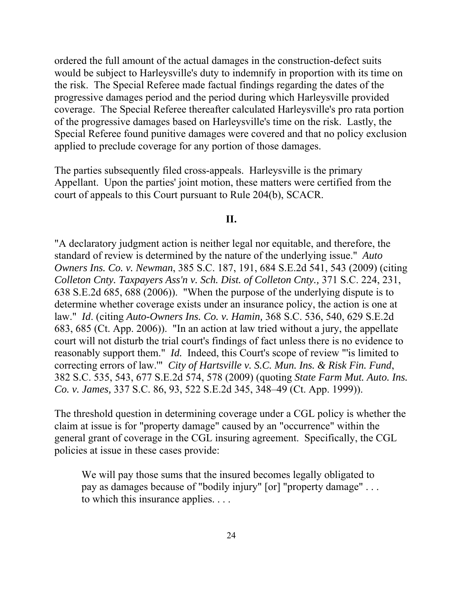ordered the full amount of the actual damages in the construction-defect suits would be subject to Harleysville's duty to indemnify in proportion with its time on the risk. The Special Referee made factual findings regarding the dates of the progressive damages period and the period during which Harleysville provided coverage. The Special Referee thereafter calculated Harleysville's pro rata portion of the progressive damages based on Harleysville's time on the risk. Lastly, the Special Referee found punitive damages were covered and that no policy exclusion applied to preclude coverage for any portion of those damages.

The parties subsequently filed cross-appeals. Harleysville is the primary Appellant. Upon the parties' joint motion, these matters were certified from the court of appeals to this Court pursuant to Rule 204(b), SCACR.

#### **II.**

"A declaratory judgment action is neither legal nor equitable, and therefore, the standard of review is determined by the nature of the underlying issue." *Auto Owners Ins. Co. v. Newman*, 385 S.C. 187, 191, 684 S.E.2d 541, 543 (2009) (citing *Colleton Cnty. Taxpayers Ass'n v. Sch. Dist. of Colleton Cnty.,* 371 S.C. 224, 231, 638 S.E.2d 685, 688 (2006)). "When the purpose of the underlying dispute is to determine whether coverage exists under an insurance policy, the action is one at law." *Id*. (citing *Auto-Owners Ins. Co. v. Hamin,* 368 S.C. 536, 540, 629 S.E.2d 683, 685 (Ct. App. 2006)). "In an action at law tried without a jury, the appellate court will not disturb the trial court's findings of fact unless there is no evidence to reasonably support them." *Id.* Indeed, this Court's scope of review "'is limited to correcting errors of law.'" *City of Hartsville v. S.C. Mun. Ins. & Risk Fin. Fund*, 382 S.C. 535, 543, 677 S.E.2d 574, 578 (2009) (quoting *State Farm Mut. Auto. Ins. Co. v. James,* 337 S.C. 86, 93, 522 S.E.2d 345, 348–49 (Ct. App. 1999)).

The threshold question in determining coverage under a CGL policy is whether the claim at issue is for "property damage" caused by an "occurrence" within the general grant of coverage in the CGL insuring agreement. Specifically, the CGL policies at issue in these cases provide:

We will pay those sums that the insured becomes legally obligated to pay as damages because of "bodily injury" [or] "property damage" . . . to which this insurance applies. . . .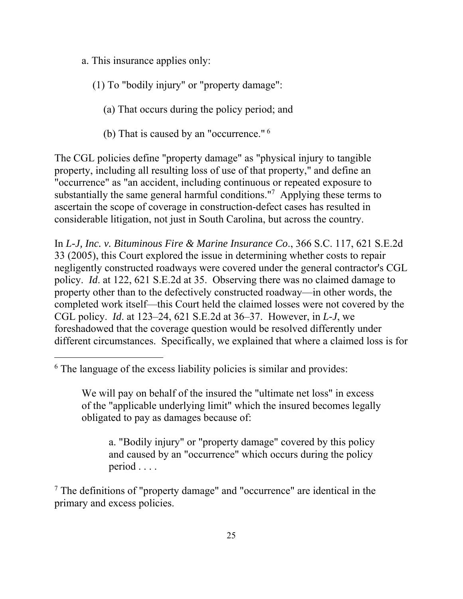a. This insurance applies only:

## (1) To "bodily injury" or "property damage":

- (a) That occurs during the policy period; and
- (b) That is caused by an "occurrence." 6

The CGL policies define "property damage" as "physical injury to tangible property, including all resulting loss of use of that property," and define an "occurrence" as "an accident, including continuous or repeated exposure to substantially the same general harmful conditions."<sup>7</sup> Applying these terms to ascertain the scope of coverage in construction-defect cases has resulted in considerable litigation, not just in South Carolina, but across the country.

 33 (2005), this Court explored the issue in determining whether costs to repair In *L-J, Inc. v. Bituminous Fire & Marine Insurance Co*., 366 S.C. 117, 621 S.E.2d negligently constructed roadways were covered under the general contractor's CGL policy. *Id*. at 122, 621 S.E.2d at 35. Observing there was no claimed damage to property other than to the defectively constructed roadway—in other words, the completed work itself—this Court held the claimed losses were not covered by the CGL policy. *Id*. at 123–24, 621 S.E.2d at 36–37. However, in *L-J*, we foreshadowed that the coverage question would be resolved differently under different circumstances. Specifically, we explained that where a claimed loss is for

 $\overline{a}$ 

a. "Bodily injury" or "property damage" covered by this policy and caused by an "occurrence" which occurs during the policy period . . . .

<sup>7</sup> The definitions of "property damage" and "occurrence" are identical in the primary and excess policies.

<sup>&</sup>lt;sup>6</sup> The language of the excess liability policies is similar and provides:

We will pay on behalf of the insured the "ultimate net loss" in excess of the "applicable underlying limit" which the insured becomes legally obligated to pay as damages because of: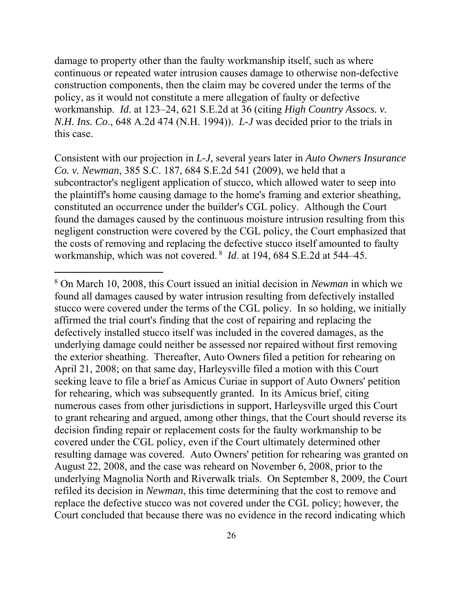damage to property other than the faulty workmanship itself, such as where continuous or repeated water intrusion causes damage to otherwise non-defective construction components, then the claim may be covered under the terms of the policy, as it would not constitute a mere allegation of faulty or defective workmanship. *Id*. at 123–24, 621 S.E.2d at 36 (citing *High Country Assocs. v. N.H. Ins. Co*., 648 A.2d 474 (N.H. 1994)). *L-J* was decided prior to the trials in this case.

 workmanship, which was not covered. 8 *Id*. at 194, 684 S.E.2d at 544–45. Consistent with our projection in *L-J*, several years later in *Auto Owners Insurance Co. v. Newman*, 385 S.C. 187, 684 S.E.2d 541 (2009), we held that a subcontractor's negligent application of stucco, which allowed water to seep into the plaintiff's home causing damage to the home's framing and exterior sheathing, constituted an occurrence under the builder's CGL policy. Although the Court found the damages caused by the continuous moisture intrusion resulting from this negligent construction were covered by the CGL policy, the Court emphasized that the costs of removing and replacing the defective stucco itself amounted to faulty

 $\overline{a}$ 

<sup>8</sup> On March 10, 2008, this Court issued an initial decision in *Newman* in which we found all damages caused by water intrusion resulting from defectively installed stucco were covered under the terms of the CGL policy. In so holding, we initially affirmed the trial court's finding that the cost of repairing and replacing the defectively installed stucco itself was included in the covered damages, as the underlying damage could neither be assessed nor repaired without first removing the exterior sheathing. Thereafter, Auto Owners filed a petition for rehearing on April 21, 2008; on that same day, Harleysville filed a motion with this Court seeking leave to file a brief as Amicus Curiae in support of Auto Owners' petition for rehearing, which was subsequently granted. In its Amicus brief, citing numerous cases from other jurisdictions in support, Harleysville urged this Court to grant rehearing and argued, among other things, that the Court should reverse its decision finding repair or replacement costs for the faulty workmanship to be covered under the CGL policy, even if the Court ultimately determined other resulting damage was covered. Auto Owners' petition for rehearing was granted on August 22, 2008, and the case was reheard on November 6, 2008, prior to the underlying Magnolia North and Riverwalk trials. On September 8, 2009, the Court refiled its decision in *Newman*, this time determining that the cost to remove and replace the defective stucco was not covered under the CGL policy; however, the Court concluded that because there was no evidence in the record indicating which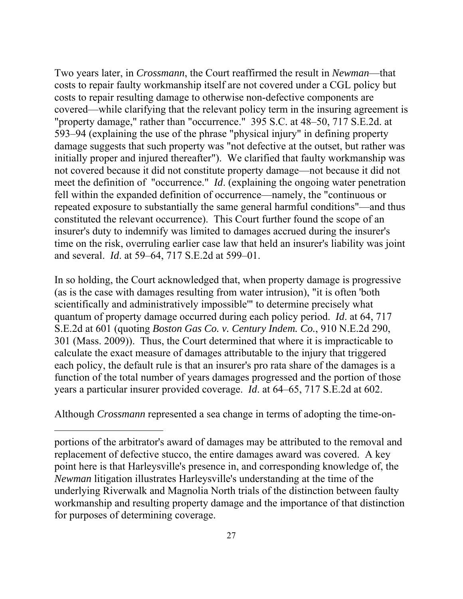meet the definition of "occurrence." *Id*. (explaining the ongoing water penetration Two years later, in *Crossmann*, the Court reaffirmed the result in *Newman*—that costs to repair faulty workmanship itself are not covered under a CGL policy but costs to repair resulting damage to otherwise non-defective components are covered—while clarifying that the relevant policy term in the insuring agreement is "property damage," rather than "occurrence." 395 S.C. at 48–50, 717 S.E.2d. at 593–94 (explaining the use of the phrase "physical injury" in defining property damage suggests that such property was "not defective at the outset, but rather was initially proper and injured thereafter"). We clarified that faulty workmanship was not covered because it did not constitute property damage—not because it did not fell within the expanded definition of occurrence—namely, the "continuous or repeated exposure to substantially the same general harmful conditions"—and thus constituted the relevant occurrence). This Court further found the scope of an insurer's duty to indemnify was limited to damages accrued during the insurer's time on the risk, overruling earlier case law that held an insurer's liability was joint and several. *Id*. at 59–64, 717 S.E.2d at 599–01.

In so holding, the Court acknowledged that, when property damage is progressive (as is the case with damages resulting from water intrusion), "it is often 'both scientifically and administratively impossible'" to determine precisely what quantum of property damage occurred during each policy period. *Id*. at 64, 717 S.E.2d at 601 (quoting *Boston Gas Co. v. Century Indem. Co.*, 910 N.E.2d 290, 301 (Mass. 2009)). Thus, the Court determined that where it is impracticable to calculate the exact measure of damages attributable to the injury that triggered each policy, the default rule is that an insurer's pro rata share of the damages is a function of the total number of years damages progressed and the portion of those years a particular insurer provided coverage. *Id*. at 64–65, 717 S.E.2d at 602.

Although *Crossmann* represented a sea change in terms of adopting the time-on-

 $\overline{a}$ 

portions of the arbitrator's award of damages may be attributed to the removal and replacement of defective stucco, the entire damages award was covered. A key point here is that Harleysville's presence in, and corresponding knowledge of, the *Newman* litigation illustrates Harleysville's understanding at the time of the underlying Riverwalk and Magnolia North trials of the distinction between faulty workmanship and resulting property damage and the importance of that distinction for purposes of determining coverage.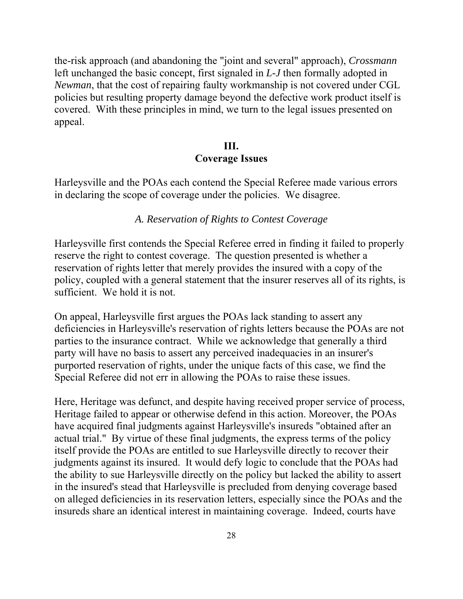the-risk approach (and abandoning the "joint and several" approach), *Crossmann*  left unchanged the basic concept, first signaled in *L-J* then formally adopted in *Newman*, that the cost of repairing faulty workmanship is not covered under CGL policies but resulting property damage beyond the defective work product itself is covered. With these principles in mind, we turn to the legal issues presented on appeal.

## **III. Coverage Issues**

Harleysville and the POAs each contend the Special Referee made various errors in declaring the scope of coverage under the policies. We disagree.

### *A. Reservation of Rights to Contest Coverage*

Harleysville first contends the Special Referee erred in finding it failed to properly reserve the right to contest coverage. The question presented is whether a reservation of rights letter that merely provides the insured with a copy of the policy, coupled with a general statement that the insurer reserves all of its rights, is sufficient. We hold it is not.

On appeal, Harleysville first argues the POAs lack standing to assert any deficiencies in Harleysville's reservation of rights letters because the POAs are not parties to the insurance contract. While we acknowledge that generally a third party will have no basis to assert any perceived inadequacies in an insurer's purported reservation of rights, under the unique facts of this case, we find the Special Referee did not err in allowing the POAs to raise these issues.

Here, Heritage was defunct, and despite having received proper service of process, Heritage failed to appear or otherwise defend in this action. Moreover, the POAs have acquired final judgments against Harleysville's insureds "obtained after an actual trial." By virtue of these final judgments, the express terms of the policy itself provide the POAs are entitled to sue Harleysville directly to recover their judgments against its insured. It would defy logic to conclude that the POAs had the ability to sue Harleysville directly on the policy but lacked the ability to assert in the insured's stead that Harleysville is precluded from denying coverage based on alleged deficiencies in its reservation letters, especially since the POAs and the insureds share an identical interest in maintaining coverage. Indeed, courts have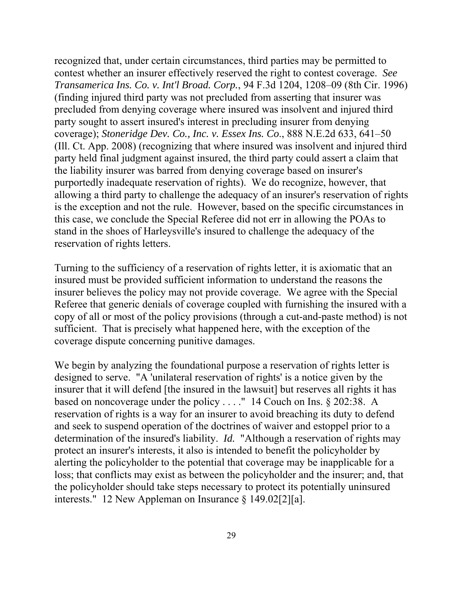the liability insurer was barred from denying coverage based on insurer's recognized that, under certain circumstances, third parties may be permitted to contest whether an insurer effectively reserved the right to contest coverage. *See Transamerica Ins. Co. v. Int'l Broad. Corp.*, 94 F.3d 1204, 1208–09 (8th Cir. 1996) (finding injured third party was not precluded from asserting that insurer was precluded from denying coverage where insured was insolvent and injured third party sought to assert insured's interest in precluding insurer from denying coverage); *Stoneridge Dev. Co., Inc. v. Essex Ins. Co*., 888 N.E.2d 633, 641–50 (Ill. Ct. App. 2008) (recognizing that where insured was insolvent and injured third party held final judgment against insured, the third party could assert a claim that purportedly inadequate reservation of rights). We do recognize, however, that allowing a third party to challenge the adequacy of an insurer's reservation of rights is the exception and not the rule. However, based on the specific circumstances in this case, we conclude the Special Referee did not err in allowing the POAs to stand in the shoes of Harleysville's insured to challenge the adequacy of the reservation of rights letters.

Turning to the sufficiency of a reservation of rights letter, it is axiomatic that an insured must be provided sufficient information to understand the reasons the insurer believes the policy may not provide coverage. We agree with the Special Referee that generic denials of coverage coupled with furnishing the insured with a copy of all or most of the policy provisions (through a cut-and-paste method) is not sufficient. That is precisely what happened here, with the exception of the coverage dispute concerning punitive damages.

We begin by analyzing the foundational purpose a reservation of rights letter is designed to serve. "A 'unilateral reservation of rights' is a notice given by the insurer that it will defend [the insured in the lawsuit] but reserves all rights it has based on noncoverage under the policy . . . ." 14 Couch on Ins. § 202:38. A reservation of rights is a way for an insurer to avoid breaching its duty to defend and seek to suspend operation of the doctrines of waiver and estoppel prior to a determination of the insured's liability. *Id.* "Although a reservation of rights may protect an insurer's interests, it also is intended to benefit the policyholder by alerting the policyholder to the potential that coverage may be inapplicable for a loss; that conflicts may exist as between the policyholder and the insurer; and, that the policyholder should take steps necessary to protect its potentially uninsured interests." 12 New Appleman on Insurance § 149.02[2][a].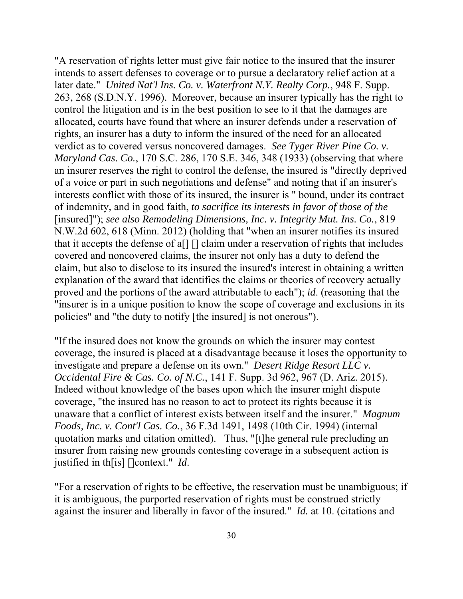policies" and "the duty to notify [the insured] is not onerous"). "A reservation of rights letter must give fair notice to the insured that the insurer intends to assert defenses to coverage or to pursue a declaratory relief action at a later date." *United Nat'l Ins. Co. v. Waterfront N.Y. Realty Corp.*, 948 F. Supp. 263, 268 (S.D.N.Y. 1996). Moreover, because an insurer typically has the right to control the litigation and is in the best position to see to it that the damages are allocated, courts have found that where an insurer defends under a reservation of rights, an insurer has a duty to inform the insured of the need for an allocated verdict as to covered versus noncovered damages. *See Tyger River Pine Co. v. Maryland Cas. Co.*, 170 S.C. 286, 170 S.E. 346, 348 (1933) (observing that where an insurer reserves the right to control the defense, the insured is "directly deprived of a voice or part in such negotiations and defense" and noting that if an insurer's interests conflict with those of its insured, the insurer is " bound, under its contract of indemnity, and in good faith, *to sacrifice its interests in favor of those of the*  [insured]"); *see also Remodeling Dimensions, Inc. v. Integrity Mut. Ins. Co.*, 819 N.W.2d 602, 618 (Minn. 2012) (holding that "when an insurer notifies its insured that it accepts the defense of a[] [] claim under a reservation of rights that includes covered and noncovered claims, the insurer not only has a duty to defend the claim, but also to disclose to its insured the insured's interest in obtaining a written explanation of the award that identifies the claims or theories of recovery actually proved and the portions of the award attributable to each"); *id*. (reasoning that the "insurer is in a unique position to know the scope of coverage and exclusions in its

"If the insured does not know the grounds on which the insurer may contest coverage, the insured is placed at a disadvantage because it loses the opportunity to investigate and prepare a defense on its own." *Desert Ridge Resort LLC v. Occidental Fire & Cas. Co. of N.C.*, 141 F. Supp. 3d 962, 967 (D. Ariz. 2015). Indeed without knowledge of the bases upon which the insurer might dispute coverage, "the insured has no reason to act to protect its rights because it is unaware that a conflict of interest exists between itself and the insurer." *Magnum Foods, Inc. v. Cont'l Cas. Co.*, 36 F.3d 1491, 1498 (10th Cir. 1994) (internal quotation marks and citation omitted). Thus, "[t]he general rule precluding an insurer from raising new grounds contesting coverage in a subsequent action is justified in th[is] []context." *Id*.

"For a reservation of rights to be effective, the reservation must be unambiguous; if it is ambiguous, the purported reservation of rights must be construed strictly against the insurer and liberally in favor of the insured." *Id.* at 10. (citations and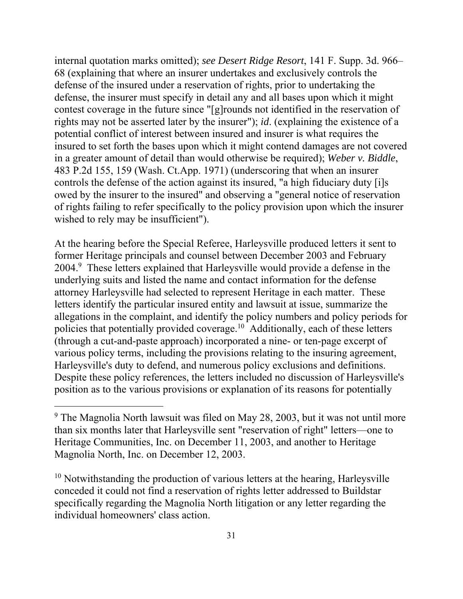internal quotation marks omitted); *see Desert Ridge Resort*, 141 F. Supp. 3d. 966– 68 (explaining that where an insurer undertakes and exclusively controls the defense of the insured under a reservation of rights, prior to undertaking the defense, the insurer must specify in detail any and all bases upon which it might contest coverage in the future since "[g]rounds not identified in the reservation of rights may not be asserted later by the insurer"); *id*. (explaining the existence of a potential conflict of interest between insured and insurer is what requires the insured to set forth the bases upon which it might contend damages are not covered in a greater amount of detail than would otherwise be required); *Weber v. Biddle*, 483 P.2d 155, 159 (Wash. Ct.App. 1971) (underscoring that when an insurer controls the defense of the action against its insured, "a high fiduciary duty [i]s owed by the insurer to the insured" and observing a "general notice of reservation of rights failing to refer specifically to the policy provision upon which the insurer wished to rely may be insufficient").

At the hearing before the Special Referee, Harleysville produced letters it sent to former Heritage principals and counsel between December 2003 and February 2004.<sup>9</sup> These letters explained that Harleysville would provide a defense in the underlying suits and listed the name and contact information for the defense attorney Harleysville had selected to represent Heritage in each matter. These letters identify the particular insured entity and lawsuit at issue, summarize the allegations in the complaint, and identify the policy numbers and policy periods for policies that potentially provided coverage.10 Additionally, each of these letters (through a cut-and-paste approach) incorporated a nine- or ten-page excerpt of various policy terms, including the provisions relating to the insuring agreement, Harleysville's duty to defend, and numerous policy exclusions and definitions. Despite these policy references, the letters included no discussion of Harleysville's position as to the various provisions or explanation of its reasons for potentially

 $\overline{a}$ 

 $10$  Notwithstanding the production of various letters at the hearing, Harleysville conceded it could not find a reservation of rights letter addressed to Buildstar specifically regarding the Magnolia North litigation or any letter regarding the individual homeowners' class action.

<sup>&</sup>lt;sup>9</sup> The Magnolia North lawsuit was filed on May 28, 2003, but it was not until more than six months later that Harleysville sent "reservation of right" letters—one to Heritage Communities, Inc. on December 11, 2003, and another to Heritage Magnolia North, Inc. on December 12, 2003.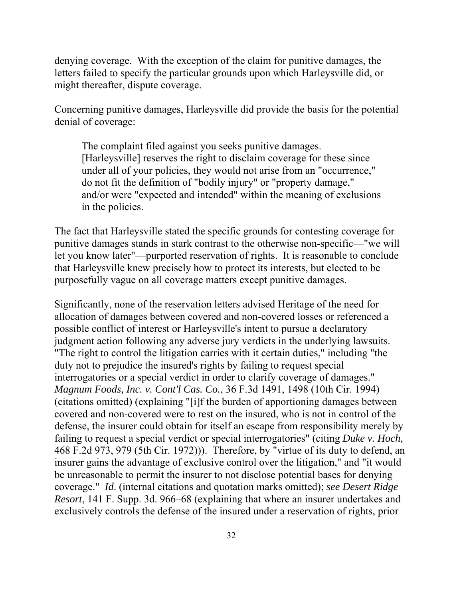denying coverage. With the exception of the claim for punitive damages, the letters failed to specify the particular grounds upon which Harleysville did, or might thereafter, dispute coverage.

Concerning punitive damages, Harleysville did provide the basis for the potential denial of coverage:

The complaint filed against you seeks punitive damages. [Harleysville] reserves the right to disclaim coverage for these since under all of your policies, they would not arise from an "occurrence," do not fit the definition of "bodily injury" or "property damage," and/or were "expected and intended" within the meaning of exclusions in the policies.

The fact that Harleysville stated the specific grounds for contesting coverage for punitive damages stands in stark contrast to the otherwise non-specific—"we will let you know later"—purported reservation of rights. It is reasonable to conclude that Harleysville knew precisely how to protect its interests, but elected to be purposefully vague on all coverage matters except punitive damages.

Significantly, none of the reservation letters advised Heritage of the need for allocation of damages between covered and non-covered losses or referenced a possible conflict of interest or Harleysville's intent to pursue a declaratory judgment action following any adverse jury verdicts in the underlying lawsuits. "The right to control the litigation carries with it certain duties," including "the duty not to prejudice the insured's rights by failing to request special interrogatories or a special verdict in order to clarify coverage of damages." *Magnum Foods, Inc. v. Cont'l Cas. Co.*, 36 F.3d 1491, 1498 (10th Cir. 1994) (citations omitted) (explaining "[i]f the burden of apportioning damages between covered and non-covered were to rest on the insured, who is not in control of the defense, the insurer could obtain for itself an escape from responsibility merely by failing to request a special verdict or special interrogatories" (citing *Duke v. Hoch,*  468 F.2d 973, 979 (5th Cir. 1972))). Therefore, by "virtue of its duty to defend, an insurer gains the advantage of exclusive control over the litigation," and "it would be unreasonable to permit the insurer to not disclose potential bases for denying coverage." *Id*. (internal citations and quotation marks omitted); *see Desert Ridge Resort*, 141 F. Supp. 3d. 966–68 (explaining that where an insurer undertakes and exclusively controls the defense of the insured under a reservation of rights, prior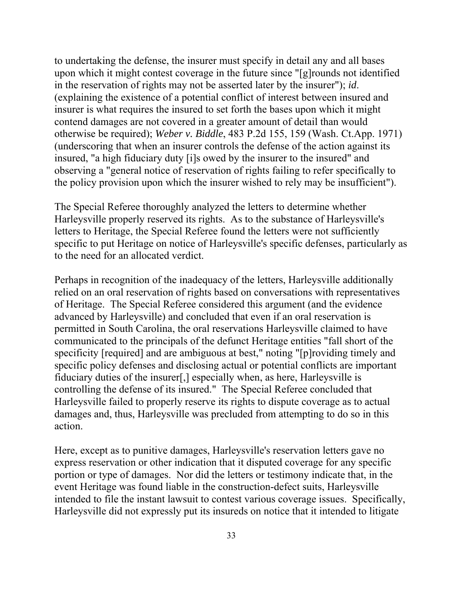to undertaking the defense, the insurer must specify in detail any and all bases upon which it might contest coverage in the future since "[g]rounds not identified in the reservation of rights may not be asserted later by the insurer"); *id*. (explaining the existence of a potential conflict of interest between insured and insurer is what requires the insured to set forth the bases upon which it might contend damages are not covered in a greater amount of detail than would otherwise be required); *Weber v. Biddle*, 483 P.2d 155, 159 (Wash. Ct.App. 1971) (underscoring that when an insurer controls the defense of the action against its insured, "a high fiduciary duty [i]s owed by the insurer to the insured" and observing a "general notice of reservation of rights failing to refer specifically to the policy provision upon which the insurer wished to rely may be insufficient").

The Special Referee thoroughly analyzed the letters to determine whether Harleysville properly reserved its rights. As to the substance of Harleysville's letters to Heritage, the Special Referee found the letters were not sufficiently specific to put Heritage on notice of Harleysville's specific defenses, particularly as to the need for an allocated verdict.

Perhaps in recognition of the inadequacy of the letters, Harleysville additionally relied on an oral reservation of rights based on conversations with representatives of Heritage. The Special Referee considered this argument (and the evidence advanced by Harleysville) and concluded that even if an oral reservation is permitted in South Carolina, the oral reservations Harleysville claimed to have communicated to the principals of the defunct Heritage entities "fall short of the specificity [required] and are ambiguous at best," noting "[p]roviding timely and specific policy defenses and disclosing actual or potential conflicts are important fiduciary duties of the insurer[,] especially when, as here, Harleysville is controlling the defense of its insured." The Special Referee concluded that Harleysville failed to properly reserve its rights to dispute coverage as to actual damages and, thus, Harleysville was precluded from attempting to do so in this action.

Here, except as to punitive damages, Harleysville's reservation letters gave no express reservation or other indication that it disputed coverage for any specific portion or type of damages. Nor did the letters or testimony indicate that, in the event Heritage was found liable in the construction-defect suits, Harleysville intended to file the instant lawsuit to contest various coverage issues. Specifically, Harleysville did not expressly put its insureds on notice that it intended to litigate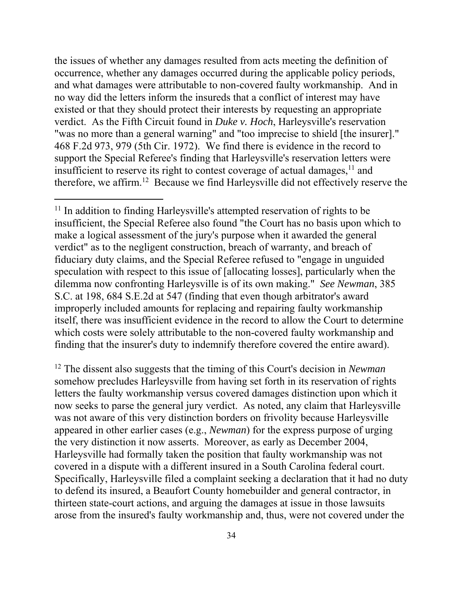the issues of whether any damages resulted from acts meeting the definition of occurrence, whether any damages occurred during the applicable policy periods, and what damages were attributable to non-covered faulty workmanship. And in no way did the letters inform the insureds that a conflict of interest may have existed or that they should protect their interests by requesting an appropriate verdict. As the Fifth Circuit found in *Duke v. Hoch*, Harleysville's reservation "was no more than a general warning" and "too imprecise to shield [the insurer]." 468 F.2d 973, 979 (5th Cir. 1972). We find there is evidence in the record to support the Special Referee's finding that Harleysville's reservation letters were insufficient to reserve its right to contest coverage of actual damages,  $11$  and therefore, we affirm.12 Because we find Harleysville did not effectively reserve the

<sup>11</sup> In addition to finding Harleysville's attempted reservation of rights to be insufficient, the Special Referee also found "the Court has no basis upon which to make a logical assessment of the jury's purpose when it awarded the general verdict" as to the negligent construction, breach of warranty, and breach of fiduciary duty claims, and the Special Referee refused to "engage in unguided speculation with respect to this issue of [allocating losses], particularly when the dilemma now confronting Harleysville is of its own making." *See Newman*, 385 S.C. at 198, 684 S.E.2d at 547 (finding that even though arbitrator's award improperly included amounts for replacing and repairing faulty workmanship itself, there was insufficient evidence in the record to allow the Court to determine which costs were solely attributable to the non-covered faulty workmanship and finding that the insurer's duty to indemnify therefore covered the entire award).

 $\overline{a}$ 

12 The dissent also suggests that the timing of this Court's decision in *Newman*  somehow precludes Harleysville from having set forth in its reservation of rights letters the faulty workmanship versus covered damages distinction upon which it now seeks to parse the general jury verdict. As noted, any claim that Harleysville was not aware of this very distinction borders on frivolity because Harleysville appeared in other earlier cases (e.g., *Newman*) for the express purpose of urging the very distinction it now asserts. Moreover, as early as December 2004, Harleysville had formally taken the position that faulty workmanship was not covered in a dispute with a different insured in a South Carolina federal court. Specifically, Harleysville filed a complaint seeking a declaration that it had no duty to defend its insured, a Beaufort County homebuilder and general contractor, in thirteen state-court actions, and arguing the damages at issue in those lawsuits arose from the insured's faulty workmanship and, thus, were not covered under the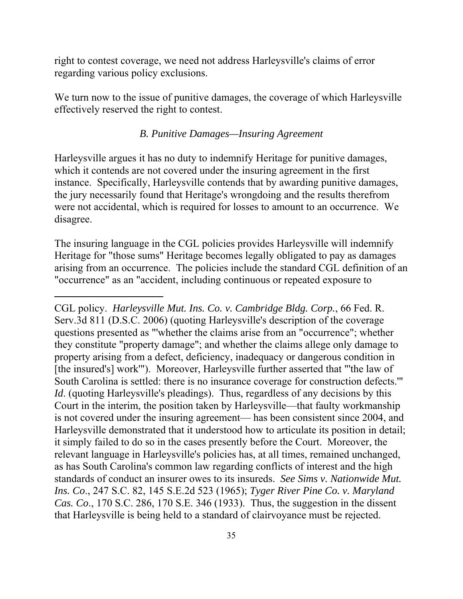right to contest coverage, we need not address Harleysville's claims of error regarding various policy exclusions.

We turn now to the issue of punitive damages, the coverage of which Harleysville effectively reserved the right to contest.

#### *B. Punitive Damages—Insuring Agreement*

Harleysville argues it has no duty to indemnify Heritage for punitive damages, which it contends are not covered under the insuring agreement in the first instance. Specifically, Harleysville contends that by awarding punitive damages, the jury necessarily found that Heritage's wrongdoing and the results therefrom were not accidental, which is required for losses to amount to an occurrence. We disagree.

The insuring language in the CGL policies provides Harleysville will indemnify Heritage for "those sums" Heritage becomes legally obligated to pay as damages arising from an occurrence. The policies include the standard CGL definition of an "occurrence" as an "accident, including continuous or repeated exposure to

 $\overline{a}$ 

 South Carolina is settled: there is no insurance coverage for construction defects.'" standards of conduct an insurer owes to its insureds. *See Sims v. Nationwide Mut.*  CGL policy. *Harleysville Mut. Ins. Co. v. Cambridge Bldg. Corp.*, 66 Fed. R. Serv.3d 811 (D.S.C. 2006) (quoting Harleysville's description of the coverage questions presented as "'whether the claims arise from an "occurrence"; whether they constitute "property damage"; and whether the claims allege only damage to property arising from a defect, deficiency, inadequacy or dangerous condition in [the insured's] work'"). Moreover, Harleysville further asserted that "'the law of *Id.* (quoting Harleysville's pleadings). Thus, regardless of any decisions by this Court in the interim, the position taken by Harleysville—that faulty workmanship is not covered under the insuring agreement— has been consistent since 2004, and Harleysville demonstrated that it understood how to articulate its position in detail; it simply failed to do so in the cases presently before the Court. Moreover, the relevant language in Harleysville's policies has, at all times, remained unchanged, as has South Carolina's common law regarding conflicts of interest and the high *Ins. Co*., 247 S.C. 82, 145 S.E.2d 523 (1965); *Tyger River Pine Co. v. Maryland Cas. Co*., 170 S.C. 286, 170 S.E. 346 (1933). Thus, the suggestion in the dissent that Harleysville is being held to a standard of clairvoyance must be rejected.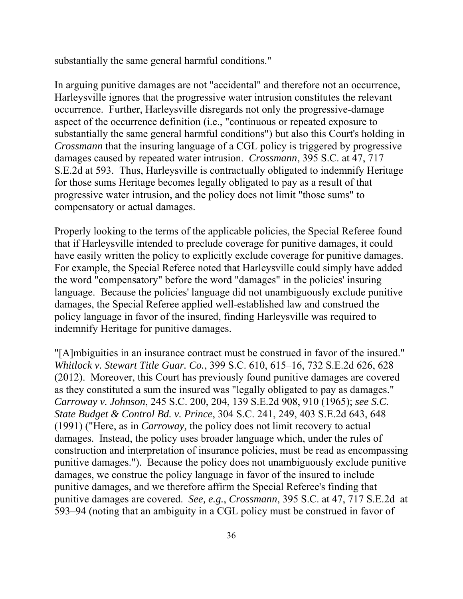substantially the same general harmful conditions."

compensatory or actual damages. In arguing punitive damages are not "accidental" and therefore not an occurrence, Harleysville ignores that the progressive water intrusion constitutes the relevant occurrence. Further, Harleysville disregards not only the progressive-damage aspect of the occurrence definition (i.e., "continuous or repeated exposure to substantially the same general harmful conditions") but also this Court's holding in *Crossmann* that the insuring language of a CGL policy is triggered by progressive damages caused by repeated water intrusion. *Crossmann*, 395 S.C. at 47, 717 S.E.2d at 593. Thus, Harleysville is contractually obligated to indemnify Heritage for those sums Heritage becomes legally obligated to pay as a result of that progressive water intrusion, and the policy does not limit "those sums" to

Properly looking to the terms of the applicable policies, the Special Referee found that if Harleysville intended to preclude coverage for punitive damages, it could have easily written the policy to explicitly exclude coverage for punitive damages. For example, the Special Referee noted that Harleysville could simply have added the word "compensatory" before the word "damages" in the policies' insuring language. Because the policies' language did not unambiguously exclude punitive damages, the Special Referee applied well-established law and construed the policy language in favor of the insured, finding Harleysville was required to indemnify Heritage for punitive damages.

"[A]mbiguities in an insurance contract must be construed in favor of the insured." *Whitlock v. Stewart Title Guar. Co.*, 399 S.C. 610, 615–16, 732 S.E.2d 626, 628 (2012). Moreover, this Court has previously found punitive damages are covered as they constituted a sum the insured was "legally obligated to pay as damages." *Carroway v. Johnson*, 245 S.C. 200, 204, 139 S.E.2d 908, 910 (1965); *see S.C. State Budget & Control Bd. v. Prince*, 304 S.C. 241, 249, 403 S.E.2d 643, 648 (1991) ("Here, as in *Carroway,* the policy does not limit recovery to actual damages. Instead, the policy uses broader language which, under the rules of construction and interpretation of insurance policies, must be read as encompassing punitive damages."). Because the policy does not unambiguously exclude punitive damages, we construe the policy language in favor of the insured to include punitive damages, and we therefore affirm the Special Referee's finding that punitive damages are covered. *See, e.g.*, *Crossmann*, 395 S.C. at 47, 717 S.E.2d at 593–94 (noting that an ambiguity in a CGL policy must be construed in favor of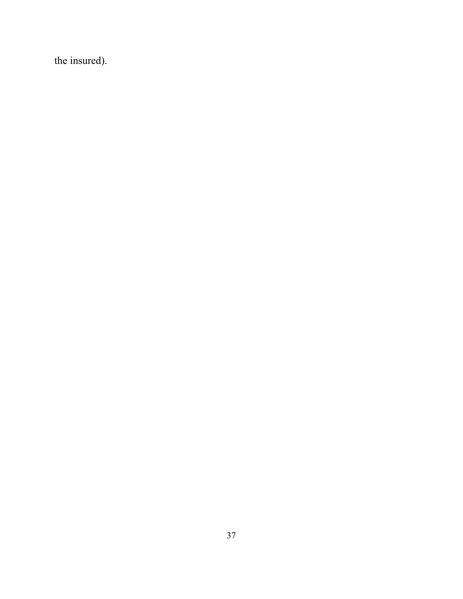the insured).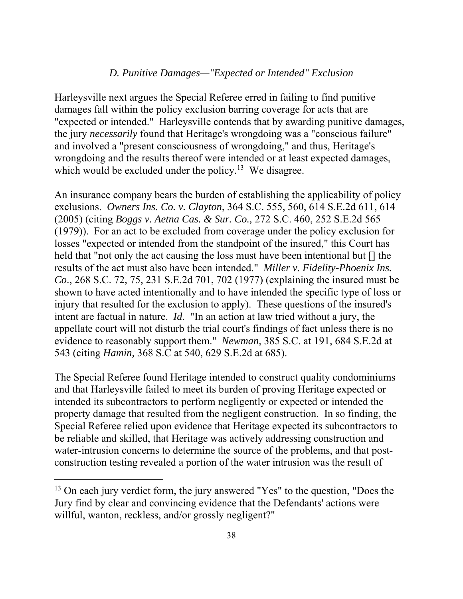## *D. Punitive Damages—"Expected or Intended" Exclusion*

Harleysville next argues the Special Referee erred in failing to find punitive damages fall within the policy exclusion barring coverage for acts that are "expected or intended." Harleysville contends that by awarding punitive damages, the jury *necessarily* found that Heritage's wrongdoing was a "conscious failure" and involved a "present consciousness of wrongdoing," and thus, Heritage's wrongdoing and the results thereof were intended or at least expected damages, which would be excluded under the policy.<sup>13</sup> We disagree.

An insurance company bears the burden of establishing the applicability of policy exclusions. *Owners Ins. Co. v. Clayton*, 364 S.C. 555, 560, 614 S.E.2d 611, 614 (2005) (citing *Boggs v. Aetna Cas. & Sur. Co.,* 272 S.C. 460, 252 S.E.2d 565 (1979)). For an act to be excluded from coverage under the policy exclusion for losses "expected or intended from the standpoint of the insured," this Court has held that "not only the act causing the loss must have been intentional but  $\left[\right]$  the results of the act must also have been intended." *Miller v. Fidelity-Phoenix Ins. Co*., 268 S.C. 72, 75, 231 S.E.2d 701, 702 (1977) (explaining the insured must be shown to have acted intentionally and to have intended the specific type of loss or injury that resulted for the exclusion to apply). These questions of the insured's intent are factual in nature. *Id*. "In an action at law tried without a jury, the appellate court will not disturb the trial court's findings of fact unless there is no evidence to reasonably support them." *Newman*, 385 S.C. at 191, 684 S.E.2d at 543 (citing *Hamin,* 368 S.C at 540, 629 S.E.2d at 685).

The Special Referee found Heritage intended to construct quality condominiums and that Harleysville failed to meet its burden of proving Heritage expected or intended its subcontractors to perform negligently or expected or intended the property damage that resulted from the negligent construction. In so finding, the Special Referee relied upon evidence that Heritage expected its subcontractors to be reliable and skilled, that Heritage was actively addressing construction and water-intrusion concerns to determine the source of the problems, and that postconstruction testing revealed a portion of the water intrusion was the result of

 $13$  On each jury verdict form, the jury answered "Yes" to the question, "Does the Jury find by clear and convincing evidence that the Defendants' actions were willful, wanton, reckless, and/or grossly negligent?"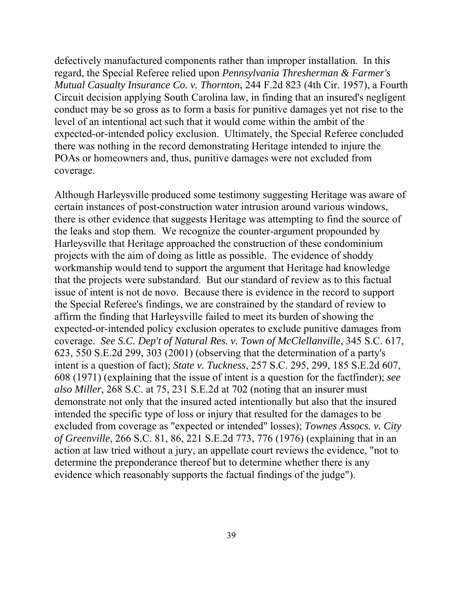defectively manufactured components rather than improper installation. In this regard, the Special Referee relied upon *Pennsylvania Thresherman & Farmer's Mutual Casualty Insurance Co. v. Thornton*, 244 F.2d 823 (4th Cir. 1957), a Fourth Circuit decision applying South Carolina law, in finding that an insured's negligent conduct may be so gross as to form a basis for punitive damages yet not rise to the level of an intentional act such that it would come within the ambit of the expected-or-intended policy exclusion. Ultimately, the Special Referee concluded there was nothing in the record demonstrating Heritage intended to injure the POAs or homeowners and, thus, punitive damages were not excluded from coverage.

Although Harleysville produced some testimony suggesting Heritage was aware of certain instances of post-construction water intrusion around various windows, there is other evidence that suggests Heritage was attempting to find the source of the leaks and stop them. We recognize the counter-argument propounded by Harleysville that Heritage approached the construction of these condominium projects with the aim of doing as little as possible. The evidence of shoddy workmanship would tend to support the argument that Heritage had knowledge that the projects were substandard. But our standard of review as to this factual issue of intent is not de novo. Because there is evidence in the record to support the Special Referee's findings, we are constrained by the standard of review to affirm the finding that Harleysville failed to meet its burden of showing the expected-or-intended policy exclusion operates to exclude punitive damages from coverage. *See S.C. Dep't of Natural Res. v. Town of McClellanville*, 345 S.C. 617, 623, 550 S.E.2d 299, 303 (2001) (observing that the determination of a party's intent is a question of fact); *State v. Tuckness*, 257 S.C. 295, 299, 185 S.E.2d 607, 608 (1971) (explaining that the issue of intent is a question for the factfinder); *see also Miller*, 268 S.C. at 75, 231 S.E.2d at 702 (noting that an insurer must demonstrate not only that the insured acted intentionally but also that the insured intended the specific type of loss or injury that resulted for the damages to be excluded from coverage as "expected or intended" losses); *Townes Assocs. v. City of Greenville*, 266 S.C. 81, 86, 221 S.E.2d 773, 776 (1976) (explaining that in an action at law tried without a jury, an appellate court reviews the evidence, "not to determine the preponderance thereof but to determine whether there is any evidence which reasonably supports the factual findings of the judge").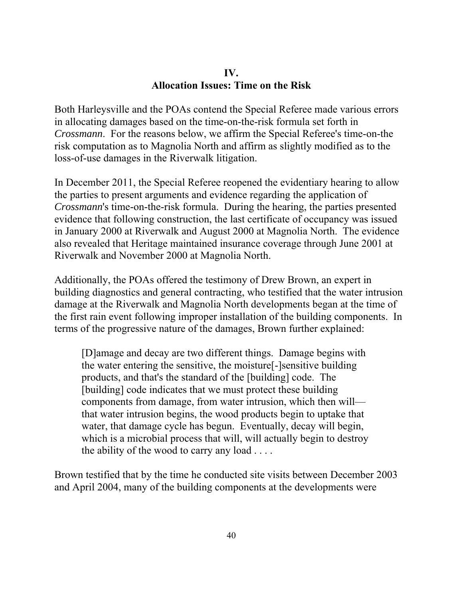## **IV. Allocation Issues: Time on the Risk**

Both Harleysville and the POAs contend the Special Referee made various errors in allocating damages based on the time-on-the-risk formula set forth in *Crossmann*. For the reasons below, we affirm the Special Referee's time-on-the risk computation as to Magnolia North and affirm as slightly modified as to the loss-of-use damages in the Riverwalk litigation.

In December 2011, the Special Referee reopened the evidentiary hearing to allow the parties to present arguments and evidence regarding the application of *Crossmann*'s time-on-the-risk formula. During the hearing, the parties presented evidence that following construction, the last certificate of occupancy was issued in January 2000 at Riverwalk and August 2000 at Magnolia North. The evidence also revealed that Heritage maintained insurance coverage through June 2001 at Riverwalk and November 2000 at Magnolia North.

Additionally, the POAs offered the testimony of Drew Brown, an expert in building diagnostics and general contracting, who testified that the water intrusion damage at the Riverwalk and Magnolia North developments began at the time of the first rain event following improper installation of the building components. In terms of the progressive nature of the damages, Brown further explained:

[D]amage and decay are two different things. Damage begins with the water entering the sensitive, the moisture[-]sensitive building products, and that's the standard of the [building] code. The [building] code indicates that we must protect these building components from damage, from water intrusion, which then will that water intrusion begins, the wood products begin to uptake that water, that damage cycle has begun. Eventually, decay will begin, which is a microbial process that will, will actually begin to destroy the ability of the wood to carry any load  $\dots$ .

Brown testified that by the time he conducted site visits between December 2003 and April 2004, many of the building components at the developments were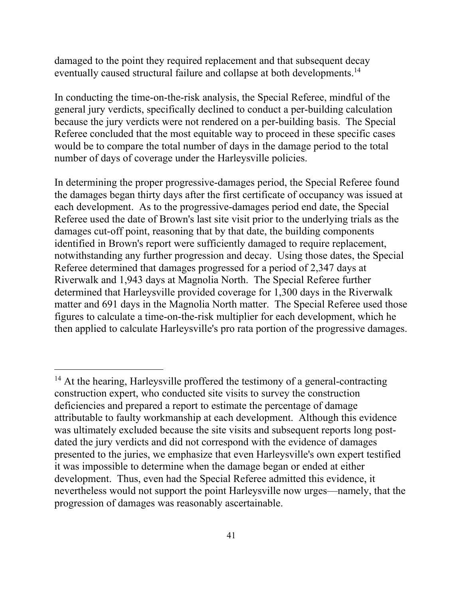eventually caused structural failure and collapse at both developments.<sup>14</sup> damaged to the point they required replacement and that subsequent decay

In conducting the time-on-the-risk analysis, the Special Referee, mindful of the general jury verdicts, specifically declined to conduct a per-building calculation because the jury verdicts were not rendered on a per-building basis. The Special Referee concluded that the most equitable way to proceed in these specific cases would be to compare the total number of days in the damage period to the total number of days of coverage under the Harleysville policies.

In determining the proper progressive-damages period, the Special Referee found the damages began thirty days after the first certificate of occupancy was issued at each development. As to the progressive-damages period end date, the Special Referee used the date of Brown's last site visit prior to the underlying trials as the damages cut-off point, reasoning that by that date, the building components identified in Brown's report were sufficiently damaged to require replacement, notwithstanding any further progression and decay. Using those dates, the Special Referee determined that damages progressed for a period of 2,347 days at Riverwalk and 1,943 days at Magnolia North. The Special Referee further determined that Harleysville provided coverage for 1,300 days in the Riverwalk matter and 691 days in the Magnolia North matter. The Special Referee used those figures to calculate a time-on-the-risk multiplier for each development, which he then applied to calculate Harleysville's pro rata portion of the progressive damages.

<sup>&</sup>lt;sup>14</sup> At the hearing, Harleysville proffered the testimony of a general-contracting construction expert, who conducted site visits to survey the construction deficiencies and prepared a report to estimate the percentage of damage attributable to faulty workmanship at each development. Although this evidence was ultimately excluded because the site visits and subsequent reports long postdated the jury verdicts and did not correspond with the evidence of damages presented to the juries, we emphasize that even Harleysville's own expert testified it was impossible to determine when the damage began or ended at either development. Thus, even had the Special Referee admitted this evidence, it nevertheless would not support the point Harleysville now urges—namely, that the progression of damages was reasonably ascertainable.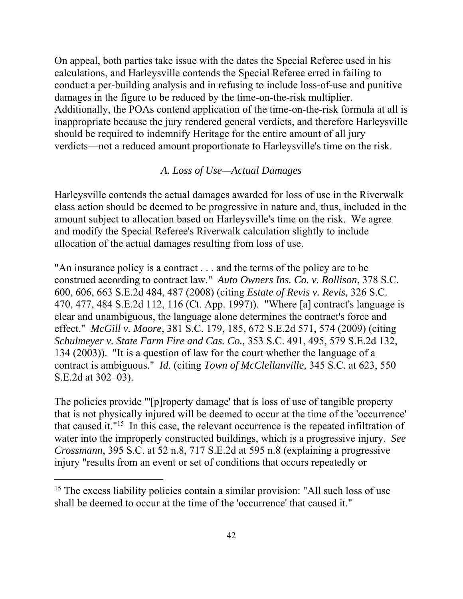On appeal, both parties take issue with the dates the Special Referee used in his calculations, and Harleysville contends the Special Referee erred in failing to conduct a per-building analysis and in refusing to include loss-of-use and punitive damages in the figure to be reduced by the time-on-the-risk multiplier. Additionally, the POAs contend application of the time-on-the-risk formula at all is inappropriate because the jury rendered general verdicts, and therefore Harleysville should be required to indemnify Heritage for the entire amount of all jury verdicts—not a reduced amount proportionate to Harleysville's time on the risk.

## *A. Loss of Use—Actual Damages*

Harleysville contends the actual damages awarded for loss of use in the Riverwalk class action should be deemed to be progressive in nature and, thus, included in the amount subject to allocation based on Harleysville's time on the risk. We agree and modify the Special Referee's Riverwalk calculation slightly to include allocation of the actual damages resulting from loss of use.

 effect." *McGill v. Moore*, 381 S.C. 179, 185, 672 S.E.2d 571, 574 (2009) (citing "An insurance policy is a contract . . . and the terms of the policy are to be construed according to contract law." *Auto Owners Ins. Co. v. Rollison*, 378 S.C. 600, 606, 663 S.E.2d 484, 487 (2008) (citing *Estate of Revis v. Revis,* 326 S.C. 470, 477, 484 S.E.2d 112, 116 (Ct. App. 1997)). "Where [a] contract's language is clear and unambiguous, the language alone determines the contract's force and *Schulmeyer v. State Farm Fire and Cas. Co.,* 353 S.C. 491, 495, 579 S.E.2d 132, 134 (2003)). "It is a question of law for the court whether the language of a contract is ambiguous." *Id*. (citing *Town of McClellanville,* 345 S.C. at 623, 550 S.E.2d at 302–03).

The policies provide "'[p]roperty damage' that is loss of use of tangible property that is not physically injured will be deemed to occur at the time of the 'occurrence' that caused it."15 In this case, the relevant occurrence is the repeated infiltration of water into the improperly constructed buildings, which is a progressive injury. *See Crossmann*, 395 S.C. at 52 n.8, 717 S.E.2d at 595 n.8 (explaining a progressive injury "results from an event or set of conditions that occurs repeatedly or

<sup>&</sup>lt;sup>15</sup> The excess liability policies contain a similar provision: "All such loss of use shall be deemed to occur at the time of the 'occurrence' that caused it."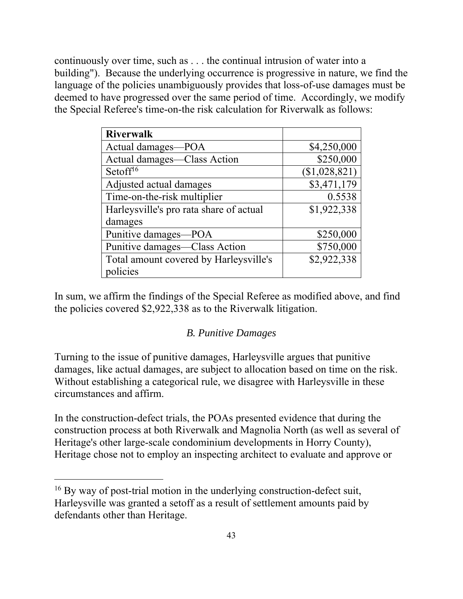continuously over time, such as . . . the continual intrusion of water into a building"). Because the underlying occurrence is progressive in nature, we find the language of the policies unambiguously provides that loss-of-use damages must be deemed to have progressed over the same period of time. Accordingly, we modify the Special Referee's time-on-the risk calculation for Riverwalk as follows:

| <b>Riverwalk</b>                        |               |
|-----------------------------------------|---------------|
| Actual damages-POA                      | \$4,250,000   |
| Actual damages—Class Action             | \$250,000     |
| Setoff <sup>16</sup>                    | (\$1,028,821) |
| Adjusted actual damages                 | \$3,471,179   |
| Time-on-the-risk multiplier             | 0.5538        |
| Harleysville's pro rata share of actual | \$1,922,338   |
| damages                                 |               |
| Punitive damages—POA                    | \$250,000     |
| Punitive damages—Class Action           | \$750,000     |
| Total amount covered by Harleysville's  | \$2,922,338   |
| policies                                |               |

In sum, we affirm the findings of the Special Referee as modified above, and find the policies covered \$2,922,338 as to the Riverwalk litigation.

## *B. Punitive Damages*

Turning to the issue of punitive damages, Harleysville argues that punitive damages, like actual damages, are subject to allocation based on time on the risk. Without establishing a categorical rule, we disagree with Harleysville in these circumstances and affirm.

In the construction-defect trials, the POAs presented evidence that during the construction process at both Riverwalk and Magnolia North (as well as several of Heritage's other large-scale condominium developments in Horry County), Heritage chose not to employ an inspecting architect to evaluate and approve or

<sup>&</sup>lt;sup>16</sup> By way of post-trial motion in the underlying construction-defect suit, Harleysville was granted a setoff as a result of settlement amounts paid by defendants other than Heritage.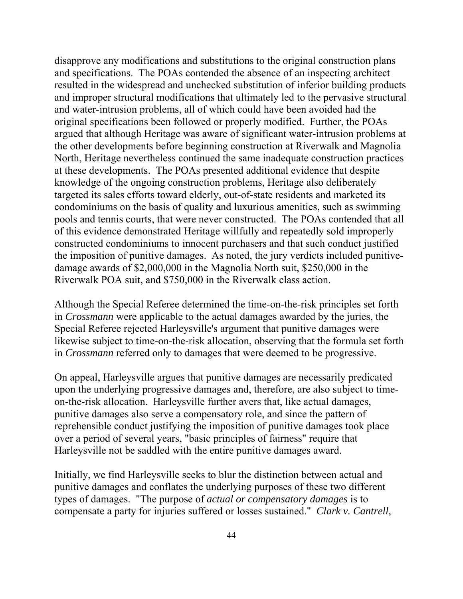Riverwalk POA suit, and \$750,000 in the Riverwalk class action. disapprove any modifications and substitutions to the original construction plans and specifications. The POAs contended the absence of an inspecting architect resulted in the widespread and unchecked substitution of inferior building products and improper structural modifications that ultimately led to the pervasive structural and water-intrusion problems, all of which could have been avoided had the original specifications been followed or properly modified. Further, the POAs argued that although Heritage was aware of significant water-intrusion problems at the other developments before beginning construction at Riverwalk and Magnolia North, Heritage nevertheless continued the same inadequate construction practices at these developments. The POAs presented additional evidence that despite knowledge of the ongoing construction problems, Heritage also deliberately targeted its sales efforts toward elderly, out-of-state residents and marketed its condominiums on the basis of quality and luxurious amenities, such as swimming pools and tennis courts, that were never constructed. The POAs contended that all of this evidence demonstrated Heritage willfully and repeatedly sold improperly constructed condominiums to innocent purchasers and that such conduct justified the imposition of punitive damages. As noted, the jury verdicts included punitivedamage awards of \$2,000,000 in the Magnolia North suit, \$250,000 in the

Although the Special Referee determined the time-on-the-risk principles set forth. in *Crossmann* were applicable to the actual damages awarded by the juries, the Special Referee rejected Harleysville's argument that punitive damages were likewise subject to time-on-the-risk allocation, observing that the formula set forth in *Crossmann* referred only to damages that were deemed to be progressive.

On appeal, Harleysville argues that punitive damages are necessarily predicated upon the underlying progressive damages and, therefore, are also subject to timeon-the-risk allocation. Harleysville further avers that, like actual damages, punitive damages also serve a compensatory role, and since the pattern of reprehensible conduct justifying the imposition of punitive damages took place over a period of several years, "basic principles of fairness" require that Harleysville not be saddled with the entire punitive damages award.

Initially, we find Harleysville seeks to blur the distinction between actual and punitive damages and conflates the underlying purposes of these two different types of damages. "The purpose of *actual or compensatory damages* is to compensate a party for injuries suffered or losses sustained." *Clark v. Cantrell*,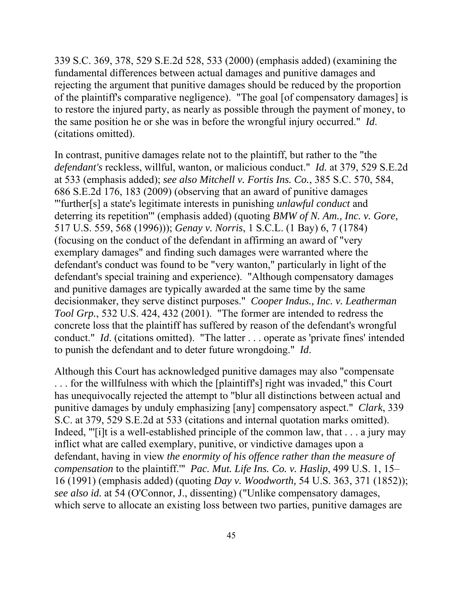339 S.C. 369, 378, 529 S.E.2d 528, 533 (2000) (emphasis added) (examining the fundamental differences between actual damages and punitive damages and rejecting the argument that punitive damages should be reduced by the proportion of the plaintiff's comparative negligence). "The goal [of compensatory damages] is to restore the injured party, as nearly as possible through the payment of money, to the same position he or she was in before the wrongful injury occurred." *Id*. (citations omitted).

 deterring its repetition'" (emphasis added) (quoting *BMW of N. Am., Inc. v. Gore,*  In contrast, punitive damages relate not to the plaintiff, but rather to the "the *defendant's* reckless, willful, wanton, or malicious conduct." *Id.* at 379, 529 S.E.2d at 533 (emphasis added); *see also Mitchell v. Fortis Ins. Co.*, 385 S.C. 570, 584, 686 S.E.2d 176, 183 (2009) (observing that an award of punitive damages "'further[s] a state's legitimate interests in punishing *unlawful conduct* and 517 U.S. 559, 568 (1996))); *Genay v. Norris*, 1 S.C.L. (1 Bay) 6, 7 (1784) (focusing on the conduct of the defendant in affirming an award of "very exemplary damages" and finding such damages were warranted where the defendant's conduct was found to be "very wanton," particularly in light of the defendant's special training and experience). "Although compensatory damages and punitive damages are typically awarded at the same time by the same decisionmaker, they serve distinct purposes." *Cooper Indus., Inc. v. Leatherman Tool Grp.*, 532 U.S. 424, 432 (2001). "The former are intended to redress the concrete loss that the plaintiff has suffered by reason of the defendant's wrongful conduct." *Id*. (citations omitted). "The latter . . . operate as 'private fines' intended to punish the defendant and to deter future wrongdoing." *Id*.

 *compensation* to the plaintiff.'" *Pac. Mut. Life Ins. Co. v. Haslip*, 499 U.S. 1, 15– Although this Court has acknowledged punitive damages may also "compensate . . . for the willfulness with which the [plaintiff's] right was invaded," this Court has unequivocally rejected the attempt to "blur all distinctions between actual and punitive damages by unduly emphasizing [any] compensatory aspect." *Clark*, 339 S.C. at 379, 529 S.E.2d at 533 (citations and internal quotation marks omitted). Indeed, "'[i]t is a well-established principle of the common law, that . . . a jury may inflict what are called exemplary, punitive, or vindictive damages upon a defendant, having in view *the enormity of his offence rather than the measure of*  16 (1991) (emphasis added) (quoting *Day v. Woodworth,* 54 U.S. 363, 371 (1852)); *see also id.* at 54 (O'Connor, J., dissenting) ("Unlike compensatory damages, which serve to allocate an existing loss between two parties, punitive damages are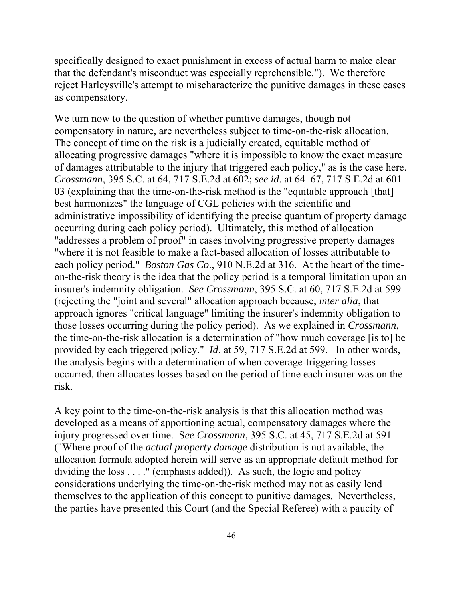specifically designed to exact punishment in excess of actual harm to make clear that the defendant's misconduct was especially reprehensible."). We therefore reject Harleysville's attempt to mischaracterize the punitive damages in these cases as compensatory.

We turn now to the question of whether punitive damages, though not compensatory in nature, are nevertheless subject to time-on-the-risk allocation. The concept of time on the risk is a judicially created, equitable method of allocating progressive damages "where it is impossible to know the exact measure of damages attributable to the injury that triggered each policy," as is the case here. *Crossmann*, 395 S.C. at 64, 717 S.E.2d at 602; *see id*. at 64–67, 717 S.E.2d at 601– 03 (explaining that the time-on-the-risk method is the "equitable approach [that] best harmonizes" the language of CGL policies with the scientific and administrative impossibility of identifying the precise quantum of property damage occurring during each policy period). Ultimately, this method of allocation "addresses a problem of proof" in cases involving progressive property damages "where it is not feasible to make a fact-based allocation of losses attributable to each policy period." *Boston Gas Co*., 910 N.E.2d at 316. At the heart of the timeon-the-risk theory is the idea that the policy period is a temporal limitation upon an insurer's indemnity obligation. *See Crossmann*, 395 S.C. at 60, 717 S.E.2d at 599 (rejecting the "joint and several" allocation approach because, *inter alia*, that approach ignores "critical language" limiting the insurer's indemnity obligation to those losses occurring during the policy period). As we explained in *Crossmann*, the time-on-the-risk allocation is a determination of "how much coverage [is to] be provided by each triggered policy." *Id*. at 59, 717 S.E.2d at 599. In other words, the analysis begins with a determination of when coverage-triggering losses occurred, then allocates losses based on the period of time each insurer was on the risk.

A key point to the time-on-the-risk analysis is that this allocation method was developed as a means of apportioning actual, compensatory damages where the injury progressed over time. S*ee Crossmann*, 395 S.C. at 45, 717 S.E.2d at 591 ("Where proof of the *actual property damage* distribution is not available, the allocation formula adopted herein will serve as an appropriate default method for dividing the loss . . . ." (emphasis added)). As such, the logic and policy considerations underlying the time-on-the-risk method may not as easily lend themselves to the application of this concept to punitive damages. Nevertheless, the parties have presented this Court (and the Special Referee) with a paucity of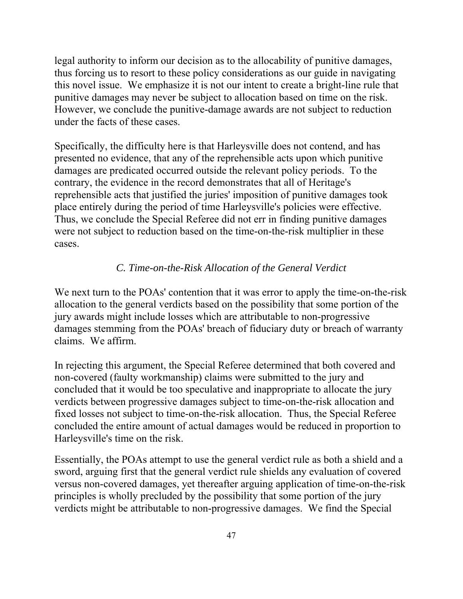legal authority to inform our decision as to the allocability of punitive damages, thus forcing us to resort to these policy considerations as our guide in navigating this novel issue. We emphasize it is not our intent to create a bright-line rule that punitive damages may never be subject to allocation based on time on the risk. However, we conclude the punitive-damage awards are not subject to reduction under the facts of these cases.

Specifically, the difficulty here is that Harleysville does not contend, and has presented no evidence, that any of the reprehensible acts upon which punitive damages are predicated occurred outside the relevant policy periods. To the contrary, the evidence in the record demonstrates that all of Heritage's reprehensible acts that justified the juries' imposition of punitive damages took place entirely during the period of time Harleysville's policies were effective. Thus, we conclude the Special Referee did not err in finding punitive damages were not subject to reduction based on the time-on-the-risk multiplier in these cases.

## *C. Time-on-the-Risk Allocation of the General Verdict*

We next turn to the POAs' contention that it was error to apply the time-on-the-risk allocation to the general verdicts based on the possibility that some portion of the jury awards might include losses which are attributable to non-progressive damages stemming from the POAs' breach of fiduciary duty or breach of warranty claims. We affirm.

In rejecting this argument, the Special Referee determined that both covered and non-covered (faulty workmanship) claims were submitted to the jury and concluded that it would be too speculative and inappropriate to allocate the jury verdicts between progressive damages subject to time-on-the-risk allocation and fixed losses not subject to time-on-the-risk allocation. Thus, the Special Referee concluded the entire amount of actual damages would be reduced in proportion to Harleysville's time on the risk.

Essentially, the POAs attempt to use the general verdict rule as both a shield and a sword, arguing first that the general verdict rule shields any evaluation of covered versus non-covered damages, yet thereafter arguing application of time-on-the-risk principles is wholly precluded by the possibility that some portion of the jury verdicts might be attributable to non-progressive damages. We find the Special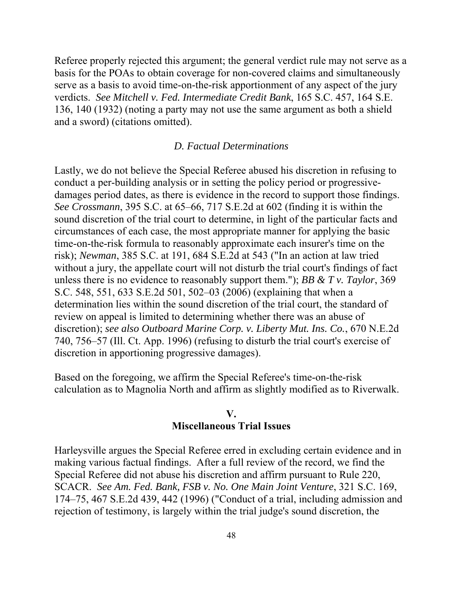Referee properly rejected this argument; the general verdict rule may not serve as a basis for the POAs to obtain coverage for non-covered claims and simultaneously serve as a basis to avoid time-on-the-risk apportionment of any aspect of the jury verdicts. *See Mitchell v. Fed. Intermediate Credit Bank*, 165 S.C. 457, 164 S.E. 136, 140 (1932) (noting a party may not use the same argument as both a shield and a sword) (citations omitted).

## *D. Factual Determinations*

Lastly, we do not believe the Special Referee abused his discretion in refusing to conduct a per-building analysis or in setting the policy period or progressivedamages period dates, as there is evidence in the record to support those findings. *See Crossmann*, 395 S.C. at 65–66, 717 S.E.2d at 602 (finding it is within the sound discretion of the trial court to determine, in light of the particular facts and circumstances of each case, the most appropriate manner for applying the basic time-on-the-risk formula to reasonably approximate each insurer's time on the risk); *Newman*, 385 S.C. at 191, 684 S.E.2d at 543 ("In an action at law tried without a jury, the appellate court will not disturb the trial court's findings of fact unless there is no evidence to reasonably support them."); *BB & T v. Taylor*, 369 S.C. 548, 551, 633 S.E.2d 501, 502–03 (2006) (explaining that when a determination lies within the sound discretion of the trial court, the standard of review on appeal is limited to determining whether there was an abuse of discretion); *see also Outboard Marine Corp. v. Liberty Mut. Ins. Co.*, 670 N.E.2d 740, 756–57 (Ill. Ct. App. 1996) (refusing to disturb the trial court's exercise of discretion in apportioning progressive damages).

Based on the foregoing, we affirm the Special Referee's time-on-the-risk calculation as to Magnolia North and affirm as slightly modified as to Riverwalk.

# **V.**

# **Miscellaneous Trial Issues**

Harleysville argues the Special Referee erred in excluding certain evidence and in making various factual findings. After a full review of the record, we find the Special Referee did not abuse his discretion and affirm pursuant to Rule 220, SCACR. *See Am. Fed. Bank, FSB v. No. One Main Joint Venture*, 321 S.C. 169, 174–75, 467 S.E.2d 439, 442 (1996) ("Conduct of a trial, including admission and rejection of testimony, is largely within the trial judge's sound discretion, the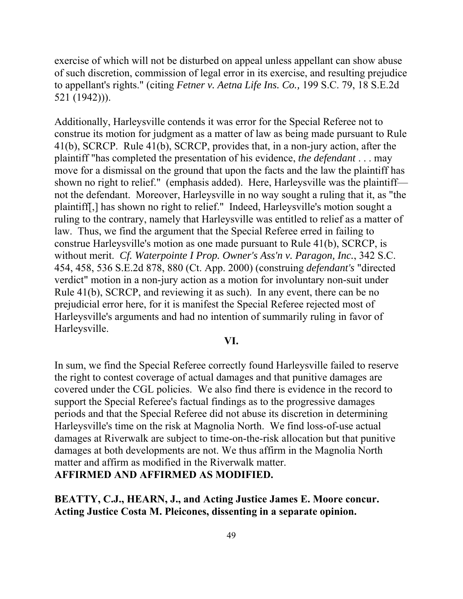exercise of which will not be disturbed on appeal unless appellant can show abuse of such discretion, commission of legal error in its exercise, and resulting prejudice to appellant's rights." (citing *Fetner v. Aetna Life Ins. Co.,* 199 S.C. 79, 18 S.E.2d 521 (1942))).

Additionally, Harleysville contends it was error for the Special Referee not to construe its motion for judgment as a matter of law as being made pursuant to Rule 41(b), SCRCP. Rule 41(b), SCRCP, provides that, in a non-jury action, after the plaintiff "has completed the presentation of his evidence, *the defendant* . . . may move for a dismissal on the ground that upon the facts and the law the plaintiff has shown no right to relief." (emphasis added). Here, Harleysville was the plaintiff not the defendant. Moreover, Harleysville in no way sought a ruling that it, as "the plaintiff[,] has shown no right to relief." Indeed, Harleysville's motion sought a ruling to the contrary, namely that Harleysville was entitled to relief as a matter of law. Thus, we find the argument that the Special Referee erred in failing to construe Harleysville's motion as one made pursuant to Rule 41(b), SCRCP, is without merit. *Cf. Waterpointe I Prop. Owner's Ass'n v. Paragon, Inc.*, 342 S.C. 454, 458, 536 S.E.2d 878, 880 (Ct. App. 2000) (construing *defendant's* "directed verdict" motion in a non-jury action as a motion for involuntary non-suit under Rule 41(b), SCRCP, and reviewing it as such). In any event, there can be no prejudicial error here, for it is manifest the Special Referee rejected most of Harleysville's arguments and had no intention of summarily ruling in favor of Harleysville.

## **VI.**

In sum, we find the Special Referee correctly found Harleysville failed to reserve the right to contest coverage of actual damages and that punitive damages are covered under the CGL policies. We also find there is evidence in the record to support the Special Referee's factual findings as to the progressive damages periods and that the Special Referee did not abuse its discretion in determining Harleysville's time on the risk at Magnolia North. We find loss-of-use actual damages at Riverwalk are subject to time-on-the-risk allocation but that punitive damages at both developments are not. We thus affirm in the Magnolia North matter and affirm as modified in the Riverwalk matter.

**AFFIRMED AND AFFIRMED AS MODIFIED.** 

**BEATTY, C.J., HEARN, J., and Acting Justice James E. Moore concur. Acting Justice Costa M. Pleicones, dissenting in a separate opinion.**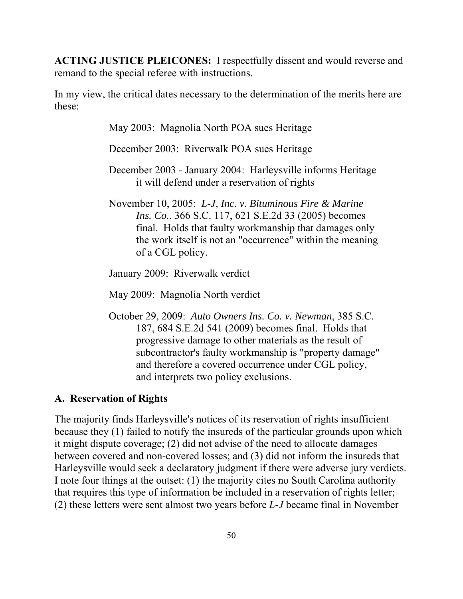**ACTING JUSTICE PLEICONES:** I respectfully dissent and would reverse and remand to the special referee with instructions.

In my view, the critical dates necessary to the determination of the merits here are these:

May 2003: Magnolia North POA sues Heritage

December 2003: Riverwalk POA sues Heritage

- December 2003 January 2004: Harleysville informs Heritage it will defend under a reservation of rights
- November 10, 2005: *L-J, Inc. v. Bituminous Fire & Marine Ins. Co.*, 366 S.C. 117, 621 S.E.2d 33 (2005) becomes final. Holds that faulty workmanship that damages only the work itself is not an "occurrence" within the meaning of a CGL policy.

January 2009: Riverwalk verdict

May 2009: Magnolia North verdict

October 29, 2009: *Auto Owners Ins. Co. v. Newman*, 385 S.C. 187, 684 S.E.2d 541 (2009) becomes final. Holds that progressive damage to other materials as the result of subcontractor's faulty workmanship is "property damage" and therefore a covered occurrence under CGL policy, and interprets two policy exclusions.

## **A. Reservation of Rights**

The majority finds Harleysville's notices of its reservation of rights insufficient because they (1) failed to notify the insureds of the particular grounds upon which it might dispute coverage; (2) did not advise of the need to allocate damages between covered and non-covered losses; and (3) did not inform the insureds that Harleysville would seek a declaratory judgment if there were adverse jury verdicts. I note four things at the outset: (1) the majority cites no South Carolina authority that requires this type of information be included in a reservation of rights letter; (2) these letters were sent almost two years before *L-J* became final in November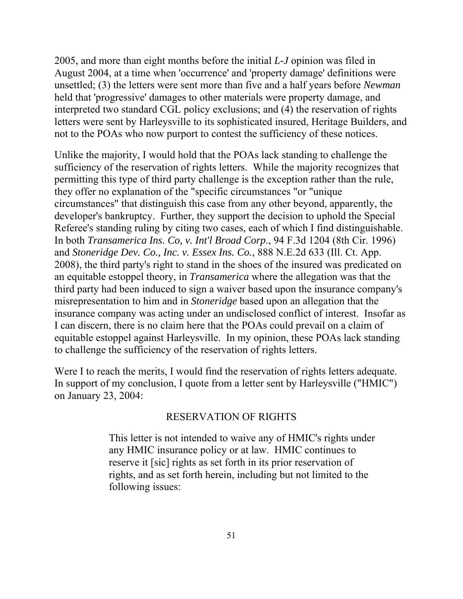2005, and more than eight months before the initial *L-J* opinion was filed in August 2004, at a time when 'occurrence' and 'property damage' definitions were unsettled; (3) the letters were sent more than five and a half years before *Newman*  held that 'progressive' damages to other materials were property damage, and interpreted two standard CGL policy exclusions; and (4) the reservation of rights letters were sent by Harleysville to its sophisticated insured, Heritage Builders, and not to the POAs who now purport to contest the sufficiency of these notices.

Unlike the majority, I would hold that the POAs lack standing to challenge the sufficiency of the reservation of rights letters. While the majority recognizes that permitting this type of third party challenge is the exception rather than the rule, they offer no explanation of the "specific circumstances "or "unique circumstances" that distinguish this case from any other beyond, apparently, the developer's bankruptcy. Further, they support the decision to uphold the Special Referee's standing ruling by citing two cases, each of which I find distinguishable. In both *Transamerica Ins. Co, v. Int'l Broad Corp*., 94 F.3d 1204 (8th Cir. 1996) and *Stoneridge Dev. Co., Inc. v. Essex Ins. Co.*, 888 N.E.2d 633 (Ill. Ct. App. 2008), the third party's right to stand in the shoes of the insured was predicated on an equitable estoppel theory, in *Transamerica* where the allegation was that the third party had been induced to sign a waiver based upon the insurance company's misrepresentation to him and in *Stoneridge* based upon an allegation that the insurance company was acting under an undisclosed conflict of interest. Insofar as I can discern, there is no claim here that the POAs could prevail on a claim of equitable estoppel against Harleysville. In my opinion, these POAs lack standing to challenge the sufficiency of the reservation of rights letters.

Were I to reach the merits, I would find the reservation of rights letters adequate. In support of my conclusion, I quote from a letter sent by Harleysville ("HMIC") on January 23, 2004:

## RESERVATION OF RIGHTS

This letter is not intended to waive any of HMIC's rights under any HMIC insurance policy or at law. HMIC continues to reserve it [sic] rights as set forth in its prior reservation of rights, and as set forth herein, including but not limited to the following issues: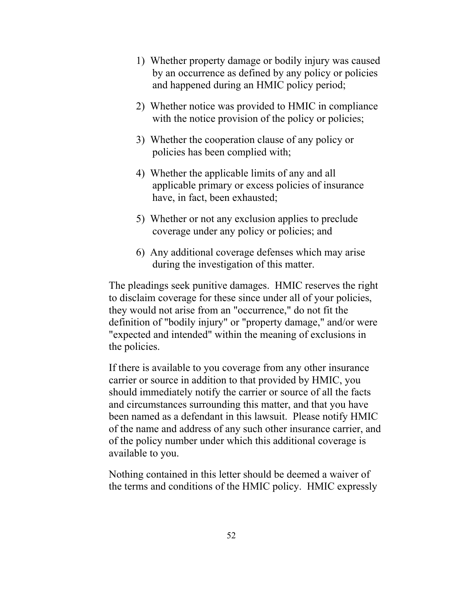- 1) Whether property damage or bodily injury was caused by an occurrence as defined by any policy or policies and happened during an HMIC policy period;
- 2) Whether notice was provided to HMIC in compliance with the notice provision of the policy or policies;
- 3) Whether the cooperation clause of any policy or policies has been complied with;
- 4) Whether the applicable limits of any and all applicable primary or excess policies of insurance have, in fact, been exhausted;
- 5) Whether or not any exclusion applies to preclude coverage under any policy or policies; and
- 6) Any additional coverage defenses which may arise during the investigation of this matter.

The pleadings seek punitive damages. HMIC reserves the right to disclaim coverage for these since under all of your policies, they would not arise from an "occurrence," do not fit the definition of "bodily injury" or "property damage," and/or were "expected and intended" within the meaning of exclusions in the policies.

If there is available to you coverage from any other insurance carrier or source in addition to that provided by HMIC, you should immediately notify the carrier or source of all the facts and circumstances surrounding this matter, and that you have been named as a defendant in this lawsuit. Please notify HMIC of the name and address of any such other insurance carrier, and of the policy number under which this additional coverage is available to you.

Nothing contained in this letter should be deemed a waiver of the terms and conditions of the HMIC policy. HMIC expressly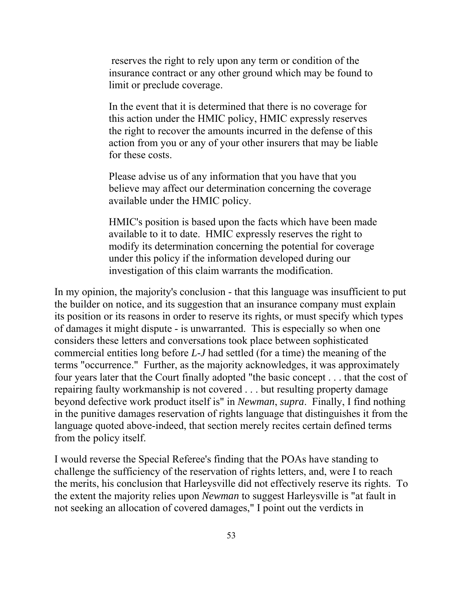reserves the right to rely upon any term or condition of the insurance contract or any other ground which may be found to limit or preclude coverage.

In the event that it is determined that there is no coverage for this action under the HMIC policy, HMIC expressly reserves the right to recover the amounts incurred in the defense of this action from you or any of your other insurers that may be liable for these costs.

Please advise us of any information that you have that you believe may affect our determination concerning the coverage available under the HMIC policy.

HMIC's position is based upon the facts which have been made available to it to date. HMIC expressly reserves the right to modify its determination concerning the potential for coverage under this policy if the information developed during our investigation of this claim warrants the modification.

 of damages it might dispute - is unwarranted. This is especially so when one In my opinion, the majority's conclusion - that this language was insufficient to put the builder on notice, and its suggestion that an insurance company must explain its position or its reasons in order to reserve its rights, or must specify which types considers these letters and conversations took place between sophisticated commercial entities long before *L-J* had settled (for a time) the meaning of the terms "occurrence." Further, as the majority acknowledges, it was approximately four years later that the Court finally adopted "the basic concept . . . that the cost of repairing faulty workmanship is not covered . . . but resulting property damage beyond defective work product itself is" in *Newman*, *supra*. Finally, I find nothing in the punitive damages reservation of rights language that distinguishes it from the language quoted above-indeed, that section merely recites certain defined terms from the policy itself.

I would reverse the Special Referee's finding that the POAs have standing to challenge the sufficiency of the reservation of rights letters, and, were I to reach the merits, his conclusion that Harleysville did not effectively reserve its rights. To the extent the majority relies upon *Newman* to suggest Harleysville is "at fault in not seeking an allocation of covered damages," I point out the verdicts in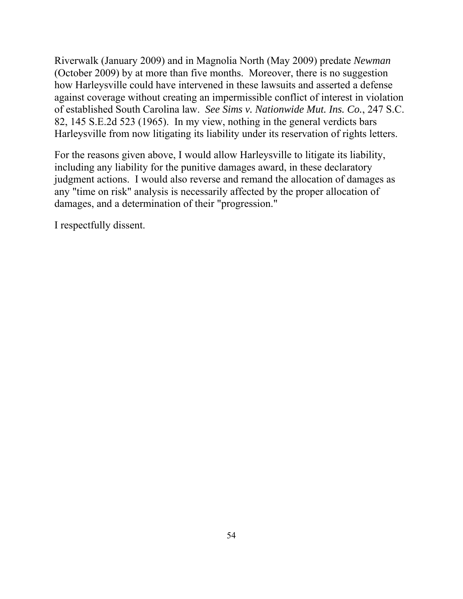Riverwalk (January 2009) and in Magnolia North (May 2009) predate *Newman*  (October 2009) by at more than five months. Moreover, there is no suggestion how Harleysville could have intervened in these lawsuits and asserted a defense against coverage without creating an impermissible conflict of interest in violation of established South Carolina law. *See Sims v. Nationwide Mut. Ins. Co.*, 247 S.C. 82, 145 S.E.2d 523 (1965). In my view, nothing in the general verdicts bars Harleysville from now litigating its liability under its reservation of rights letters.

For the reasons given above, I would allow Harleysville to litigate its liability, including any liability for the punitive damages award, in these declaratory judgment actions. I would also reverse and remand the allocation of damages as any "time on risk" analysis is necessarily affected by the proper allocation of damages, and a determination of their "progression."

I respectfully dissent.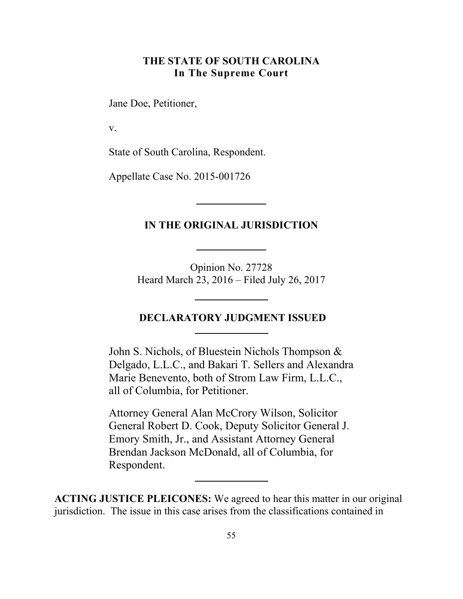## **THE STATE OF SOUTH CAROLINA In The Supreme Court**

Jane Doe, Petitioner,

v.

State of South Carolina, Respondent.

Appellate Case No. 2015-001726

## **IN THE ORIGINAL JURISDICTION**

Opinion No. 27728 Heard March 23, 2016 – Filed July 26, 2017

## **DECLARATORY JUDGMENT ISSUED**

John S. Nichols, of Bluestein Nichols Thompson & Delgado, L.L.C., and Bakari T. Sellers and Alexandra Marie Benevento, both of Strom Law Firm, L.L.C., all of Columbia, for Petitioner.

Attorney General Alan McCrory Wilson, Solicitor General Robert D. Cook, Deputy Solicitor General J. Emory Smith, Jr., and Assistant Attorney General Brendan Jackson McDonald, all of Columbia, for Respondent.

**ACTING JUSTICE PLEICONES:** We agreed to hear this matter in our original jurisdiction. The issue in this case arises from the classifications contained in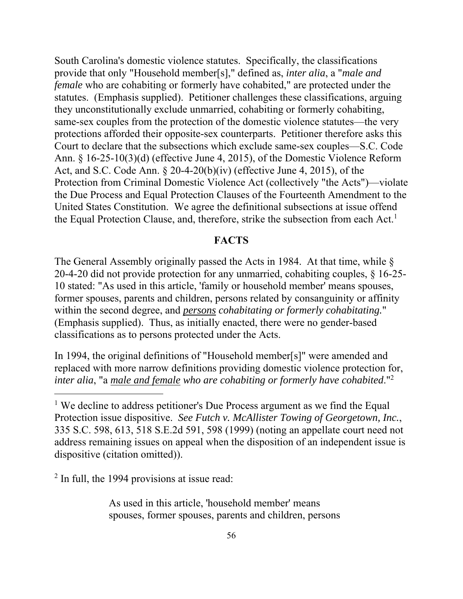the Equal Protection Clause, and, therefore, strike the subsection from each Act.<sup>1</sup> South Carolina's domestic violence statutes. Specifically, the classifications provide that only "Household member[s]," defined as, *inter alia*, a "*male and female* who are cohabiting or formerly have cohabited," are protected under the statutes. (Emphasis supplied). Petitioner challenges these classifications, arguing they unconstitutionally exclude unmarried, cohabiting or formerly cohabiting, same-sex couples from the protection of the domestic violence statutes—the very protections afforded their opposite-sex counterparts. Petitioner therefore asks this Court to declare that the subsections which exclude same-sex couples—S.C. Code Ann. § 16-25-10(3)(d) (effective June 4, 2015), of the Domestic Violence Reform Act, and S.C. Code Ann. § 20-4-20(b)(iv) (effective June 4, 2015), of the Protection from Criminal Domestic Violence Act (collectively "the Acts")—violate the Due Process and Equal Protection Clauses of the Fourteenth Amendment to the United States Constitution. We agree the definitional subsections at issue offend

## **FACTS**

The General Assembly originally passed the Acts in 1984. At that time, while § 20-4-20 did not provide protection for any unmarried, cohabiting couples, § 16-25- 10 stated: "As used in this article, 'family or household member' means spouses, former spouses, parents and children, persons related by consanguinity or affinity within the second degree, and *persons cohabitating or formerly cohabitating.*" (Emphasis supplied). Thus, as initially enacted, there were no gender-based classifications as to persons protected under the Acts.

 *inter alia*, "a *male and female who are cohabiting or formerly have cohabited*."2 In 1994, the original definitions of "Household member[s]" were amended and replaced with more narrow definitions providing domestic violence protection for,

<sup>2</sup> In full, the 1994 provisions at issue read:

 $\overline{a}$ 

As used in this article, 'household member' means spouses, former spouses, parents and children, persons

<sup>&</sup>lt;sup>1</sup> We decline to address petitioner's Due Process argument as we find the Equal Protection issue dispositive. *See Futch v. McAllister Towing of Georgetown, Inc.*, 335 S.C. 598, 613, 518 S.E.2d 591, 598 (1999) (noting an appellate court need not address remaining issues on appeal when the disposition of an independent issue is dispositive (citation omitted)).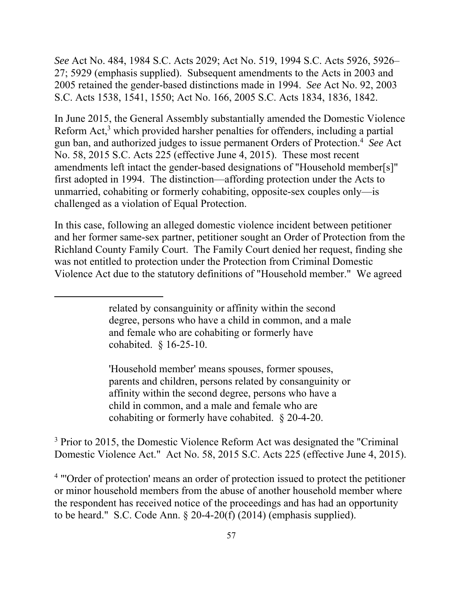*See* Act No. 484, 1984 S.C. Acts 2029; Act No. 519, 1994 S.C. Acts 5926, 5926– 27; 5929 (emphasis supplied). Subsequent amendments to the Acts in 2003 and 2005 retained the gender-based distinctions made in 1994. *See* Act No. 92, 2003 S.C. Acts 1538, 1541, 1550; Act No. 166, 2005 S.C. Acts 1834, 1836, 1842.

 gun ban, and authorized judges to issue permanent Orders of Protection.4 *See* Act In June 2015, the General Assembly substantially amended the Domestic Violence Reform Act,<sup>3</sup> which provided harsher penalties for offenders, including a partial No. 58, 2015 S.C. Acts 225 (effective June 4, 2015). These most recent amendments left intact the gender-based designations of "Household member[s]" first adopted in 1994. The distinction—affording protection under the Acts to unmarried, cohabiting or formerly cohabiting, opposite-sex couples only—is challenged as a violation of Equal Protection.

In this case, following an alleged domestic violence incident between petitioner and her former same-sex partner, petitioner sought an Order of Protection from the Richland County Family Court. The Family Court denied her request, finding she was not entitled to protection under the Protection from Criminal Domestic Violence Act due to the statutory definitions of "Household member." We agreed

 $\overline{a}$ 

'Household member' means spouses, former spouses, parents and children, persons related by consanguinity or affinity within the second degree, persons who have a child in common, and a male and female who are cohabiting or formerly have cohabited. § 20-4-20.

<sup>3</sup> Prior to 2015, the Domestic Violence Reform Act was designated the "Criminal" Domestic Violence Act." Act No. 58, 2015 S.C. Acts 225 (effective June 4, 2015).

<sup>4</sup> "Order of protection' means an order of protection issued to protect the petitioner or minor household members from the abuse of another household member where the respondent has received notice of the proceedings and has had an opportunity to be heard." S.C. Code Ann. § 20-4-20(f) (2014) (emphasis supplied).

related by consanguinity or affinity within the second degree, persons who have a child in common, and a male and female who are cohabiting or formerly have cohabited. § 16-25-10.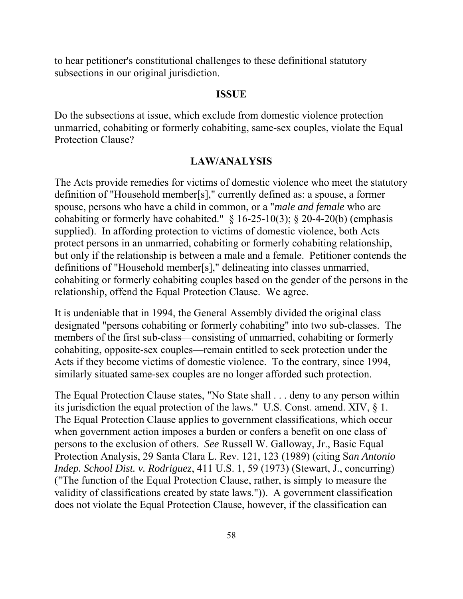to hear petitioner's constitutional challenges to these definitional statutory subsections in our original jurisdiction.

#### **ISSUE**

Do the subsections at issue, which exclude from domestic violence protection unmarried, cohabiting or formerly cohabiting, same-sex couples, violate the Equal Protection Clause?

#### **LAW/ANALYSIS**

The Acts provide remedies for victims of domestic violence who meet the statutory definition of "Household member[s]," currently defined as: a spouse, a former spouse, persons who have a child in common, or a "*male and female* who are cohabiting or formerly have cohabited."  $\S 16-25-10(3)$ ;  $\S 20-4-20(b)$  (emphasis supplied). In affording protection to victims of domestic violence, both Acts protect persons in an unmarried, cohabiting or formerly cohabiting relationship, but only if the relationship is between a male and a female. Petitioner contends the definitions of "Household member[s]," delineating into classes unmarried, cohabiting or formerly cohabiting couples based on the gender of the persons in the relationship, offend the Equal Protection Clause. We agree.

It is undeniable that in 1994, the General Assembly divided the original class designated "persons cohabiting or formerly cohabiting" into two sub-classes. The members of the first sub-class—consisting of unmarried, cohabiting or formerly cohabiting, opposite-sex couples—remain entitled to seek protection under the Acts if they become victims of domestic violence. To the contrary, since 1994, similarly situated same-sex couples are no longer afforded such protection.

The Equal Protection Clause states, "No State shall . . . deny to any person within its jurisdiction the equal protection of the laws." U.S. Const. amend. XIV, § 1. The Equal Protection Clause applies to government classifications, which occur when government action imposes a burden or confers a benefit on one class of persons to the exclusion of others. *See* Russell W. Galloway, Jr., Basic Equal Protection Analysis, 29 Santa Clara L. Rev. 121, 123 (1989) (citing S*an Antonio Indep. School Dist. v. Rodriguez*, 411 U.S. 1, 59 (1973) (Stewart, J., concurring) ("The function of the Equal Protection Clause, rather, is simply to measure the validity of classifications created by state laws.")). A government classification does not violate the Equal Protection Clause, however, if the classification can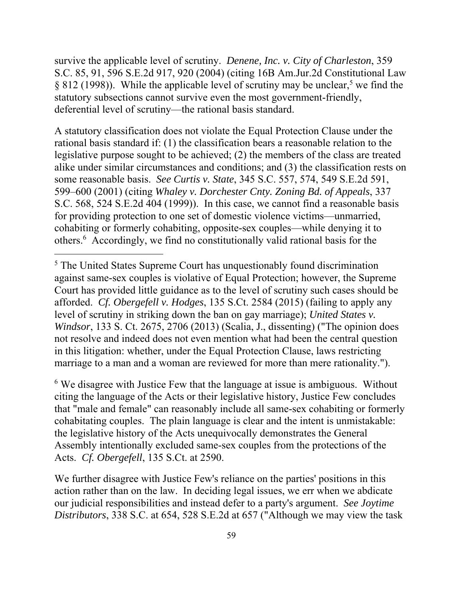survive the applicable level of scrutiny. *Denene, Inc. v. City of Charleston*, 359 S.C. 85, 91, 596 S.E.2d 917, 920 (2004) (citing 16B Am.Jur.2d Constitutional Law  $\S 812$  (1998)). While the applicable level of scrutiny may be unclear,<sup>5</sup> we find the statutory subsections cannot survive even the most government-friendly, deferential level of scrutiny—the rational basis standard.

A statutory classification does not violate the Equal Protection Clause under the rational basis standard if: (1) the classification bears a reasonable relation to the legislative purpose sought to be achieved; (2) the members of the class are treated alike under similar circumstances and conditions; and (3) the classification rests on some reasonable basis. *See Curtis v. State*, 345 S.C. 557, 574, 549 S.E.2d 591, 599–600 (2001) (citing *Whaley v. Dorchester Cnty. Zoning Bd. of Appeals*, 337 S.C. 568, 524 S.E.2d 404 (1999)). In this case, we cannot find a reasonable basis for providing protection to one set of domestic violence victims—unmarried, cohabiting or formerly cohabiting, opposite-sex couples—while denying it to others.6 Accordingly, we find no constitutionally valid rational basis for the

 $\overline{a}$ 

<sup>6</sup> We disagree with Justice Few that the language at issue is ambiguous. Without citing the language of the Acts or their legislative history, Justice Few concludes that "male and female" can reasonably include all same-sex cohabiting or formerly cohabitating couples. The plain language is clear and the intent is unmistakable: the legislative history of the Acts unequivocally demonstrates the General Assembly intentionally excluded same-sex couples from the protections of the Acts. *Cf. Obergefell*, 135 S.Ct. at 2590.

We further disagree with Justice Few's reliance on the parties' positions in this action rather than on the law. In deciding legal issues, we err when we abdicate our judicial responsibilities and instead defer to a party's argument. *See Joytime Distributors*, 338 S.C. at 654, 528 S.E.2d at 657 ("Although we may view the task

<sup>&</sup>lt;sup>5</sup> The United States Supreme Court has unquestionably found discrimination against same-sex couples is violative of Equal Protection; however, the Supreme Court has provided little guidance as to the level of scrutiny such cases should be afforded. *Cf. Obergefell v. Hodges*, 135 S.Ct. 2584 (2015) (failing to apply any level of scrutiny in striking down the ban on gay marriage); *United States v. Windsor*, 133 S. Ct. 2675, 2706 (2013) (Scalia, J., dissenting) ("The opinion does not resolve and indeed does not even mention what had been the central question in this litigation: whether, under the Equal Protection Clause, laws restricting marriage to a man and a woman are reviewed for more than mere rationality.").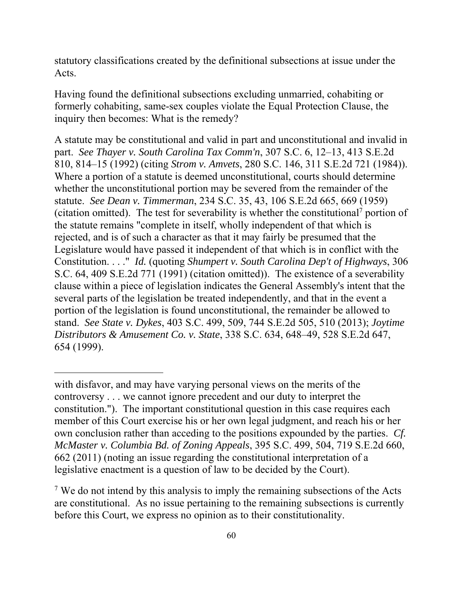statutory classifications created by the definitional subsections at issue under the Acts.

Having found the definitional subsections excluding unmarried, cohabiting or formerly cohabiting, same-sex couples violate the Equal Protection Clause, the inquiry then becomes: What is the remedy?

A statute may be constitutional and valid in part and unconstitutional and invalid in part. *See Thayer v. South Carolina Tax Comm'n*, 307 S.C. 6, 12–13, 413 S.E.2d 810, 814–15 (1992) (citing *Strom v. Amvets*, 280 S.C. 146, 311 S.E.2d 721 (1984)). Where a portion of a statute is deemed unconstitutional, courts should determine whether the unconstitutional portion may be severed from the remainder of the statute. *See Dean v. Timmerman*, 234 S.C. 35, 43, 106 S.E.2d 665, 669 (1959) (citation omitted). The test for severability is whether the constitutional<sup>7</sup> portion of the statute remains "complete in itself, wholly independent of that which is rejected, and is of such a character as that it may fairly be presumed that the Legislature would have passed it independent of that which is in conflict with the Constitution. . . ." *Id.* (quoting *Shumpert v. South Carolina Dep't of Highways*, 306 S.C. 64, 409 S.E.2d 771 (1991) (citation omitted)). The existence of a severability clause within a piece of legislation indicates the General Assembly's intent that the several parts of the legislation be treated independently, and that in the event a portion of the legislation is found unconstitutional, the remainder be allowed to stand. *See State v. Dykes*, 403 S.C. 499, 509, 744 S.E.2d 505, 510 (2013); *Joytime Distributors & Amusement Co. v. State*, 338 S.C. 634, 648–49, 528 S.E.2d 647, 654 (1999).

with disfavor, and may have varying personal views on the merits of the controversy . . . we cannot ignore precedent and our duty to interpret the constitution."). The important constitutional question in this case requires each member of this Court exercise his or her own legal judgment, and reach his or her own conclusion rather than acceding to the positions expounded by the parties. *Cf. McMaster v. Columbia Bd. of Zoning Appeals*, 395 S.C. 499, 504, 719 S.E.2d 660, 662 (2011) (noting an issue regarding the constitutional interpretation of a legislative enactment is a question of law to be decided by the Court).

<sup>&</sup>lt;sup>7</sup> We do not intend by this analysis to imply the remaining subsections of the Acts are constitutional. As no issue pertaining to the remaining subsections is currently before this Court, we express no opinion as to their constitutionality.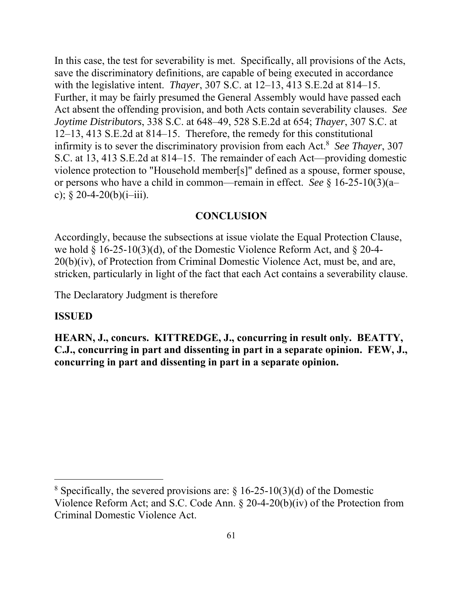infirmity is to sever the discriminatory provision from each Act.8 *See Thayer*, 307 In this case, the test for severability is met. Specifically, all provisions of the Acts, save the discriminatory definitions, are capable of being executed in accordance with the legislative intent. *Thayer*, 307 S.C. at 12–13, 413 S.E.2d at 814–15. Further, it may be fairly presumed the General Assembly would have passed each Act absent the offending provision, and both Acts contain severability clauses. *See Joytime Distributors*, 338 S.C. at 648–49, 528 S.E.2d at 654; *Thayer*, 307 S.C. at 12–13, 413 S.E.2d at 814–15. Therefore, the remedy for this constitutional S.C. at 13, 413 S.E.2d at 814–15. The remainder of each Act—providing domestic violence protection to "Household member[s]" defined as a spouse, former spouse, or persons who have a child in common—remain in effect. *See* § 16-25-10(3)(a– c);  $§ 20-4-20(b)(i-iii)$ .

#### **CONCLUSION**

Accordingly, because the subsections at issue violate the Equal Protection Clause, we hold § 16-25-10(3)(d), of the Domestic Violence Reform Act, and § 20-4- 20(b)(iv), of Protection from Criminal Domestic Violence Act, must be, and are, stricken, particularly in light of the fact that each Act contains a severability clause.

The Declaratory Judgment is therefore

## **ISSUED**

 $\overline{a}$ 

**HEARN, J., concurs. KITTREDGE, J., concurring in result only. BEATTY, C.J., concurring in part and dissenting in part in a separate opinion. FEW, J., concurring in part and dissenting in part in a separate opinion.** 

<sup>&</sup>lt;sup>8</sup> Specifically, the severed provisions are:  $\S$  16-25-10(3)(d) of the Domestic Violence Reform Act; and S.C. Code Ann. § 20-4-20(b)(iv) of the Protection from Criminal Domestic Violence Act.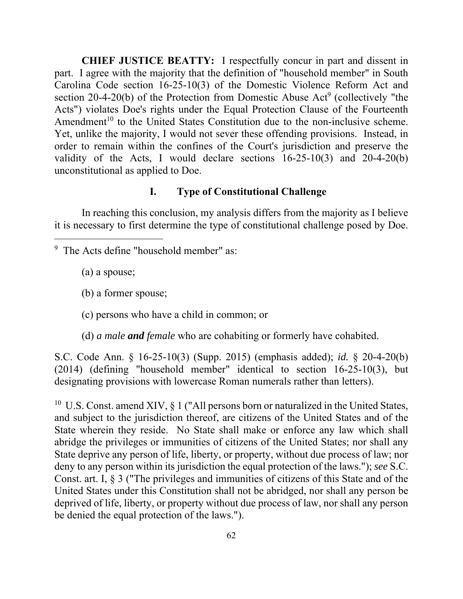**CHIEF JUSTICE BEATTY:** I respectfully concur in part and dissent in part. I agree with the majority that the definition of "household member" in South Carolina Code section 16-25-10(3) of the Domestic Violence Reform Act and section 20-4-20(b) of the Protection from Domestic Abuse  $Act^9$  (collectively "the Acts") violates Doe's rights under the Equal Protection Clause of the Fourteenth Amendment<sup>10</sup> to the United States Constitution due to the non-inclusive scheme. Yet, unlike the majority, I would not sever these offending provisions. Instead, in order to remain within the confines of the Court's jurisdiction and preserve the validity of the Acts, I would declare sections 16-25-10(3) and 20-4-20(b) unconstitutional as applied to Doe.

## **I. Type of Constitutional Challenge**

In reaching this conclusion, my analysis differs from the majority as I believe it is necessary to first determine the type of constitutional challenge posed by Doe.

<sup>9</sup> The Acts define "household member" as:

(a) a spouse;

 $\overline{a}$ 

- (b) a former spouse;
- (c) persons who have a child in common; or
- (d) *a male and female* who are cohabiting or formerly have cohabited.

 S.C. Code Ann. § 16-25-10(3) (Supp. 2015) (emphasis added); *id.* § 20-4-20(b) (2014) (defining "household member" identical to section 16-25-10(3), but designating provisions with lowercase Roman numerals rather than letters).

<sup>10</sup> U.S. Const. amend XIV,  $\S 1$  ("All persons born or naturalized in the United States, State deprive any person of life, liberty, or property, without due process of law; nor Const. art. I, § 3 ("The privileges and immunities of citizens of this State and of the and subject to the jurisdiction thereof, are citizens of the United States and of the State wherein they reside. No State shall make or enforce any law which shall abridge the privileges or immunities of citizens of the United States; nor shall any deny to any person within its jurisdiction the equal protection of the laws."); *see* S.C. United States under this Constitution shall not be abridged, nor shall any person be deprived of life, liberty, or property without due process of law, nor shall any person be denied the equal protection of the laws.").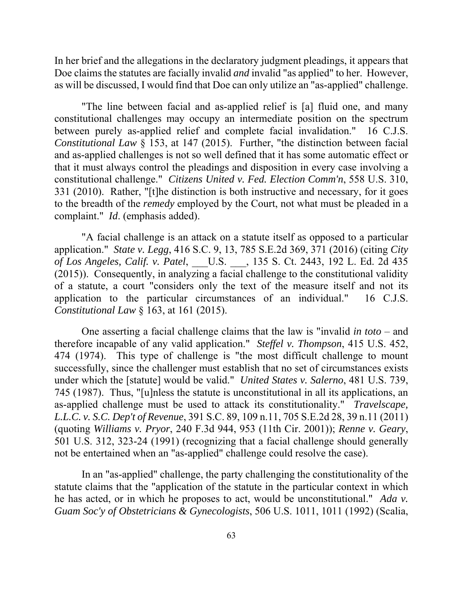as will be discussed, I would find that Doe can only utilize an "as-applied" challenge. In her brief and the allegations in the declaratory judgment pleadings, it appears that Doe claims the statutes are facially invalid *and* invalid "as applied" to her. However,

 *Constitutional Law* § 153, at 147 (2015). Further, "the distinction between facial to the breadth of the *remedy* employed by the Court, not what must be pleaded in a "The line between facial and as-applied relief is [a] fluid one, and many constitutional challenges may occupy an intermediate position on the spectrum between purely as-applied relief and complete facial invalidation." 16 C.J.S. and as-applied challenges is not so well defined that it has some automatic effect or that it must always control the pleadings and disposition in every case involving a constitutional challenge." *Citizens United v. Fed. Election Comm'n*, 558 U.S. 310, 331 (2010). Rather, "[t]he distinction is both instructive and necessary, for it goes complaint." *Id*. (emphasis added).

"A facial challenge is an attack on a statute itself as opposed to a particular application." *State v. Legg*, 416 S.C. 9, 13, 785 S.E.2d 369, 371 (2016) (citing *City of Los Angeles, Calif. v. Patel*, \_\_\_U.S. \_\_\_, 135 S. Ct. 2443, 192 L. Ed. 2d 435 (2015)). Consequently, in analyzing a facial challenge to the constitutional validity of a statute, a court "considers only the text of the measure itself and not its application to the particular circumstances of an individual." 16 C.J.S. *Constitutional Law* § 163, at 161 (2015).

One asserting a facial challenge claims that the law is "invalid *in toto* – and therefore incapable of any valid application." *Steffel v. Thompson*, 415 U.S. 452, 474 (1974). This type of challenge is "the most difficult challenge to mount successfully, since the challenger must establish that no set of circumstances exists under which the [statute] would be valid." *United States v. Salerno*, 481 U.S. 739, 745 (1987). Thus, "[u]nless the statute is unconstitutional in all its applications, an as-applied challenge must be used to attack its constitutionality." *Travelscape, L.L.C. v. S.C. Dep't of Revenue*, 391 S.C. 89, 109 n.11, 705 S.E.2d 28, 39 n.11 (2011) (quoting *Williams v. Pryor*, 240 F.3d 944, 953 (11th Cir. 2001)); *Renne v. Geary*, 501 U.S. 312, 323-24 (1991) (recognizing that a facial challenge should generally not be entertained when an "as-applied" challenge could resolve the case).

In an "as-applied" challenge, the party challenging the constitutionality of the statute claims that the "application of the statute in the particular context in which he has acted, or in which he proposes to act, would be unconstitutional." *Ada v. Guam Soc'y of Obstetricians & Gynecologists*, 506 U.S. 1011, 1011 (1992) (Scalia,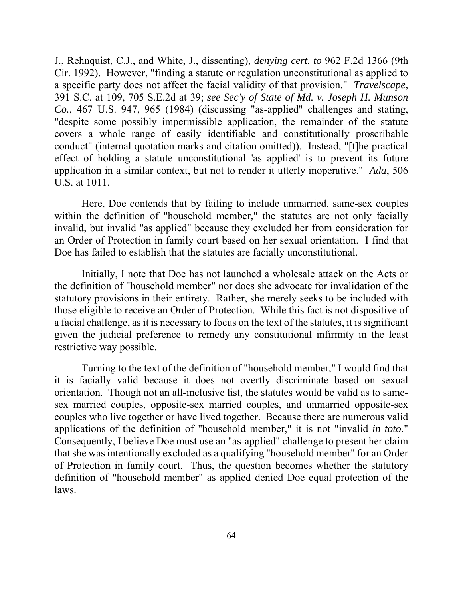conduct" (internal quotation marks and citation omitted)). Instead, "[t]he practical J., Rehnquist, C.J., and White, J., dissenting), *denying cert. to* 962 F.2d 1366 (9th Cir. 1992). However, "finding a statute or regulation unconstitutional as applied to a specific party does not affect the facial validity of that provision." *Travelscape,*  391 S.C. at 109, 705 S.E.2d at 39; *see Sec'y of State of Md. v. Joseph H. Munson Co.*, 467 U.S. 947, 965 (1984) (discussing "as-applied" challenges and stating, "despite some possibly impermissible application, the remainder of the statute covers a whole range of easily identifiable and constitutionally proscribable effect of holding a statute unconstitutional 'as applied' is to prevent its future application in a similar context, but not to render it utterly inoperative." *Ada*, 506 U.S. at 1011.

 invalid, but invalid "as applied" because they excluded her from consideration for an Order of Protection in family court based on her sexual orientation. I find that Here, Doe contends that by failing to include unmarried, same-sex couples within the definition of "household member," the statutes are not only facially Doe has failed to establish that the statutes are facially unconstitutional.

Initially, I note that Doe has not launched a wholesale attack on the Acts or the definition of "household member" nor does she advocate for invalidation of the statutory provisions in their entirety. Rather, she merely seeks to be included with those eligible to receive an Order of Protection. While this fact is not dispositive of a facial challenge, as it is necessary to focus on the text of the statutes, it is significant given the judicial preference to remedy any constitutional infirmity in the least restrictive way possible.

Turning to the text of the definition of "household member," I would find that it is facially valid because it does not overtly discriminate based on sexual orientation. Though not an all-inclusive list, the statutes would be valid as to samesex married couples, opposite-sex married couples, and unmarried opposite-sex couples who live together or have lived together. Because there are numerous valid applications of the definition of "household member," it is not "invalid *in toto*." Consequently, I believe Doe must use an "as-applied" challenge to present her claim that she was intentionally excluded as a qualifying "household member" for an Order of Protection in family court. Thus, the question becomes whether the statutory definition of "household member" as applied denied Doe equal protection of the laws.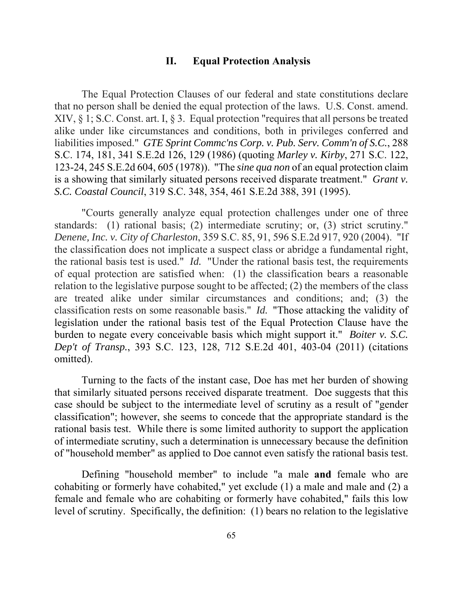#### **II. Equal Protection Analysis**

The Equal Protection Clauses of our federal and state constitutions declare that no person shall be denied the equal protection of the laws. U.S. Const. amend. XIV, § 1; S.C. Const. art. I, § 3. Equal protection "requires that all persons be treated alike under like circumstances and conditions, both in privileges conferred and liabilities imposed." *GTE Sprint Commc'ns Corp. v. Pub. Serv. Comm'n of S.C.*, 288 S.C. 174, 181, 341 S.E.2d 126, 129 (1986) (quoting *Marley v. Kirby*, 271 S.C. 122, 123-24, 245 S.E.2d 604, 605 (1978)). "The *sine qua non* of an equal protection claim is a showing that similarly situated persons received disparate treatment." *Grant v. S.C. Coastal Council*, 319 S.C. 348, 354, 461 S.E.2d 388, 391 (1995).

"Courts generally analyze equal protection challenges under one of three standards: (1) rational basis; (2) intermediate scrutiny; or, (3) strict scrutiny." *Denene, Inc. v. City of Charleston*, 359 S.C. 85, 91, 596 S.E.2d 917, 920 (2004). "If the classification does not implicate a suspect class or abridge a fundamental right, the rational basis test is used." *Id.* "Under the rational basis test, the requirements of equal protection are satisfied when: (1) the classification bears a reasonable relation to the legislative purpose sought to be affected; (2) the members of the class are treated alike under similar circumstances and conditions; and; (3) the classification rests on some reasonable basis." *Id.* "Those attacking the validity of legislation under the rational basis test of the Equal Protection Clause have the burden to negate every conceivable basis which might support it." *Boiter v. S.C. Dep't of Transp.*, 393 S.C. 123, 128, 712 S.E.2d 401, 403-04 (2011) (citations omitted).

Turning to the facts of the instant case, Doe has met her burden of showing that similarly situated persons received disparate treatment. Doe suggests that this case should be subject to the intermediate level of scrutiny as a result of "gender classification"; however, she seems to concede that the appropriate standard is the rational basis test. While there is some limited authority to support the application of intermediate scrutiny, such a determination is unnecessary because the definition of "household member" as applied to Doe cannot even satisfy the rational basis test.

Defining "household member" to include "a male **and** female who are cohabiting or formerly have cohabited," yet exclude (1) a male and male and (2) a female and female who are cohabiting or formerly have cohabited," fails this low level of scrutiny. Specifically, the definition: (1) bears no relation to the legislative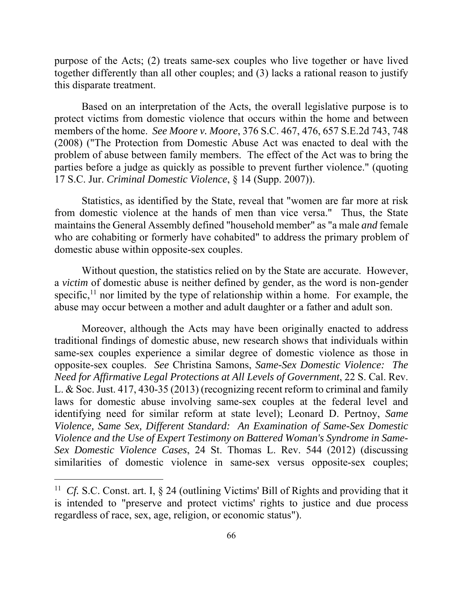purpose of the Acts; (2) treats same-sex couples who live together or have lived together differently than all other couples; and (3) lacks a rational reason to justify this disparate treatment.

 problem of abuse between family members. The effect of the Act was to bring the Based on an interpretation of the Acts, the overall legislative purpose is to protect victims from domestic violence that occurs within the home and between members of the home. *See Moore v. Moore*, 376 S.C. 467, 476, 657 S.E.2d 743, 748 (2008) ("The Protection from Domestic Abuse Act was enacted to deal with the parties before a judge as quickly as possible to prevent further violence." (quoting 17 S.C. Jur. *Criminal Domestic Violence*, § 14 (Supp. 2007)).

Statistics, as identified by the State, reveal that "women are far more at risk from domestic violence at the hands of men than vice versa." Thus, the State maintains the General Assembly defined "household member" as "a male *and* female who are cohabiting or formerly have cohabited" to address the primary problem of domestic abuse within opposite-sex couples.

specific,<sup>11</sup> nor limited by the type of relationship within a home. For example, the Without question, the statistics relied on by the State are accurate. However, a *victim* of domestic abuse is neither defined by gender, as the word is non-gender abuse may occur between a mother and adult daughter or a father and adult son.

 laws for domestic abuse involving same-sex couples at the federal level and Moreover, although the Acts may have been originally enacted to address traditional findings of domestic abuse, new research shows that individuals within same-sex couples experience a similar degree of domestic violence as those in opposite-sex couples. *See* Christina Samons, *Same-Sex Domestic Violence: The Need for Affirmative Legal Protections at All Levels of Government*, 22 S. Cal. Rev. L. & Soc. Just. 417, 430-35 (2013) (recognizing recent reform to criminal and family identifying need for similar reform at state level); Leonard D. Pertnoy, *Same Violence, Same Sex, Different Standard: An Examination of Same-Sex Domestic Violence and the Use of Expert Testimony on Battered Woman's Syndrome in Same-Sex Domestic Violence Cases*, 24 St. Thomas L. Rev. 544 (2012) (discussing similarities of domestic violence in same-sex versus opposite-sex couples;

<sup>&</sup>lt;sup>11</sup> Cf. S.C. Const. art. I, § 24 (outlining Victims' Bill of Rights and providing that it is intended to "preserve and protect victims' rights to justice and due process regardless of race, sex, age, religion, or economic status").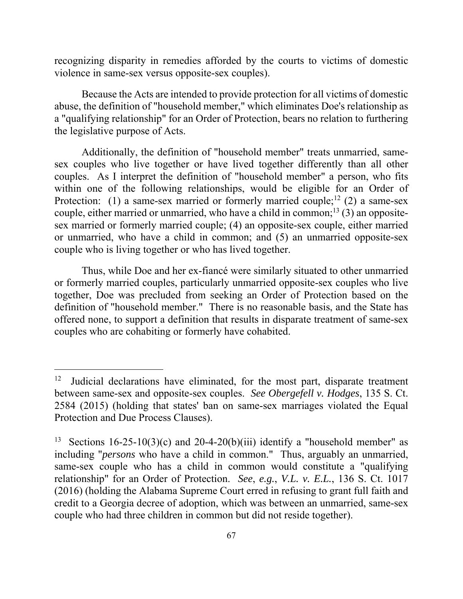recognizing disparity in remedies afforded by the courts to victims of domestic violence in same-sex versus opposite-sex couples).

Because the Acts are intended to provide protection for all victims of domestic abuse, the definition of "household member," which eliminates Doe's relationship as a "qualifying relationship" for an Order of Protection, bears no relation to furthering the legislative purpose of Acts.

Protection: (1) a same-sex married or formerly married couple;<sup>12</sup> (2) a same-sex Additionally, the definition of "household member" treats unmarried, samesex couples who live together or have lived together differently than all other couples. As I interpret the definition of "household member" a person, who fits within one of the following relationships, would be eligible for an Order of couple, either married or unmarried, who have a child in common;<sup>13</sup> (3) an oppositesex married or formerly married couple; (4) an opposite-sex couple, either married or unmarried, who have a child in common; and (5) an unmarried opposite-sex couple who is living together or who has lived together.

Thus, while Doe and her ex-fiancé were similarly situated to other unmarried or formerly married couples, particularly unmarried opposite-sex couples who live together, Doe was precluded from seeking an Order of Protection based on the definition of "household member." There is no reasonable basis, and the State has offered none, to support a definition that results in disparate treatment of same-sex couples who are cohabiting or formerly have cohabited.

<sup>12</sup> 12 Judicial declarations have eliminated, for the most part, disparate treatment between same-sex and opposite-sex couples. *See Obergefell v. Hodges*, 135 S. Ct. 2584 (2015) (holding that states' ban on same-sex marriages violated the Equal Protection and Due Process Clauses).

<sup>13</sup>  including "*persons* who have a child in common." Thus, arguably an unmarried, relationship" for an Order of Protection. *See*, *e.g.*, *V.L. v. E.L.*, 136 S. Ct. 1017 Sections  $16-25-10(3)(c)$  and  $20-4-20(b)(iii)$  identify a "household member" as same-sex couple who has a child in common would constitute a "qualifying (2016) (holding the Alabama Supreme Court erred in refusing to grant full faith and credit to a Georgia decree of adoption, which was between an unmarried, same-sex couple who had three children in common but did not reside together).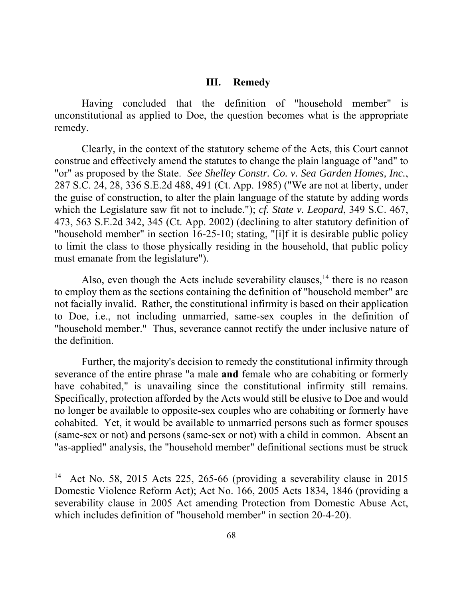#### **III. Remedy**

Having concluded that the definition of "household member" is unconstitutional as applied to Doe, the question becomes what is the appropriate remedy.

Clearly, in the context of the statutory scheme of the Acts, this Court cannot construe and effectively amend the statutes to change the plain language of "and" to "or" as proposed by the State. *See Shelley Constr. Co. v. Sea Garden Homes, Inc.*, 287 S.C. 24, 28, 336 S.E.2d 488, 491 (Ct. App. 1985) ("We are not at liberty, under the guise of construction, to alter the plain language of the statute by adding words which the Legislature saw fit not to include."); *cf. State v. Leopard*, 349 S.C. 467, 473, 563 S.E.2d 342, 345 (Ct. App. 2002) (declining to alter statutory definition of "household member" in section 16-25-10; stating, "[i]f it is desirable public policy to limit the class to those physically residing in the household, that public policy must emanate from the legislature").

Also, even though the Acts include severability clauses,<sup>14</sup> there is no reason to employ them as the sections containing the definition of "household member" are not facially invalid. Rather, the constitutional infirmity is based on their application to Doe, i.e., not including unmarried, same-sex couples in the definition of "household member." Thus, severance cannot rectify the under inclusive nature of the definition.

 (same-sex or not) and persons (same-sex or not) with a child in common. Absent an Further, the majority's decision to remedy the constitutional infirmity through severance of the entire phrase "a male **and** female who are cohabiting or formerly have cohabited," is unavailing since the constitutional infirmity still remains. Specifically, protection afforded by the Acts would still be elusive to Doe and would no longer be available to opposite-sex couples who are cohabiting or formerly have cohabited. Yet, it would be available to unmarried persons such as former spouses "as-applied" analysis, the "household member" definitional sections must be struck

<sup>14</sup> Act No. 58, 2015 Acts 225, 265-66 (providing a severability clause in 2015 Domestic Violence Reform Act); Act No. 166, 2005 Acts 1834, 1846 (providing a severability clause in 2005 Act amending Protection from Domestic Abuse Act, which includes definition of "household member" in section 20-4-20).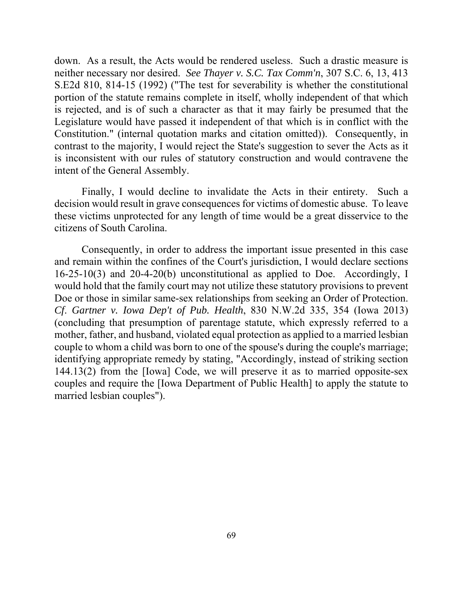down. As a result, the Acts would be rendered useless. Such a drastic measure is is rejected, and is of such a character as that it may fairly be presumed that the neither necessary nor desired. *See Thayer v. S.C. Tax Comm'n*, 307 S.C. 6, 13, 413 S.E2d 810, 814-15 (1992) ("The test for severability is whether the constitutional portion of the statute remains complete in itself, wholly independent of that which Legislature would have passed it independent of that which is in conflict with the Constitution." (internal quotation marks and citation omitted)). Consequently, in contrast to the majority, I would reject the State's suggestion to sever the Acts as it is inconsistent with our rules of statutory construction and would contravene the intent of the General Assembly.

 decision would result in grave consequences for victims of domestic abuse. To leave Finally, I would decline to invalidate the Acts in their entirety. Such a these victims unprotected for any length of time would be a great disservice to the citizens of South Carolina.

 Consequently, in order to address the important issue presented in this case Doe or those in similar same-sex relationships from seeking an Order of Protection. 144.13(2) from the [Iowa] Code, we will preserve it as to married opposite-sex and remain within the confines of the Court's jurisdiction, I would declare sections 16-25-10(3) and 20-4-20(b) unconstitutional as applied to Doe. Accordingly, I would hold that the family court may not utilize these statutory provisions to prevent *Cf*. *Gartner v. Iowa Dep't of Pub. Health*, 830 N.W.2d 335, 354 (Iowa 2013) (concluding that presumption of parentage statute, which expressly referred to a mother, father, and husband, violated equal protection as applied to a married lesbian couple to whom a child was born to one of the spouse's during the couple's marriage; identifying appropriate remedy by stating, "Accordingly, instead of striking section couples and require the [Iowa Department of Public Health] to apply the statute to married lesbian couples").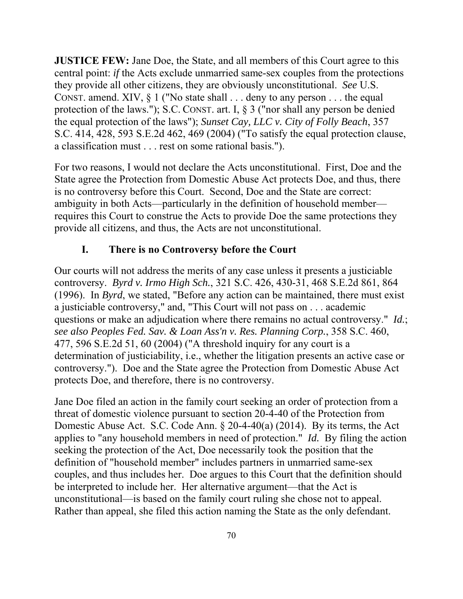**JUSTICE FEW:** Jane Doe, the State, and all members of this Court agree to this central point: *if* the Acts exclude unmarried same-sex couples from the protections they provide all other citizens, they are obviously unconstitutional. *See* U.S. CONST. amend. XIV,  $\S 1$  ("No state shall . . . deny to any person . . . the equal protection of the laws."); S.C. CONST. art. I, § 3 ("nor shall any person be denied the equal protection of the laws"); *Sunset Cay, LLC v. City of Folly Beach*, 357 S.C. 414, 428, 593 S.E.2d 462, 469 (2004) ("To satisfy the equal protection clause, a classification must . . . rest on some rational basis.").

For two reasons, I would not declare the Acts unconstitutional. First, Doe and the State agree the Protection from Domestic Abuse Act protects Doe, and thus, there is no controversy before this Court. Second, Doe and the State are correct: ambiguity in both Acts—particularly in the definition of household member requires this Court to construe the Acts to provide Doe the same protections they provide all citizens, and thus, the Acts are not unconstitutional.

## **I. There is no Controversy before the Court**

Our courts will not address the merits of any case unless it presents a justiciable controversy. *Byrd v. Irmo High Sch.*, 321 S.C. 426, 430-31, 468 S.E.2d 861, 864 (1996). In *Byrd*, we stated, "Before any action can be maintained, there must exist a justiciable controversy," and, "This Court will not pass on . . . academic questions or make an adjudication where there remains no actual controversy." *Id.*; *see also Peoples Fed. Sav. & Loan Ass'n v. Res. Planning Corp.*, 358 S.C. 460, 477, 596 S.E.2d 51, 60 (2004) ("A threshold inquiry for any court is a determination of justiciability, i.e., whether the litigation presents an active case or controversy."). Doe and the State agree the Protection from Domestic Abuse Act protects Doe, and therefore, there is no controversy.

Jane Doe filed an action in the family court seeking an order of protection from a threat of domestic violence pursuant to section 20-4-40 of the Protection from Domestic Abuse Act. S.C. Code Ann. § 20-4-40(a) (2014). By its terms, the Act applies to "any household members in need of protection." *Id.* By filing the action seeking the protection of the Act, Doe necessarily took the position that the definition of "household member" includes partners in unmarried same-sex couples, and thus includes her. Doe argues to this Court that the definition should be interpreted to include her. Her alternative argument—that the Act is unconstitutional—is based on the family court ruling she chose not to appeal. Rather than appeal, she filed this action naming the State as the only defendant.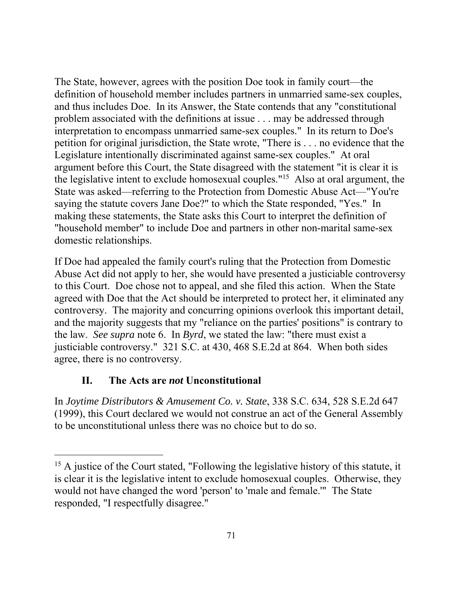The State, however, agrees with the position Doe took in family court—the definition of household member includes partners in unmarried same-sex couples, and thus includes Doe. In its Answer, the State contends that any "constitutional problem associated with the definitions at issue . . . may be addressed through interpretation to encompass unmarried same-sex couples." In its return to Doe's petition for original jurisdiction, the State wrote, "There is . . . no evidence that the Legislature intentionally discriminated against same-sex couples." At oral argument before this Court, the State disagreed with the statement "it is clear it is the legislative intent to exclude homosexual couples."15 Also at oral argument, the State was asked—referring to the Protection from Domestic Abuse Act—"You're saying the statute covers Jane Doe?" to which the State responded, "Yes." In making these statements, the State asks this Court to interpret the definition of "household member" to include Doe and partners in other non-marital same-sex domestic relationships.

If Doe had appealed the family court's ruling that the Protection from Domestic Abuse Act did not apply to her, she would have presented a justiciable controversy to this Court. Doe chose not to appeal, and she filed this action. When the State agreed with Doe that the Act should be interpreted to protect her, it eliminated any controversy. The majority and concurring opinions overlook this important detail, and the majority suggests that my "reliance on the parties' positions" is contrary to the law. *See supra* note 6. In *Byrd*, we stated the law: "there must exist a justiciable controversy." 321 S.C. at 430, 468 S.E.2d at 864. When both sides agree, there is no controversy.

# **II. The Acts are** *not* **Unconstitutional**

 $\overline{a}$ 

to be unconstitutional unless there was no choice but to do so. In *Joytime Distributors & Amusement Co. v. State*, 338 S.C. 634, 528 S.E.2d 647 (1999), this Court declared we would not construe an act of the General Assembly

<sup>&</sup>lt;sup>15</sup> A justice of the Court stated, "Following the legislative history of this statute, it is clear it is the legislative intent to exclude homosexual couples. Otherwise, they would not have changed the word 'person' to 'male and female.'" The State responded, "I respectfully disagree."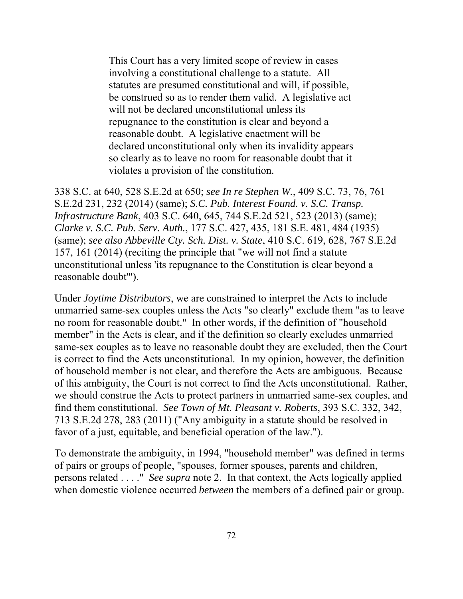This Court has a very limited scope of review in cases involving a constitutional challenge to a statute. All statutes are presumed constitutional and will, if possible, be construed so as to render them valid. A legislative act will not be declared unconstitutional unless its repugnance to the constitution is clear and beyond a reasonable doubt. A legislative enactment will be declared unconstitutional only when its invalidity appears so clearly as to leave no room for reasonable doubt that it violates a provision of the constitution.

338 S.C. at 640, 528 S.E.2d at 650; *see In re Stephen W.*, 409 S.C. 73, 76, 761 S.E.2d 231, 232 (2014) (same); *S.C. Pub. Interest Found. v. S.C. Transp. Infrastructure Bank*, 403 S.C. 640, 645, 744 S.E.2d 521, 523 (2013) (same); *Clarke v. S.C. Pub. Serv. Auth.*, 177 S.C. 427, 435, 181 S.E. 481, 484 (1935) (same); *see also Abbeville Cty. Sch. Dist. v. State*, 410 S.C. 619, 628, 767 S.E.2d 157, 161 (2014) (reciting the principle that "we will not find a statute unconstitutional unless 'its repugnance to the Constitution is clear beyond a reasonable doubt'").

Under *Joytime Distributors*, we are constrained to interpret the Acts to include unmarried same-sex couples unless the Acts "so clearly" exclude them "as to leave no room for reasonable doubt." In other words, if the definition of "household member" in the Acts is clear, and if the definition so clearly excludes unmarried same-sex couples as to leave no reasonable doubt they are excluded, then the Court is correct to find the Acts unconstitutional. In my opinion, however, the definition of household member is not clear, and therefore the Acts are ambiguous. Because of this ambiguity, the Court is not correct to find the Acts unconstitutional. Rather, we should construe the Acts to protect partners in unmarried same-sex couples, and find them constitutional. *See Town of Mt. Pleasant v. Roberts*, 393 S.C. 332, 342, 713 S.E.2d 278, 283 (2011) ("Any ambiguity in a statute should be resolved in favor of a just, equitable, and beneficial operation of the law.").

To demonstrate the ambiguity, in 1994, "household member" was defined in terms of pairs or groups of people, "spouses, former spouses, parents and children, persons related . . . ." *See supra* note 2. In that context, the Acts logically applied when domestic violence occurred *between* the members of a defined pair or group.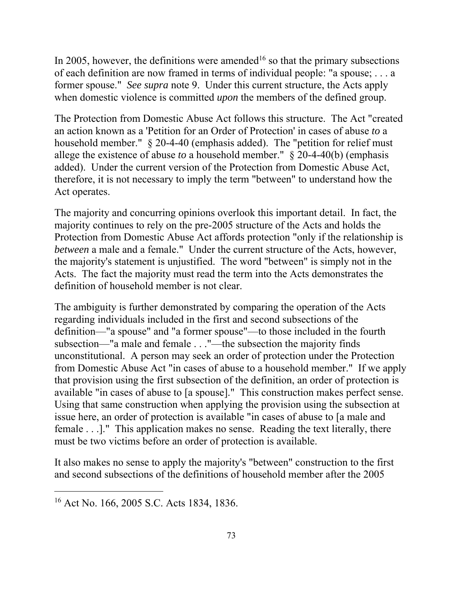In 2005, however, the definitions were amended<sup>16</sup> so that the primary subsections of each definition are now framed in terms of individual people: "a spouse; . . . a former spouse." *See supra* note 9. Under this current structure, the Acts apply when domestic violence is committed *upon* the members of the defined group.

The Protection from Domestic Abuse Act follows this structure. The Act "created an action known as a 'Petition for an Order of Protection' in cases of abuse *to* a household member." § 20-4-40 (emphasis added). The "petition for relief must allege the existence of abuse *to* a household member." § 20-4-40(b) (emphasis added). Under the current version of the Protection from Domestic Abuse Act, therefore, it is not necessary to imply the term "between" to understand how the Act operates.

The majority and concurring opinions overlook this important detail. In fact, the majority continues to rely on the pre-2005 structure of the Acts and holds the Protection from Domestic Abuse Act affords protection "only if the relationship is *between* a male and a female." Under the current structure of the Acts, however, the majority's statement is unjustified. The word "between" is simply not in the Acts. The fact the majority must read the term into the Acts demonstrates the definition of household member is not clear.

must be two victims before an order of protection is available. The ambiguity is further demonstrated by comparing the operation of the Acts regarding individuals included in the first and second subsections of the definition—"a spouse" and "a former spouse"—to those included in the fourth subsection—"a male and female . . ."—the subsection the majority finds unconstitutional. A person may seek an order of protection under the Protection from Domestic Abuse Act "in cases of abuse to a household member." If we apply that provision using the first subsection of the definition, an order of protection is available "in cases of abuse to [a spouse]." This construction makes perfect sense. Using that same construction when applying the provision using the subsection at issue here, an order of protection is available "in cases of abuse to [a male and female . . .]." This application makes no sense. Reading the text literally, there

It also makes no sense to apply the majority's "between" construction to the first and second subsections of the definitions of household member after the 2005

<sup>16</sup> Act No. 166, 2005 S.C. Acts 1834, 1836.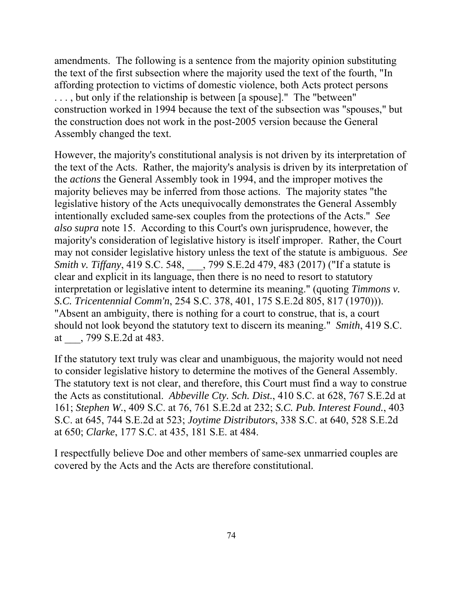amendments. The following is a sentence from the majority opinion substituting the text of the first subsection where the majority used the text of the fourth, "In affording protection to victims of domestic violence, both Acts protect persons . . . , but only if the relationship is between [a spouse]." The "between" construction worked in 1994 because the text of the subsection was "spouses," but the construction does not work in the post-2005 version because the General Assembly changed the text.

However, the majority's constitutional analysis is not driven by its interpretation of the text of the Acts. Rather, the majority's analysis is driven by its interpretation of the *actions* the General Assembly took in 1994, and the improper motives the majority believes may be inferred from those actions. The majority states "the legislative history of the Acts unequivocally demonstrates the General Assembly intentionally excluded same-sex couples from the protections of the Acts." *See also supra* note 15. According to this Court's own jurisprudence, however, the majority's consideration of legislative history is itself improper. Rather, the Court may not consider legislative history unless the text of the statute is ambiguous. *See Smith v. Tiffany*, 419 S.C. 548, \_\_\_, 799 S.E.2d 479, 483 (2017) ("If a statute is clear and explicit in its language, then there is no need to resort to statutory interpretation or legislative intent to determine its meaning." (quoting *Timmons v. S.C. Tricentennial Comm'n*, 254 S.C. 378, 401, 175 S.E.2d 805, 817 (1970))). "Absent an ambiguity, there is nothing for a court to construe, that is, a court should not look beyond the statutory text to discern its meaning." *Smith*, 419 S.C. at \_\_\_, 799 S.E.2d at 483.

If the statutory text truly was clear and unambiguous, the majority would not need to consider legislative history to determine the motives of the General Assembly. The statutory text is not clear, and therefore, this Court must find a way to construe the Acts as constitutional. *Abbeville Cty. Sch. Dist.*, 410 S.C. at 628, 767 S.E.2d at 161; *Stephen W.*, 409 S.C. at 76, 761 S.E.2d at 232; *S.C. Pub. Interest Found.*, 403 S.C. at 645, 744 S.E.2d at 523; *Joytime Distributors*, 338 S.C. at 640, 528 S.E.2d at 650; *Clarke*, 177 S.C. at 435, 181 S.E. at 484.

I respectfully believe Doe and other members of same-sex unmarried couples are covered by the Acts and the Acts are therefore constitutional.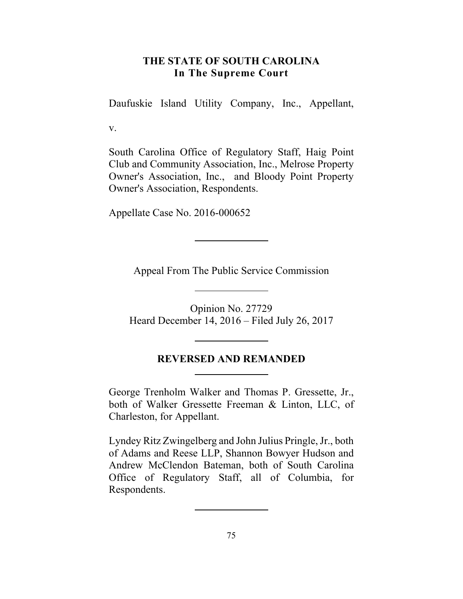## **THE STATE OF SOUTH CAROLINA In The Supreme Court**

Daufuskie Island Utility Company, Inc., Appellant,

v.

South Carolina Office of Regulatory Staff, Haig Point Club and Community Association, Inc., Melrose Property Owner's Association, Inc., and Bloody Point Property Owner's Association, Respondents.

Appellate Case No. 2016-000652

Appeal From The Public Service Commission

Opinion No. 27729 Heard December 14, 2016 – Filed July 26, 2017

## **REVERSED AND REMANDED**

George Trenholm Walker and Thomas P. Gressette, Jr., both of Walker Gressette Freeman & Linton, LLC, of Charleston, for Appellant.

Lyndey Ritz Zwingelberg and John Julius Pringle, Jr., both of Adams and Reese LLP, Shannon Bowyer Hudson and Andrew McClendon Bateman, both of South Carolina Office of Regulatory Staff, all of Columbia, for Respondents.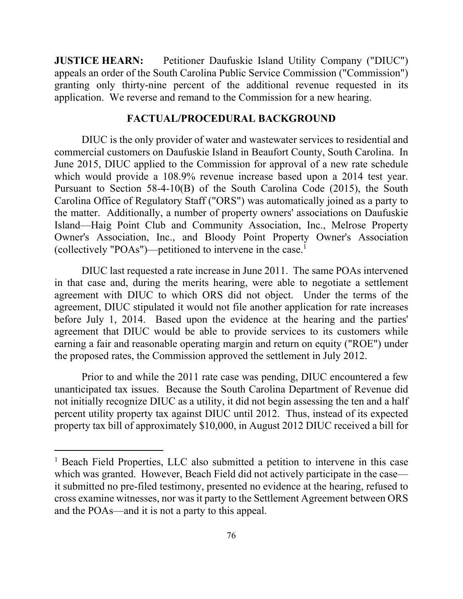**JUSTICE HEARN:** Petitioner Daufuskie Island Utility Company ("DIUC") appeals an order of the South Carolina Public Service Commission ("Commission") granting only thirty-nine percent of the additional revenue requested in its application. We reverse and remand to the Commission for a new hearing.

### **FACTUAL/PROCEDURAL BACKGROUND**

 which would provide a 108.9% revenue increase based upon a 2014 test year. DIUC is the only provider of water and wastewater services to residential and commercial customers on Daufuskie Island in Beaufort County, South Carolina. In June 2015, DIUC applied to the Commission for approval of a new rate schedule Pursuant to Section 58-4-10(B) of the South Carolina Code (2015), the South Carolina Office of Regulatory Staff ("ORS") was automatically joined as a party to the matter. Additionally, a number of property owners' associations on Daufuskie Island—Haig Point Club and Community Association, Inc., Melrose Property Owner's Association, Inc., and Bloody Point Property Owner's Association (collectively "POAs")—petitioned to intervene in the case.1

 in that case and, during the merits hearing, were able to negotiate a settlement agreement with DIUC to which ORS did not object. Under the terms of the DIUC last requested a rate increase in June 2011. The same POAs intervened agreement, DIUC stipulated it would not file another application for rate increases before July 1, 2014. Based upon the evidence at the hearing and the parties' agreement that DIUC would be able to provide services to its customers while earning a fair and reasonable operating margin and return on equity ("ROE") under the proposed rates, the Commission approved the settlement in July 2012.

 percent utility property tax against DIUC until 2012. Thus, instead of its expected Prior to and while the 2011 rate case was pending, DIUC encountered a few unanticipated tax issues. Because the South Carolina Department of Revenue did not initially recognize DIUC as a utility, it did not begin assessing the ten and a half property tax bill of approximately \$10,000, in August 2012 DIUC received a bill for

 which was granted. However, Beach Field did not actively participate in the case— <sup>1</sup> Beach Field Properties, LLC also submitted a petition to intervene in this case it submitted no pre-filed testimony, presented no evidence at the hearing, refused to cross examine witnesses, nor was it party to the Settlement Agreement between ORS and the POAs—and it is not a party to this appeal.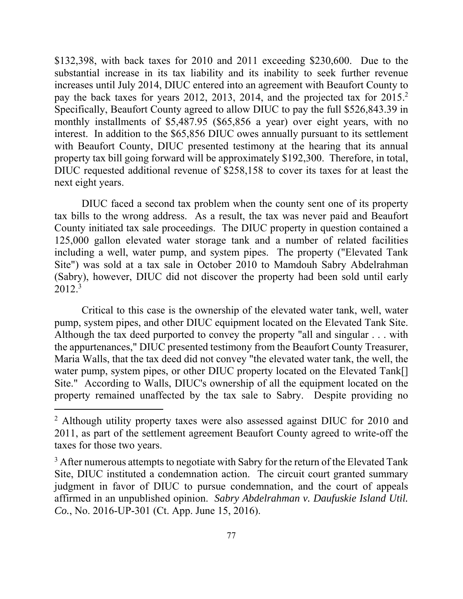\$132,398, with back taxes for 2010 and 2011 exceeding \$230,600. Due to the pay the back taxes for years 2012, 2013, 2014, and the projected tax for 2015.<sup>2</sup>  interest. In addition to the \$65,856 DIUC owes annually pursuant to its settlement property tax bill going forward will be approximately \$192,300. Therefore, in total, substantial increase in its tax liability and its inability to seek further revenue increases until July 2014, DIUC entered into an agreement with Beaufort County to Specifically, Beaufort County agreed to allow DIUC to pay the full \$526,843.39 in monthly installments of \$5,487.95 (\$65,856 a year) over eight years, with no with Beaufort County, DIUC presented testimony at the hearing that its annual DIUC requested additional revenue of \$258,158 to cover its taxes for at least the next eight years.

 $2012.<sup>3</sup>$ DIUC faced a second tax problem when the county sent one of its property tax bills to the wrong address. As a result, the tax was never paid and Beaufort County initiated tax sale proceedings. The DIUC property in question contained a 125,000 gallon elevated water storage tank and a number of related facilities including a well, water pump, and system pipes. The property ("Elevated Tank Site") was sold at a tax sale in October 2010 to Mamdouh Sabry Abdelrahman (Sabry), however, DIUC did not discover the property had been sold until early

 Although the tax deed purported to convey the property "all and singular . . . with Critical to this case is the ownership of the elevated water tank, well, water pump, system pipes, and other DIUC equipment located on the Elevated Tank Site. the appurtenances," DIUC presented testimony from the Beaufort County Treasurer, Maria Walls, that the tax deed did not convey "the elevated water tank, the well, the water pump, system pipes, or other DIUC property located on the Elevated Tank[] Site." According to Walls, DIUC's ownership of all the equipment located on the property remained unaffected by the tax sale to Sabry. Despite providing no

 2011, as part of the settlement agreement Beaufort County agreed to write-off the <sup>2</sup> Although utility property taxes were also assessed against DIUC for 2010 and taxes for those two years.

 $3$  After numerous attempts to negotiate with Sabry for the return of the Elevated Tank Site, DIUC instituted a condemnation action. The circuit court granted summary judgment in favor of DIUC to pursue condemnation, and the court of appeals affirmed in an unpublished opinion. *Sabry Abdelrahman v. Daufuskie Island Util. Co.*, No. 2016-UP-301 (Ct. App. June 15, 2016).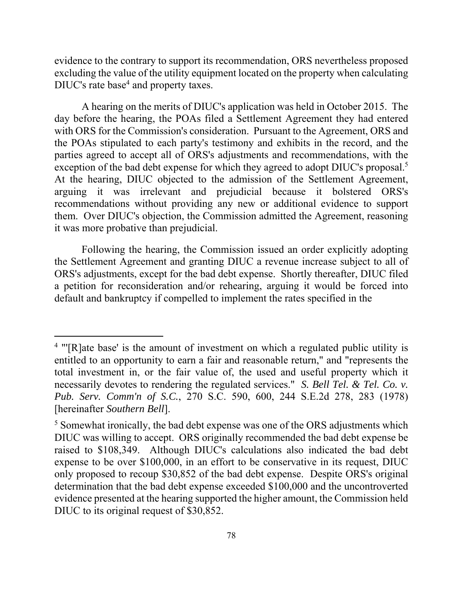evidence to the contrary to support its recommendation, ORS nevertheless proposed excluding the value of the utility equipment located on the property when calculating DIUC's rate base<sup>4</sup> and property taxes.

exception of the bad debt expense for which they agreed to adopt DIUC's proposal.<sup>5</sup> A hearing on the merits of DIUC's application was held in October 2015. The day before the hearing, the POAs filed a Settlement Agreement they had entered with ORS for the Commission's consideration. Pursuant to the Agreement, ORS and the POAs stipulated to each party's testimony and exhibits in the record, and the parties agreed to accept all of ORS's adjustments and recommendations, with the At the hearing, DIUC objected to the admission of the Settlement Agreement, arguing it was irrelevant and prejudicial because it bolstered ORS's recommendations without providing any new or additional evidence to support them. Over DIUC's objection, the Commission admitted the Agreement, reasoning it was more probative than prejudicial.

Following the hearing, the Commission issued an order explicitly adopting the Settlement Agreement and granting DIUC a revenue increase subject to all of ORS's adjustments, except for the bad debt expense. Shortly thereafter, DIUC filed a petition for reconsideration and/or rehearing, arguing it would be forced into default and bankruptcy if compelled to implement the rates specified in the

<sup>&</sup>lt;sup>4</sup> "'[R]ate base' is the amount of investment on which a regulated public utility is entitled to an opportunity to earn a fair and reasonable return," and "represents the total investment in, or the fair value of, the used and useful property which it necessarily devotes to rendering the regulated services." *S. Bell Tel. & Tel. Co. v. Pub. Serv. Comm'n of S.C.*, 270 S.C. 590, 600, 244 S.E.2d 278, 283 (1978) [hereinafter *Southern Bell*].

 raised to \$108,349. Although DIUC's calculations also indicated the bad debt <sup>5</sup> Somewhat ironically, the bad debt expense was one of the ORS adjustments which DIUC was willing to accept. ORS originally recommended the bad debt expense be expense to be over \$100,000, in an effort to be conservative in its request, DIUC only proposed to recoup \$30,852 of the bad debt expense. Despite ORS's original determination that the bad debt expense exceeded \$100,000 and the uncontroverted evidence presented at the hearing supported the higher amount, the Commission held DIUC to its original request of \$30,852.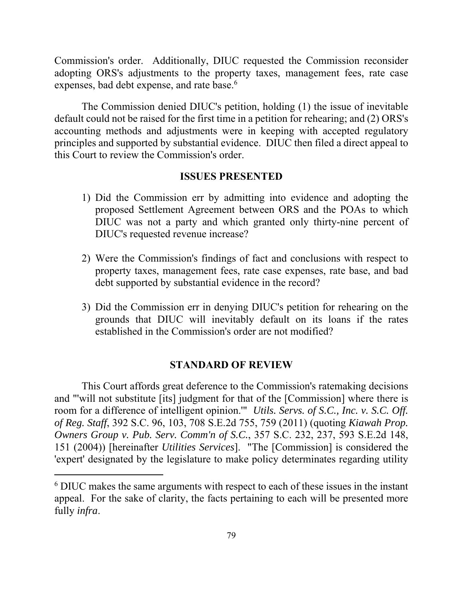expenses, bad debt expense, and rate base.<sup>6</sup> Commission's order. Additionally, DIUC requested the Commission reconsider adopting ORS's adjustments to the property taxes, management fees, rate case

The Commission denied DIUC's petition, holding (1) the issue of inevitable default could not be raised for the first time in a petition for rehearing; and (2) ORS's accounting methods and adjustments were in keeping with accepted regulatory principles and supported by substantial evidence. DIUC then filed a direct appeal to this Court to review the Commission's order.

## **ISSUES PRESENTED**

- 1) Did the Commission err by admitting into evidence and adopting the proposed Settlement Agreement between ORS and the POAs to which DIUC was not a party and which granted only thirty-nine percent of DIUC's requested revenue increase?
- 2) Were the Commission's findings of fact and conclusions with respect to property taxes, management fees, rate case expenses, rate base, and bad debt supported by substantial evidence in the record?
- 3) Did the Commission err in denying DIUC's petition for rehearing on the grounds that DIUC will inevitably default on its loans if the rates established in the Commission's order are not modified?

## **STANDARD OF REVIEW**

 room for a difference of intelligent opinion.'" *Utils. Servs. of S.C., Inc. v. S.C. Off.*  This Court affords great deference to the Commission's ratemaking decisions and "'will not substitute [its] judgment for that of the [Commission] where there is *of Reg. Staff*, 392 S.C. 96, 103, 708 S.E.2d 755, 759 (2011) (quoting *Kiawah Prop. Owners Group v. Pub. Serv. Comm'n of S.C.*, 357 S.C. 232, 237, 593 S.E.2d 148, 151 (2004)) [hereinafter *Utilities Services*]. "The [Commission] is considered the 'expert' designated by the legislature to make policy determinates regarding utility

<sup>&</sup>lt;sup>6</sup> DIUC makes the same arguments with respect to each of these issues in the instant appeal. For the sake of clarity, the facts pertaining to each will be presented more fully *infra*.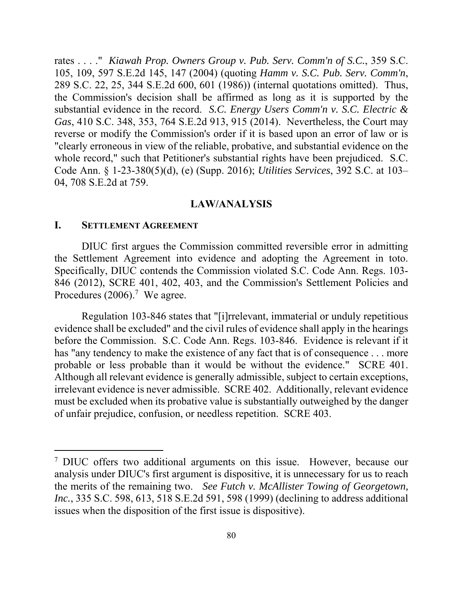*Gas*, 410 S.C. 348, 353, 764 S.E.2d 913, 915 (2014). Nevertheless, the Court may whole record," such that Petitioner's substantial rights have been prejudiced. S.C. rates . . . ." *Kiawah Prop. Owners Group v. Pub. Serv. Comm'n of S.C.*, 359 S.C. 105, 109, 597 S.E.2d 145, 147 (2004) (quoting *Hamm v. S.C. Pub. Serv. Comm'n*, 289 S.C. 22, 25, 344 S.E.2d 600, 601 (1986)) (internal quotations omitted). Thus, the Commission's decision shall be affirmed as long as it is supported by the substantial evidence in the record. *S.C. Energy Users Comm'n v. S.C. Electric &*  reverse or modify the Commission's order if it is based upon an error of law or is "clearly erroneous in view of the reliable, probative, and substantial evidence on the Code Ann. § 1-23-380(5)(d), (e) (Supp. 2016); *Utilities Services*, 392 S.C. at 103– 04, 708 S.E.2d at 759.

#### **LAW/ANALYSIS**

### **I. SETTLEMENT AGREEMENT**

 $\overline{a}$ 

DIUC first argues the Commission committed reversible error in admitting the Settlement Agreement into evidence and adopting the Agreement in toto. Specifically, DIUC contends the Commission violated S.C. Code Ann. Regs. 103- 846 (2012), SCRE 401, 402, 403, and the Commission's Settlement Policies and Procedures  $(2006).$ <sup>7</sup> We agree.

 irrelevant evidence is never admissible. SCRE 402. Additionally, relevant evidence Regulation 103-846 states that "[i]rrelevant, immaterial or unduly repetitious evidence shall be excluded" and the civil rules of evidence shall apply in the hearings before the Commission. S.C. Code Ann. Regs. 103-846. Evidence is relevant if it has "any tendency to make the existence of any fact that is of consequence . . . more probable or less probable than it would be without the evidence." SCRE 401. Although all relevant evidence is generally admissible, subject to certain exceptions, must be excluded when its probative value is substantially outweighed by the danger of unfair prejudice, confusion, or needless repetition. SCRE 403.

 the merits of the remaining two. *See Futch v. McAllister Towing of Georgetown,*  <sup>7</sup> DIUC offers two additional arguments on this issue. However, because our analysis under DIUC's first argument is dispositive, it is unnecessary for us to reach *Inc.*, 335 S.C. 598, 613, 518 S.E.2d 591, 598 (1999) (declining to address additional issues when the disposition of the first issue is dispositive).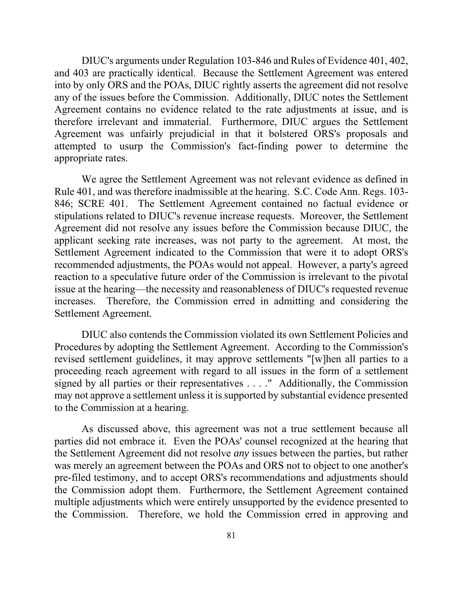attempted to usurp the Commission's fact-finding power to determine the DIUC's arguments under Regulation 103-846 and Rules of Evidence 401, 402, and 403 are practically identical. Because the Settlement Agreement was entered into by only ORS and the POAs, DIUC rightly asserts the agreement did not resolve any of the issues before the Commission. Additionally, DIUC notes the Settlement Agreement contains no evidence related to the rate adjustments at issue, and is therefore irrelevant and immaterial. Furthermore, DIUC argues the Settlement Agreement was unfairly prejudicial in that it bolstered ORS's proposals and appropriate rates.

 reaction to a speculative future order of the Commission is irrelevant to the pivotal increases. Therefore, the Commission erred in admitting and considering the We agree the Settlement Agreement was not relevant evidence as defined in Rule 401, and was therefore inadmissible at the hearing. S.C. Code Ann. Regs. 103- 846; SCRE 401. The Settlement Agreement contained no factual evidence or stipulations related to DIUC's revenue increase requests. Moreover, the Settlement Agreement did not resolve any issues before the Commission because DIUC, the applicant seeking rate increases, was not party to the agreement. At most, the Settlement Agreement indicated to the Commission that were it to adopt ORS's recommended adjustments, the POAs would not appeal. However, a party's agreed issue at the hearing—the necessity and reasonableness of DIUC's requested revenue Settlement Agreement.

 signed by all parties or their representatives . . . ." Additionally, the Commission DIUC also contends the Commission violated its own Settlement Policies and Procedures by adopting the Settlement Agreement. According to the Commission's revised settlement guidelines, it may approve settlements "[w]hen all parties to a proceeding reach agreement with regard to all issues in the form of a settlement may not approve a settlement unless it is supported by substantial evidence presented to the Commission at a hearing.

 As discussed above, this agreement was not a true settlement because all the Settlement Agreement did not resolve *any* issues between the parties, but rather parties did not embrace it. Even the POAs' counsel recognized at the hearing that was merely an agreement between the POAs and ORS not to object to one another's pre-filed testimony, and to accept ORS's recommendations and adjustments should the Commission adopt them. Furthermore, the Settlement Agreement contained multiple adjustments which were entirely unsupported by the evidence presented to the Commission. Therefore, we hold the Commission erred in approving and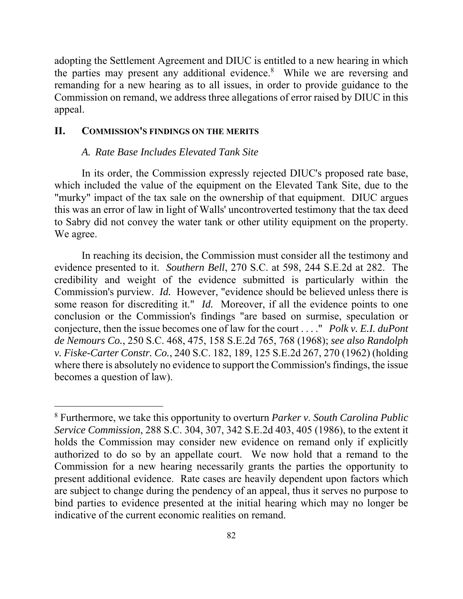the parties may present any additional evidence.<sup>8</sup> While we are reversing and adopting the Settlement Agreement and DIUC is entitled to a new hearing in which remanding for a new hearing as to all issues, in order to provide guidance to the Commission on remand, we address three allegations of error raised by DIUC in this appeal.

## **II. COMMISSION'S FINDINGS ON THE MERITS**

 $\overline{a}$ 

#### *A. Rate Base Includes Elevated Tank Site*

 to Sabry did not convey the water tank or other utility equipment on the property. We agree. In its order, the Commission expressly rejected DIUC's proposed rate base, which included the value of the equipment on the Elevated Tank Site, due to the "murky" impact of the tax sale on the ownership of that equipment. DIUC argues this was an error of law in light of Walls' uncontroverted testimony that the tax deed

 evidence presented to it. *Southern Bell*, 270 S.C. at 598, 244 S.E.2d at 282. The some reason for discrediting it." *Id.* Moreover, if all the evidence points to one conjecture, then the issue becomes one of law for the court . . . ." *Polk v. E.I. duPont*  In reaching its decision, the Commission must consider all the testimony and credibility and weight of the evidence submitted is particularly within the Commission's purview. *Id.* However, "evidence should be believed unless there is conclusion or the Commission's findings "are based on surmise, speculation or *de Nemours Co.*, 250 S.C. 468, 475, 158 S.E.2d 765, 768 (1968); *see also Randolph v. Fiske-Carter Constr. Co.*, 240 S.C. 182, 189, 125 S.E.2d 267, 270 (1962) (holding where there is absolutely no evidence to support the Commission's findings, the issue becomes a question of law).

<sup>8</sup> Furthermore, we take this opportunity to overturn *Parker v. South Carolina Public Service Commission*, 288 S.C. 304, 307, 342 S.E.2d 403, 405 (1986), to the extent it holds the Commission may consider new evidence on remand only if explicitly authorized to do so by an appellate court. We now hold that a remand to the Commission for a new hearing necessarily grants the parties the opportunity to present additional evidence. Rate cases are heavily dependent upon factors which are subject to change during the pendency of an appeal, thus it serves no purpose to bind parties to evidence presented at the initial hearing which may no longer be indicative of the current economic realities on remand.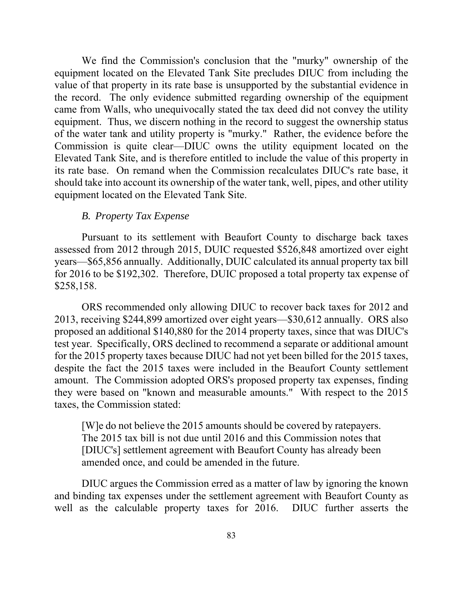We find the Commission's conclusion that the "murky" ownership of the its rate base. On remand when the Commission recalculates DIUC's rate base, it equipment located on the Elevated Tank Site precludes DIUC from including the value of that property in its rate base is unsupported by the substantial evidence in the record. The only evidence submitted regarding ownership of the equipment came from Walls, who unequivocally stated the tax deed did not convey the utility equipment. Thus, we discern nothing in the record to suggest the ownership status of the water tank and utility property is "murky." Rather, the evidence before the Commission is quite clear—DIUC owns the utility equipment located on the Elevated Tank Site, and is therefore entitled to include the value of this property in should take into account its ownership of the water tank, well, pipes, and other utility equipment located on the Elevated Tank Site.

### *B. Property Tax Expense*

 for 2016 to be \$192,302. Therefore, DUIC proposed a total property tax expense of Pursuant to its settlement with Beaufort County to discharge back taxes assessed from 2012 through 2015, DUIC requested \$526,848 amortized over eight years—\$65,856 annually. Additionally, DUIC calculated its annual property tax bill \$258,158.

 test year. Specifically, ORS declined to recommend a separate or additional amount ORS recommended only allowing DIUC to recover back taxes for 2012 and 2013, receiving \$244,899 amortized over eight years—\$30,612 annually. ORS also proposed an additional \$140,880 for the 2014 property taxes, since that was DIUC's for the 2015 property taxes because DIUC had not yet been billed for the 2015 taxes, despite the fact the 2015 taxes were included in the Beaufort County settlement amount. The Commission adopted ORS's proposed property tax expenses, finding they were based on "known and measurable amounts." With respect to the 2015 taxes, the Commission stated:

[W]e do not believe the 2015 amounts should be covered by ratepayers. The 2015 tax bill is not due until 2016 and this Commission notes that [DIUC's] settlement agreement with Beaufort County has already been amended once, and could be amended in the future.

DIUC argues the Commission erred as a matter of law by ignoring the known and binding tax expenses under the settlement agreement with Beaufort County as well as the calculable property taxes for 2016. DIUC further asserts the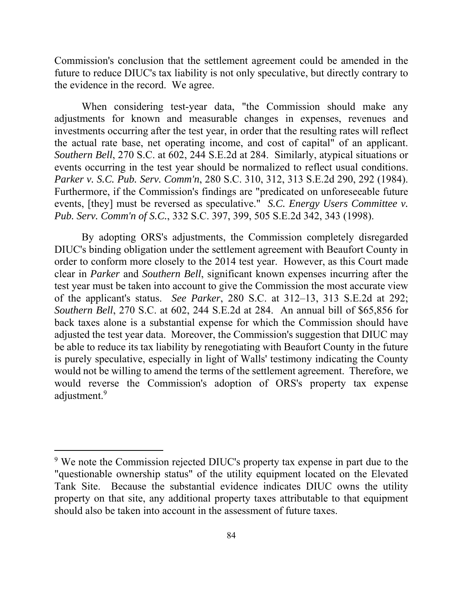Commission's conclusion that the settlement agreement could be amended in the future to reduce DIUC's tax liability is not only speculative, but directly contrary to the evidence in the record. We agree.

 the actual rate base, net operating income, and cost of capital" of an applicant. events occurring in the test year should be normalized to reflect usual conditions. When considering test-year data, "the Commission should make any adjustments for known and measurable changes in expenses, revenues and investments occurring after the test year, in order that the resulting rates will reflect *Southern Bell*, 270 S.C. at 602, 244 S.E.2d at 284. Similarly, atypical situations or *Parker v. S.C. Pub. Serv. Comm'n*, 280 S.C. 310, 312, 313 S.E.2d 290, 292 (1984). Furthermore, if the Commission's findings are "predicated on unforeseeable future events, [they] must be reversed as speculative." *S.C. Energy Users Committee v. Pub. Serv. Comm'n of S.C.*, 332 S.C. 397, 399, 505 S.E.2d 342, 343 (1998).

 *Southern Bell*, 270 S.C. at 602, 244 S.E.2d at 284. An annual bill of \$65,856 for By adopting ORS's adjustments, the Commission completely disregarded DIUC's binding obligation under the settlement agreement with Beaufort County in order to conform more closely to the 2014 test year. However, as this Court made clear in *Parker* and *Southern Bell*, significant known expenses incurring after the test year must be taken into account to give the Commission the most accurate view of the applicant's status. *See Parker*, 280 S.C. at 312–13, 313 S.E.2d at 292; back taxes alone is a substantial expense for which the Commission should have adjusted the test year data. Moreover, the Commission's suggestion that DIUC may be able to reduce its tax liability by renegotiating with Beaufort County in the future is purely speculative, especially in light of Walls' testimony indicating the County would not be willing to amend the terms of the settlement agreement. Therefore, we would reverse the Commission's adoption of ORS's property tax expense adjustment.<sup>9</sup>

<sup>&</sup>lt;sup>9</sup> We note the Commission rejected DIUC's property tax expense in part due to the "questionable ownership status" of the utility equipment located on the Elevated Tank Site. Because the substantial evidence indicates DIUC owns the utility property on that site, any additional property taxes attributable to that equipment should also be taken into account in the assessment of future taxes.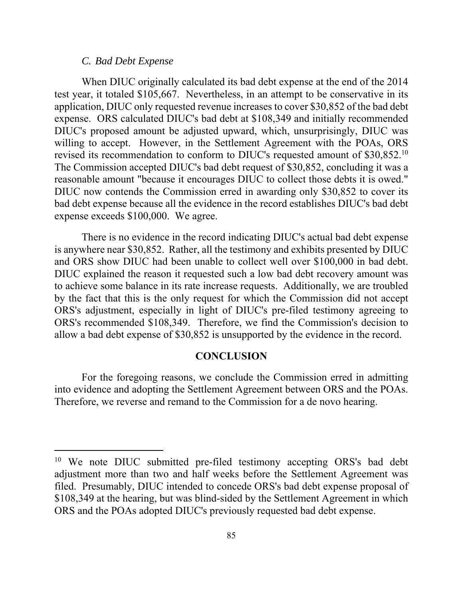#### *C. Bad Debt Expense*

 $\overline{a}$ 

revised its recommendation to conform to DIUC's requested amount of \$30,852.<sup>10</sup> When DIUC originally calculated its bad debt expense at the end of the 2014 test year, it totaled \$105,667. Nevertheless, in an attempt to be conservative in its application, DIUC only requested revenue increases to cover \$30,852 of the bad debt expense. ORS calculated DIUC's bad debt at \$108,349 and initially recommended DIUC's proposed amount be adjusted upward, which, unsurprisingly, DIUC was willing to accept. However, in the Settlement Agreement with the POAs, ORS The Commission accepted DIUC's bad debt request of \$30,852, concluding it was a reasonable amount "because it encourages DIUC to collect those debts it is owed." DIUC now contends the Commission erred in awarding only \$30,852 to cover its bad debt expense because all the evidence in the record establishes DIUC's bad debt expense exceeds \$100,000. We agree.

There is no evidence in the record indicating DIUC's actual bad debt expense is anywhere near \$30,852. Rather, all the testimony and exhibits presented by DIUC and ORS show DIUC had been unable to collect well over \$100,000 in bad debt. DIUC explained the reason it requested such a low bad debt recovery amount was to achieve some balance in its rate increase requests. Additionally, we are troubled by the fact that this is the only request for which the Commission did not accept ORS's adjustment, especially in light of DIUC's pre-filed testimony agreeing to ORS's recommended \$108,349. Therefore, we find the Commission's decision to allow a bad debt expense of \$30,852 is unsupported by the evidence in the record.

#### **CONCLUSION**

 into evidence and adopting the Settlement Agreement between ORS and the POAs. For the foregoing reasons, we conclude the Commission erred in admitting Therefore, we reverse and remand to the Commission for a de novo hearing.

<sup>&</sup>lt;sup>10</sup> We note DIUC submitted pre-filed testimony accepting ORS's bad debt adjustment more than two and half weeks before the Settlement Agreement was filed. Presumably, DIUC intended to concede ORS's bad debt expense proposal of \$108,349 at the hearing, but was blind-sided by the Settlement Agreement in which ORS and the POAs adopted DIUC's previously requested bad debt expense.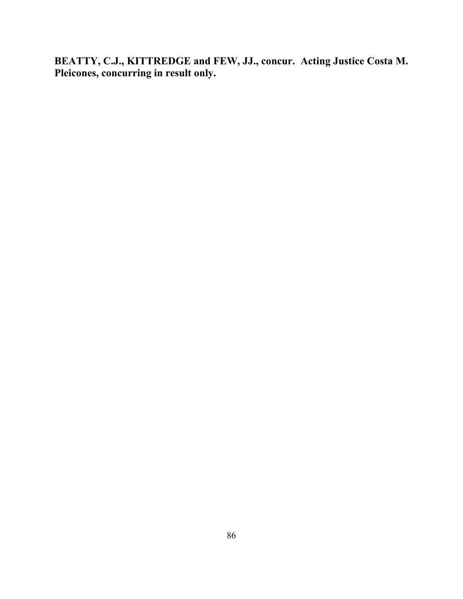**BEATTY, C.J., KITTREDGE and FEW, JJ., concur. Acting Justice Costa M. Pleicones, concurring in result only.**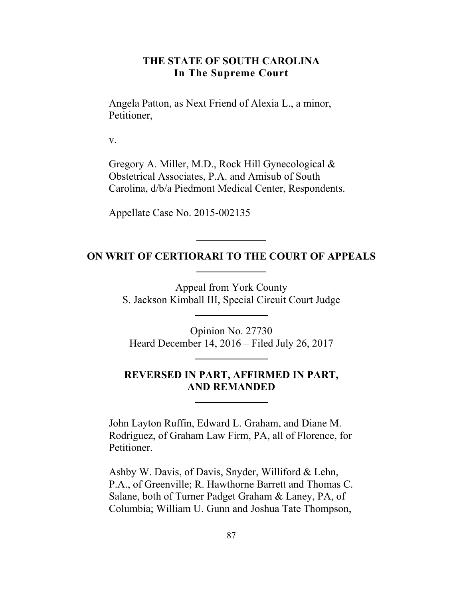## **THE STATE OF SOUTH CAROLINA In The Supreme Court**

Angela Patton, as Next Friend of Alexia L., a minor, Petitioner,

v.

Gregory A. Miller, M.D., Rock Hill Gynecological & Obstetrical Associates, P.A. and Amisub of South Carolina, d/b/a Piedmont Medical Center, Respondents.

Appellate Case No. 2015-002135

## **ON WRIT OF CERTIORARI TO THE COURT OF APPEALS**

Appeal from York County S. Jackson Kimball III, Special Circuit Court Judge

Opinion No. 27730 Heard December 14, 2016 – Filed July 26, 2017

# **REVERSED IN PART, AFFIRMED IN PART, AND REMANDED**

John Layton Ruffin, Edward L. Graham, and Diane M. Rodriguez, of Graham Law Firm, PA, all of Florence, for Petitioner.

Ashby W. Davis, of Davis, Snyder, Williford & Lehn, P.A., of Greenville; R. Hawthorne Barrett and Thomas C. Salane, both of Turner Padget Graham & Laney, PA, of Columbia; William U. Gunn and Joshua Tate Thompson,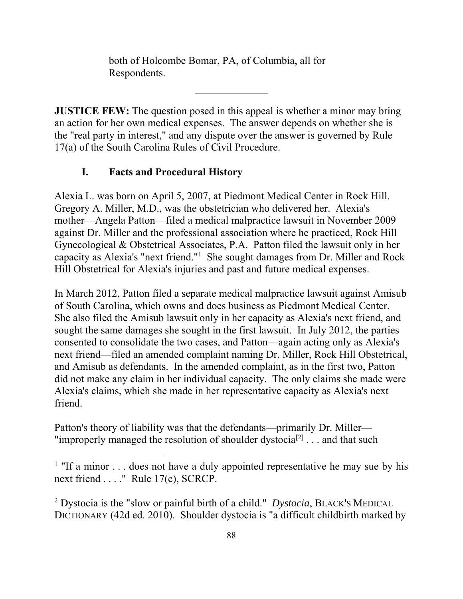both of Holcombe Bomar, PA, of Columbia, all for Respondents.

**JUSTICE FEW:** The question posed in this appeal is whether a minor may bring an action for her own medical expenses. The answer depends on whether she is the "real party in interest," and any dispute over the answer is governed by Rule 17(a) of the South Carolina Rules of Civil Procedure.

# **I. Facts and Procedural History**

 $\overline{a}$ 

Alexia L. was born on April 5, 2007, at Piedmont Medical Center in Rock Hill. Gregory A. Miller, M.D., was the obstetrician who delivered her. Alexia's mother—Angela Patton—filed a medical malpractice lawsuit in November 2009 against Dr. Miller and the professional association where he practiced, Rock Hill Gynecological & Obstetrical Associates, P.A. Patton filed the lawsuit only in her capacity as Alexia's "next friend."1 She sought damages from Dr. Miller and Rock Hill Obstetrical for Alexia's injuries and past and future medical expenses.

In March 2012, Patton filed a separate medical malpractice lawsuit against Amisub of South Carolina, which owns and does business as Piedmont Medical Center. She also filed the Amisub lawsuit only in her capacity as Alexia's next friend, and sought the same damages she sought in the first lawsuit. In July 2012, the parties consented to consolidate the two cases, and Patton—again acting only as Alexia's next friend—filed an amended complaint naming Dr. Miller, Rock Hill Obstetrical, and Amisub as defendants. In the amended complaint, as in the first two, Patton did not make any claim in her individual capacity. The only claims she made were Alexia's claims, which she made in her representative capacity as Alexia's next friend.

Patton's theory of liability was that the defendants—primarily Dr. Miller— "improperly managed the resolution of shoulder dystocia<sup>[2]</sup> . . . and that such

2 Dystocia is the "slow or painful birth of a child." *Dystocia*, BLACK'S MEDICAL DICTIONARY (42d ed. 2010). Shoulder dystocia is "a difficult childbirth marked by

<sup>&</sup>lt;sup>1</sup> "If a minor  $\dots$  does not have a duly appointed representative he may sue by his next friend . . . ." Rule 17(c), SCRCP.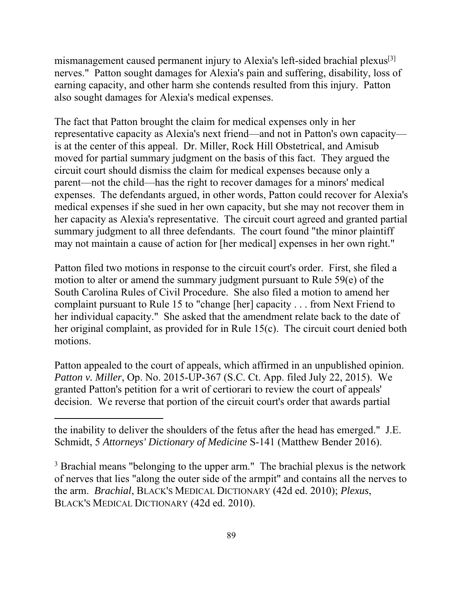mismanagement caused permanent injury to Alexia's left-sided brachial plexus<sup>[3]</sup> nerves." Patton sought damages for Alexia's pain and suffering, disability, loss of earning capacity, and other harm she contends resulted from this injury. Patton also sought damages for Alexia's medical expenses.

The fact that Patton brought the claim for medical expenses only in her representative capacity as Alexia's next friend—and not in Patton's own capacity is at the center of this appeal. Dr. Miller, Rock Hill Obstetrical, and Amisub moved for partial summary judgment on the basis of this fact. They argued the circuit court should dismiss the claim for medical expenses because only a parent—not the child—has the right to recover damages for a minors' medical expenses. The defendants argued, in other words, Patton could recover for Alexia's medical expenses if she sued in her own capacity, but she may not recover them in her capacity as Alexia's representative. The circuit court agreed and granted partial summary judgment to all three defendants. The court found "the minor plaintiff may not maintain a cause of action for [her medical] expenses in her own right."

Patton filed two motions in response to the circuit court's order. First, she filed a motion to alter or amend the summary judgment pursuant to Rule 59(e) of the South Carolina Rules of Civil Procedure. She also filed a motion to amend her complaint pursuant to Rule 15 to "change [her] capacity . . . from Next Friend to her individual capacity." She asked that the amendment relate back to the date of her original complaint, as provided for in Rule 15(c). The circuit court denied both motions.

Patton appealed to the court of appeals, which affirmed in an unpublished opinion. *Patton v. Miller*, Op. No. 2015-UP-367 (S.C. Ct. App. filed July 22, 2015). We granted Patton's petition for a writ of certiorari to review the court of appeals' decision. We reverse that portion of the circuit court's order that awards partial

the inability to deliver the shoulders of the fetus after the head has emerged." J.E. Schmidt, 5 *Attorneys' Dictionary of Medicine* S-141 (Matthew Bender 2016).

 $\overline{a}$ 

<sup>3</sup> Brachial means "belonging to the upper arm." The brachial plexus is the network of nerves that lies "along the outer side of the armpit" and contains all the nerves to the arm. *Brachial*, BLACK'S MEDICAL DICTIONARY (42d ed. 2010); *Plexus*, BLACK'S MEDICAL DICTIONARY (42d ed. 2010).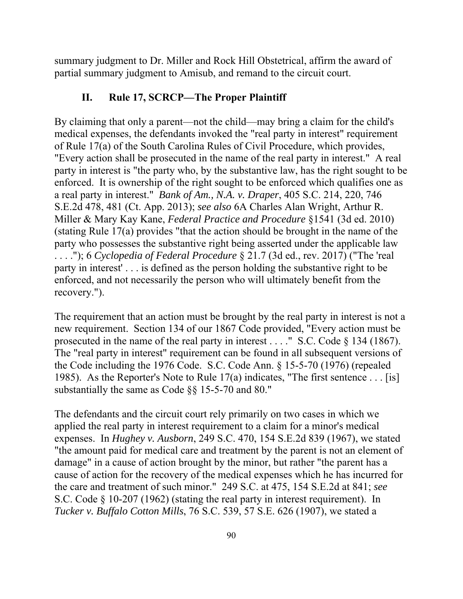summary judgment to Dr. Miller and Rock Hill Obstetrical, affirm the award of partial summary judgment to Amisub, and remand to the circuit court.

# **II. Rule 17, SCRCP—The Proper Plaintiff**

By claiming that only a parent—not the child—may bring a claim for the child's medical expenses, the defendants invoked the "real party in interest" requirement of Rule 17(a) of the South Carolina Rules of Civil Procedure, which provides, "Every action shall be prosecuted in the name of the real party in interest." A real party in interest is "the party who, by the substantive law, has the right sought to be enforced. It is ownership of the right sought to be enforced which qualifies one as a real party in interest." *Bank of Am., N.A. v. Draper*, 405 S.C. 214, 220, 746 S.E.2d 478, 481 (Ct. App. 2013); *see also* 6A Charles Alan Wright, Arthur R. Miller & Mary Kay Kane, *Federal Practice and Procedure* §1541 (3d ed. 2010) (stating Rule 17(a) provides "that the action should be brought in the name of the party who possesses the substantive right being asserted under the applicable law . . . ."); 6 *Cyclopedia of Federal Procedure* § 21.7 (3d ed., rev. 2017) ("The 'real party in interest' . . . is defined as the person holding the substantive right to be enforced, and not necessarily the person who will ultimately benefit from the recovery.").

The requirement that an action must be brought by the real party in interest is not a new requirement. Section 134 of our 1867 Code provided, "Every action must be prosecuted in the name of the real party in interest . . . ." S.C. Code § 134 (1867). The "real party in interest" requirement can be found in all subsequent versions of the Code including the 1976 Code. S.C. Code Ann. § 15-5-70 (1976) (repealed 1985). As the Reporter's Note to Rule 17(a) indicates, "The first sentence . . . [is] substantially the same as Code §§ 15-5-70 and 80."

The defendants and the circuit court rely primarily on two cases in which we applied the real party in interest requirement to a claim for a minor's medical expenses. In *Hughey v. Ausborn*, 249 S.C. 470, 154 S.E.2d 839 (1967), we stated "the amount paid for medical care and treatment by the parent is not an element of damage" in a cause of action brought by the minor, but rather "the parent has a cause of action for the recovery of the medical expenses which he has incurred for the care and treatment of such minor." 249 S.C. at 475, 154 S.E.2d at 841; *see*  S.C. Code § 10-207 (1962) (stating the real party in interest requirement). In *Tucker v. Buffalo Cotton Mills*, 76 S.C. 539, 57 S.E. 626 (1907), we stated a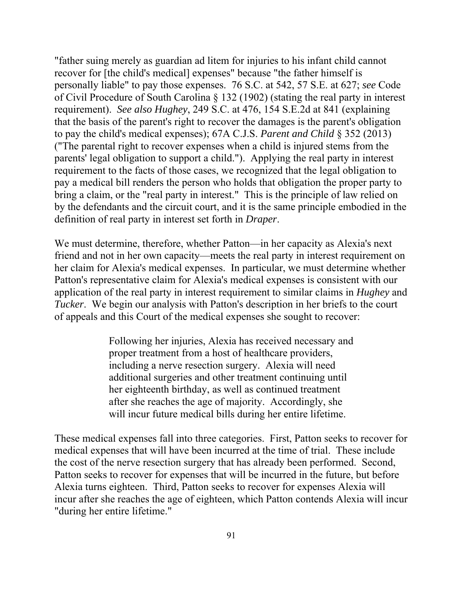"father suing merely as guardian ad litem for injuries to his infant child cannot recover for [the child's medical] expenses" because "the father himself is personally liable" to pay those expenses. 76 S.C. at 542, 57 S.E. at 627; *see* Code of Civil Procedure of South Carolina § 132 (1902) (stating the real party in interest requirement). *See also Hughey*, 249 S.C. at 476, 154 S.E.2d at 841 (explaining that the basis of the parent's right to recover the damages is the parent's obligation to pay the child's medical expenses); 67A C.J.S. *Parent and Child* § 352 (2013) ("The parental right to recover expenses when a child is injured stems from the parents' legal obligation to support a child."). Applying the real party in interest requirement to the facts of those cases, we recognized that the legal obligation to pay a medical bill renders the person who holds that obligation the proper party to bring a claim, or the "real party in interest." This is the principle of law relied on by the defendants and the circuit court, and it is the same principle embodied in the definition of real party in interest set forth in *Draper*.

We must determine, therefore, whether Patton—in her capacity as Alexia's next friend and not in her own capacity—meets the real party in interest requirement on her claim for Alexia's medical expenses. In particular, we must determine whether Patton's representative claim for Alexia's medical expenses is consistent with our application of the real party in interest requirement to similar claims in *Hughey* and *Tucker*. We begin our analysis with Patton's description in her briefs to the court of appeals and this Court of the medical expenses she sought to recover:

> Following her injuries, Alexia has received necessary and proper treatment from a host of healthcare providers, including a nerve resection surgery. Alexia will need additional surgeries and other treatment continuing until her eighteenth birthday, as well as continued treatment after she reaches the age of majority. Accordingly, she will incur future medical bills during her entire lifetime.

These medical expenses fall into three categories. First, Patton seeks to recover for medical expenses that will have been incurred at the time of trial. These include the cost of the nerve resection surgery that has already been performed. Second, Patton seeks to recover for expenses that will be incurred in the future, but before Alexia turns eighteen. Third, Patton seeks to recover for expenses Alexia will incur after she reaches the age of eighteen, which Patton contends Alexia will incur "during her entire lifetime."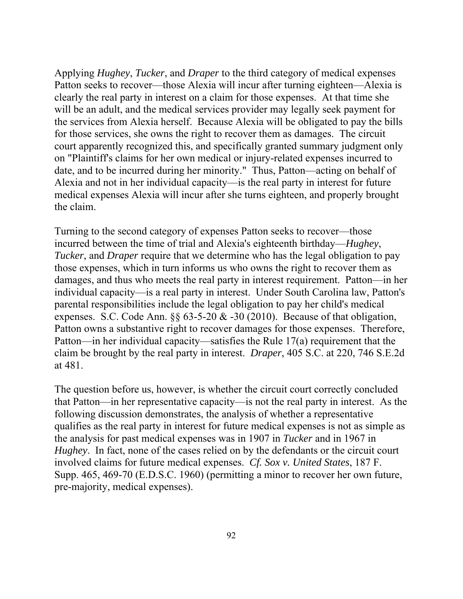Applying *Hughey*, *Tucker*, and *Draper* to the third category of medical expenses Patton seeks to recover—those Alexia will incur after turning eighteen—Alexia is clearly the real party in interest on a claim for those expenses. At that time she will be an adult, and the medical services provider may legally seek payment for the services from Alexia herself. Because Alexia will be obligated to pay the bills for those services, she owns the right to recover them as damages. The circuit court apparently recognized this, and specifically granted summary judgment only on "Plaintiff's claims for her own medical or injury-related expenses incurred to date, and to be incurred during her minority." Thus, Patton—acting on behalf of Alexia and not in her individual capacity—is the real party in interest for future medical expenses Alexia will incur after she turns eighteen, and properly brought the claim.

Turning to the second category of expenses Patton seeks to recover—those incurred between the time of trial and Alexia's eighteenth birthday—*Hughey*, *Tucker*, and *Draper* require that we determine who has the legal obligation to pay those expenses, which in turn informs us who owns the right to recover them as damages, and thus who meets the real party in interest requirement. Patton—in her individual capacity—is a real party in interest. Under South Carolina law, Patton's parental responsibilities include the legal obligation to pay her child's medical expenses. S.C. Code Ann.  $\S 63-5-20 \& 30 (2010)$ . Because of that obligation, Patton owns a substantive right to recover damages for those expenses. Therefore, Patton—in her individual capacity—satisfies the Rule 17(a) requirement that the claim be brought by the real party in interest. *Draper*, 405 S.C. at 220, 746 S.E.2d at 481.

The question before us, however, is whether the circuit court correctly concluded that Patton—in her representative capacity—is not the real party in interest. As the following discussion demonstrates, the analysis of whether a representative qualifies as the real party in interest for future medical expenses is not as simple as the analysis for past medical expenses was in 1907 in *Tucker* and in 1967 in *Hughey*. In fact, none of the cases relied on by the defendants or the circuit court involved claims for future medical expenses. *Cf. Sox v. United States*, 187 F. Supp. 465, 469-70 (E.D.S.C. 1960) (permitting a minor to recover her own future, pre-majority, medical expenses).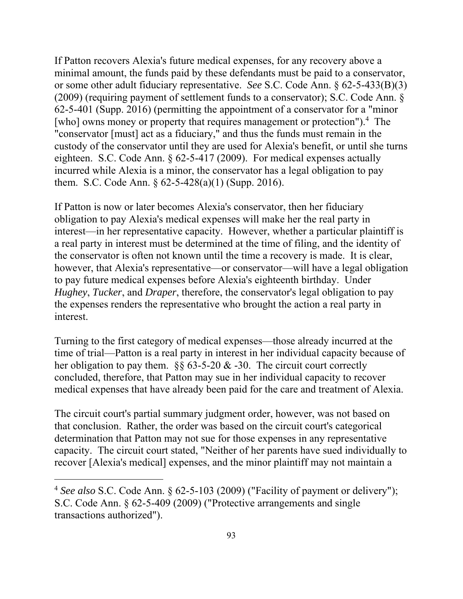If Patton recovers Alexia's future medical expenses, for any recovery above a minimal amount, the funds paid by these defendants must be paid to a conservator, or some other adult fiduciary representative. *See* S.C. Code Ann. § 62-5-433(B)(3) (2009) (requiring payment of settlement funds to a conservator); S.C. Code Ann. § 62-5-401 (Supp. 2016) (permitting the appointment of a conservator for a "minor [who] owns money or property that requires management or protection").<sup>4</sup> The "conservator [must] act as a fiduciary," and thus the funds must remain in the custody of the conservator until they are used for Alexia's benefit, or until she turns eighteen. S.C. Code Ann. § 62-5-417 (2009). For medical expenses actually incurred while Alexia is a minor, the conservator has a legal obligation to pay them. S.C. Code Ann.  $\S 62-5-428(a)(1)$  (Supp. 2016).

If Patton is now or later becomes Alexia's conservator, then her fiduciary obligation to pay Alexia's medical expenses will make her the real party in interest—in her representative capacity. However, whether a particular plaintiff is a real party in interest must be determined at the time of filing, and the identity of the conservator is often not known until the time a recovery is made. It is clear, however, that Alexia's representative—or conservator—will have a legal obligation to pay future medical expenses before Alexia's eighteenth birthday. Under *Hughey*, *Tucker*, and *Draper*, therefore, the conservator's legal obligation to pay the expenses renders the representative who brought the action a real party in interest.

Turning to the first category of medical expenses—those already incurred at the time of trial—Patton is a real party in interest in her individual capacity because of her obligation to pay them.  $\S$ § 63-5-20 & -30. The circuit court correctly concluded, therefore, that Patton may sue in her individual capacity to recover medical expenses that have already been paid for the care and treatment of Alexia.

The circuit court's partial summary judgment order, however, was not based on that conclusion. Rather, the order was based on the circuit court's categorical determination that Patton may not sue for those expenses in any representative capacity. The circuit court stated, "Neither of her parents have sued individually to recover [Alexia's medical] expenses, and the minor plaintiff may not maintain a

<sup>4</sup>*See also* S.C. Code Ann. § 62-5-103 (2009) ("Facility of payment or delivery"); S.C. Code Ann. § 62-5-409 (2009) ("Protective arrangements and single transactions authorized").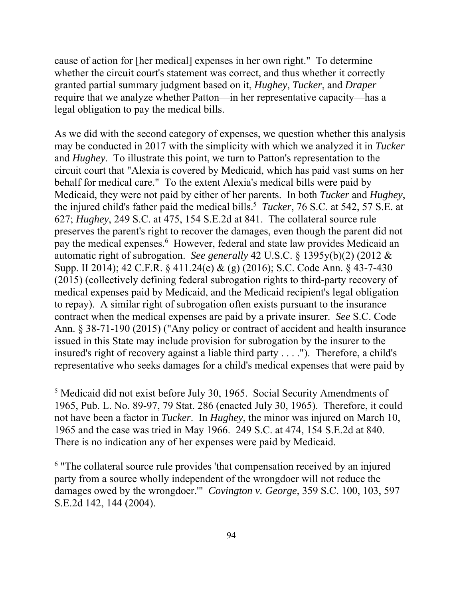cause of action for [her medical] expenses in her own right." To determine whether the circuit court's statement was correct, and thus whether it correctly granted partial summary judgment based on it, *Hughey*, *Tucker*, and *Draper*  require that we analyze whether Patton—in her representative capacity—has a legal obligation to pay the medical bills.

the injured child's father paid the medical bills.<sup>5</sup> *Tucker*, 76 S.C. at 542, 57 S.E. at As we did with the second category of expenses, we question whether this analysis may be conducted in 2017 with the simplicity with which we analyzed it in *Tucker*  and *Hughey*. To illustrate this point, we turn to Patton's representation to the circuit court that "Alexia is covered by Medicaid, which has paid vast sums on her behalf for medical care." To the extent Alexia's medical bills were paid by Medicaid, they were not paid by either of her parents. In both *Tucker* and *Hughey*, 627; *Hughey*, 249 S.C. at 475, 154 S.E.2d at 841. The collateral source rule preserves the parent's right to recover the damages, even though the parent did not pay the medical expenses.<sup>6</sup> However, federal and state law provides Medicaid an automatic right of subrogation. *See generally* 42 U.S.C. § 1395y(b)(2) (2012 & Supp. II 2014); 42 C.F.R. § 411.24(e) & (g) (2016); S.C. Code Ann. § 43-7-430 (2015) (collectively defining federal subrogation rights to third-party recovery of medical expenses paid by Medicaid, and the Medicaid recipient's legal obligation to repay). A similar right of subrogation often exists pursuant to the insurance contract when the medical expenses are paid by a private insurer. *See* S.C. Code Ann. § 38-71-190 (2015) ("Any policy or contract of accident and health insurance issued in this State may include provision for subrogation by the insurer to the insured's right of recovery against a liable third party . . . ."). Therefore, a child's representative who seeks damages for a child's medical expenses that were paid by

<sup>&</sup>lt;sup>5</sup> Medicaid did not exist before July 30, 1965. Social Security Amendments of 1965, Pub. L. No. 89-97, 79 Stat. 286 (enacted July 30, 1965). Therefore, it could not have been a factor in *Tucker*. In *Hughey*, the minor was injured on March 10, 1965 and the case was tried in May 1966. 249 S.C. at 474, 154 S.E.2d at 840. There is no indication any of her expenses were paid by Medicaid.

<sup>&</sup>lt;sup>6</sup> "The collateral source rule provides 'that compensation received by an injured party from a source wholly independent of the wrongdoer will not reduce the damages owed by the wrongdoer.'" *Covington v. George*, 359 S.C. 100, 103, 597 S.E.2d 142, 144 (2004).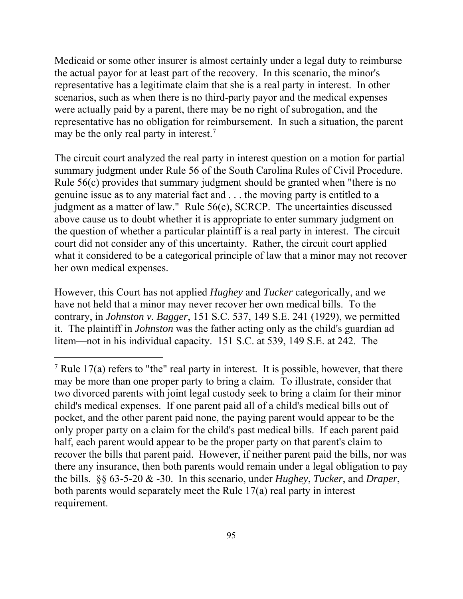Medicaid or some other insurer is almost certainly under a legal duty to reimburse the actual payor for at least part of the recovery. In this scenario, the minor's representative has a legitimate claim that she is a real party in interest. In other scenarios, such as when there is no third-party payor and the medical expenses were actually paid by a parent, there may be no right of subrogation, and the representative has no obligation for reimbursement. In such a situation, the parent may be the only real party in interest.<sup>7</sup>

The circuit court analyzed the real party in interest question on a motion for partial summary judgment under Rule 56 of the South Carolina Rules of Civil Procedure. Rule 56(c) provides that summary judgment should be granted when "there is no genuine issue as to any material fact and . . . the moving party is entitled to a judgment as a matter of law." Rule 56(c), SCRCP. The uncertainties discussed above cause us to doubt whether it is appropriate to enter summary judgment on the question of whether a particular plaintiff is a real party in interest. The circuit court did not consider any of this uncertainty. Rather, the circuit court applied what it considered to be a categorical principle of law that a minor may not recover her own medical expenses.

However, this Court has not applied *Hughey* and *Tucker* categorically, and we have not held that a minor may never recover her own medical bills. To the contrary, in *Johnston v. Bagger*, 151 S.C. 537, 149 S.E. 241 (1929), we permitted it. The plaintiff in *Johnston* was the father acting only as the child's guardian ad litem—not in his individual capacity. 151 S.C. at 539, 149 S.E. at 242. The

<sup>&</sup>lt;sup>7</sup> Rule 17(a) refers to "the" real party in interest. It is possible, however, that there may be more than one proper party to bring a claim. To illustrate, consider that two divorced parents with joint legal custody seek to bring a claim for their minor child's medical expenses. If one parent paid all of a child's medical bills out of pocket, and the other parent paid none, the paying parent would appear to be the only proper party on a claim for the child's past medical bills. If each parent paid half, each parent would appear to be the proper party on that parent's claim to recover the bills that parent paid. However, if neither parent paid the bills, nor was there any insurance, then both parents would remain under a legal obligation to pay the bills. §§ 63-5-20 & -30. In this scenario, under *Hughey*, *Tucker*, and *Draper*, both parents would separately meet the Rule 17(a) real party in interest requirement.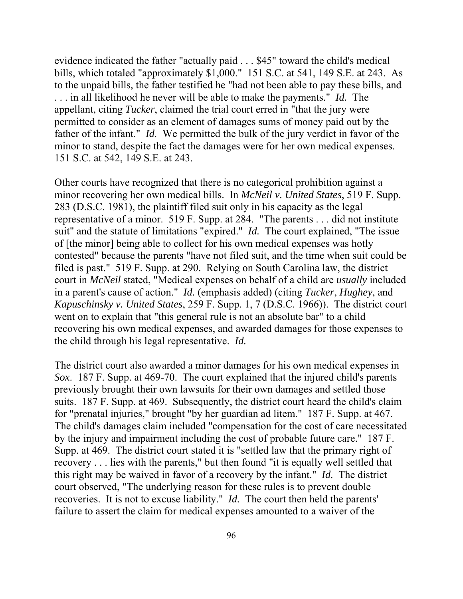evidence indicated the father "actually paid . . . \$45" toward the child's medical bills, which totaled "approximately \$1,000." 151 S.C. at 541, 149 S.E. at 243. As to the unpaid bills, the father testified he "had not been able to pay these bills, and . . . in all likelihood he never will be able to make the payments." *Id.* The appellant, citing *Tucker*, claimed the trial court erred in "that the jury were permitted to consider as an element of damages sums of money paid out by the father of the infant." *Id.* We permitted the bulk of the jury verdict in favor of the minor to stand, despite the fact the damages were for her own medical expenses. 151 S.C. at 542, 149 S.E. at 243.

 the child through his legal representative. *Id.* Other courts have recognized that there is no categorical prohibition against a minor recovering her own medical bills. In *McNeil v. United States*, 519 F. Supp. 283 (D.S.C. 1981), the plaintiff filed suit only in his capacity as the legal representative of a minor. 519 F. Supp. at 284. "The parents . . . did not institute suit" and the statute of limitations "expired." *Id.* The court explained, "The issue of [the minor] being able to collect for his own medical expenses was hotly contested" because the parents "have not filed suit, and the time when suit could be filed is past." 519 F. Supp. at 290. Relying on South Carolina law, the district court in *McNeil* stated, "Medical expenses on behalf of a child are *usually* included in a parent's cause of action." *Id.* (emphasis added) (citing *Tucker*, *Hughey*, and *Kapuschinsky v. United States*, 259 F. Supp. 1, 7 (D.S.C. 1966)). The district court went on to explain that "this general rule is not an absolute bar" to a child recovering his own medical expenses, and awarded damages for those expenses to

 this right may be waived in favor of a recovery by the infant." *Id.* The district The district court also awarded a minor damages for his own medical expenses in *Sox*. 187 F. Supp. at 469-70. The court explained that the injured child's parents previously brought their own lawsuits for their own damages and settled those suits. 187 F. Supp. at 469. Subsequently, the district court heard the child's claim for "prenatal injuries," brought "by her guardian ad litem." 187 F. Supp. at 467. The child's damages claim included "compensation for the cost of care necessitated by the injury and impairment including the cost of probable future care." 187 F. Supp. at 469. The district court stated it is "settled law that the primary right of recovery . . . lies with the parents," but then found "it is equally well settled that court observed, "The underlying reason for these rules is to prevent double recoveries. It is not to excuse liability." *Id.* The court then held the parents' failure to assert the claim for medical expenses amounted to a waiver of the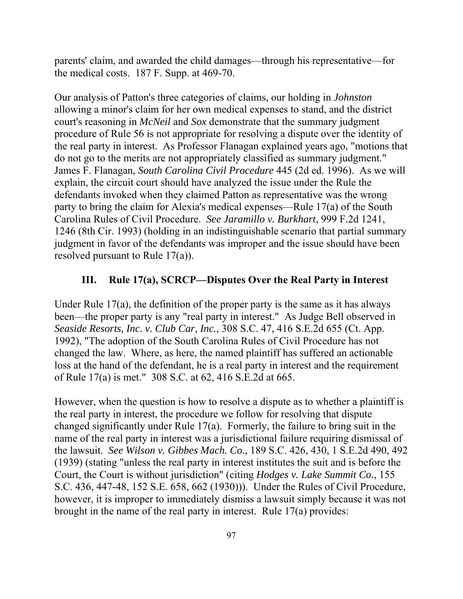parents' claim, and awarded the child damages—through his representative—for the medical costs. 187 F. Supp. at 469-70.

Our analysis of Patton's three categories of claims, our holding in *Johnston*  allowing a minor's claim for her own medical expenses to stand, and the district court's reasoning in *McNeil* and *Sox* demonstrate that the summary judgment procedure of Rule 56 is not appropriate for resolving a dispute over the identity of the real party in interest. As Professor Flanagan explained years ago, "motions that do not go to the merits are not appropriately classified as summary judgment." James F. Flanagan, *South Carolina Civil Procedure* 445 (2d ed. 1996). As we will explain, the circuit court should have analyzed the issue under the Rule the defendants invoked when they claimed Patton as representative was the wrong party to bring the claim for Alexia's medical expenses—Rule 17(a) of the South Carolina Rules of Civil Procedure. *See Jaramillo v. Burkhart*, 999 F.2d 1241, 1246 (8th Cir. 1993) (holding in an indistinguishable scenario that partial summary judgment in favor of the defendants was improper and the issue should have been resolved pursuant to Rule 17(a)).

# **III. Rule 17(a), SCRCP—Disputes Over the Real Party in Interest**

Under Rule 17(a), the definition of the proper party is the same as it has always been—the proper party is any "real party in interest." As Judge Bell observed in *Seaside Resorts, Inc. v. Club Car, Inc.*, 308 S.C. 47, 416 S.E.2d 655 (Ct. App. 1992), "The adoption of the South Carolina Rules of Civil Procedure has not changed the law. Where, as here, the named plaintiff has suffered an actionable loss at the hand of the defendant, he is a real party in interest and the requirement of Rule 17(a) is met." 308 S.C. at 62, 416 S.E.2d at 665.

However, when the question is how to resolve a dispute as to whether a plaintiff is the real party in interest, the procedure we follow for resolving that dispute changed significantly under Rule 17(a). Formerly, the failure to bring suit in the name of the real party in interest was a jurisdictional failure requiring dismissal of the lawsuit. *See Wilson v. Gibbes Mach. Co.*, 189 S.C. 426, 430, 1 S.E.2d 490, 492 (1939) (stating "unless the real party in interest institutes the suit and is before the Court, the Court is without jurisdiction" (citing *Hodges v. Lake Summit Co.*, 155 S.C. 436, 447-48, 152 S.E. 658, 662 (1930))). Under the Rules of Civil Procedure, however, it is improper to immediately dismiss a lawsuit simply because it was not brought in the name of the real party in interest. Rule 17(a) provides: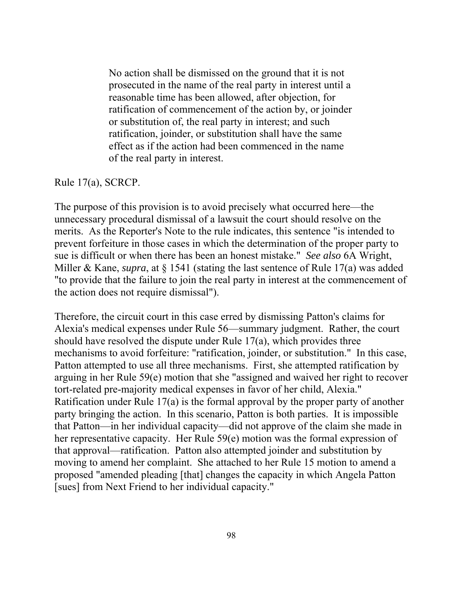No action shall be dismissed on the ground that it is not prosecuted in the name of the real party in interest until a reasonable time has been allowed, after objection, for ratification of commencement of the action by, or joinder or substitution of, the real party in interest; and such ratification, joinder, or substitution shall have the same effect as if the action had been commenced in the name of the real party in interest.

#### Rule 17(a), SCRCP.

The purpose of this provision is to avoid precisely what occurred here—the unnecessary procedural dismissal of a lawsuit the court should resolve on the merits. As the Reporter's Note to the rule indicates, this sentence "is intended to prevent forfeiture in those cases in which the determination of the proper party to sue is difficult or when there has been an honest mistake." *See also* 6A Wright, Miller & Kane, *supra*, at § 1541 (stating the last sentence of Rule 17(a) was added "to provide that the failure to join the real party in interest at the commencement of the action does not require dismissal").

Therefore, the circuit court in this case erred by dismissing Patton's claims for Alexia's medical expenses under Rule 56—summary judgment. Rather, the court should have resolved the dispute under Rule 17(a), which provides three mechanisms to avoid forfeiture: "ratification, joinder, or substitution." In this case, Patton attempted to use all three mechanisms. First, she attempted ratification by arguing in her Rule 59(e) motion that she "assigned and waived her right to recover tort-related pre-majority medical expenses in favor of her child, Alexia." Ratification under Rule 17(a) is the formal approval by the proper party of another party bringing the action. In this scenario, Patton is both parties. It is impossible that Patton—in her individual capacity—did not approve of the claim she made in her representative capacity. Her Rule 59(e) motion was the formal expression of that approval—ratification. Patton also attempted joinder and substitution by moving to amend her complaint. She attached to her Rule 15 motion to amend a proposed "amended pleading [that] changes the capacity in which Angela Patton [sues] from Next Friend to her individual capacity."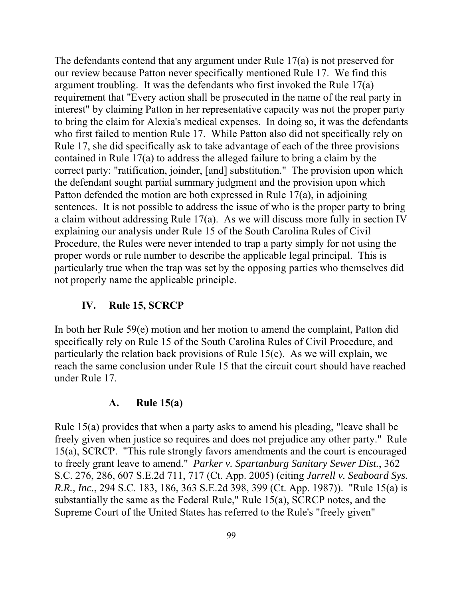The defendants contend that any argument under Rule 17(a) is not preserved for our review because Patton never specifically mentioned Rule 17. We find this argument troubling. It was the defendants who first invoked the Rule 17(a) requirement that "Every action shall be prosecuted in the name of the real party in interest" by claiming Patton in her representative capacity was not the proper party to bring the claim for Alexia's medical expenses. In doing so, it was the defendants who first failed to mention Rule 17. While Patton also did not specifically rely on Rule 17, she did specifically ask to take advantage of each of the three provisions contained in Rule 17(a) to address the alleged failure to bring a claim by the correct party: "ratification, joinder, [and] substitution." The provision upon which the defendant sought partial summary judgment and the provision upon which Patton defended the motion are both expressed in Rule 17(a), in adjoining sentences. It is not possible to address the issue of who is the proper party to bring a claim without addressing Rule 17(a). As we will discuss more fully in section IV explaining our analysis under Rule 15 of the South Carolina Rules of Civil Procedure, the Rules were never intended to trap a party simply for not using the proper words or rule number to describe the applicable legal principal. This is particularly true when the trap was set by the opposing parties who themselves did not properly name the applicable principle.

# **IV. Rule 15, SCRCP**

In both her Rule 59(e) motion and her motion to amend the complaint, Patton did specifically rely on Rule 15 of the South Carolina Rules of Civil Procedure, and particularly the relation back provisions of Rule 15(c). As we will explain, we reach the same conclusion under Rule 15 that the circuit court should have reached under Rule 17.

## **A. Rule 15(a)**

 to freely grant leave to amend." *Parker v. Spartanburg Sanitary Sewer Dist.*, 362 Rule 15(a) provides that when a party asks to amend his pleading, "leave shall be freely given when justice so requires and does not prejudice any other party." Rule 15(a), SCRCP. "This rule strongly favors amendments and the court is encouraged S.C. 276, 286, 607 S.E.2d 711, 717 (Ct. App. 2005) (citing *Jarrell v. Seaboard Sys. R.R., Inc.*, 294 S.C. 183, 186, 363 S.E.2d 398, 399 (Ct. App. 1987)). "Rule 15(a) is substantially the same as the Federal Rule," Rule 15(a), SCRCP notes, and the Supreme Court of the United States has referred to the Rule's "freely given"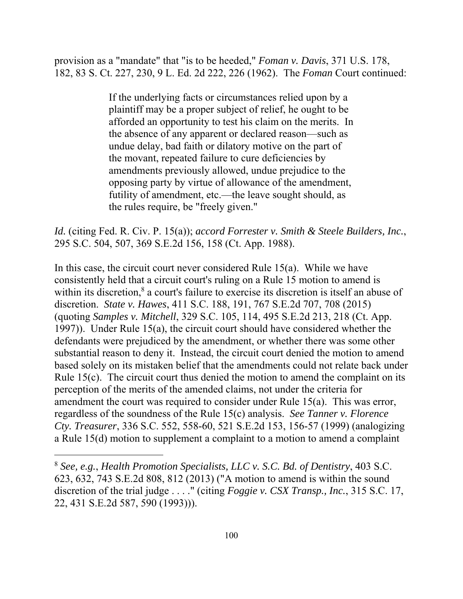provision as a "mandate" that "is to be heeded," *Foman v. Davis*, 371 U.S. 178, 182, 83 S. Ct. 227, 230, 9 L. Ed. 2d 222, 226 (1962). The *Foman* Court continued:

> If the underlying facts or circumstances relied upon by a plaintiff may be a proper subject of relief, he ought to be afforded an opportunity to test his claim on the merits. In the absence of any apparent or declared reason—such as undue delay, bad faith or dilatory motive on the part of the movant, repeated failure to cure deficiencies by amendments previously allowed, undue prejudice to the opposing party by virtue of allowance of the amendment, futility of amendment, etc.—the leave sought should, as the rules require, be "freely given."

*Id.* (citing Fed. R. Civ. P. 15(a)); *accord Forrester v. Smith & Steele Builders, Inc.*, 295 S.C. 504, 507, 369 S.E.2d 156, 158 (Ct. App. 1988).

 discretion. *State v. Hawes*, 411 S.C. 188, 191, 767 S.E.2d 707, 708 (2015) In this case, the circuit court never considered Rule 15(a). While we have consistently held that a circuit court's ruling on a Rule 15 motion to amend is within its discretion,<sup>8</sup> a court's failure to exercise its discretion is itself an abuse of (quoting *Samples v. Mitchell*, 329 S.C. 105, 114, 495 S.E.2d 213, 218 (Ct. App. 1997)). Under Rule 15(a), the circuit court should have considered whether the defendants were prejudiced by the amendment, or whether there was some other substantial reason to deny it. Instead, the circuit court denied the motion to amend based solely on its mistaken belief that the amendments could not relate back under Rule 15(c). The circuit court thus denied the motion to amend the complaint on its perception of the merits of the amended claims, not under the criteria for amendment the court was required to consider under Rule 15(a). This was error, regardless of the soundness of the Rule 15(c) analysis. *See Tanner v. Florence Cty. Treasurer*, 336 S.C. 552, 558-60, 521 S.E.2d 153, 156-57 (1999) (analogizing a Rule 15(d) motion to supplement a complaint to a motion to amend a complaint

<sup>8</sup>*See, e.g.*, *Health Promotion Specialists, LLC v. S.C. Bd. of Dentistry*, 403 S.C. 623, 632, 743 S.E.2d 808, 812 (2013) ("A motion to amend is within the sound discretion of the trial judge . . . ." (citing *Foggie v. CSX Transp., Inc.*, 315 S.C. 17, 22, 431 S.E.2d 587, 590 (1993))).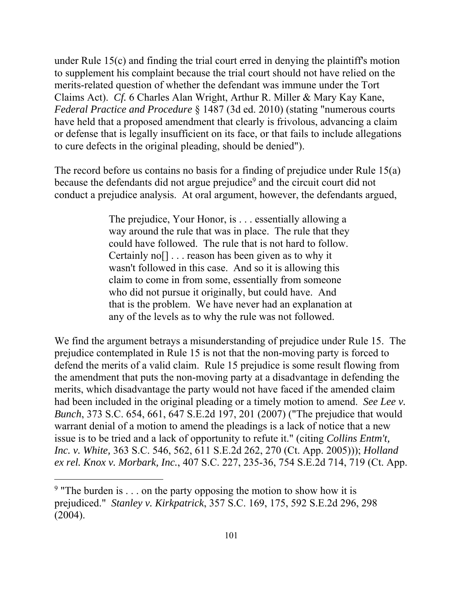under Rule 15(c) and finding the trial court erred in denying the plaintiff's motion to supplement his complaint because the trial court should not have relied on the merits-related question of whether the defendant was immune under the Tort Claims Act). *Cf.* 6 Charles Alan Wright, Arthur R. Miller & Mary Kay Kane, *Federal Practice and Procedure* § 1487 (3d ed. 2010) (stating "numerous courts have held that a proposed amendment that clearly is frivolous, advancing a claim or defense that is legally insufficient on its face, or that fails to include allegations to cure defects in the original pleading, should be denied").

The record before us contains no basis for a finding of prejudice under Rule 15(a) because the defendants did not argue prejudice<sup>9</sup> and the circuit court did not conduct a prejudice analysis. At oral argument, however, the defendants argued,

> The prejudice, Your Honor, is . . . essentially allowing a way around the rule that was in place. The rule that they could have followed. The rule that is not hard to follow. Certainly no[] . . . reason has been given as to why it wasn't followed in this case. And so it is allowing this claim to come in from some, essentially from someone who did not pursue it originally, but could have. And that is the problem. We have never had an explanation at any of the levels as to why the rule was not followed.

We find the argument betrays a misunderstanding of prejudice under Rule 15. The prejudice contemplated in Rule 15 is not that the non-moving party is forced to defend the merits of a valid claim. Rule 15 prejudice is some result flowing from the amendment that puts the non-moving party at a disadvantage in defending the merits, which disadvantage the party would not have faced if the amended claim had been included in the original pleading or a timely motion to amend. *See Lee v. Bunch*, 373 S.C. 654, 661, 647 S.E.2d 197, 201 (2007) ("The prejudice that would warrant denial of a motion to amend the pleadings is a lack of notice that a new issue is to be tried and a lack of opportunity to refute it." (citing *Collins Entm't, Inc. v. White,* 363 S.C. 546, 562, 611 S.E.2d 262, 270 (Ct. App. 2005))); *Holland ex rel. Knox v. Morbark, Inc.*, 407 S.C. 227, 235-36, 754 S.E.2d 714, 719 (Ct. App.

<sup>&</sup>lt;sup>9</sup> "The burden is . . . on the party opposing the motion to show how it is prejudiced." *Stanley v. Kirkpatrick*, 357 S.C. 169, 175, 592 S.E.2d 296, 298 (2004).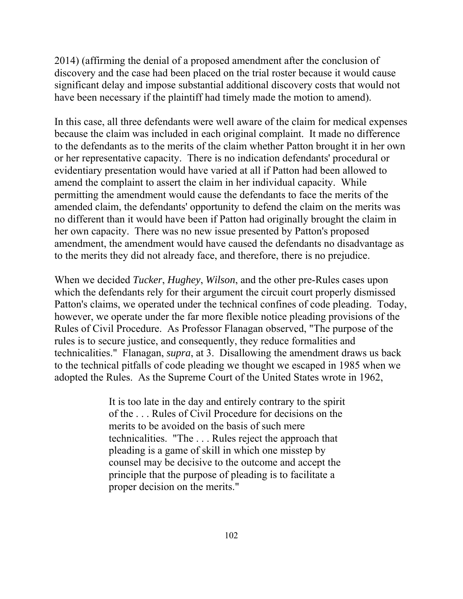2014) (affirming the denial of a proposed amendment after the conclusion of discovery and the case had been placed on the trial roster because it would cause significant delay and impose substantial additional discovery costs that would not have been necessary if the plaintiff had timely made the motion to amend).

In this case, all three defendants were well aware of the claim for medical expenses because the claim was included in each original complaint. It made no difference to the defendants as to the merits of the claim whether Patton brought it in her own or her representative capacity. There is no indication defendants' procedural or evidentiary presentation would have varied at all if Patton had been allowed to amend the complaint to assert the claim in her individual capacity. While permitting the amendment would cause the defendants to face the merits of the amended claim, the defendants' opportunity to defend the claim on the merits was no different than it would have been if Patton had originally brought the claim in her own capacity. There was no new issue presented by Patton's proposed amendment, the amendment would have caused the defendants no disadvantage as to the merits they did not already face, and therefore, there is no prejudice.

When we decided *Tucker*, *Hughey*, *Wilson*, and the other pre-Rules cases upon which the defendants rely for their argument the circuit court properly dismissed Patton's claims, we operated under the technical confines of code pleading. Today, however, we operate under the far more flexible notice pleading provisions of the Rules of Civil Procedure. As Professor Flanagan observed, "The purpose of the rules is to secure justice, and consequently, they reduce formalities and technicalities." Flanagan, *supra*, at 3. Disallowing the amendment draws us back to the technical pitfalls of code pleading we thought we escaped in 1985 when we adopted the Rules. As the Supreme Court of the United States wrote in 1962,

> It is too late in the day and entirely contrary to the spirit of the . . . Rules of Civil Procedure for decisions on the merits to be avoided on the basis of such mere technicalities. "The . . . Rules reject the approach that pleading is a game of skill in which one misstep by counsel may be decisive to the outcome and accept the principle that the purpose of pleading is to facilitate a proper decision on the merits."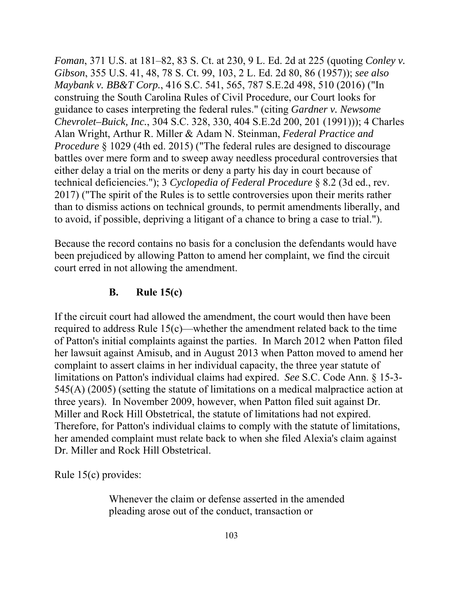*Foman*, 371 U.S. at 181–82, 83 S. Ct. at 230, 9 L. Ed. 2d at 225 (quoting *Conley v. Gibson*, 355 U.S. 41, 48, 78 S. Ct. 99, 103, 2 L. Ed. 2d 80, 86 (1957)); *see also Maybank v. BB&T Corp.*, 416 S.C. 541, 565, 787 S.E.2d 498, 510 (2016) ("In construing the South Carolina Rules of Civil Procedure, our Court looks for guidance to cases interpreting the federal rules." (citing *Gardner v. Newsome Chevrolet–Buick, Inc.*, 304 S.C. 328, 330, 404 S.E.2d 200, 201 (1991))); 4 Charles Alan Wright, Arthur R. Miller & Adam N. Steinman, *Federal Practice and Procedure* § 1029 (4th ed. 2015) ("The federal rules are designed to discourage battles over mere form and to sweep away needless procedural controversies that either delay a trial on the merits or deny a party his day in court because of technical deficiencies."); 3 *Cyclopedia of Federal Procedure* § 8.2 (3d ed., rev. 2017) ("The spirit of the Rules is to settle controversies upon their merits rather than to dismiss actions on technical grounds, to permit amendments liberally, and to avoid, if possible, depriving a litigant of a chance to bring a case to trial.").

 court erred in not allowing the amendment. Because the record contains no basis for a conclusion the defendants would have been prejudiced by allowing Patton to amend her complaint, we find the circuit

## **B. Rule 15(c)**

If the circuit court had allowed the amendment, the court would then have been required to address Rule 15(c)—whether the amendment related back to the time of Patton's initial complaints against the parties. In March 2012 when Patton filed her lawsuit against Amisub, and in August 2013 when Patton moved to amend her complaint to assert claims in her individual capacity, the three year statute of limitations on Patton's individual claims had expired. *See* S.C. Code Ann. § 15-3- 545(A) (2005) (setting the statute of limitations on a medical malpractice action at three years). In November 2009, however, when Patton filed suit against Dr. Miller and Rock Hill Obstetrical, the statute of limitations had not expired. Therefore, for Patton's individual claims to comply with the statute of limitations, her amended complaint must relate back to when she filed Alexia's claim against Dr. Miller and Rock Hill Obstetrical.

Rule 15(c) provides:

Whenever the claim or defense asserted in the amended pleading arose out of the conduct, transaction or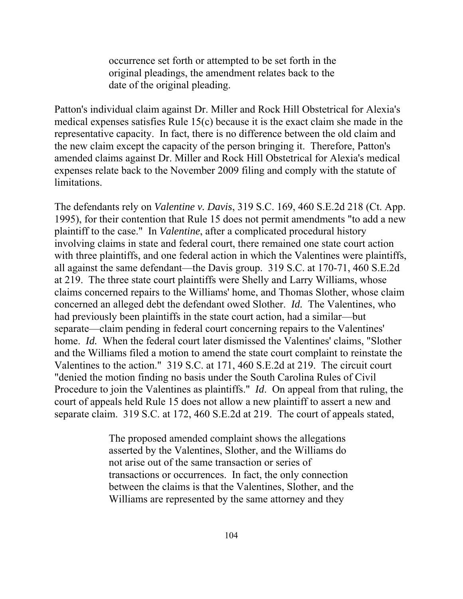occurrence set forth or attempted to be set forth in the original pleadings, the amendment relates back to the date of the original pleading.

Patton's individual claim against Dr. Miller and Rock Hill Obstetrical for Alexia's medical expenses satisfies Rule 15(c) because it is the exact claim she made in the representative capacity. In fact, there is no difference between the old claim and the new claim except the capacity of the person bringing it. Therefore, Patton's amended claims against Dr. Miller and Rock Hill Obstetrical for Alexia's medical expenses relate back to the November 2009 filing and comply with the statute of limitations.

The defendants rely on *Valentine v. Davis*, 319 S.C. 169, 460 S.E.2d 218 (Ct. App. 1995), for their contention that Rule 15 does not permit amendments "to add a new plaintiff to the case." In *Valentine*, after a complicated procedural history involving claims in state and federal court, there remained one state court action with three plaintiffs, and one federal action in which the Valentines were plaintiffs, all against the same defendant—the Davis group. 319 S.C. at 170-71, 460 S.E.2d at 219. The three state court plaintiffs were Shelly and Larry Williams, whose claims concerned repairs to the Williams' home, and Thomas Slother, whose claim concerned an alleged debt the defendant owed Slother. *Id.* The Valentines, who had previously been plaintiffs in the state court action, had a similar—but separate—claim pending in federal court concerning repairs to the Valentines' home. *Id.* When the federal court later dismissed the Valentines' claims, "Slother and the Williams filed a motion to amend the state court complaint to reinstate the Valentines to the action." 319 S.C. at 171, 460 S.E.2d at 219. The circuit court "denied the motion finding no basis under the South Carolina Rules of Civil Procedure to join the Valentines as plaintiffs." *Id*. On appeal from that ruling, the court of appeals held Rule 15 does not allow a new plaintiff to assert a new and separate claim. 319 S.C. at 172, 460 S.E.2d at 219. The court of appeals stated,

> The proposed amended complaint shows the allegations asserted by the Valentines, Slother, and the Williams do not arise out of the same transaction or series of transactions or occurrences. In fact, the only connection between the claims is that the Valentines, Slother, and the Williams are represented by the same attorney and they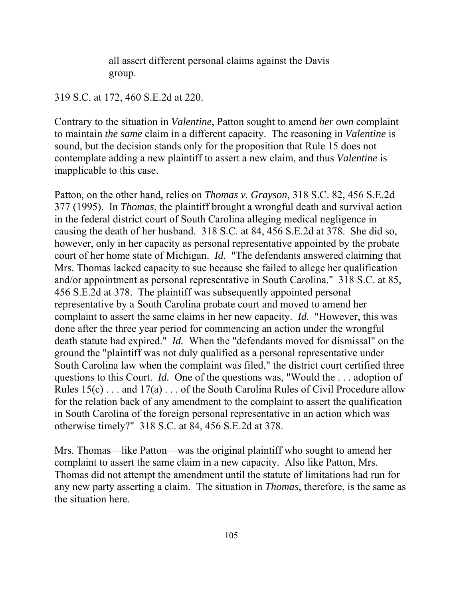all assert different personal claims against the Davis group.

#### 319 S.C. at 172, 460 S.E.2d at 220.

Contrary to the situation in *Valentine*, Patton sought to amend *her own* complaint to maintain *the same* claim in a different capacity. The reasoning in *Valentine* is sound, but the decision stands only for the proposition that Rule 15 does not contemplate adding a new plaintiff to assert a new claim, and thus *Valentine* is inapplicable to this case.

Patton, on the other hand, relies on *Thomas v. Grayson*, 318 S.C. 82, 456 S.E.2d 377 (1995). In *Thomas*, the plaintiff brought a wrongful death and survival action in the federal district court of South Carolina alleging medical negligence in causing the death of her husband. 318 S.C. at 84, 456 S.E.2d at 378. She did so, however, only in her capacity as personal representative appointed by the probate court of her home state of Michigan. *Id.* "The defendants answered claiming that Mrs. Thomas lacked capacity to sue because she failed to allege her qualification and/or appointment as personal representative in South Carolina." 318 S.C. at 85, 456 S.E.2d at 378. The plaintiff was subsequently appointed personal representative by a South Carolina probate court and moved to amend her complaint to assert the same claims in her new capacity. *Id.* "However, this was done after the three year period for commencing an action under the wrongful death statute had expired." *Id.* When the "defendants moved for dismissal" on the ground the "plaintiff was not duly qualified as a personal representative under South Carolina law when the complaint was filed," the district court certified three questions to this Court. *Id.* One of the questions was, "Would the . . . adoption of Rules 15(c) . . . and 17(a) . . . of the South Carolina Rules of Civil Procedure allow for the relation back of any amendment to the complaint to assert the qualification in South Carolina of the foreign personal representative in an action which was otherwise timely?" 318 S.C. at 84, 456 S.E.2d at 378.

Mrs. Thomas—like Patton—was the original plaintiff who sought to amend her complaint to assert the same claim in a new capacity. Also like Patton, Mrs. Thomas did not attempt the amendment until the statute of limitations had run for any new party asserting a claim. The situation in *Thomas*, therefore, is the same as the situation here.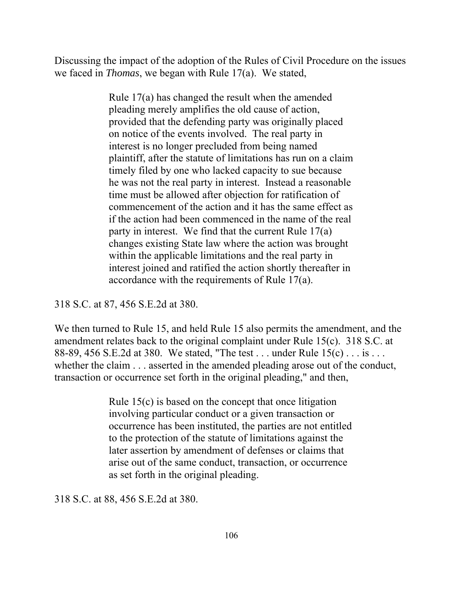Discussing the impact of the adoption of the Rules of Civil Procedure on the issues we faced in *Thomas*, we began with Rule 17(a). We stated,

> Rule 17(a) has changed the result when the amended pleading merely amplifies the old cause of action, provided that the defending party was originally placed on notice of the events involved. The real party in interest is no longer precluded from being named plaintiff, after the statute of limitations has run on a claim timely filed by one who lacked capacity to sue because he was not the real party in interest. Instead a reasonable time must be allowed after objection for ratification of commencement of the action and it has the same effect as if the action had been commenced in the name of the real party in interest. We find that the current Rule 17(a) changes existing State law where the action was brought within the applicable limitations and the real party in interest joined and ratified the action shortly thereafter in accordance with the requirements of Rule 17(a).

318 S.C. at 87, 456 S.E.2d at 380.

We then turned to Rule 15, and held Rule 15 also permits the amendment, and the amendment relates back to the original complaint under Rule 15(c). 318 S.C. at 88-89, 456 S.E.2d at 380. We stated, "The test . . . under Rule 15(c) . . . is . . . whether the claim  $\ldots$  asserted in the amended pleading arose out of the conduct, transaction or occurrence set forth in the original pleading," and then,

> Rule 15(c) is based on the concept that once litigation involving particular conduct or a given transaction or occurrence has been instituted, the parties are not entitled to the protection of the statute of limitations against the later assertion by amendment of defenses or claims that arise out of the same conduct, transaction, or occurrence as set forth in the original pleading.

318 S.C. at 88, 456 S.E.2d at 380.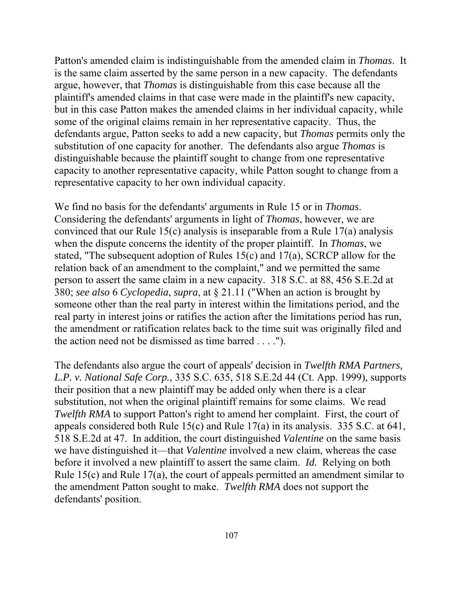Patton's amended claim is indistinguishable from the amended claim in *Thomas*. It is the same claim asserted by the same person in a new capacity. The defendants argue, however, that *Thomas* is distinguishable from this case because all the plaintiff's amended claims in that case were made in the plaintiff's new capacity, but in this case Patton makes the amended claims in her individual capacity, while some of the original claims remain in her representative capacity. Thus, the defendants argue, Patton seeks to add a new capacity, but *Thomas* permits only the substitution of one capacity for another. The defendants also argue *Thomas* is distinguishable because the plaintiff sought to change from one representative capacity to another representative capacity, while Patton sought to change from a representative capacity to her own individual capacity.

We find no basis for the defendants' arguments in Rule 15 or in *Thomas*. Considering the defendants' arguments in light of *Thomas*, however, we are convinced that our Rule 15(c) analysis is inseparable from a Rule 17(a) analysis when the dispute concerns the identity of the proper plaintiff. In *Thomas*, we stated, "The subsequent adoption of Rules 15(c) and 17(a), SCRCP allow for the relation back of an amendment to the complaint," and we permitted the same person to assert the same claim in a new capacity. 318 S.C. at 88, 456 S.E.2d at 380; *see also* 6 *Cyclopedia*, *supra*, at § 21.11 ("When an action is brought by someone other than the real party in interest within the limitations period, and the real party in interest joins or ratifies the action after the limitations period has run, the amendment or ratification relates back to the time suit was originally filed and the action need not be dismissed as time barred . . . .").

The defendants also argue the court of appeals' decision in *Twelfth RMA Partners, L.P. v. National Safe Corp.*, 335 S.C. 635, 518 S.E.2d 44 (Ct. App. 1999), supports their position that a new plaintiff may be added only when there is a clear substitution, not when the original plaintiff remains for some claims. We read *Twelfth RMA* to support Patton's right to amend her complaint. First, the court of appeals considered both Rule 15(c) and Rule 17(a) in its analysis. 335 S.C. at 641, 518 S.E.2d at 47. In addition, the court distinguished *Valentine* on the same basis we have distinguished it—that *Valentine* involved a new claim, whereas the case before it involved a new plaintiff to assert the same claim. *Id.* Relying on both Rule 15(c) and Rule 17(a), the court of appeals permitted an amendment similar to the amendment Patton sought to make. *Twelfth RMA* does not support the defendants' position.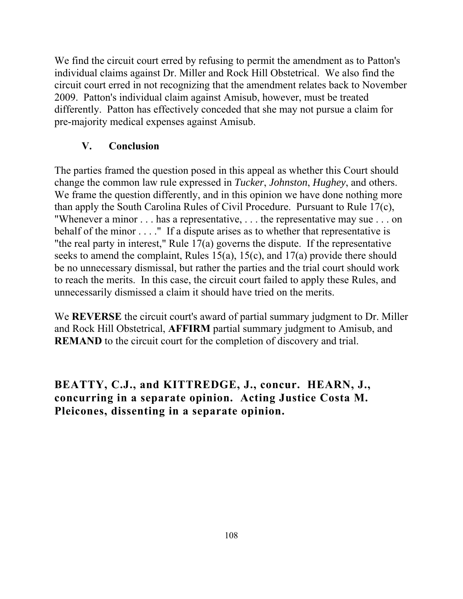We find the circuit court erred by refusing to permit the amendment as to Patton's individual claims against Dr. Miller and Rock Hill Obstetrical. We also find the circuit court erred in not recognizing that the amendment relates back to November 2009. Patton's individual claim against Amisub, however, must be treated differently. Patton has effectively conceded that she may not pursue a claim for pre-majority medical expenses against Amisub.

# **V. Conclusion**

The parties framed the question posed in this appeal as whether this Court should change the common law rule expressed in *Tucker*, *Johnston*, *Hughey*, and others. We frame the question differently, and in this opinion we have done nothing more than apply the South Carolina Rules of Civil Procedure. Pursuant to Rule 17(c), "Whenever a minor . . . has a representative, . . . the representative may sue . . . on behalf of the minor . . . . " If a dispute arises as to whether that representative is "the real party in interest," Rule  $17(a)$  governs the dispute. If the representative seeks to amend the complaint, Rules 15(a), 15(c), and 17(a) provide there should be no unnecessary dismissal, but rather the parties and the trial court should work to reach the merits. In this case, the circuit court failed to apply these Rules, and unnecessarily dismissed a claim it should have tried on the merits.

We **REVERSE** the circuit court's award of partial summary judgment to Dr. Miller and Rock Hill Obstetrical, **AFFIRM** partial summary judgment to Amisub, and **REMAND** to the circuit court for the completion of discovery and trial.

# **BEATTY, C.J., and KITTREDGE, J., concur. HEARN, J., concurring in a separate opinion. Acting Justice Costa M. Pleicones, dissenting in a separate opinion.**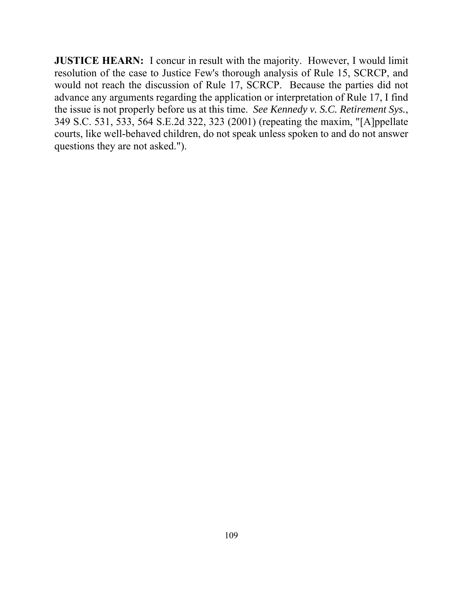**JUSTICE HEARN:** I concur in result with the majority. However, I would limit resolution of the case to Justice Few's thorough analysis of Rule 15, SCRCP, and would not reach the discussion of Rule 17, SCRCP. Because the parties did not advance any arguments regarding the application or interpretation of Rule 17, I find the issue is not properly before us at this time. *See Kennedy v. S.C. Retirement Sys.*, 349 S.C. 531, 533, 564 S.E.2d 322, 323 (2001) (repeating the maxim, "[A]ppellate courts, like well-behaved children, do not speak unless spoken to and do not answer questions they are not asked.").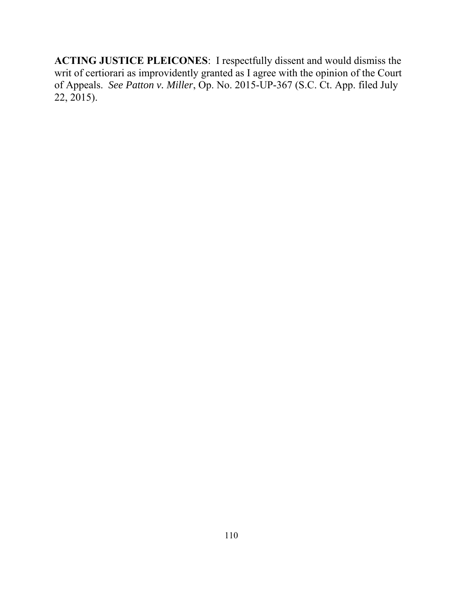**ACTING JUSTICE PLEICONES**: I respectfully dissent and would dismiss the writ of certiorari as improvidently granted as I agree with the opinion of the Court of Appeals. *See Patton v. Miller*, Op. No. 2015-UP-367 (S.C. Ct. App. filed July 22, 2015).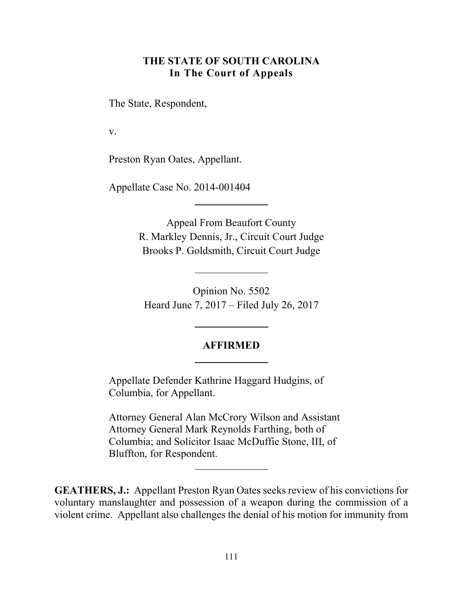# **THE STATE OF SOUTH CAROLINA In The Court of Appeals**

The State, Respondent,

v.

Preston Ryan Oates, Appellant.

Appellate Case No. 2014-001404

Appeal From Beaufort County R. Markley Dennis, Jr., Circuit Court Judge Brooks P. Goldsmith, Circuit Court Judge

Opinion No. 5502 Heard June 7, 2017 – Filed July 26, 2017

### **AFFIRMED**

Appellate Defender Kathrine Haggard Hudgins, of Columbia, for Appellant.

Attorney General Alan McCrory Wilson and Assistant Attorney General Mark Reynolds Farthing, both of Columbia; and Solicitor Isaac McDuffie Stone, III, of Bluffton, for Respondent.

**GEATHERS, J.:** Appellant Preston Ryan Oates seeks review of his convictions for voluntary manslaughter and possession of a weapon during the commission of a violent crime. Appellant also challenges the denial of his motion for immunity from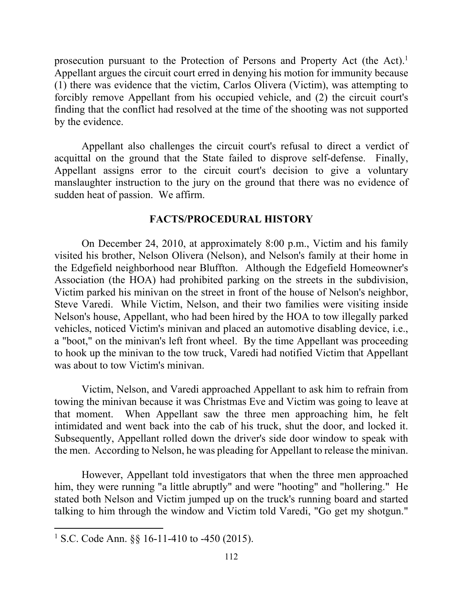prosecution pursuant to the Protection of Persons and Property Act (the Act).<sup>1</sup> Appellant argues the circuit court erred in denying his motion for immunity because (1) there was evidence that the victim, Carlos Olivera (Victim), was attempting to forcibly remove Appellant from his occupied vehicle, and (2) the circuit court's finding that the conflict had resolved at the time of the shooting was not supported by the evidence.

 Appellant assigns error to the circuit court's decision to give a voluntary Appellant also challenges the circuit court's refusal to direct a verdict of acquittal on the ground that the State failed to disprove self-defense. Finally, manslaughter instruction to the jury on the ground that there was no evidence of sudden heat of passion. We affirm.

### **FACTS/PROCEDURAL HISTORY**

 the Edgefield neighborhood near Bluffton. Although the Edgefield Homeowner's On December 24, 2010, at approximately 8:00 p.m., Victim and his family visited his brother, Nelson Olivera (Nelson), and Nelson's family at their home in Association (the HOA) had prohibited parking on the streets in the subdivision, Victim parked his minivan on the street in front of the house of Nelson's neighbor, Steve Varedi. While Victim, Nelson, and their two families were visiting inside Nelson's house, Appellant, who had been hired by the HOA to tow illegally parked vehicles, noticed Victim's minivan and placed an automotive disabling device, i.e., a "boot," on the minivan's left front wheel. By the time Appellant was proceeding to hook up the minivan to the tow truck, Varedi had notified Victim that Appellant was about to tow Victim's minivan.

 that moment. When Appellant saw the three men approaching him, he felt intimidated and went back into the cab of his truck, shut the door, and locked it. Victim, Nelson, and Varedi approached Appellant to ask him to refrain from towing the minivan because it was Christmas Eve and Victim was going to leave at Subsequently, Appellant rolled down the driver's side door window to speak with. the men. According to Nelson, he was pleading for Appellant to release the minivan.

 talking to him through the window and Victim told Varedi, "Go get my shotgun." However, Appellant told investigators that when the three men approached him, they were running "a little abruptly" and were "hooting" and "hollering." He stated both Nelson and Victim jumped up on the truck's running board and started

<sup>&</sup>lt;sup>1</sup> S.C. Code Ann. §§ 16-11-410 to -450 (2015).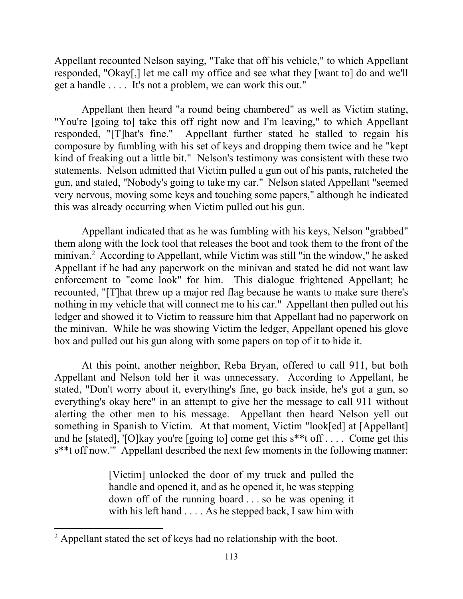Appellant recounted Nelson saying, "Take that off his vehicle," to which Appellant responded, "Okay[,] let me call my office and see what they [want to] do and we'll get a handle . . . . It's not a problem, we can work this out."

 responded, "[T]hat's fine." Appellant further stated he stalled to regain his kind of freaking out a little bit." Nelson's testimony was consistent with these two Appellant then heard "a round being chambered" as well as Victim stating, "You're [going to] take this off right now and I'm leaving," to which Appellant composure by fumbling with his set of keys and dropping them twice and he "kept statements. Nelson admitted that Victim pulled a gun out of his pants, ratcheted the gun, and stated, "Nobody's going to take my car." Nelson stated Appellant "seemed very nervous, moving some keys and touching some papers," although he indicated this was already occurring when Victim pulled out his gun.

 minivan.2 According to Appellant, while Victim was still "in the window," he asked Appellant indicated that as he was fumbling with his keys, Nelson "grabbed" them along with the lock tool that releases the boot and took them to the front of the Appellant if he had any paperwork on the minivan and stated he did not want law enforcement to "come look" for him. This dialogue frightened Appellant; he recounted, "[T]hat threw up a major red flag because he wants to make sure there's nothing in my vehicle that will connect me to his car." Appellant then pulled out his ledger and showed it to Victim to reassure him that Appellant had no paperwork on the minivan. While he was showing Victim the ledger, Appellant opened his glove box and pulled out his gun along with some papers on top of it to hide it.

 something in Spanish to Victim. At that moment, Victim "look[ed] at [Appellant] s\*\*t off now.'" Appellant described the next few moments in the following manner: At this point, another neighbor, Reba Bryan, offered to call 911, but both Appellant and Nelson told her it was unnecessary. According to Appellant, he stated, "Don't worry about it, everything's fine, go back inside, he's got a gun, so everything's okay here" in an attempt to give her the message to call 911 without alerting the other men to his message. Appellant then heard Nelson yell out and he [stated], '[O]kay you're [going to] come get this s\*\*t off . . . . Come get this

> [Victim] unlocked the door of my truck and pulled the handle and opened it, and as he opened it, he was stepping down off of the running board . . . so he was opening it with his left hand . . . . As he stepped back, I saw him with

 $2$  Appellant stated the set of keys had no relationship with the boot.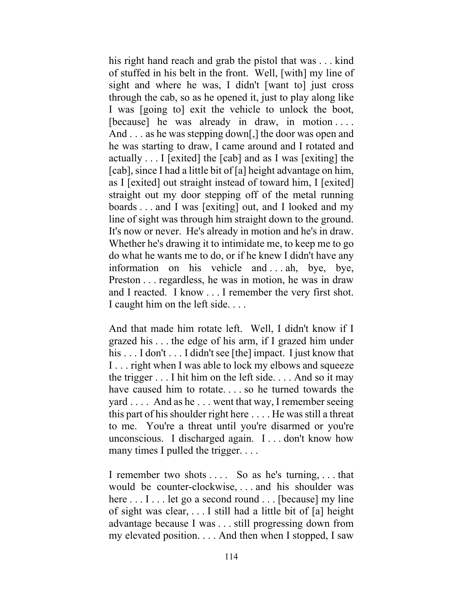of stuffed in his belt in the front. Well, [with] my line of he was starting to draw, I came around and I rotated and actually . . . I [exited] the [cab] and as I was [exiting] the [cab], since I had a little bit of [a] height advantage on him, line of sight was through him straight down to the ground. It's now or never. He's already in motion and he's in draw. It's now or never. He's already in motion and he's in draw. Whether he's drawing it to intimidate me, to keep me to go Preston . . . regardless, he was in motion, he was in draw and I reacted. I know . . . I remember the very first shot. his right hand reach and grab the pistol that was . . . kind sight and where he was, I didn't [want to] just cross through the cab, so as he opened it, just to play along like I was [going to] exit the vehicle to unlock the boot, [because] he was already in draw, in motion .... And . . . as he was stepping down[,] the door was open and as I [exited] out straight instead of toward him, I [exited] straight out my door stepping off of the metal running boards . . . and I was [exiting] out, and I looked and my do what he wants me to do, or if he knew I didn't have any information on his vehicle and . . . ah, bye, bye, I caught him on the left side. . . .

 And that made him rotate left. Well, I didn't know if I his . . . I don't . . . I didn't see [the] impact. I just know that to me. You're a threat until you're disarmed or you're unconscious. I discharged again. I . . . don't know how grazed his . . . the edge of his arm, if I grazed him under I . . . right when I was able to lock my elbows and squeeze the trigger  $\dots$  I hit him on the left side.  $\dots$  And so it may have caused him to rotate. . . . so he turned towards the yard . . . . And as he . . . went that way, I remember seeing this part of his shoulder right here . . . . He was still a threat many times I pulled the trigger. . . .

 my elevated position. . . . And then when I stopped, I saw I remember two shots . . . . So as he's turning, . . . that would be counter-clockwise, . . . and his shoulder was here  $\dots$  I  $\dots$  let go a second round  $\dots$  [because] my line of sight was clear, . . . I still had a little bit of [a] height advantage because I was . . . still progressing down from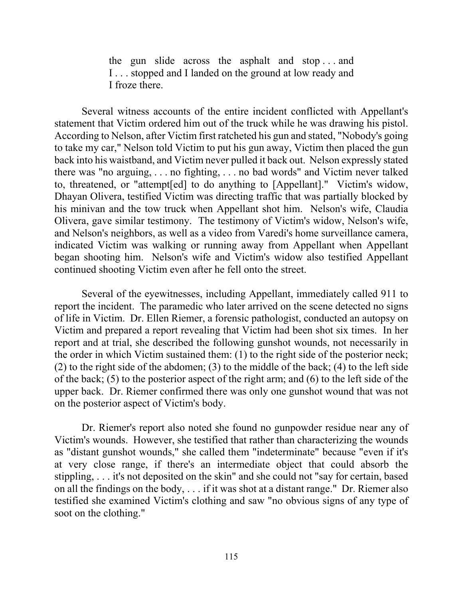the gun slide across the asphalt and stop . . . and I . . . stopped and I landed on the ground at low ready and I froze there.

 and Nelson's neighbors, as well as a video from Varedi's home surveillance camera, began shooting him. Nelson's wife and Victim's widow also testified Appellant Several witness accounts of the entire incident conflicted with Appellant's statement that Victim ordered him out of the truck while he was drawing his pistol. According to Nelson, after Victim first ratcheted his gun and stated, "Nobody's going to take my car," Nelson told Victim to put his gun away, Victim then placed the gun back into his waistband, and Victim never pulled it back out. Nelson expressly stated there was "no arguing, . . . no fighting, . . . no bad words" and Victim never talked to, threatened, or "attempt[ed] to do anything to [Appellant]." Victim's widow, Dhayan Olivera, testified Victim was directing traffic that was partially blocked by his minivan and the tow truck when Appellant shot him. Nelson's wife, Claudia Olivera, gave similar testimony. The testimony of Victim's widow, Nelson's wife, indicated Victim was walking or running away from Appellant when Appellant continued shooting Victim even after he fell onto the street.

 of life in Victim. Dr. Ellen Riemer, a forensic pathologist, conducted an autopsy on of the back; (5) to the posterior aspect of the right arm; and (6) to the left side of the Several of the eyewitnesses, including Appellant, immediately called 911 to report the incident. The paramedic who later arrived on the scene detected no signs Victim and prepared a report revealing that Victim had been shot six times. In her report and at trial, she described the following gunshot wounds, not necessarily in the order in which Victim sustained them: (1) to the right side of the posterior neck; (2) to the right side of the abdomen; (3) to the middle of the back; (4) to the left side upper back. Dr. Riemer confirmed there was only one gunshot wound that was not on the posterior aspect of Victim's body.

Dr. Riemer's report also noted she found no gunpowder residue near any of Victim's wounds. However, she testified that rather than characterizing the wounds as "distant gunshot wounds," she called them "indeterminate" because "even if it's at very close range, if there's an intermediate object that could absorb the stippling, . . . it's not deposited on the skin" and she could not "say for certain, based on all the findings on the body, . . . if it was shot at a distant range." Dr. Riemer also testified she examined Victim's clothing and saw "no obvious signs of any type of soot on the clothing."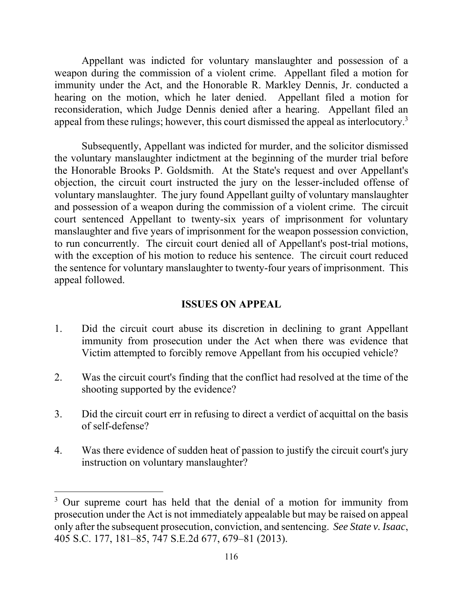weapon during the commission of a violent crime. Appellant filed a motion for reconsideration, which Judge Dennis denied after a hearing. Appellant filed an appeal from these rulings; however, this court dismissed the appeal as interlocutory.<sup>3</sup> Appellant was indicted for voluntary manslaughter and possession of a immunity under the Act, and the Honorable R. Markley Dennis, Jr. conducted a hearing on the motion, which he later denied. Appellant filed a motion for

Subsequently, Appellant was indicted for murder, and the solicitor dismissed the voluntary manslaughter indictment at the beginning of the murder trial before the Honorable Brooks P. Goldsmith. At the State's request and over Appellant's objection, the circuit court instructed the jury on the lesser-included offense of voluntary manslaughter. The jury found Appellant guilty of voluntary manslaughter and possession of a weapon during the commission of a violent crime. The circuit court sentenced Appellant to twenty-six years of imprisonment for voluntary manslaughter and five years of imprisonment for the weapon possession conviction, to run concurrently. The circuit court denied all of Appellant's post-trial motions, with the exception of his motion to reduce his sentence. The circuit court reduced the sentence for voluntary manslaughter to twenty-four years of imprisonment. This appeal followed.

# **ISSUES ON APPEAL**

- 1. Did the circuit court abuse its discretion in declining to grant Appellant immunity from prosecution under the Act when there was evidence that Victim attempted to forcibly remove Appellant from his occupied vehicle?
- 2. Was the circuit court's finding that the conflict had resolved at the time of the shooting supported by the evidence?
- 3. Did the circuit court err in refusing to direct a verdict of acquittal on the basis of self-defense?
- 4. Was there evidence of sudden heat of passion to justify the circuit court's jury instruction on voluntary manslaughter?

<sup>&</sup>lt;sup>3</sup> Our supreme court has held that the denial of a motion for immunity from prosecution under the Act is not immediately appealable but may be raised on appeal only after the subsequent prosecution, conviction, and sentencing. *See State v. Isaac*, 405 S.C. 177, 181–85, 747 S.E.2d 677, 679–81 (2013).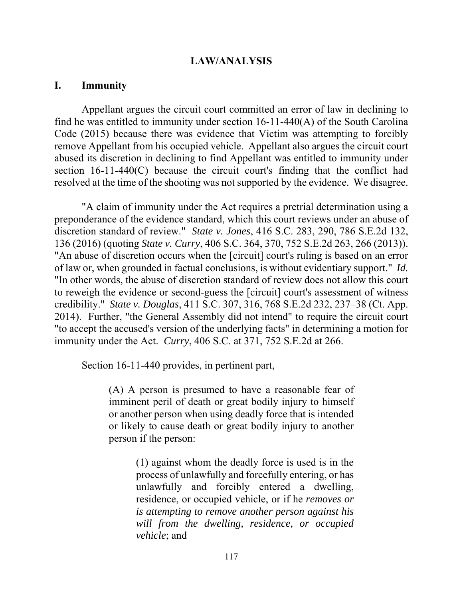### **LAW/ANALYSIS**

### **I. Immunity**

Appellant argues the circuit court committed an error of law in declining to find he was entitled to immunity under section 16-11-440(A) of the South Carolina Code (2015) because there was evidence that Victim was attempting to forcibly remove Appellant from his occupied vehicle. Appellant also argues the circuit court abused its discretion in declining to find Appellant was entitled to immunity under section 16-11-440(C) because the circuit court's finding that the conflict had resolved at the time of the shooting was not supported by the evidence. We disagree.

 136 (2016) (quoting *State v. Curry*, 406 S.C. 364, 370, 752 S.E.2d 263, 266 (2013)). "An abuse of discretion occurs when the [circuit] court's ruling is based on an error of law or, when grounded in factual conclusions, is without evidentiary support." *Id.*  credibility." *State v. Douglas*, 411 S.C. 307, 316, 768 S.E.2d 232, 237–38 (Ct. App. "A claim of immunity under the Act requires a pretrial determination using a preponderance of the evidence standard, which this court reviews under an abuse of discretion standard of review." *State v. Jones*, 416 S.C. 283, 290, 786 S.E.2d 132, "In other words, the abuse of discretion standard of review does not allow this court to reweigh the evidence or second-guess the [circuit] court's assessment of witness 2014). Further, "the General Assembly did not intend" to require the circuit court "to accept the accused's version of the underlying facts" in determining a motion for immunity under the Act. *Curry*, 406 S.C. at 371, 752 S.E.2d at 266.

Section 16-11-440 provides, in pertinent part,

(A) A person is presumed to have a reasonable fear of imminent peril of death or great bodily injury to himself or another person when using deadly force that is intended or likely to cause death or great bodily injury to another person if the person:

> (1) against whom the deadly force is used is in the process of unlawfully and forcefully entering, or has unlawfully and forcibly entered a dwelling, residence, or occupied vehicle, or if he *removes or is attempting to remove another person against his will from the dwelling, residence, or occupied vehicle*; and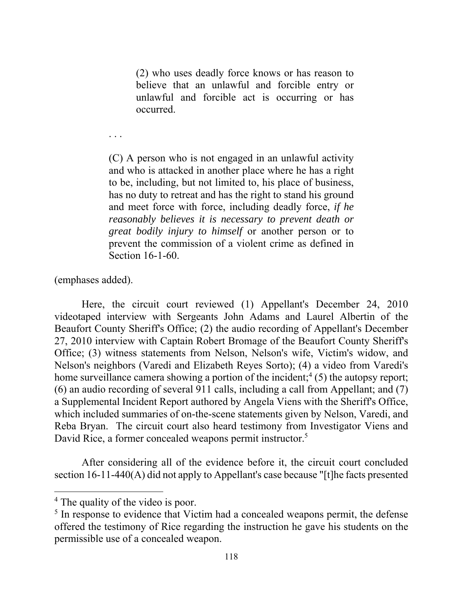(2) who uses deadly force knows or has reason to believe that an unlawful and forcible entry or unlawful and forcible act is occurring or has occurred.

(C) A person who is not engaged in an unlawful activity and who is attacked in another place where he has a right to be, including, but not limited to, his place of business, has no duty to retreat and has the right to stand his ground and meet force with force, including deadly force, *if he reasonably believes it is necessary to prevent death or great bodily injury to himself* or another person or to prevent the commission of a violent crime as defined in Section 16-1-60.

(emphases added).

. . .

David Rice, a former concealed weapons permit instructor.<sup>5</sup> Here, the circuit court reviewed (1) Appellant's December 24, 2010 videotaped interview with Sergeants John Adams and Laurel Albertin of the Beaufort County Sheriff's Office; (2) the audio recording of Appellant's December 27, 2010 interview with Captain Robert Bromage of the Beaufort County Sheriff's Office; (3) witness statements from Nelson, Nelson's wife, Victim's widow, and Nelson's neighbors (Varedi and Elizabeth Reyes Sorto); (4) a video from Varedi's home surveillance camera showing a portion of the incident;<sup>4</sup> (5) the autopsy report; (6) an audio recording of several 911 calls, including a call from Appellant; and (7) a Supplemental Incident Report authored by Angela Viens with the Sheriff's Office, which included summaries of on-the-scene statements given by Nelson, Varedi, and Reba Bryan. The circuit court also heard testimony from Investigator Viens and

 section 16-11-440(A) did not apply to Appellant's case because "[t]he facts presented After considering all of the evidence before it, the circuit court concluded

<sup>&</sup>lt;sup>4</sup> The quality of the video is poor.

<sup>&</sup>lt;sup>5</sup> In response to evidence that Victim had a concealed weapons permit, the defense offered the testimony of Rice regarding the instruction he gave his students on the permissible use of a concealed weapon.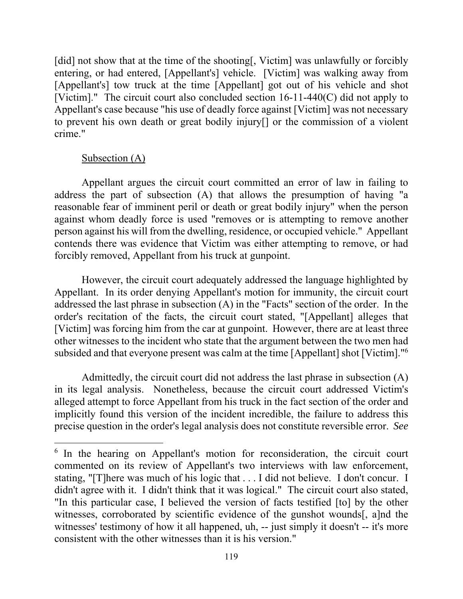to prevent his own death or great bodily injury[] or the commission of a violent [did] not show that at the time of the shooting[, Victim] was unlawfully or forcibly entering, or had entered, [Appellant's] vehicle. [Victim] was walking away from [Appellant's] tow truck at the time [Appellant] got out of his vehicle and shot [Victim]." The circuit court also concluded section  $16-11-440(C)$  did not apply to Appellant's case because "his use of deadly force against [Victim] was not necessary crime."

# Subsection (A)

 person against his will from the dwelling, residence, or occupied vehicle." Appellant Appellant argues the circuit court committed an error of law in failing to address the part of subsection (A) that allows the presumption of having "a reasonable fear of imminent peril or death or great bodily injury" when the person against whom deadly force is used "removes or is attempting to remove another contends there was evidence that Victim was either attempting to remove, or had forcibly removed, Appellant from his truck at gunpoint.

 Appellant. In its order denying Appellant's motion for immunity, the circuit court [Victim] was forcing him from the car at gunpoint. However, there are at least three subsided and that everyone present was calm at the time [Appellant] shot [Victim]."<sup>6</sup> However, the circuit court adequately addressed the language highlighted by addressed the last phrase in subsection (A) in the "Facts" section of the order. In the order's recitation of the facts, the circuit court stated, "[Appellant] alleges that other witnesses to the incident who state that the argument between the two men had

 in its legal analysis. Nonetheless, because the circuit court addressed Victim's alleged attempt to force Appellant from his truck in the fact section of the order and Admittedly, the circuit court did not address the last phrase in subsection (A) implicitly found this version of the incident incredible, the failure to address this precise question in the order's legal analysis does not constitute reversible error. *See* 

 stating, "[T]here was much of his logic that . . . I did not believe. I don't concur. I witnesses' testimony of how it all happened, uh, -- just simply it doesn't -- it's more <sup>6</sup> In the hearing on Appellant's motion for reconsideration, the circuit court commented on its review of Appellant's two interviews with law enforcement, didn't agree with it. I didn't think that it was logical." The circuit court also stated, "In this particular case, I believed the version of facts testified [to] by the other witnesses, corroborated by scientific evidence of the gunshot wounds[, a]nd the consistent with the other witnesses than it is his version."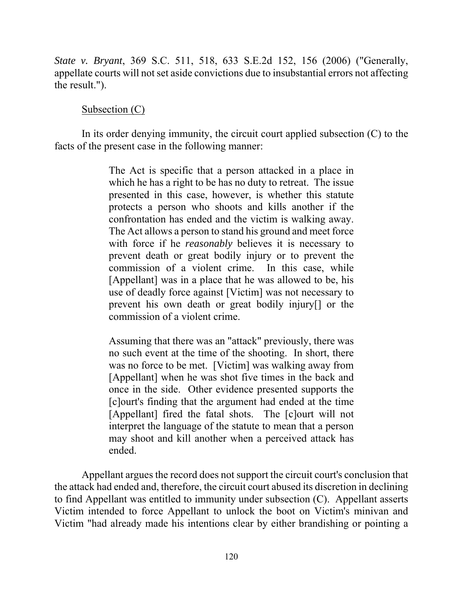*State v. Bryant*, 369 S.C. 511, 518, 633 S.E.2d 152, 156 (2006) ("Generally, appellate courts will not set aside convictions due to insubstantial errors not affecting the result.").

# Subsection (C)

In its order denying immunity, the circuit court applied subsection (C) to the facts of the present case in the following manner:

> The Act is specific that a person attacked in a place in confrontation has ended and the victim is walking away. The Act allows a person to stand his ground and meet force with force if he *reasonably* believes it is necessary to which he has a right to be has no duty to retreat. The issue presented in this case, however, is whether this statute protects a person who shoots and kills another if the prevent death or great bodily injury or to prevent the commission of a violent crime. In this case, while [Appellant] was in a place that he was allowed to be, his use of deadly force against [Victim] was not necessary to prevent his own death or great bodily injury[] or the commission of a violent crime.

> Assuming that there was an "attack" previously, there was no such event at the time of the shooting. In short, there was no force to be met. [Victim] was walking away from [Appellant] when he was shot five times in the back and once in the side. Other evidence presented supports the [c]ourt's finding that the argument had ended at the time [Appellant] fired the fatal shots. The [c]ourt will not interpret the language of the statute to mean that a person may shoot and kill another when a perceived attack has ended.

 the attack had ended and, therefore, the circuit court abused its discretion in declining to find Appellant was entitled to immunity under subsection (C). Appellant asserts Appellant argues the record does not support the circuit court's conclusion that Victim intended to force Appellant to unlock the boot on Victim's minivan and Victim "had already made his intentions clear by either brandishing or pointing a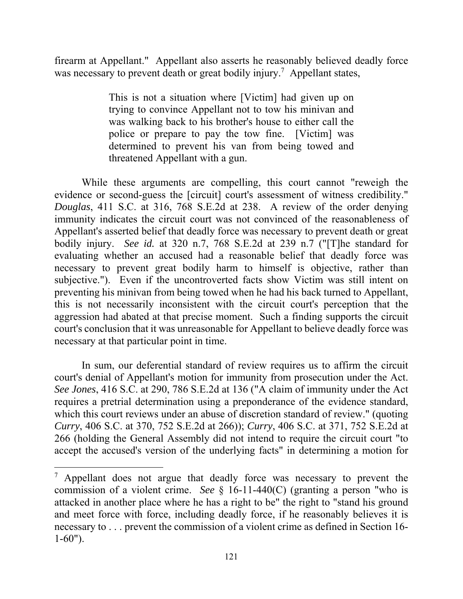firearm at Appellant." Appellant also asserts he reasonably believed deadly force was necessary to prevent death or great bodily injury.<sup>7</sup> Appellant states,

> This is not a situation where [Victim] had given up on trying to convince Appellant not to tow his minivan and was walking back to his brother's house to either call the police or prepare to pay the tow fine. [Victim] was determined to prevent his van from being towed and threatened Appellant with a gun.

 *Douglas*, 411 S.C. at 316, 768 S.E.2d at 238. A review of the order denying bodily injury. *See id.* at 320 n.7, 768 S.E.2d at 239 n.7 ("[T]he standard for While these arguments are compelling, this court cannot "reweigh the evidence or second-guess the [circuit] court's assessment of witness credibility." immunity indicates the circuit court was not convinced of the reasonableness of Appellant's asserted belief that deadly force was necessary to prevent death or great evaluating whether an accused had a reasonable belief that deadly force was necessary to prevent great bodily harm to himself is objective, rather than subjective."). Even if the uncontroverted facts show Victim was still intent on preventing his minivan from being towed when he had his back turned to Appellant, this is not necessarily inconsistent with the circuit court's perception that the aggression had abated at that precise moment. Such a finding supports the circuit court's conclusion that it was unreasonable for Appellant to believe deadly force was necessary at that particular point in time.

 266 (holding the General Assembly did not intend to require the circuit court "to In sum, our deferential standard of review requires us to affirm the circuit court's denial of Appellant's motion for immunity from prosecution under the Act. *See Jones*, 416 S.C. at 290, 786 S.E.2d at 136 ("A claim of immunity under the Act requires a pretrial determination using a preponderance of the evidence standard, which this court reviews under an abuse of discretion standard of review." (quoting *Curry*, 406 S.C. at 370, 752 S.E.2d at 266)); *Curry*, 406 S.C. at 371, 752 S.E.2d at accept the accused's version of the underlying facts" in determining a motion for

 commission of a violent crime. *See* § 16-11-440(C) (granting a person "who is  $\frac{7}{7}$  Appellant does not argue that deadly force was necessary to prevent the attacked in another place where he has a right to be" the right to "stand his ground and meet force with force, including deadly force, if he reasonably believes it is necessary to . . . prevent the commission of a violent crime as defined in Section 16- 1-60").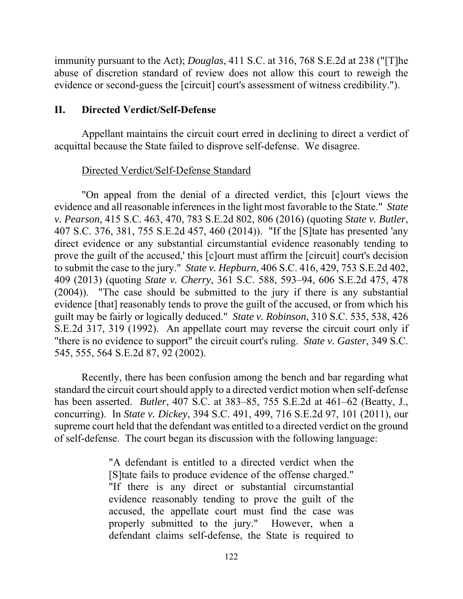evidence or second-guess the [circuit] court's assessment of witness credibility."). immunity pursuant to the Act); *Douglas*, 411 S.C. at 316, 768 S.E.2d at 238 ("[T]he abuse of discretion standard of review does not allow this court to reweigh the

# **II. Directed Verdict/Self-Defense**

Appellant maintains the circuit court erred in declining to direct a verdict of acquittal because the State failed to disprove self-defense. We disagree.

# Directed Verdict/Self-Defense Standard

"On appeal from the denial of a directed verdict, this [c]ourt views the evidence and all reasonable inferences in the light most favorable to the State." *State v. Pearson*, 415 S.C. 463, 470, 783 S.E.2d 802, 806 (2016) (quoting *State v. Butler*, 407 S.C. 376, 381, 755 S.E.2d 457, 460 (2014)). "If the [S]tate has presented 'any direct evidence or any substantial circumstantial evidence reasonably tending to prove the guilt of the accused,' this [c]ourt must affirm the [circuit] court's decision to submit the case to the jury." *State v. Hepburn*, 406 S.C. 416, 429, 753 S.E.2d 402, 409 (2013) (quoting *State v. Cherry*, 361 S.C. 588, 593–94, 606 S.E.2d 475, 478 (2004)). "The case should be submitted to the jury if there is any substantial evidence [that] reasonably tends to prove the guilt of the accused, or from which his guilt may be fairly or logically deduced." *State v. Robinson*, 310 S.C. 535, 538, 426 S.E.2d 317, 319 (1992). An appellate court may reverse the circuit court only if "there is no evidence to support" the circuit court's ruling. *State v. Gaster*, 349 S.C. 545, 555, 564 S.E.2d 87, 92 (2002).

Recently, there has been confusion among the bench and bar regarding what standard the circuit court should apply to a directed verdict motion when self-defense has been asserted. *Butler*, 407 S.C. at 383–85, 755 S.E.2d at 461–62 (Beatty, J., concurring). In *State v. Dickey*, 394 S.C. 491, 499, 716 S.E.2d 97, 101 (2011), our supreme court held that the defendant was entitled to a directed verdict on the ground of self-defense. The court began its discussion with the following language:

> "A defendant is entitled to a directed verdict when the [S]tate fails to produce evidence of the offense charged." "If there is any direct or substantial circumstantial evidence reasonably tending to prove the guilt of the accused, the appellate court must find the case was properly submitted to the jury." However, when a defendant claims self-defense, the State is required to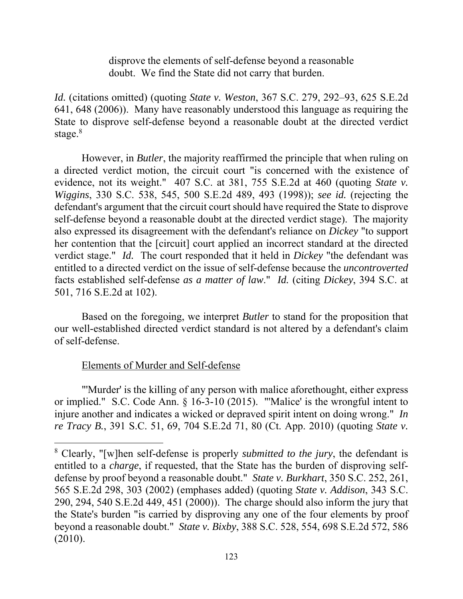disprove the elements of self-defense beyond a reasonable doubt. We find the State did not carry that burden.

stage. $8$ *Id.* (citations omitted) (quoting *State v. Weston*, 367 S.C. 279, 292–93, 625 S.E.2d 641, 648 (2006)). Many have reasonably understood this language as requiring the State to disprove self-defense beyond a reasonable doubt at the directed verdict

 self-defense beyond a reasonable doubt at the directed verdict stage). The majority verdict stage." *Id.* The court responded that it held in *Dickey* "the defendant was However, in *Butler*, the majority reaffirmed the principle that when ruling on a directed verdict motion, the circuit court "is concerned with the existence of evidence, not its weight." 407 S.C. at 381, 755 S.E.2d at 460 (quoting *State v. Wiggins*, 330 S.C. 538, 545, 500 S.E.2d 489, 493 (1998)); *see id.* (rejecting the defendant's argument that the circuit court should have required the State to disprove also expressed its disagreement with the defendant's reliance on *Dickey* "to support her contention that the [circuit] court applied an incorrect standard at the directed entitled to a directed verdict on the issue of self-defense because the *uncontroverted*  facts established self-defense *as a matter of law*." *Id.* (citing *Dickey*, 394 S.C. at 501, 716 S.E.2d at 102).

Based on the foregoing, we interpret *Butler* to stand for the proposition that our well-established directed verdict standard is not altered by a defendant's claim of self-defense.

# Elements of Murder and Self-defense

 or implied." S.C. Code Ann. § 16-3-10 (2015). "'Malice' is the wrongful intent to "'Murder' is the killing of any person with malice aforethought, either express injure another and indicates a wicked or depraved spirit intent on doing wrong." *In re Tracy B.*, 391 S.C. 51, 69, 704 S.E.2d 71, 80 (Ct. App. 2010) (quoting *State v.* 

<sup>8</sup> Clearly, "[w]hen self-defense is properly *submitted to the jury*, the defendant is entitled to a *charge*, if requested, that the State has the burden of disproving selfdefense by proof beyond a reasonable doubt." *State v. Burkhart*, 350 S.C. 252, 261, 565 S.E.2d 298, 303 (2002) (emphases added) (quoting *State v. Addison*, 343 S.C. 290, 294, 540 S.E.2d 449, 451 (2000)). The charge should also inform the jury that the State's burden "is carried by disproving any one of the four elements by proof beyond a reasonable doubt." *State v. Bixby*, 388 S.C. 528, 554, 698 S.E.2d 572, 586 (2010).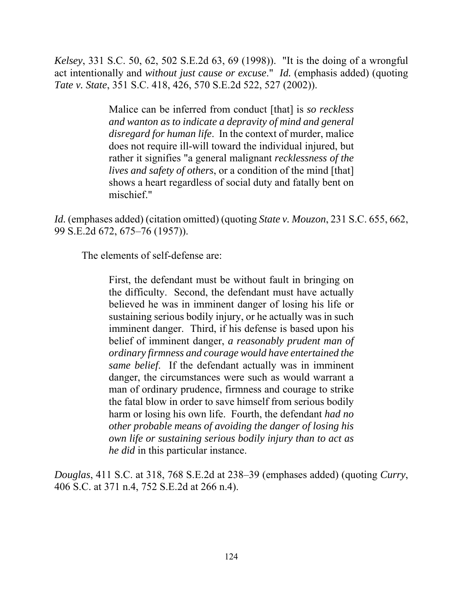*Kelsey*, 331 S.C. 50, 62, 502 S.E.2d 63, 69 (1998)). "It is the doing of a wrongful act intentionally and *without just cause or excuse*." *Id.* (emphasis added) (quoting *Tate v. State*, 351 S.C. 418, 426, 570 S.E.2d 522, 527 (2002)).

> Malice can be inferred from conduct [that] is *so reckless and wanton as to indicate a depravity of mind and general disregard for human life*. In the context of murder, malice does not require ill-will toward the individual injured, but rather it signifies "a general malignant *recklessness of the lives and safety of others*, or a condition of the mind [that] shows a heart regardless of social duty and fatally bent on mischief."

*Id.* (emphases added) (citation omitted) (quoting *State v. Mouzon*, 231 S.C. 655, 662, 99 S.E.2d 672, 675–76 (1957)).

The elements of self-defense are:

 sustaining serious bodily injury, or he actually was in such imminent danger. Third, if his defense is based upon his First, the defendant must be without fault in bringing on the difficulty. Second, the defendant must have actually believed he was in imminent danger of losing his life or belief of imminent danger, *a reasonably prudent man of ordinary firmness and courage would have entertained the same belief*. If the defendant actually was in imminent danger, the circumstances were such as would warrant a man of ordinary prudence, firmness and courage to strike the fatal blow in order to save himself from serious bodily harm or losing his own life. Fourth, the defendant *had no other probable means of avoiding the danger of losing his own life or sustaining serious bodily injury than to act as he did* in this particular instance.

*Douglas*, 411 S.C. at 318, 768 S.E.2d at 238–39 (emphases added) (quoting *Curry*, 406 S.C. at 371 n.4, 752 S.E.2d at 266 n.4).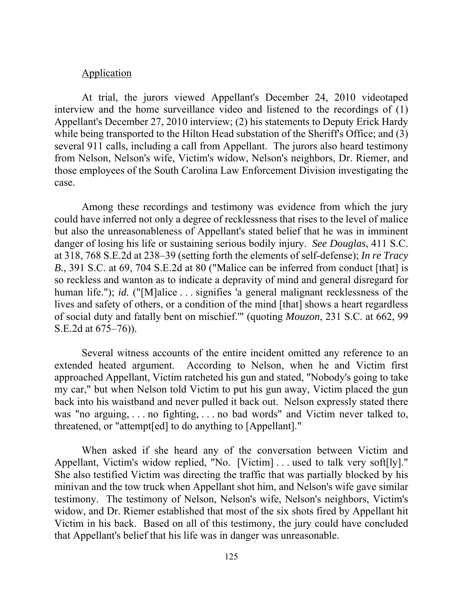#### **Application**

At trial, the jurors viewed Appellant's December 24, 2010 videotaped interview and the home surveillance video and listened to the recordings of (1) Appellant's December 27, 2010 interview; (2) his statements to Deputy Erick Hardy while being transported to the Hilton Head substation of the Sheriff's Office; and (3) several 911 calls, including a call from Appellant. The jurors also heard testimony from Nelson, Nelson's wife, Victim's widow, Nelson's neighbors, Dr. Riemer, and those employees of the South Carolina Law Enforcement Division investigating the case.

 could have inferred not only a degree of recklessness that rises to the level of malice but also the unreasonableness of Appellant's stated belief that he was in imminent Among these recordings and testimony was evidence from which the jury danger of losing his life or sustaining serious bodily injury. *See Douglas*, 411 S.C. at 318, 768 S.E.2d at 238–39 (setting forth the elements of self-defense); *In re Tracy B.*, 391 S.C. at 69, 704 S.E.2d at 80 ("Malice can be inferred from conduct [that] is so reckless and wanton as to indicate a depravity of mind and general disregard for human life."); *id.* ("[M]alice ... signifies 'a general malignant recklessness of the lives and safety of others, or a condition of the mind [that] shows a heart regardless of social duty and fatally bent on mischief.'" (quoting *Mouzon*, 231 S.C. at 662, 99 S.E.2d at 675–76)).

Several witness accounts of the entire incident omitted any reference to an extended heated argument. According to Nelson, when he and Victim first approached Appellant, Victim ratcheted his gun and stated, "Nobody's going to take my car," but when Nelson told Victim to put his gun away, Victim placed the gun back into his waistband and never pulled it back out. Nelson expressly stated there was "no arguing, . . . no fighting, . . . no bad words" and Victim never talked to, threatened, or "attempt[ed] to do anything to [Appellant]."

Appellant, Victim's widow replied, "No. [Victim]...used to talk very soft[ly]."<br>She also testified Victim was directing the traffic that was partially blocked by his She also testified Victim was directing the traffic that was partially blocked by his When asked if she heard any of the conversation between Victim and minivan and the tow truck when Appellant shot him, and Nelson's wife gave similar testimony. The testimony of Nelson, Nelson's wife, Nelson's neighbors, Victim's widow, and Dr. Riemer established that most of the six shots fired by Appellant hit Victim in his back. Based on all of this testimony, the jury could have concluded that Appellant's belief that his life was in danger was unreasonable.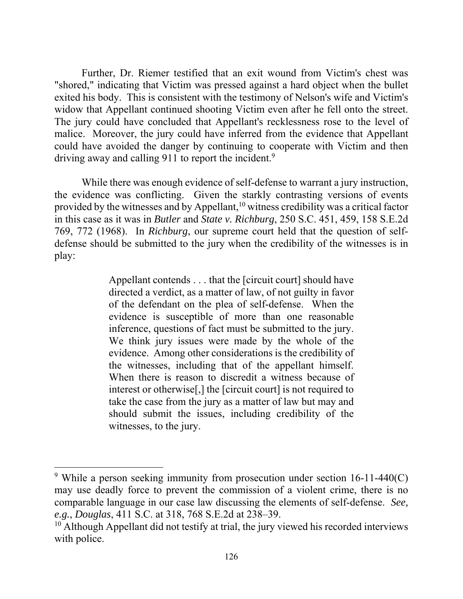could have avoided the danger by continuing to cooperate with Victim and then Further, Dr. Riemer testified that an exit wound from Victim's chest was "shored," indicating that Victim was pressed against a hard object when the bullet exited his body. This is consistent with the testimony of Nelson's wife and Victim's widow that Appellant continued shooting Victim even after he fell onto the street. The jury could have concluded that Appellant's recklessness rose to the level of malice. Moreover, the jury could have inferred from the evidence that Appellant driving away and calling 911 to report the incident.<sup>9</sup>

 defense should be submitted to the jury when the credibility of the witnesses is in While there was enough evidence of self-defense to warrant a jury instruction, the evidence was conflicting. Given the starkly contrasting versions of events provided by the witnesses and by Appellant,<sup>10</sup> witness credibility was a critical factor in this case as it was in *Butler* and *State v. Richburg*, 250 S.C. 451, 459, 158 S.E.2d 769, 772 (1968). In *Richburg*, our supreme court held that the question of selfplay:

> Appellant contends . . . that the [circuit court] should have directed a verdict, as a matter of law, of not guilty in favor witnesses, to the jury. of the defendant on the plea of self-defense. When the evidence is susceptible of more than one reasonable inference, questions of fact must be submitted to the jury. We think jury issues were made by the whole of the evidence. Among other considerations is the credibility of the witnesses, including that of the appellant himself. When there is reason to discredit a witness because of interest or otherwise[,] the [circuit court] is not required to take the case from the jury as a matter of law but may and should submit the issues, including credibility of the

witnesses, to the jury.<br><sup>9</sup> While a person seeking immunity from prosecution under section 16-11-440(C) may use deadly force to prevent the commission of a violent crime, there is no comparable language in our case law discussing the elements of self-defense. *See, e.g.*, *Douglas*, 411 S.C. at 318, 768 S.E.2d at 238–39.

 $10$  Although Appellant did not testify at trial, the jury viewed his recorded interviews with police.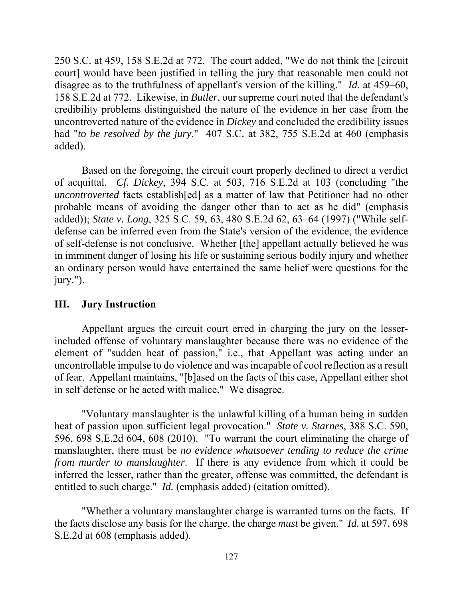250 S.C. at 459, 158 S.E.2d at 772. The court added, "We do not think the [circuit uncontroverted nature of the evidence in *Dickey* and concluded the credibility issues court] would have been justified in telling the jury that reasonable men could not disagree as to the truthfulness of appellant's version of the killing." *Id.* at 459–60, 158 S.E.2d at 772. Likewise, in *Butler*, our supreme court noted that the defendant's credibility problems distinguished the nature of the evidence in her case from the had "*to be resolved by the jury*." 407 S.C. at 382, 755 S.E.2d at 460 (emphasis added).

 *uncontroverted* facts establish[ed] as a matter of law that Petitioner had no other Based on the foregoing, the circuit court properly declined to direct a verdict of acquittal. *Cf. Dickey*, 394 S.C. at 503, 716 S.E.2d at 103 (concluding "the probable means of avoiding the danger other than to act as he did" (emphasis added)); *State v. Long*, 325 S.C. 59, 63, 480 S.E.2d 62, 63–64 (1997) ("While selfdefense can be inferred even from the State's version of the evidence, the evidence of self-defense is not conclusive. Whether [the] appellant actually believed he was in imminent danger of losing his life or sustaining serious bodily injury and whether an ordinary person would have entertained the same belief were questions for the jury.").

# **III. Jury Instruction**

 uncontrollable impulse to do violence and was incapable of cool reflection as a result Appellant argues the circuit court erred in charging the jury on the lesserincluded offense of voluntary manslaughter because there was no evidence of the element of "sudden heat of passion," i.e., that Appellant was acting under an of fear. Appellant maintains, "[b]ased on the facts of this case, Appellant either shot in self defense or he acted with malice." We disagree.

"Voluntary manslaughter is the unlawful killing of a human being in sudden heat of passion upon sufficient legal provocation." *State v. Starnes*, 388 S.C. 590, 596, 698 S.E.2d 604, 608 (2010). "To warrant the court eliminating the charge of manslaughter, there must be *no evidence whatsoever tending to reduce the crime from murder to manslaughter*. If there is any evidence from which it could be inferred the lesser, rather than the greater, offense was committed, the defendant is entitled to such charge." *Id.* (emphasis added) (citation omitted).

 the facts disclose any basis for the charge, the charge *must* be given." *Id.* at 597, 698 "Whether a voluntary manslaughter charge is warranted turns on the facts. If S.E.2d at 608 (emphasis added).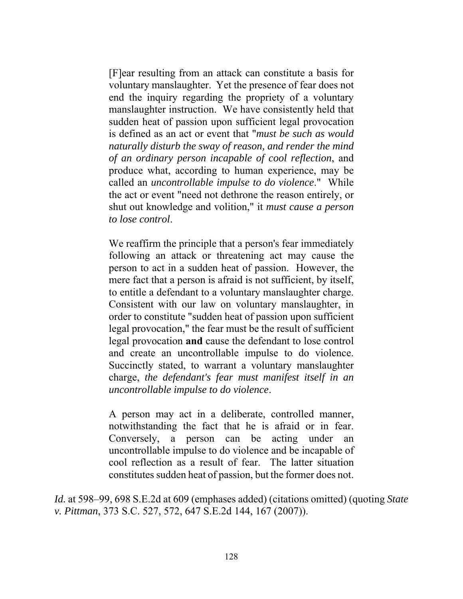[F]ear resulting from an attack can constitute a basis for voluntary manslaughter. Yet the presence of fear does not end the inquiry regarding the propriety of a voluntary manslaughter instruction. We have consistently held that sudden heat of passion upon sufficient legal provocation is defined as an act or event that "*must be such as would naturally disturb the sway of reason, and render the mind of an ordinary person incapable of cool reflection*, and produce what, according to human experience, may be called an *uncontrollable impulse to do violence*." While the act or event "need not dethrone the reason entirely, or shut out knowledge and volition," it *must cause a person to lose control*.

 We reaffirm the principle that a person's fear immediately and create an uncontrollable impulse to do violence. Succinctly stated, to warrant a voluntary manslaughter Succinctly stated, to warrant a voluntary manslaughter following an attack or threatening act may cause the person to act in a sudden heat of passion. However, the mere fact that a person is afraid is not sufficient, by itself, to entitle a defendant to a voluntary manslaughter charge. Consistent with our law on voluntary manslaughter, in order to constitute "sudden heat of passion upon sufficient legal provocation," the fear must be the result of sufficient legal provocation **and** cause the defendant to lose control charge, *the defendant's fear must manifest itself in an uncontrollable impulse to do violence*.

 constitutes sudden heat of passion, but the former does not. A person may act in a deliberate, controlled manner, notwithstanding the fact that he is afraid or in fear. Conversely, a person can be acting under an uncontrollable impulse to do violence and be incapable of cool reflection as a result of fear. The latter situation

*Id.* at 598–99, 698 S.E.2d at 609 (emphases added) (citations omitted) (quoting *State v. Pittman*, 373 S.C. 527, 572, 647 S.E.2d 144, 167 (2007)).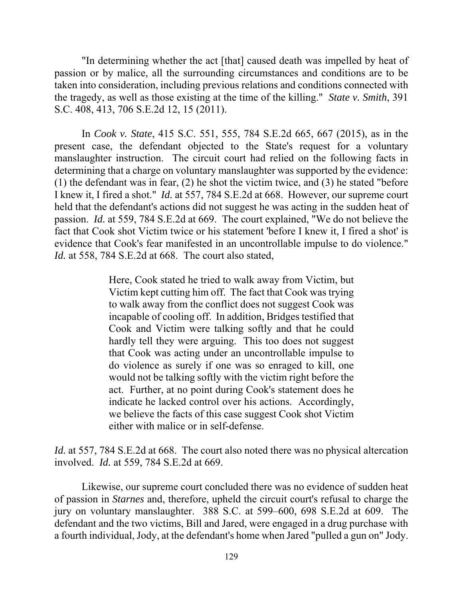"In determining whether the act [that] caused death was impelled by heat of passion or by malice, all the surrounding circumstances and conditions are to be taken into consideration, including previous relations and conditions connected with the tragedy, as well as those existing at the time of the killing." *State v. Smith*, 391 S.C. 408, 413, 706 S.E.2d 12, 15 (2011).

 present case, the defendant objected to the State's request for a voluntary I knew it, I fired a shot." *Id.* at 557, 784 S.E.2d at 668. However, our supreme court fact that Cook shot Victim twice or his statement 'before I knew it, I fired a shot' is In *Cook v. State*, 415 S.C. 551, 555, 784 S.E.2d 665, 667 (2015), as in the manslaughter instruction. The circuit court had relied on the following facts in determining that a charge on voluntary manslaughter was supported by the evidence: (1) the defendant was in fear, (2) he shot the victim twice, and (3) he stated "before held that the defendant's actions did not suggest he was acting in the sudden heat of passion. *Id.* at 559, 784 S.E.2d at 669. The court explained, "We do not believe the evidence that Cook's fear manifested in an uncontrollable impulse to do violence." *Id.* at 558, 784 S.E.2d at 668. The court also stated,

> Victim kept cutting him off. The fact that Cook was trying Here, Cook stated he tried to walk away from Victim, but to walk away from the conflict does not suggest Cook was incapable of cooling off. In addition, Bridges testified that Cook and Victim were talking softly and that he could hardly tell they were arguing. This too does not suggest that Cook was acting under an uncontrollable impulse to do violence as surely if one was so enraged to kill, one would not be talking softly with the victim right before the act. Further, at no point during Cook's statement does he indicate he lacked control over his actions. Accordingly, we believe the facts of this case suggest Cook shot Victim either with malice or in self-defense.

*Id.* at 557, 784 S.E.2d at 668. The court also noted there was no physical altercation involved. *Id.* at 559, 784 S.E.2d at 669.

 a fourth individual, Jody, at the defendant's home when Jared "pulled a gun on" Jody. 129 Likewise, our supreme court concluded there was no evidence of sudden heat of passion in *Starnes* and, therefore, upheld the circuit court's refusal to charge the jury on voluntary manslaughter. 388 S.C. at 599–600, 698 S.E.2d at 609. The defendant and the two victims, Bill and Jared, were engaged in a drug purchase with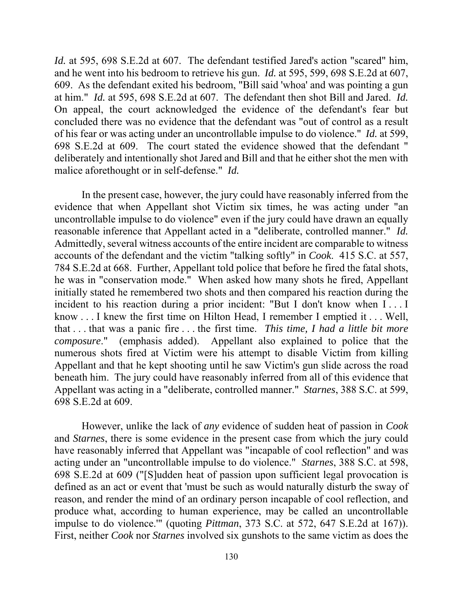and he went into his bedroom to retrieve his gun. *Id.* at 595, 599, 698 S.E.2d at 607, at him." *Id.* at 595, 698 S.E.2d at 607. The defendant then shot Bill and Jared. *Id.*  concluded there was no evidence that the defendant was "out of control as a result of his fear or was acting under an uncontrollable impulse to do violence." *Id.* at 599, malice aforethought or in self-defense." *Id. Id.* at 595, 698 S.E.2d at 607. The defendant testified Jared's action "scared" him, 609. As the defendant exited his bedroom, "Bill said 'whoa' and was pointing a gun On appeal, the court acknowledged the evidence of the defendant's fear but 698 S.E.2d at 609. The court stated the evidence showed that the defendant " deliberately and intentionally shot Jared and Bill and that he either shot the men with

 reasonable inference that Appellant acted in a "deliberate, controlled manner." *Id.*  know . . . I knew the first time on Hilton Head, I remember I emptied it . . . Well, In the present case, however, the jury could have reasonably inferred from the evidence that when Appellant shot Victim six times, he was acting under "an uncontrollable impulse to do violence" even if the jury could have drawn an equally Admittedly, several witness accounts of the entire incident are comparable to witness accounts of the defendant and the victim "talking softly" in *Cook*. 415 S.C. at 557, 784 S.E.2d at 668. Further, Appellant told police that before he fired the fatal shots, he was in "conservation mode." When asked how many shots he fired, Appellant initially stated he remembered two shots and then compared his reaction during the incident to his reaction during a prior incident: "But I don't know when I . . . I that . . . that was a panic fire . . . the first time. *This time, I had a little bit more composure*." (emphasis added). Appellant also explained to police that the numerous shots fired at Victim were his attempt to disable Victim from killing Appellant and that he kept shooting until he saw Victim's gun slide across the road beneath him. The jury could have reasonably inferred from all of this evidence that Appellant was acting in a "deliberate, controlled manner." *Starnes*, 388 S.C. at 599, 698 S.E.2d at 609.

However, unlike the lack of *any* evidence of sudden heat of passion in *Cook*  and *Starnes*, there is some evidence in the present case from which the jury could have reasonably inferred that Appellant was "incapable of cool reflection" and was acting under an "uncontrollable impulse to do violence." *Starnes*, 388 S.C. at 598, 698 S.E.2d at 609 ("[S]udden heat of passion upon sufficient legal provocation is defined as an act or event that 'must be such as would naturally disturb the sway of reason, and render the mind of an ordinary person incapable of cool reflection, and produce what, according to human experience, may be called an uncontrollable impulse to do violence.'" (quoting *Pittman*, 373 S.C. at 572, 647 S.E.2d at 167)). First, neither *Cook* nor *Starnes* involved six gunshots to the same victim as does the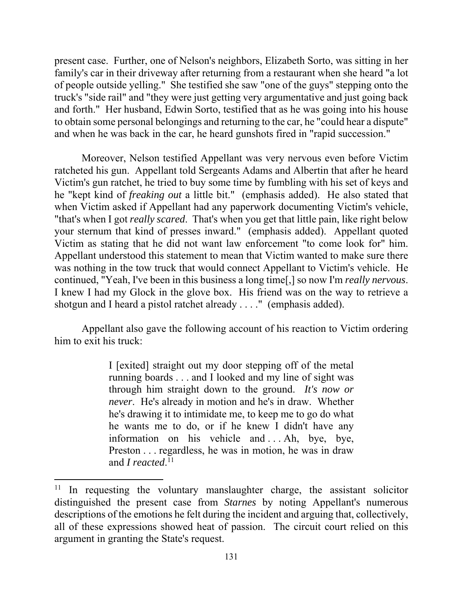family's car in their driveway after returning from a restaurant when she heard "a lot of people outside yelling." She testified she saw "one of the guys" stepping onto the and forth." Her husband, Edwin Sorto, testified that as he was going into his house present case. Further, one of Nelson's neighbors, Elizabeth Sorto, was sitting in her truck's "side rail" and "they were just getting very argumentative and just going back to obtain some personal belongings and returning to the car, he "could hear a dispute" and when he was back in the car, he heard gunshots fired in "rapid succession."

 he "kept kind of *freaking out* a little bit." (emphasis added). He also stated that Moreover, Nelson testified Appellant was very nervous even before Victim ratcheted his gun. Appellant told Sergeants Adams and Albertin that after he heard Victim's gun ratchet, he tried to buy some time by fumbling with his set of keys and when Victim asked if Appellant had any paperwork documenting Victim's vehicle, "that's when I got *really scared*. That's when you get that little pain, like right below your sternum that kind of presses inward." (emphasis added). Appellant quoted Victim as stating that he did not want law enforcement "to come look for" him. Appellant understood this statement to mean that Victim wanted to make sure there was nothing in the tow truck that would connect Appellant to Victim's vehicle. He continued, "Yeah, I've been in this business a long time[,] so now I'm *really nervous*. I knew I had my Glock in the glove box. His friend was on the way to retrieve a shotgun and I heard a pistol ratchet already . . . ." (emphasis added).

Appellant also gave the following account of his reaction to Victim ordering him to exit his truck:

> *never*. He's already in motion and he's in draw. Whether Preston . . . regardless, he was in motion, he was in draw I [exited] straight out my door stepping off of the metal running boards . . . and I looked and my line of sight was through him straight down to the ground. *It's now or*  he's drawing it to intimidate me, to keep me to go do what he wants me to do, or if he knew I didn't have any information on his vehicle and ... Ah, bye, bye, and *I reacted*.<sup>11</sup>

<sup>&</sup>lt;sup>11</sup> In requesting the voluntary manslaughter charge, the assistant solicitor distinguished the present case from *Starnes* by noting Appellant's numerous descriptions of the emotions he felt during the incident and arguing that, collectively, all of these expressions showed heat of passion. The circuit court relied on this argument in granting the State's request.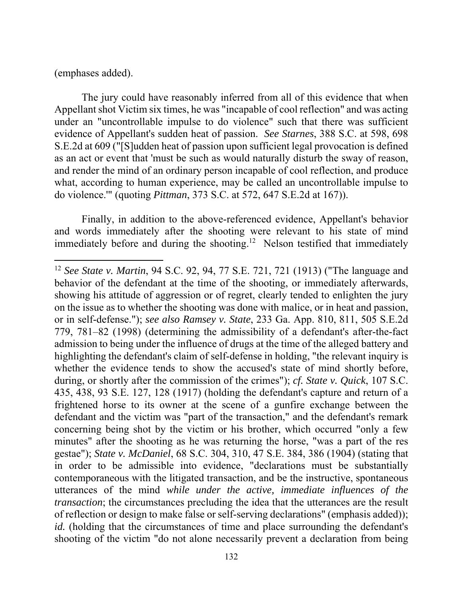(emphases added).

The jury could have reasonably inferred from all of this evidence that when Appellant shot Victim six times, he was "incapable of cool reflection" and was acting under an "uncontrollable impulse to do violence" such that there was sufficient evidence of Appellant's sudden heat of passion. *See Starnes*, 388 S.C. at 598, 698 S.E.2d at 609 ("[S]udden heat of passion upon sufficient legal provocation is defined as an act or event that 'must be such as would naturally disturb the sway of reason, and render the mind of an ordinary person incapable of cool reflection, and produce what, according to human experience, may be called an uncontrollable impulse to do violence.'" (quoting *Pittman*, 373 S.C. at 572, 647 S.E.2d at 167)).

immediately before and during the shooting.<sup>12</sup> Nelson testified that immediately Finally, in addition to the above-referenced evidence, Appellant's behavior and words immediately after the shooting were relevant to his state of mind

 showing his attitude of aggression or of regret, clearly tended to enlighten the jury defendant and the victim was "part of the transaction," and the defendant's remark minutes" after the shooting as he was returning the horse, "was a part of the res <sup>12</sup>*See State v. Martin*, 94 S.C. 92, 94, 77 S.E. 721, 721 (1913) ("The language and behavior of the defendant at the time of the shooting, or immediately afterwards, on the issue as to whether the shooting was done with malice, or in heat and passion, or in self-defense."); *see also Ramsey v. State*, 233 Ga. App. 810, 811, 505 S.E.2d 779, 781–82 (1998) (determining the admissibility of a defendant's after-the-fact admission to being under the influence of drugs at the time of the alleged battery and highlighting the defendant's claim of self-defense in holding, "the relevant inquiry is whether the evidence tends to show the accused's state of mind shortly before, during, or shortly after the commission of the crimes"); *cf. State v. Quick*, 107 S.C. 435, 438, 93 S.E. 127, 128 (1917) (holding the defendant's capture and return of a frightened horse to its owner at the scene of a gunfire exchange between the concerning being shot by the victim or his brother, which occurred "only a few gestae"); *State v. McDaniel*, 68 S.C. 304, 310, 47 S.E. 384, 386 (1904) (stating that in order to be admissible into evidence, "declarations must be substantially contemporaneous with the litigated transaction, and be the instructive, spontaneous utterances of the mind *while under the active, immediate influences of the transaction*; the circumstances precluding the idea that the utterances are the result of reflection or design to make false or self-serving declarations" (emphasis added)); *id.* (holding that the circumstances of time and place surrounding the defendant's shooting of the victim "do not alone necessarily prevent a declaration from being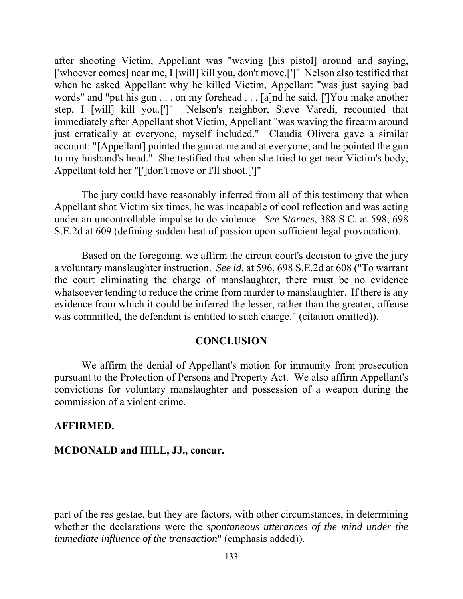after shooting Victim, Appellant was "waving [his pistol] around and saying, ['whoever comes] near me, I [will] kill you, don't move.[']" Nelson also testified that when he asked Appellant why he killed Victim, Appellant "was just saying bad words" and "put his gun . . . on my forehead . . . [a]nd he said, [']You make another step, I [will] kill you.[']" Nelson's neighbor, Steve Varedi, recounted that immediately after Appellant shot Victim, Appellant "was waving the firearm around just erratically at everyone, myself included." Claudia Olivera gave a similar account: "[Appellant] pointed the gun at me and at everyone, and he pointed the gun to my husband's head." She testified that when she tried to get near Victim's body, Appellant told her "[']don't move or I'll shoot.[']"

The jury could have reasonably inferred from all of this testimony that when Appellant shot Victim six times, he was incapable of cool reflection and was acting under an uncontrollable impulse to do violence. *See Starnes*, 388 S.C. at 598, 698 S.E.2d at 609 (defining sudden heat of passion upon sufficient legal provocation).

Based on the foregoing, we affirm the circuit court's decision to give the jury a voluntary manslaughter instruction. *See id.* at 596, 698 S.E.2d at 608 ("To warrant the court eliminating the charge of manslaughter, there must be no evidence whatsoever tending to reduce the crime from murder to manslaughter. If there is any evidence from which it could be inferred the lesser, rather than the greater, offense was committed, the defendant is entitled to such charge." (citation omitted)).

#### **CONCLUSION**

We affirm the denial of Appellant's motion for immunity from prosecution pursuant to the Protection of Persons and Property Act. We also affirm Appellant's convictions for voluntary manslaughter and possession of a weapon during the commission of a violent crime.

#### **AFFIRMED.**

### **MCDONALD and HILL, JJ., concur.**

part of the res gestae, but they are factors, with other circumstances, in determining whether the declarations were the *spontaneous utterances of the mind under the immediate influence of the transaction*" (emphasis added)).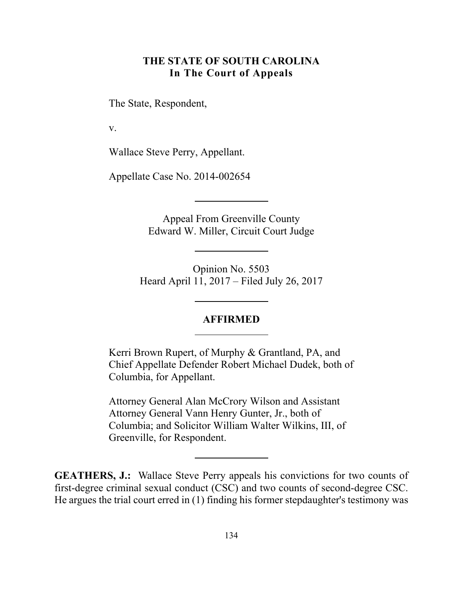# **THE STATE OF SOUTH CAROLINA In The Court of Appeals**

The State, Respondent,

v.

Wallace Steve Perry, Appellant.

Appellate Case No. 2014-002654

Appeal From Greenville County Edward W. Miller, Circuit Court Judge

Opinion No. 5503 Heard April 11, 2017 – Filed July 26, 2017

#### **AFFIRMED**

Kerri Brown Rupert, of Murphy & Grantland, PA, and Chief Appellate Defender Robert Michael Dudek, both of Columbia, for Appellant.

Attorney General Alan McCrory Wilson and Assistant Attorney General Vann Henry Gunter, Jr., both of Columbia; and Solicitor William Walter Wilkins, III, of Greenville, for Respondent.

 **GEATHERS, J.:** Wallace Steve Perry appeals his convictions for two counts of first-degree criminal sexual conduct (CSC) and two counts of second-degree CSC. He argues the trial court erred in (1) finding his former stepdaughter's testimony was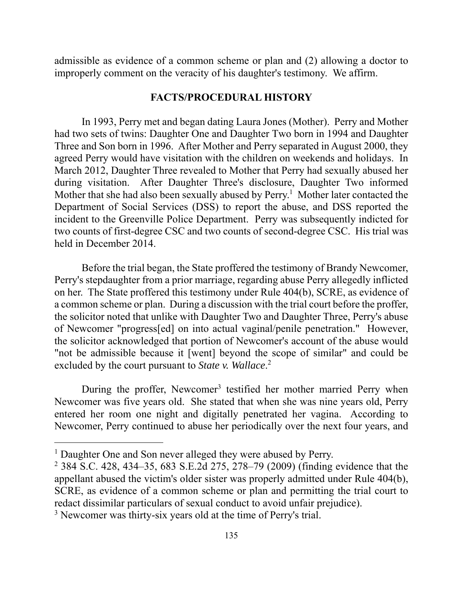improperly comment on the veracity of his daughter's testimony. We affirm. admissible as evidence of a common scheme or plan and (2) allowing a doctor to

### **FACTS/PROCEDURAL HISTORY**

 during visitation. After Daughter Three's disclosure, Daughter Two informed Mother that she had also been sexually abused by  $Perry<sup>1</sup>$  Mother later contacted the In 1993, Perry met and began dating Laura Jones (Mother). Perry and Mother had two sets of twins: Daughter One and Daughter Two born in 1994 and Daughter Three and Son born in 1996. After Mother and Perry separated in August 2000, they agreed Perry would have visitation with the children on weekends and holidays. In March 2012, Daughter Three revealed to Mother that Perry had sexually abused her Department of Social Services (DSS) to report the abuse, and DSS reported the incident to the Greenville Police Department. Perry was subsequently indicted for two counts of first-degree CSC and two counts of second-degree CSC. His trial was held in December 2014.

 on her. The State proffered this testimony under Rule 404(b), SCRE, as evidence of excluded by the court pursuant to *State v. Wallace*. 2 Before the trial began, the State proffered the testimony of Brandy Newcomer, Perry's stepdaughter from a prior marriage, regarding abuse Perry allegedly inflicted a common scheme or plan. During a discussion with the trial court before the proffer, the solicitor noted that unlike with Daughter Two and Daughter Three, Perry's abuse of Newcomer "progress[ed] on into actual vaginal/penile penetration." However, the solicitor acknowledged that portion of Newcomer's account of the abuse would "not be admissible because it [went] beyond the scope of similar" and could be

 entered her room one night and digitally penetrated her vagina. According to During the proffer, Newcomer<sup>3</sup> testified her mother married Perry when Newcomer was five years old. She stated that when she was nine years old, Perry Newcomer, Perry continued to abuse her periodically over the next four years, and

<sup>&</sup>lt;sup>1</sup> Daughter One and Son never alleged they were abused by Perry.

 SCRE, as evidence of a common scheme or plan and permitting the trial court to 2 384 S.C. 428, 434–35, 683 S.E.2d 275, 278–79 (2009) (finding evidence that the appellant abused the victim's older sister was properly admitted under Rule 404(b), redact dissimilar particulars of sexual conduct to avoid unfair prejudice).

<sup>&</sup>lt;sup>3</sup> Newcomer was thirty-six years old at the time of Perry's trial.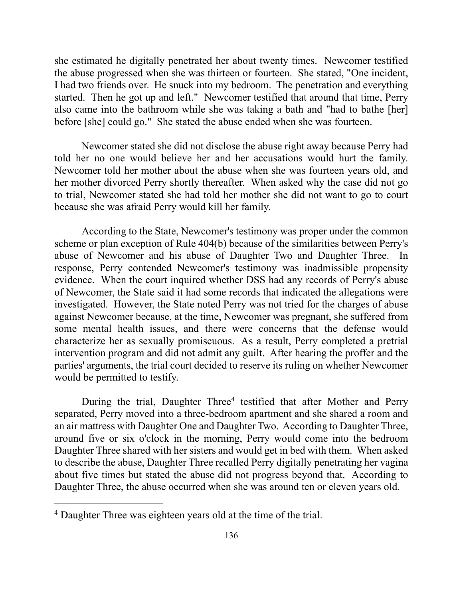I had two friends over. He snuck into my bedroom. The penetration and everything started. Then he got up and left." Newcomer testified that around that time, Perry she estimated he digitally penetrated her about twenty times. Newcomer testified the abuse progressed when she was thirteen or fourteen. She stated, "One incident, also came into the bathroom while she was taking a bath and "had to bathe [her] before [she] could go." She stated the abuse ended when she was fourteen.

 her mother divorced Perry shortly thereafter. When asked why the case did not go Newcomer stated she did not disclose the abuse right away because Perry had told her no one would believe her and her accusations would hurt the family. Newcomer told her mother about the abuse when she was fourteen years old, and to trial, Newcomer stated she had told her mother she did not want to go to court because she was afraid Perry would kill her family.

 abuse of Newcomer and his abuse of Daughter Two and Daughter Three. In characterize her as sexually promiscuous. As a result, Perry completed a pretrial According to the State, Newcomer's testimony was proper under the common scheme or plan exception of Rule 404(b) because of the similarities between Perry's response, Perry contended Newcomer's testimony was inadmissible propensity evidence. When the court inquired whether DSS had any records of Perry's abuse of Newcomer, the State said it had some records that indicated the allegations were investigated. However, the State noted Perry was not tried for the charges of abuse against Newcomer because, at the time, Newcomer was pregnant, she suffered from some mental health issues, and there were concerns that the defense would intervention program and did not admit any guilt. After hearing the proffer and the parties' arguments, the trial court decided to reserve its ruling on whether Newcomer would be permitted to testify.

During the trial, Daughter Three<sup>4</sup> testified that after Mother and Perry separated, Perry moved into a three-bedroom apartment and she shared a room and an air mattress with Daughter One and Daughter Two. According to Daughter Three, around five or six o'clock in the morning, Perry would come into the bedroom Daughter Three shared with her sisters and would get in bed with them. When asked to describe the abuse, Daughter Three recalled Perry digitally penetrating her vagina about five times but stated the abuse did not progress beyond that. According to Daughter Three, the abuse occurred when she was around ten or eleven years old.

<sup>&</sup>lt;sup>4</sup> Daughter Three was eighteen years old at the time of the trial.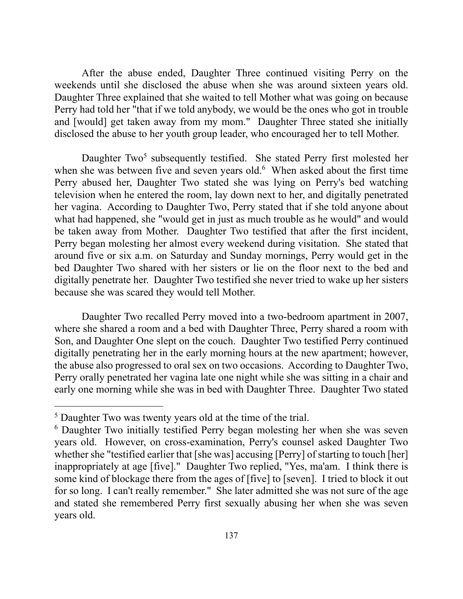and [would] get taken away from my mom." Daughter Three stated she initially After the abuse ended, Daughter Three continued visiting Perry on the weekends until she disclosed the abuse when she was around sixteen years old. Daughter Three explained that she waited to tell Mother what was going on because Perry had told her "that if we told anybody, we would be the ones who got in trouble disclosed the abuse to her youth group leader, who encouraged her to tell Mother.

when she was between five and seven years old.<sup>6</sup> When asked about the first time be taken away from Mother. Daughter Two testified that after the first incident, Daughter Two<sup>5</sup> subsequently testified. She stated Perry first molested her Perry abused her, Daughter Two stated she was lying on Perry's bed watching television when he entered the room, lay down next to her, and digitally penetrated her vagina. According to Daughter Two, Perry stated that if she told anyone about what had happened, she "would get in just as much trouble as he would" and would Perry began molesting her almost every weekend during visitation. She stated that around five or six a.m. on Saturday and Sunday mornings, Perry would get in the bed Daughter Two shared with her sisters or lie on the floor next to the bed and digitally penetrate her. Daughter Two testified she never tried to wake up her sisters because she was scared they would tell Mother.

 where she shared a room and a bed with Daughter Three, Perry shared a room with Perry orally penetrated her vagina late one night while she was sitting in a chair and Daughter Two recalled Perry moved into a two-bedroom apartment in 2007, Son, and Daughter One slept on the couch. Daughter Two testified Perry continued digitally penetrating her in the early morning hours at the new apartment; however, the abuse also progressed to oral sex on two occasions. According to Daughter Two, early one morning while she was in bed with Daughter Three. Daughter Two stated

<sup>&</sup>lt;sup>5</sup> Daughter Two was twenty years old at the time of the trial.

 some kind of blockage there from the ages of [five] to [seven]. I tried to block it out 6 Daughter Two initially testified Perry began molesting her when she was seven years old. However, on cross-examination, Perry's counsel asked Daughter Two whether she "testified earlier that [she was] accusing [Perry] of starting to touch [her] inappropriately at age [five]." Daughter Two replied, "Yes, ma'am. I think there is for so long. I can't really remember." She later admitted she was not sure of the age and stated she remembered Perry first sexually abusing her when she was seven years old.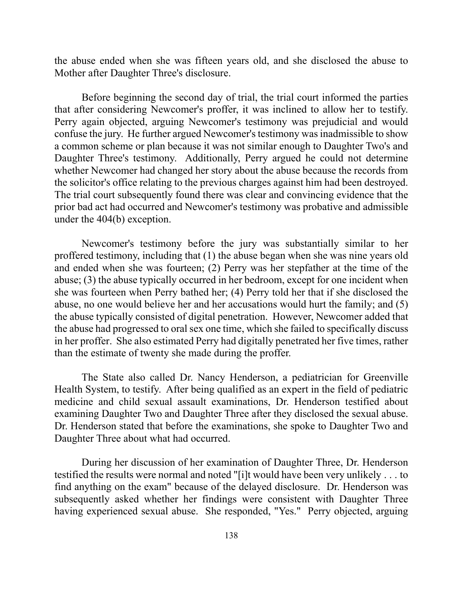the abuse ended when she was fifteen years old, and she disclosed the abuse to Mother after Daughter Three's disclosure.

 Daughter Three's testimony. Additionally, Perry argued he could not determine Before beginning the second day of trial, the trial court informed the parties that after considering Newcomer's proffer, it was inclined to allow her to testify. Perry again objected, arguing Newcomer's testimony was prejudicial and would confuse the jury. He further argued Newcomer's testimony was inadmissible to show a common scheme or plan because it was not similar enough to Daughter Two's and whether Newcomer had changed her story about the abuse because the records from the solicitor's office relating to the previous charges against him had been destroyed. The trial court subsequently found there was clear and convincing evidence that the prior bad act had occurred and Newcomer's testimony was probative and admissible under the 404(b) exception.

 and ended when she was fourteen; (2) Perry was her stepfather at the time of the Newcomer's testimony before the jury was substantially similar to her proffered testimony, including that (1) the abuse began when she was nine years old abuse; (3) the abuse typically occurred in her bedroom, except for one incident when she was fourteen when Perry bathed her; (4) Perry told her that if she disclosed the abuse, no one would believe her and her accusations would hurt the family; and (5) the abuse typically consisted of digital penetration. However, Newcomer added that the abuse had progressed to oral sex one time, which she failed to specifically discuss in her proffer. She also estimated Perry had digitally penetrated her five times, rather than the estimate of twenty she made during the proffer.

 Health System, to testify. After being qualified as an expert in the field of pediatric The State also called Dr. Nancy Henderson, a pediatrician for Greenville medicine and child sexual assault examinations, Dr. Henderson testified about examining Daughter Two and Daughter Three after they disclosed the sexual abuse. Dr. Henderson stated that before the examinations, she spoke to Daughter Two and Daughter Three about what had occurred.

 having experienced sexual abuse. She responded, "Yes." Perry objected, arguing During her discussion of her examination of Daughter Three, Dr. Henderson testified the results were normal and noted "[i]t would have been very unlikely . . . to find anything on the exam" because of the delayed disclosure. Dr. Henderson was subsequently asked whether her findings were consistent with Daughter Three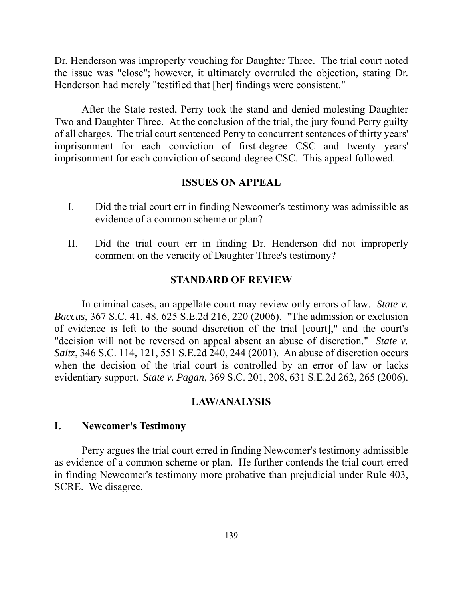Dr. Henderson was improperly vouching for Daughter Three. The trial court noted the issue was "close"; however, it ultimately overruled the objection, stating Dr. Henderson had merely "testified that [her] findings were consistent."

After the State rested, Perry took the stand and denied molesting Daughter Two and Daughter Three. At the conclusion of the trial, the jury found Perry guilty of all charges. The trial court sentenced Perry to concurrent sentences of thirty years' imprisonment for each conviction of first-degree CSC and twenty years' imprisonment for each conviction of second-degree CSC. This appeal followed.

#### **ISSUES ON APPEAL**

- I. Did the trial court err in finding Newcomer's testimony was admissible as evidence of a common scheme or plan?
- II. Did the trial court err in finding Dr. Henderson did not improperly comment on the veracity of Daughter Three's testimony?

### **STANDARD OF REVIEW**

 In criminal cases, an appellate court may review only errors of law. *State v.*  when the decision of the trial court is controlled by an error of law or lacks *Baccus*, 367 S.C. 41, 48, 625 S.E.2d 216, 220 (2006). "The admission or exclusion of evidence is left to the sound discretion of the trial [court]," and the court's "decision will not be reversed on appeal absent an abuse of discretion." *State v. Saltz*, 346 S.C. 114, 121, 551 S.E.2d 240, 244 (2001). An abuse of discretion occurs evidentiary support. *State v. Pagan*, 369 S.C. 201, 208, 631 S.E.2d 262, 265 (2006).

#### **LAW/ANALYSIS**

#### **I. Newcomer's Testimony**

Perry argues the trial court erred in finding Newcomer's testimony admissible as evidence of a common scheme or plan. He further contends the trial court erred in finding Newcomer's testimony more probative than prejudicial under Rule 403, SCRE. We disagree.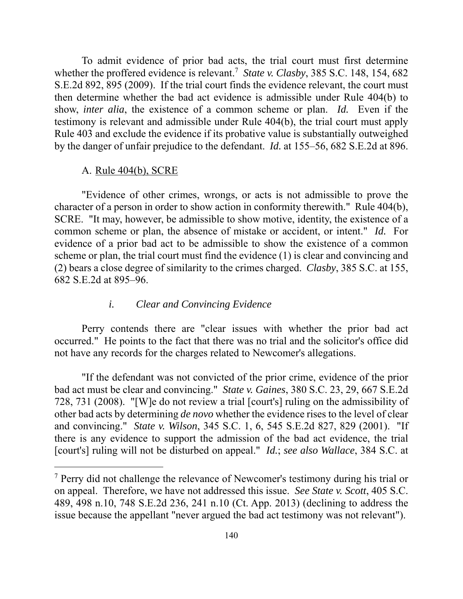To admit evidence of prior bad acts, the trial court must first determine whether the proffered evidence is relevant.<sup>7</sup> *State v. Clasby*, 385 S.C. 148, 154, 682 show, *inter alia*, the existence of a common scheme or plan. *Id.* Even if the S.E.2d 892, 895 (2009). If the trial court finds the evidence relevant, the court must then determine whether the bad act evidence is admissible under Rule 404(b) to testimony is relevant and admissible under Rule 404(b), the trial court must apply Rule 403 and exclude the evidence if its probative value is substantially outweighed by the danger of unfair prejudice to the defendant. *Id.* at 155–56, 682 S.E.2d at 896.

#### A. Rule 404(b), SCRE

 $\overline{a}$ 

 common scheme or plan, the absence of mistake or accident, or intent." *Id.* For "Evidence of other crimes, wrongs, or acts is not admissible to prove the character of a person in order to show action in conformity therewith." Rule 404(b), SCRE. "It may, however, be admissible to show motive, identity, the existence of a evidence of a prior bad act to be admissible to show the existence of a common scheme or plan, the trial court must find the evidence (1) is clear and convincing and (2) bears a close degree of similarity to the crimes charged. *Clasby*, 385 S.C. at 155, 682 S.E.2d at 895–96.

#### *i. Clear and Convincing Evidence*

Perry contends there are "clear issues with whether the prior bad act occurred." He points to the fact that there was no trial and the solicitor's office did not have any records for the charges related to Newcomer's allegations.

 728, 731 (2008). "[W]e do not review a trial [court's] ruling on the admissibility of "If the defendant was not convicted of the prior crime, evidence of the prior bad act must be clear and convincing." *State v. Gaines*, 380 S.C. 23, 29, 667 S.E.2d other bad acts by determining *de novo* whether the evidence rises to the level of clear and convincing." *State v. Wilson*, 345 S.C. 1, 6, 545 S.E.2d 827, 829 (2001). "If there is any evidence to support the admission of the bad act evidence, the trial [court's] ruling will not be disturbed on appeal." *Id.*; *see also Wallace*, 384 S.C. at

<sup>&</sup>lt;sup>7</sup> Perry did not challenge the relevance of Newcomer's testimony during his trial or on appeal. Therefore, we have not addressed this issue. *See State v. Scott*, 405 S.C. 489, 498 n.10, 748 S.E.2d 236, 241 n.10 (Ct. App. 2013) (declining to address the issue because the appellant "never argued the bad act testimony was not relevant").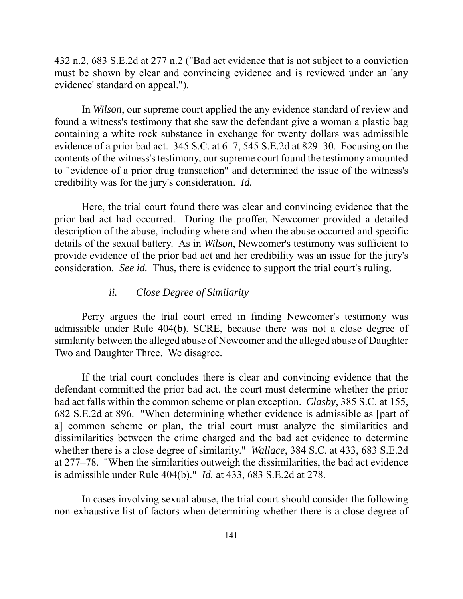432 n.2, 683 S.E.2d at 277 n.2 ("Bad act evidence that is not subject to a conviction must be shown by clear and convincing evidence and is reviewed under an 'any evidence' standard on appeal.").

 found a witness's testimony that she saw the defendant give a woman a plastic bag contents of the witness's testimony, our supreme court found the testimony amounted credibility was for the jury's consideration. *Id.*  In *Wilson*, our supreme court applied the any evidence standard of review and containing a white rock substance in exchange for twenty dollars was admissible evidence of a prior bad act. 345 S.C. at 6–7, 545 S.E.2d at 829–30. Focusing on the to "evidence of a prior drug transaction" and determined the issue of the witness's

 consideration. *See id.* Thus, there is evidence to support the trial court's ruling. Here, the trial court found there was clear and convincing evidence that the prior bad act had occurred. During the proffer, Newcomer provided a detailed description of the abuse, including where and when the abuse occurred and specific details of the sexual battery. As in *Wilson*, Newcomer's testimony was sufficient to provide evidence of the prior bad act and her credibility was an issue for the jury's

#### *ii. Close Degree of Similarity*

Perry argues the trial court erred in finding Newcomer's testimony was admissible under Rule 404(b), SCRE, because there was not a close degree of similarity between the alleged abuse of Newcomer and the alleged abuse of Daughter Two and Daughter Three. We disagree.

 at 277–78. "When the similarities outweigh the dissimilarities, the bad act evidence If the trial court concludes there is clear and convincing evidence that the defendant committed the prior bad act, the court must determine whether the prior bad act falls within the common scheme or plan exception. *Clasby*, 385 S.C. at 155, 682 S.E.2d at 896. "When determining whether evidence is admissible as [part of a] common scheme or plan, the trial court must analyze the similarities and dissimilarities between the crime charged and the bad act evidence to determine whether there is a close degree of similarity." *Wallace*, 384 S.C. at 433, 683 S.E.2d is admissible under Rule 404(b)." *Id.* at 433, 683 S.E.2d at 278.

In cases involving sexual abuse, the trial court should consider the following non-exhaustive list of factors when determining whether there is a close degree of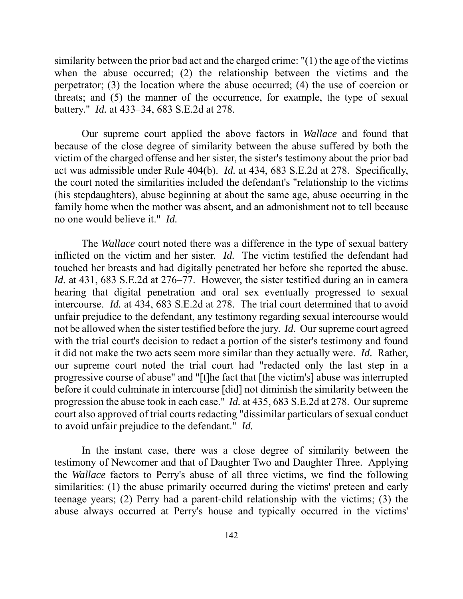similarity between the prior bad act and the charged crime: "(1) the age of the victims when the abuse occurred; (2) the relationship between the victims and the perpetrator; (3) the location where the abuse occurred; (4) the use of coercion or threats; and (5) the manner of the occurrence, for example, the type of sexual battery." *Id.* at 433–34, 683 S.E.2d at 278.

 (his stepdaughters), abuse beginning at about the same age, abuse occurring in the no one would believe it." *Id.* Our supreme court applied the above factors in *Wallace* and found that because of the close degree of similarity between the abuse suffered by both the victim of the charged offense and her sister, the sister's testimony about the prior bad act was admissible under Rule 404(b). *Id.* at 434, 683 S.E.2d at 278. Specifically, the court noted the similarities included the defendant's "relationship to the victims family home when the mother was absent, and an admonishment not to tell because

 inflicted on the victim and her sister. *Id.* The victim testified the defendant had *Id.* at 431, 683 S.E.2d at 276–77. However, the sister testified during an in camera not be allowed when the sister testified before the jury. *Id.* Our supreme court agreed The *Wallace* court noted there was a difference in the type of sexual battery touched her breasts and had digitally penetrated her before she reported the abuse. hearing that digital penetration and oral sex eventually progressed to sexual intercourse. *Id.* at 434, 683 S.E.2d at 278. The trial court determined that to avoid unfair prejudice to the defendant, any testimony regarding sexual intercourse would with the trial court's decision to redact a portion of the sister's testimony and found it did not make the two acts seem more similar than they actually were. *Id.* Rather, our supreme court noted the trial court had "redacted only the last step in a progressive course of abuse" and "[t]he fact that [the victim's] abuse was interrupted before it could culminate in intercourse [did] not diminish the similarity between the progression the abuse took in each case." *Id.* at 435, 683 S.E.2d at 278. Our supreme court also approved of trial courts redacting "dissimilar particulars of sexual conduct to avoid unfair prejudice to the defendant." *Id.* 

In the instant case, there was a close degree of similarity between the testimony of Newcomer and that of Daughter Two and Daughter Three. Applying the *Wallace* factors to Perry's abuse of all three victims, we find the following similarities: (1) the abuse primarily occurred during the victims' preteen and early teenage years; (2) Perry had a parent-child relationship with the victims; (3) the abuse always occurred at Perry's house and typically occurred in the victims'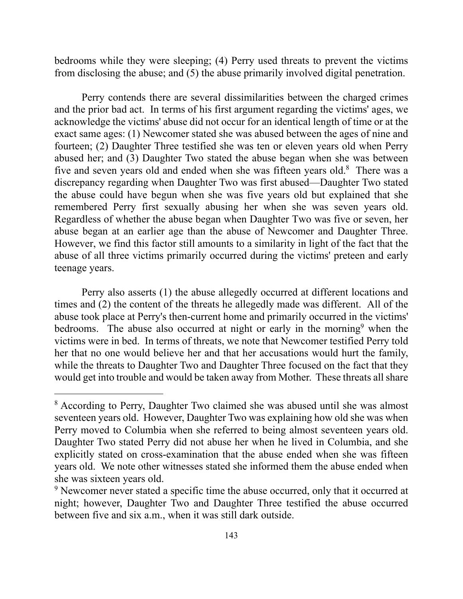bedrooms while they were sleeping; (4) Perry used threats to prevent the victims from disclosing the abuse; and (5) the abuse primarily involved digital penetration.

five and seven years old and ended when she was fifteen years old.<sup>8</sup> There was a remembered Perry first sexually abusing her when she was seven years old. abuse of all three victims primarily occurred during the victims' preteen and early Perry contends there are several dissimilarities between the charged crimes and the prior bad act. In terms of his first argument regarding the victims' ages, we acknowledge the victims' abuse did not occur for an identical length of time or at the exact same ages: (1) Newcomer stated she was abused between the ages of nine and fourteen; (2) Daughter Three testified she was ten or eleven years old when Perry abused her; and (3) Daughter Two stated the abuse began when she was between discrepancy regarding when Daughter Two was first abused—Daughter Two stated the abuse could have begun when she was five years old but explained that she Regardless of whether the abuse began when Daughter Two was five or seven, her abuse began at an earlier age than the abuse of Newcomer and Daughter Three. However, we find this factor still amounts to a similarity in light of the fact that the teenage years.

bedrooms. The abuse also occurred at night or early in the morning<sup>9</sup> when the victims were in bed. In terms of threats, we note that Newcomer testified Perry told Perry also asserts (1) the abuse allegedly occurred at different locations and times and (2) the content of the threats he allegedly made was different. All of the abuse took place at Perry's then-current home and primarily occurred in the victims' her that no one would believe her and that her accusations would hurt the family, while the threats to Daughter Two and Daughter Three focused on the fact that they would get into trouble and would be taken away from Mother. These threats all share

<sup>&</sup>lt;sup>8</sup> According to Perry, Daughter Two claimed she was abused until she was almost seventeen years old. However, Daughter Two was explaining how old she was when Perry moved to Columbia when she referred to being almost seventeen years old. Daughter Two stated Perry did not abuse her when he lived in Columbia, and she explicitly stated on cross-examination that the abuse ended when she was fifteen years old. We note other witnesses stated she informed them the abuse ended when she was sixteen years old.

<sup>&</sup>lt;sup>9</sup> Newcomer never stated a specific time the abuse occurred, only that it occurred at night; however, Daughter Two and Daughter Three testified the abuse occurred between five and six a.m., when it was still dark outside.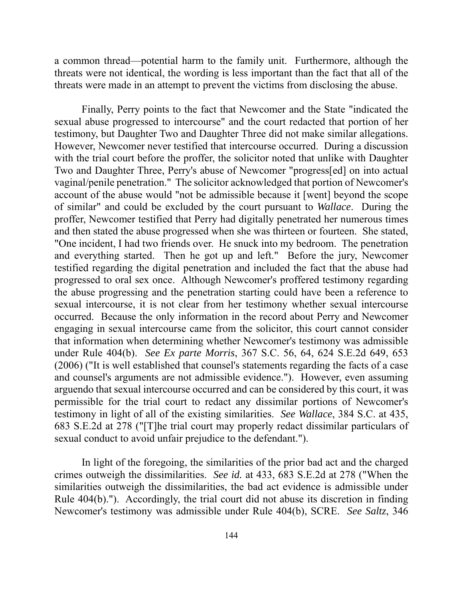a common thread—potential harm to the family unit. Furthermore, although the threats were not identical, the wording is less important than the fact that all of the threats were made in an attempt to prevent the victims from disclosing the abuse.

 vaginal/penile penetration." The solicitor acknowledged that portion of Newcomer's "One incident, I had two friends over. He snuck into my bedroom. The penetration the abuse progressing and the penetration starting could have been a reference to sexual conduct to avoid unfair prejudice to the defendant."). Finally, Perry points to the fact that Newcomer and the State "indicated the sexual abuse progressed to intercourse" and the court redacted that portion of her testimony, but Daughter Two and Daughter Three did not make similar allegations. However, Newcomer never testified that intercourse occurred. During a discussion with the trial court before the proffer, the solicitor noted that unlike with Daughter Two and Daughter Three, Perry's abuse of Newcomer "progress[ed] on into actual account of the abuse would "not be admissible because it [went] beyond the scope of similar" and could be excluded by the court pursuant to *Wallace*. During the proffer, Newcomer testified that Perry had digitally penetrated her numerous times and then stated the abuse progressed when she was thirteen or fourteen. She stated, and everything started. Then he got up and left." Before the jury, Newcomer testified regarding the digital penetration and included the fact that the abuse had progressed to oral sex once. Although Newcomer's proffered testimony regarding sexual intercourse, it is not clear from her testimony whether sexual intercourse occurred. Because the only information in the record about Perry and Newcomer engaging in sexual intercourse came from the solicitor, this court cannot consider that information when determining whether Newcomer's testimony was admissible under Rule 404(b). *See Ex parte Morris*, 367 S.C. 56, 64, 624 S.E.2d 649, 653 (2006) ("It is well established that counsel's statements regarding the facts of a case and counsel's arguments are not admissible evidence."). However, even assuming arguendo that sexual intercourse occurred and can be considered by this court, it was permissible for the trial court to redact any dissimilar portions of Newcomer's testimony in light of all of the existing similarities. *See Wallace*, 384 S.C. at 435, 683 S.E.2d at 278 ("[T]he trial court may properly redact dissimilar particulars of

In light of the foregoing, the similarities of the prior bad act and the charged. crimes outweigh the dissimilarities. *See id.* at 433, 683 S.E.2d at 278 ("When the similarities outweigh the dissimilarities, the bad act evidence is admissible under Rule 404(b)."). Accordingly, the trial court did not abuse its discretion in finding Newcomer's testimony was admissible under Rule 404(b), SCRE. *See Saltz*, 346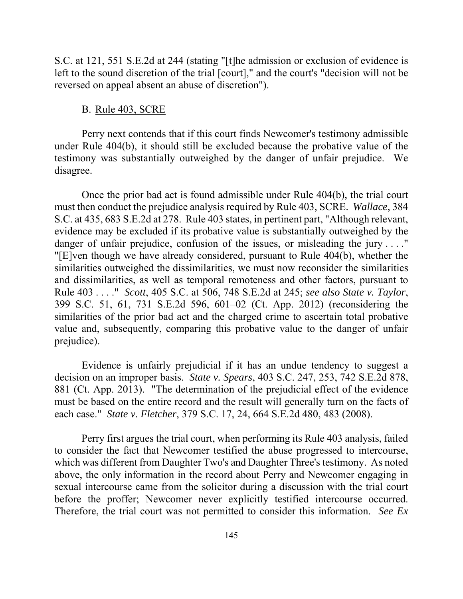S.C. at 121, 551 S.E.2d at 244 (stating "[t]he admission or exclusion of evidence is left to the sound discretion of the trial [court]," and the court's "decision will not be reversed on appeal absent an abuse of discretion").

## B. Rule 403, SCRE

Perry next contends that if this court finds Newcomer's testimony admissible under Rule 404(b), it should still be excluded because the probative value of the testimony was substantially outweighed by the danger of unfair prejudice. We disagree.

Once the prior bad act is found admissible under Rule 404(b), the trial court must then conduct the prejudice analysis required by Rule 403, SCRE. *Wallace*, 384 S.C. at 435, 683 S.E.2d at 278. Rule 403 states, in pertinent part, "Although relevant, evidence may be excluded if its probative value is substantially outweighed by the danger of unfair prejudice, confusion of the issues, or misleading the jury ...." "[E]ven though we have already considered, pursuant to Rule 404(b), whether the similarities outweighed the dissimilarities, we must now reconsider the similarities and dissimilarities, as well as temporal remoteness and other factors, pursuant to Rule 403 . . . ." *Scott*, 405 S.C. at 506, 748 S.E.2d at 245; *see also State v. Taylor*, 399 S.C. 51, 61, 731 S.E.2d 596, 601–02 (Ct. App. 2012) (reconsidering the similarities of the prior bad act and the charged crime to ascertain total probative value and, subsequently, comparing this probative value to the danger of unfair prejudice).

 881 (Ct. App. 2013). "The determination of the prejudicial effect of the evidence Evidence is unfairly prejudicial if it has an undue tendency to suggest a decision on an improper basis. *State v. Spears*, 403 S.C. 247, 253, 742 S.E.2d 878, must be based on the entire record and the result will generally turn on the facts of each case." *State v. Fletcher*, 379 S.C. 17, 24, 664 S.E.2d 480, 483 (2008).

before the proffer; Newcomer never explicitly testified intercourse occurred. Perry first argues the trial court, when performing its Rule 403 analysis, failed to consider the fact that Newcomer testified the abuse progressed to intercourse, which was different from Daughter Two's and Daughter Three's testimony. As noted above, the only information in the record about Perry and Newcomer engaging in sexual intercourse came from the solicitor during a discussion with the trial court Therefore, the trial court was not permitted to consider this information. *See Ex*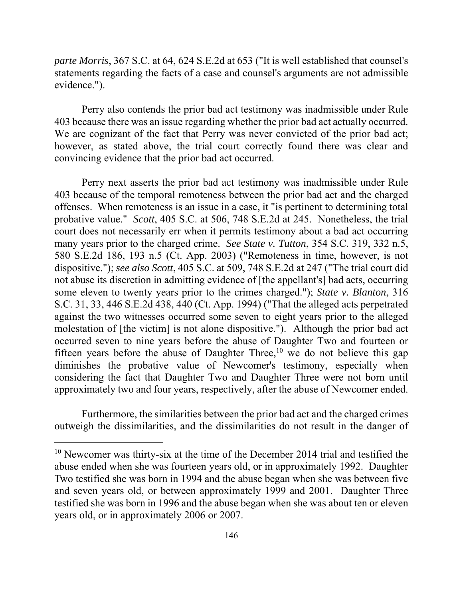*parte Morris*, 367 S.C. at 64, 624 S.E.2d at 653 ("It is well established that counsel's statements regarding the facts of a case and counsel's arguments are not admissible evidence.").

403 because there was an issue regarding whether the prior bad act actually occurred. Perry also contends the prior bad act testimony was inadmissible under Rule We are cognizant of the fact that Perry was never convicted of the prior bad act; however, as stated above, the trial court correctly found there was clear and convincing evidence that the prior bad act occurred.

 403 because of the temporal remoteness between the prior bad act and the charged some eleven to twenty years prior to the crimes charged."); *State v. Blanton*, 316 Perry next asserts the prior bad act testimony was inadmissible under Rule offenses. When remoteness is an issue in a case, it "is pertinent to determining total probative value." *Scott*, 405 S.C. at 506, 748 S.E.2d at 245. Nonetheless, the trial court does not necessarily err when it permits testimony about a bad act occurring many years prior to the charged crime. *See State v. Tutton*, 354 S.C. 319, 332 n.5, 580 S.E.2d 186, 193 n.5 (Ct. App. 2003) ("Remoteness in time, however, is not dispositive."); *see also Scott*, 405 S.C. at 509, 748 S.E.2d at 247 ("The trial court did not abuse its discretion in admitting evidence of [the appellant's] bad acts, occurring S.C. 31, 33, 446 S.E.2d 438, 440 (Ct. App. 1994) ("That the alleged acts perpetrated against the two witnesses occurred some seven to eight years prior to the alleged molestation of [the victim] is not alone dispositive."). Although the prior bad act occurred seven to nine years before the abuse of Daughter Two and fourteen or fifteen years before the abuse of Daughter Three,<sup>10</sup> we do not believe this gap diminishes the probative value of Newcomer's testimony, especially when considering the fact that Daughter Two and Daughter Three were not born until approximately two and four years, respectively, after the abuse of Newcomer ended.

Furthermore, the similarities between the prior bad act and the charged crimes outweigh the dissimilarities, and the dissimilarities do not result in the danger of

 $\overline{a}$ 

<sup>&</sup>lt;sup>10</sup> Newcomer was thirty-six at the time of the December 2014 trial and testified the abuse ended when she was fourteen years old, or in approximately 1992. Daughter Two testified she was born in 1994 and the abuse began when she was between five and seven years old, or between approximately 1999 and 2001. Daughter Three testified she was born in 1996 and the abuse began when she was about ten or eleven years old, or in approximately 2006 or 2007.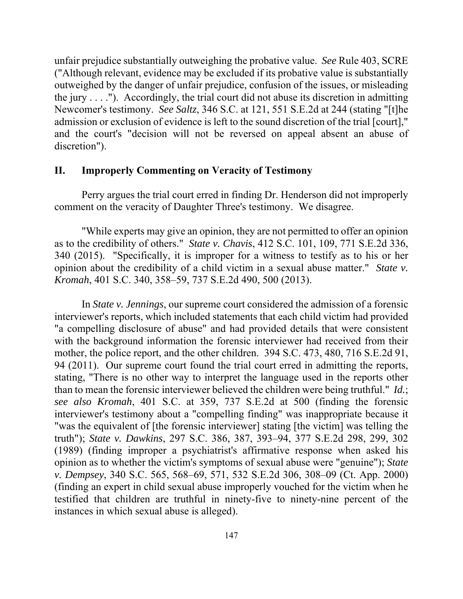unfair prejudice substantially outweighing the probative value. *See* Rule 403, SCRE ("Although relevant, evidence may be excluded if its probative value is substantially outweighed by the danger of unfair prejudice, confusion of the issues, or misleading the jury  $\dots$ ."). Accordingly, the trial court did not abuse its discretion in admitting Newcomer's testimony. *See Saltz*, 346 S.C. at 121, 551 S.E.2d at 244 (stating "[t]he admission or exclusion of evidence is left to the sound discretion of the trial [court]," and the court's "decision will not be reversed on appeal absent an abuse of discretion").

## **II. Improperly Commenting on Veracity of Testimony**

Perry argues the trial court erred in finding Dr. Henderson did not improperly comment on the veracity of Daughter Three's testimony. We disagree.

 as to the credibility of others." *State v. Chavis*, 412 S.C. 101, 109, 771 S.E.2d 336, opinion about the credibility of a child victim in a sexual abuse matter." *State v.*  "While experts may give an opinion, they are not permitted to offer an opinion 340 (2015). "Specifically, it is improper for a witness to testify as to his or her *Kromah*, 401 S.C. 340, 358–59, 737 S.E.2d 490, 500 (2013).

 with the background information the forensic interviewer had received from their In *State v. Jennings*, our supreme court considered the admission of a forensic interviewer's reports, which included statements that each child victim had provided "a compelling disclosure of abuse" and had provided details that were consistent mother, the police report, and the other children. 394 S.C. 473, 480, 716 S.E.2d 91, 94 (2011). Our supreme court found the trial court erred in admitting the reports, stating, "There is no other way to interpret the language used in the reports other than to mean the forensic interviewer believed the children were being truthful." *Id.*; *see also Kromah*, 401 S.C. at 359, 737 S.E.2d at 500 (finding the forensic interviewer's testimony about a "compelling finding" was inappropriate because it "was the equivalent of [the forensic interviewer] stating [the victim] was telling the truth"); *State v. Dawkins*, 297 S.C. 386, 387, 393–94, 377 S.E.2d 298, 299, 302 (1989) (finding improper a psychiatrist's affirmative response when asked his opinion as to whether the victim's symptoms of sexual abuse were "genuine"); *State v. Dempsey*, 340 S.C. 565, 568–69, 571, 532 S.E.2d 306, 308–09 (Ct. App. 2000) (finding an expert in child sexual abuse improperly vouched for the victim when he testified that children are truthful in ninety-five to ninety-nine percent of the instances in which sexual abuse is alleged).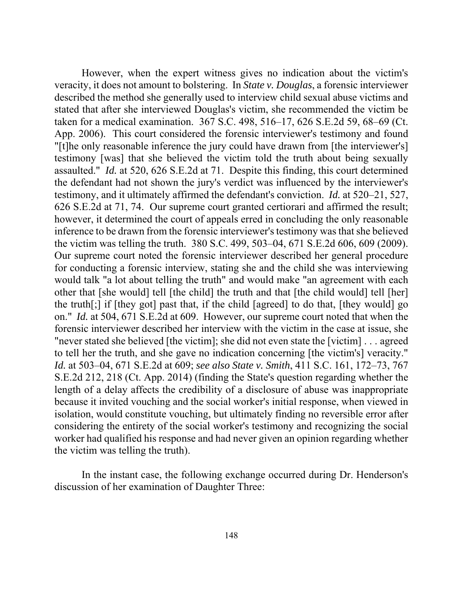the defendant had not shown the jury's verdict was influenced by the interviewer's "never stated she believed [the victim]; she did not even state the [victim] . . . agreed to tell her the truth, and she gave no indication concerning [the victim's] veracity." the victim was telling the truth). However, when the expert witness gives no indication about the victim's veracity, it does not amount to bolstering. In *State v. Douglas*, a forensic interviewer described the method she generally used to interview child sexual abuse victims and stated that after she interviewed Douglas's victim, she recommended the victim be taken for a medical examination. 367 S.C. 498, 516–17, 626 S.E.2d 59, 68–69 (Ct. App. 2006). This court considered the forensic interviewer's testimony and found "[t]he only reasonable inference the jury could have drawn from [the interviewer's] testimony [was] that she believed the victim told the truth about being sexually assaulted." *Id.* at 520, 626 S.E.2d at 71. Despite this finding, this court determined testimony, and it ultimately affirmed the defendant's conviction. *Id.* at 520–21, 527, 626 S.E.2d at 71, 74. Our supreme court granted certiorari and affirmed the result; however, it determined the court of appeals erred in concluding the only reasonable inference to be drawn from the forensic interviewer's testimony was that she believed the victim was telling the truth. 380 S.C. 499, 503–04, 671 S.E.2d 606, 609 (2009). Our supreme court noted the forensic interviewer described her general procedure for conducting a forensic interview, stating she and the child she was interviewing would talk "a lot about telling the truth" and would make "an agreement with each other that [she would] tell [the child] the truth and that [the child would] tell [her] the truth[;] if [they got] past that, if the child [agreed] to do that, [they would] go on." *Id.* at 504, 671 S.E.2d at 609. However, our supreme court noted that when the forensic interviewer described her interview with the victim in the case at issue, she *Id.* at 503–04, 671 S.E.2d at 609; *see also State v. Smith*, 411 S.C. 161, 172–73, 767 S.E.2d 212, 218 (Ct. App. 2014) (finding the State's question regarding whether the length of a delay affects the credibility of a disclosure of abuse was inappropriate because it invited vouching and the social worker's initial response, when viewed in isolation, would constitute vouching, but ultimately finding no reversible error after considering the entirety of the social worker's testimony and recognizing the social worker had qualified his response and had never given an opinion regarding whether

In the instant case, the following exchange occurred during Dr. Henderson's discussion of her examination of Daughter Three: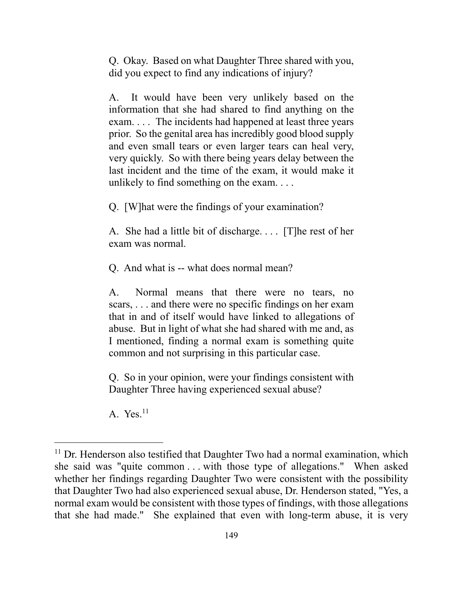Q. Okay. Based on what Daughter Three shared with you, did you expect to find any indications of injury?

 prior. So the genital area has incredibly good blood supply A. It would have been very unlikely based on the information that she had shared to find anything on the exam. . . . The incidents had happened at least three years and even small tears or even larger tears can heal very, very quickly. So with there being years delay between the last incident and the time of the exam, it would make it unlikely to find something on the exam. . . .

Q. [W]hat were the findings of your examination?

 A. She had a little bit of discharge. . . . [T]he rest of her exam was normal.

Q. And what is -- what does normal mean?

 A. Normal means that there were no tears, no scars, . . . and there were no specific findings on her exam that in and of itself would have linked to allegations of abuse. But in light of what she had shared with me and, as I mentioned, finding a normal exam is something quite common and not surprising in this particular case.

Q. So in your opinion, were your findings consistent with Daughter Three having experienced sexual abuse?

A.  $Yes.<sup>11</sup>$ 

 $\overline{a}$ 

 she said was "quite common . . . with those type of allegations." When asked  $11$  Dr. Henderson also testified that Daughter Two had a normal examination, which whether her findings regarding Daughter Two were consistent with the possibility that Daughter Two had also experienced sexual abuse, Dr. Henderson stated, "Yes, a normal exam would be consistent with those types of findings, with those allegations that she had made." She explained that even with long-term abuse, it is very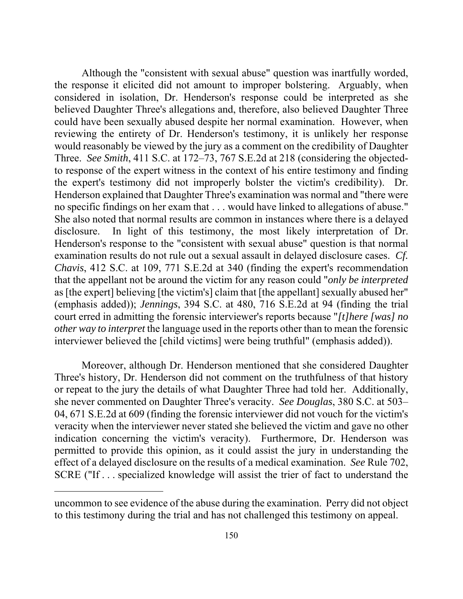the response it elicited did not amount to improper bolstering. Arguably, when could have been sexually abused despite her normal examination. However, when would reasonably be viewed by the jury as a comment on the credibility of Daughter Henderson explained that Daughter Three's examination was normal and "there were She also noted that normal results are common in instances where there is a delayed  court erred in admitting the forensic interviewer's reports because "*[t]here [was] no*  Although the "consistent with sexual abuse" question was inartfully worded, considered in isolation, Dr. Henderson's response could be interpreted as she believed Daughter Three's allegations and, therefore, also believed Daughter Three reviewing the entirety of Dr. Henderson's testimony, it is unlikely her response Three. *See Smith*, 411 S.C. at 172–73, 767 S.E.2d at 218 (considering the objectedto response of the expert witness in the context of his entire testimony and finding the expert's testimony did not improperly bolster the victim's credibility). Dr. no specific findings on her exam that . . . would have linked to allegations of abuse." disclosure. In light of this testimony, the most likely interpretation of Dr. Henderson's response to the "consistent with sexual abuse" question is that normal examination results do not rule out a sexual assault in delayed disclosure cases. *Cf. Chavis*, 412 S.C. at 109, 771 S.E.2d at 340 (finding the expert's recommendation that the appellant not be around the victim for any reason could "*only be interpreted*  as [the expert] believing [the victim's] claim that [the appellant] sexually abused her" (emphasis added)); *Jennings*, 394 S.C. at 480, 716 S.E.2d at 94 (finding the trial *other way to interpret* the language used in the reports other than to mean the forensic interviewer believed the [child victims] were being truthful" (emphasis added)).

Moreover, although Dr. Henderson mentioned that she considered Daughter Three's history, Dr. Henderson did not comment on the truthfulness of that history or repeat to the jury the details of what Daughter Three had told her. Additionally, she never commented on Daughter Three's veracity. *See Douglas*, 380 S.C. at 503– 04, 671 S.E.2d at 609 (finding the forensic interviewer did not vouch for the victim's veracity when the interviewer never stated she believed the victim and gave no other indication concerning the victim's veracity). Furthermore, Dr. Henderson was permitted to provide this opinion, as it could assist the jury in understanding the effect of a delayed disclosure on the results of a medical examination. *See* Rule 702, SCRE ("If . . . specialized knowledge will assist the trier of fact to understand the

 $\overline{a}$ 

uncommon to see evidence of the abuse during the examination. Perry did not object to this testimony during the trial and has not challenged this testimony on appeal.